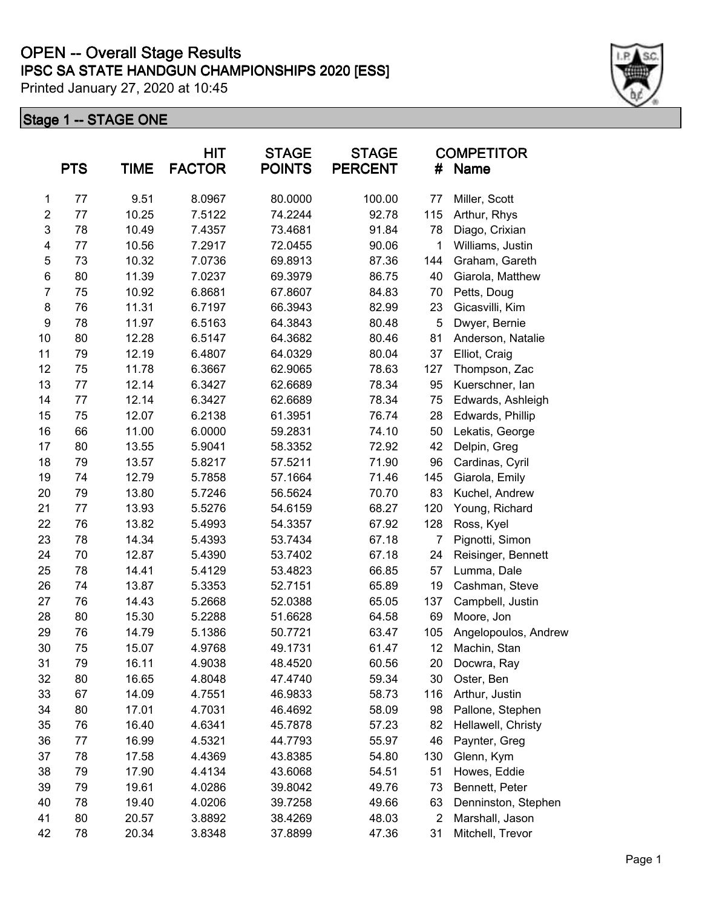# **IPSC SA STATE HANDGUN CHAMPIONSHIPS 2020 [ESS] OPEN -- Overall Stage Results**

Printed January 27, 2020 at 10:45

|                         | <b>PTS</b> | <b>TIME</b> | <b>HIT</b><br><b>FACTOR</b> | <b>STAGE</b><br><b>POINTS</b> | <b>STAGE</b><br><b>PERCENT</b> | <b>COMPETITOR</b><br>Name<br># |                      |
|-------------------------|------------|-------------|-----------------------------|-------------------------------|--------------------------------|--------------------------------|----------------------|
| 1                       | 77         | 9.51        | 8.0967                      | 80.0000                       | 100.00                         | 77                             | Miller, Scott        |
| $\boldsymbol{2}$        | 77         | 10.25       | 7.5122                      | 74.2244                       | 92.78                          | 115                            | Arthur, Rhys         |
| 3                       | 78         | 10.49       | 7.4357                      | 73.4681                       | 91.84                          | 78                             | Diago, Crixian       |
| $\overline{\mathbf{4}}$ | 77         | 10.56       | 7.2917                      | 72.0455                       | 90.06                          | 1                              | Williams, Justin     |
| 5                       | 73         | 10.32       | 7.0736                      | 69.8913                       | 87.36                          | 144                            | Graham, Gareth       |
| $\,6$                   | 80         | 11.39       | 7.0237                      | 69.3979                       | 86.75                          | 40                             | Giarola, Matthew     |
| $\overline{7}$          | 75         | 10.92       | 6.8681                      | 67.8607                       | 84.83                          | 70                             | Petts, Doug          |
| $\bf 8$                 | 76         | 11.31       | 6.7197                      | 66.3943                       | 82.99                          | 23                             | Gicasvilli, Kim      |
| 9                       | 78         | 11.97       | 6.5163                      | 64.3843                       | 80.48                          | 5                              | Dwyer, Bernie        |
| 10                      | 80         | 12.28       | 6.5147                      | 64.3682                       | 80.46                          | 81                             | Anderson, Natalie    |
| 11                      | 79         | 12.19       | 6.4807                      | 64.0329                       | 80.04                          | 37                             | Elliot, Craig        |
| 12                      | 75         | 11.78       | 6.3667                      | 62.9065                       | 78.63                          | 127                            | Thompson, Zac        |
| 13                      | 77         | 12.14       | 6.3427                      | 62.6689                       | 78.34                          | 95                             | Kuerschner, lan      |
| 14                      | 77         | 12.14       | 6.3427                      | 62.6689                       | 78.34                          | 75                             | Edwards, Ashleigh    |
| 15                      | 75         | 12.07       | 6.2138                      | 61.3951                       | 76.74                          | 28                             | Edwards, Phillip     |
| 16                      | 66         | 11.00       | 6.0000                      | 59.2831                       | 74.10                          | 50                             | Lekatis, George      |
| 17                      | 80         | 13.55       | 5.9041                      | 58.3352                       | 72.92                          | 42                             | Delpin, Greg         |
| 18                      | 79         | 13.57       | 5.8217                      | 57.5211                       | 71.90                          | 96                             | Cardinas, Cyril      |
| 19                      | 74         | 12.79       | 5.7858                      | 57.1664                       | 71.46                          | 145                            | Giarola, Emily       |
| 20                      | 79         | 13.80       | 5.7246                      | 56.5624                       | 70.70                          | 83                             | Kuchel, Andrew       |
| 21                      | 77         | 13.93       | 5.5276                      | 54.6159                       | 68.27                          | 120                            | Young, Richard       |
| 22                      | 76         | 13.82       | 5.4993                      | 54.3357                       | 67.92                          | 128                            | Ross, Kyel           |
| 23                      | 78         | 14.34       | 5.4393                      | 53.7434                       | 67.18                          | 7                              | Pignotti, Simon      |
| 24                      | 70         | 12.87       | 5.4390                      | 53.7402                       | 67.18                          | 24                             | Reisinger, Bennett   |
| 25                      | 78         | 14.41       | 5.4129                      | 53.4823                       | 66.85                          | 57                             | Lumma, Dale          |
| 26                      | 74         | 13.87       | 5.3353                      | 52.7151                       | 65.89                          | 19                             | Cashman, Steve       |
| 27                      | 76         | 14.43       | 5.2668                      | 52.0388                       | 65.05                          | 137                            | Campbell, Justin     |
| 28                      | 80         | 15.30       | 5.2288                      | 51.6628                       | 64.58                          | 69                             | Moore, Jon           |
| 29                      | 76         | 14.79       | 5.1386                      | 50.7721                       | 63.47                          | 105                            | Angelopoulos, Andrew |
| 30                      | 75         | 15.07       | 4.9768                      | 49.1731                       | 61.47                          | 12                             | Machin, Stan         |
| 31                      | 79         | 16.11       | 4.9038                      | 48.4520                       | 60.56                          | 20                             | Docwra, Ray          |
| 32                      | 80         | 16.65       | 4.8048                      | 47.4740                       | 59.34                          | 30                             | Oster, Ben           |
| 33                      | 67         | 14.09       | 4.7551                      | 46.9833                       | 58.73                          | 116                            | Arthur, Justin       |
| 34                      | 80         | 17.01       | 4.7031                      | 46.4692                       | 58.09                          | 98                             | Pallone, Stephen     |
| 35                      | 76         | 16.40       | 4.6341                      | 45.7878                       | 57.23                          | 82                             | Hellawell, Christy   |
| 36                      | 77         | 16.99       | 4.5321                      | 44.7793                       | 55.97                          | 46                             | Paynter, Greg        |
| 37                      | 78         | 17.58       | 4.4369                      | 43.8385                       | 54.80                          | 130                            | Glenn, Kym           |
| 38                      | 79         | 17.90       | 4.4134                      | 43.6068                       | 54.51                          | 51                             | Howes, Eddie         |
| 39                      | 79         | 19.61       | 4.0286                      | 39.8042                       | 49.76                          | 73                             | Bennett, Peter       |
| 40                      | 78         | 19.40       | 4.0206                      | 39.7258                       | 49.66                          | 63                             | Denninston, Stephen  |
| 41                      | 80         | 20.57       | 3.8892                      | 38.4269                       | 48.03                          | $\overline{2}$                 | Marshall, Jason      |
| 42                      | 78         | 20.34       | 3.8348                      | 37.8899                       | 47.36                          | 31                             | Mitchell, Trevor     |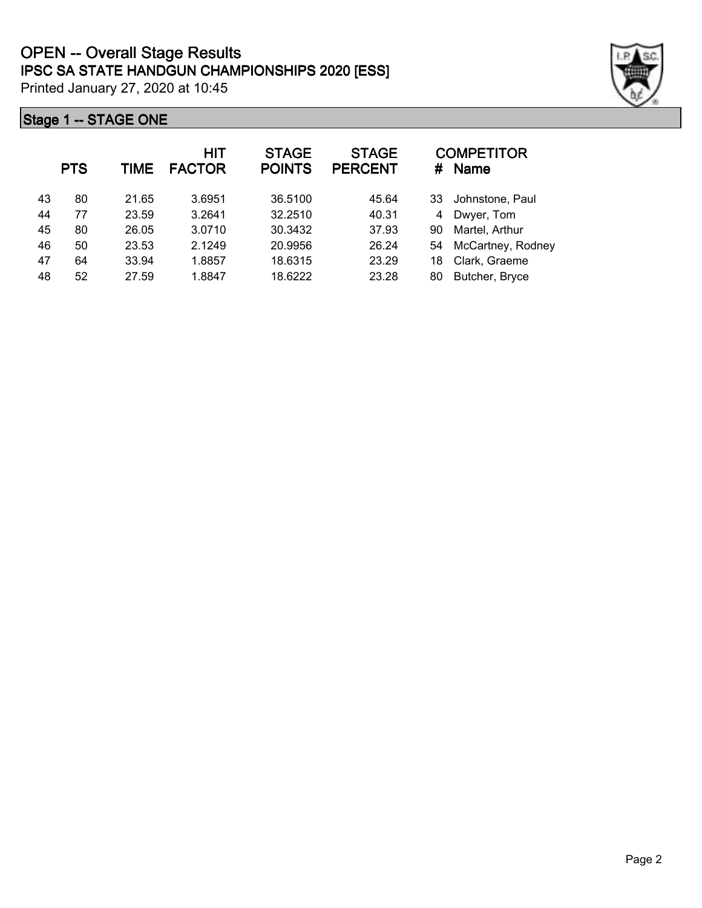|    | <b>PTS</b> | <b>TIME</b> | <b>HIT</b><br><b>FACTOR</b> | <b>STAGE</b><br><b>POINTS</b> | <b>STAGE</b><br><b>PERCENT</b> | #  | <b>COMPETITOR</b><br><b>Name</b> |
|----|------------|-------------|-----------------------------|-------------------------------|--------------------------------|----|----------------------------------|
| 43 | 80         | 21.65       | 3.6951                      | 36.5100                       | 45.64                          | 33 | Johnstone, Paul                  |
| 44 | 77         | 23.59       | 3.2641                      | 32.2510                       | 40.31                          | 4  | Dwyer, Tom                       |
| 45 | 80         | 26.05       | 3.0710                      | 30.3432                       | 37.93                          | 90 | Martel, Arthur                   |
| 46 | 50         | 23.53       | 2.1249                      | 20.9956                       | 26.24                          | 54 | McCartney, Rodney                |
| 47 | 64         | 33.94       | 1.8857                      | 18.6315                       | 23.29                          | 18 | Clark, Graeme                    |
| 48 | 52         | 27.59       | 1.8847                      | 18.6222                       | 23.28                          | 80 | Butcher, Bryce                   |

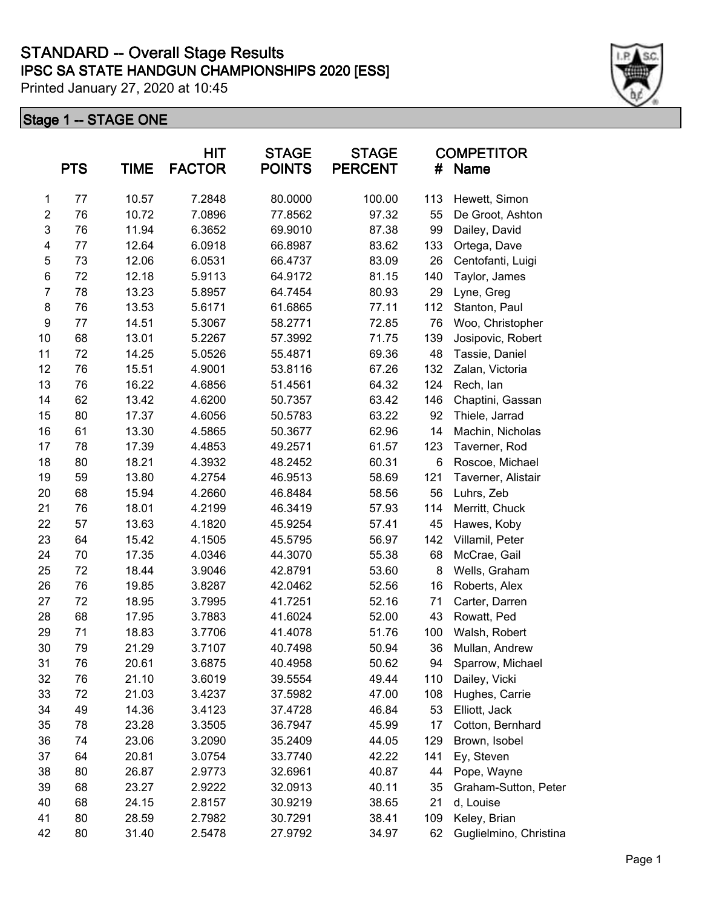|                  | <b>PTS</b> | <b>TIME</b> | <b>HIT</b><br><b>FACTOR</b> | <b>STAGE</b><br><b>POINTS</b> | <b>STAGE</b><br><b>PERCENT</b> | #   | <b>COMPETITOR</b><br>Name |
|------------------|------------|-------------|-----------------------------|-------------------------------|--------------------------------|-----|---------------------------|
| 1                | 77         | 10.57       | 7.2848                      | 80.0000                       | 100.00                         | 113 | Hewett, Simon             |
| $\boldsymbol{2}$ | 76         | 10.72       | 7.0896                      | 77.8562                       | 97.32                          | 55  | De Groot, Ashton          |
| 3                | 76         | 11.94       | 6.3652                      | 69.9010                       | 87.38                          | 99  | Dailey, David             |
| 4                | 77         | 12.64       | 6.0918                      | 66.8987                       | 83.62                          | 133 | Ortega, Dave              |
| 5                | 73         | 12.06       | 6.0531                      | 66.4737                       | 83.09                          | 26  | Centofanti, Luigi         |
| 6                | 72         | 12.18       | 5.9113                      | 64.9172                       | 81.15                          | 140 | Taylor, James             |
| $\overline{7}$   | 78         | 13.23       | 5.8957                      | 64.7454                       | 80.93                          | 29  | Lyne, Greg                |
| $\bf 8$          | 76         | 13.53       | 5.6171                      | 61.6865                       | 77.11                          | 112 | Stanton, Paul             |
| $\boldsymbol{9}$ | 77         | 14.51       | 5.3067                      | 58.2771                       | 72.85                          | 76  | Woo, Christopher          |
| 10               | 68         | 13.01       | 5.2267                      | 57.3992                       | 71.75                          | 139 | Josipovic, Robert         |
| 11               | 72         | 14.25       | 5.0526                      | 55.4871                       | 69.36                          | 48  | Tassie, Daniel            |
| 12               | 76         | 15.51       | 4.9001                      | 53.8116                       | 67.26                          | 132 | Zalan, Victoria           |
| 13               | 76         | 16.22       | 4.6856                      | 51.4561                       | 64.32                          | 124 | Rech, lan                 |
| 14               | 62         | 13.42       | 4.6200                      | 50.7357                       | 63.42                          | 146 | Chaptini, Gassan          |
| 15               | 80         | 17.37       | 4.6056                      | 50.5783                       | 63.22                          | 92  | Thiele, Jarrad            |
| 16               | 61         | 13.30       | 4.5865                      | 50.3677                       | 62.96                          | 14  | Machin, Nicholas          |
| 17               | 78         | 17.39       | 4.4853                      | 49.2571                       | 61.57                          | 123 | Taverner, Rod             |
| 18               | 80         | 18.21       | 4.3932                      | 48.2452                       | 60.31                          | 6   | Roscoe, Michael           |
| 19               | 59         | 13.80       | 4.2754                      | 46.9513                       | 58.69                          | 121 | Taverner, Alistair        |
| 20               | 68         | 15.94       | 4.2660                      | 46.8484                       | 58.56                          | 56  | Luhrs, Zeb                |
| 21               | 76         | 18.01       | 4.2199                      | 46.3419                       | 57.93                          | 114 | Merritt, Chuck            |
| 22               | 57         | 13.63       | 4.1820                      | 45.9254                       | 57.41                          | 45  | Hawes, Koby               |
| 23               | 64         | 15.42       | 4.1505                      | 45.5795                       | 56.97                          | 142 | Villamil, Peter           |
| 24               | 70         | 17.35       | 4.0346                      | 44.3070                       | 55.38                          | 68  | McCrae, Gail              |
| 25               | 72         | 18.44       | 3.9046                      | 42.8791                       | 53.60                          | 8   | Wells, Graham             |
| 26               | 76         | 19.85       | 3.8287                      | 42.0462                       | 52.56                          | 16  | Roberts, Alex             |
| 27               | 72         | 18.95       | 3.7995                      | 41.7251                       | 52.16                          | 71  | Carter, Darren            |
| 28               | 68         | 17.95       | 3.7883                      | 41.6024                       | 52.00                          | 43  | Rowatt, Ped               |
| 29               | 71         | 18.83       | 3.7706                      | 41.4078                       | 51.76                          | 100 | Walsh, Robert             |
| 30               | 79         | 21.29       | 3.7107                      | 40.7498                       | 50.94                          | 36  | Mullan, Andrew            |
| 31               | 76         | 20.61       | 3.6875                      | 40.4958                       | 50.62                          | 94  | Sparrow, Michael          |
| 32               | 76         | 21.10       | 3.6019                      | 39.5554                       | 49.44                          | 110 | Dailey, Vicki             |
| 33               | 72         | 21.03       | 3.4237                      | 37.5982                       | 47.00                          | 108 | Hughes, Carrie            |
| 34               | 49         | 14.36       | 3.4123                      | 37.4728                       | 46.84                          | 53  | Elliott, Jack             |
| 35               | 78         | 23.28       | 3.3505                      | 36.7947                       | 45.99                          | 17  | Cotton, Bernhard          |
| 36               | 74         | 23.06       | 3.2090                      | 35.2409                       | 44.05                          | 129 | Brown, Isobel             |
| 37               | 64         | 20.81       | 3.0754                      | 33.7740                       | 42.22                          | 141 | Ey, Steven                |
| 38               | 80         | 26.87       | 2.9773                      | 32.6961                       | 40.87                          | 44  | Pope, Wayne               |
| 39               | 68         | 23.27       | 2.9222                      | 32.0913                       | 40.11                          | 35  | Graham-Sutton, Peter      |
| 40               | 68         | 24.15       | 2.8157                      | 30.9219                       | 38.65                          | 21  | d, Louise                 |
| 41               | 80         | 28.59       | 2.7982                      | 30.7291                       | 38.41                          | 109 | Keley, Brian              |
| 42               | 80         | 31.40       | 2.5478                      | 27.9792                       | 34.97                          | 62  | Guglielmino, Christina    |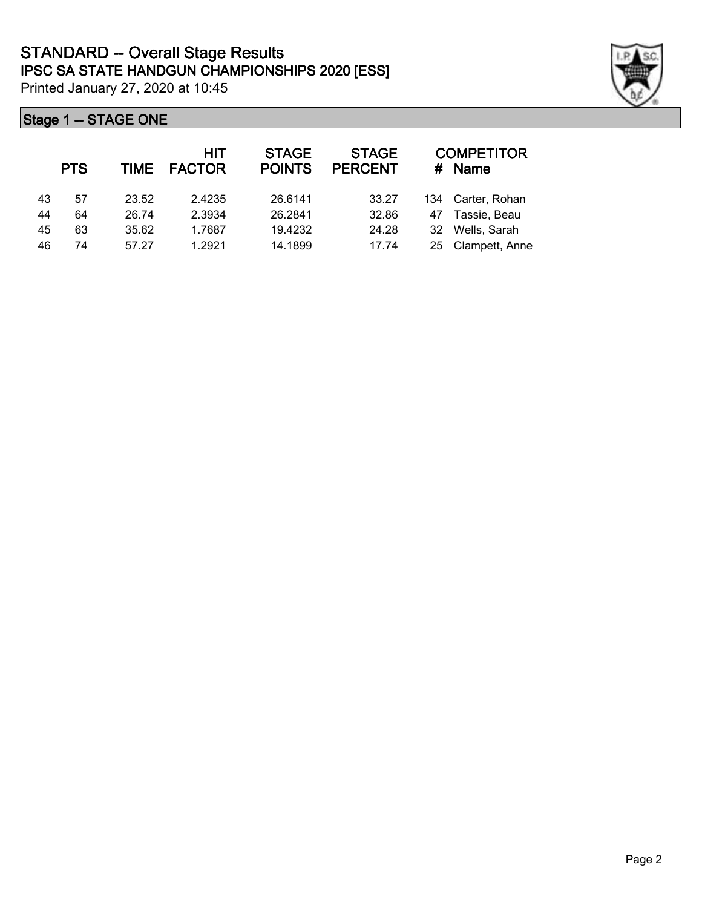|    | <b>PTS</b> | TIME  | HIT<br><b>FACTOR</b> | <b>STAGE</b><br><b>POINTS</b> | <b>STAGE</b><br><b>PERCENT</b> | #  | <b>COMPETITOR</b><br><b>Name</b> |
|----|------------|-------|----------------------|-------------------------------|--------------------------------|----|----------------------------------|
| 43 | 57         | 23.52 | 2.4235               | 26.6141                       | 33.27                          |    | 134 Carter, Rohan                |
| 44 | 64         | 26.74 | 2.3934               | 26.2841                       | 32.86                          | 47 | Tassie, Beau                     |
| 45 | 63         | 35.62 | 1.7687               | 19.4232                       | 24.28                          | 32 | Wells, Sarah                     |
| 46 | 74         | 57.27 | 1.2921               | 14.1899                       | 17.74                          | 25 | Clampett, Anne                   |

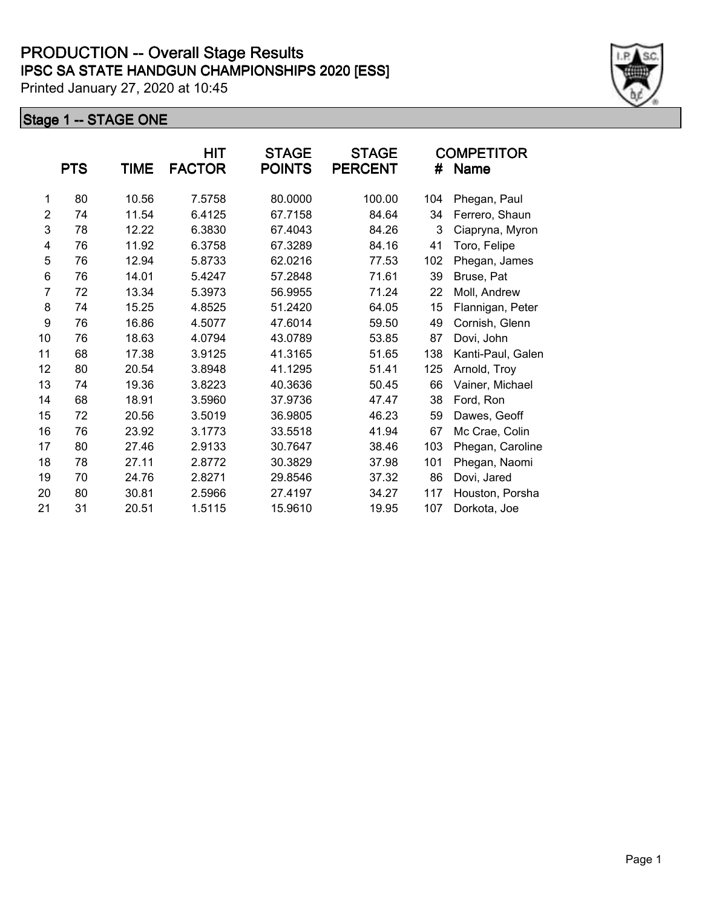|    |            |       | HIT           | <b>STAGE</b>  | <b>STAGE</b>   |     | <b>COMPETITOR</b> |
|----|------------|-------|---------------|---------------|----------------|-----|-------------------|
|    | <b>PTS</b> | TIME  | <b>FACTOR</b> | <b>POINTS</b> | <b>PERCENT</b> | #   | <b>Name</b>       |
| 1  | 80         | 10.56 | 7.5758        | 80.0000       | 100.00         | 104 | Phegan, Paul      |
| 2  | 74         | 11.54 | 6.4125        | 67.7158       | 84.64          | 34  | Ferrero, Shaun    |
| 3  | 78         | 12.22 | 6.3830        | 67.4043       | 84.26          | 3   | Ciapryna, Myron   |
| 4  | 76         | 11.92 | 6.3758        | 67.3289       | 84.16          | 41  | Toro, Felipe      |
| 5  | 76         | 12.94 | 5.8733        | 62.0216       | 77.53          | 102 | Phegan, James     |
| 6  | 76         | 14.01 | 5.4247        | 57.2848       | 71.61          | 39  | Bruse, Pat        |
| 7  | 72         | 13.34 | 5.3973        | 56.9955       | 71.24          | 22  | Moll, Andrew      |
| 8  | 74         | 15.25 | 4.8525        | 51.2420       | 64.05          | 15  | Flannigan, Peter  |
| 9  | 76         | 16.86 | 4.5077        | 47.6014       | 59.50          | 49  | Cornish, Glenn    |
| 10 | 76         | 18.63 | 4.0794        | 43.0789       | 53.85          | 87  | Dovi, John        |
| 11 | 68         | 17.38 | 3.9125        | 41.3165       | 51.65          | 138 | Kanti-Paul, Galen |
| 12 | 80         | 20.54 | 3.8948        | 41.1295       | 51.41          | 125 | Arnold, Troy      |
| 13 | 74         | 19.36 | 3.8223        | 40.3636       | 50.45          | 66  | Vainer, Michael   |
| 14 | 68         | 18.91 | 3.5960        | 37.9736       | 47.47          | 38  | Ford, Ron         |
| 15 | 72         | 20.56 | 3.5019        | 36.9805       | 46.23          | 59  | Dawes, Geoff      |
| 16 | 76         | 23.92 | 3.1773        | 33.5518       | 41.94          | 67  | Mc Crae, Colin    |
| 17 | 80         | 27.46 | 2.9133        | 30.7647       | 38.46          | 103 | Phegan, Caroline  |
| 18 | 78         | 27.11 | 2.8772        | 30.3829       | 37.98          | 101 | Phegan, Naomi     |
| 19 | 70         | 24.76 | 2.8271        | 29.8546       | 37.32          | 86  | Dovi, Jared       |
| 20 | 80         | 30.81 | 2.5966        | 27.4197       | 34.27          | 117 | Houston, Porsha   |
| 21 | 31         | 20.51 | 1.5115        | 15.9610       | 19.95          | 107 | Dorkota, Joe      |

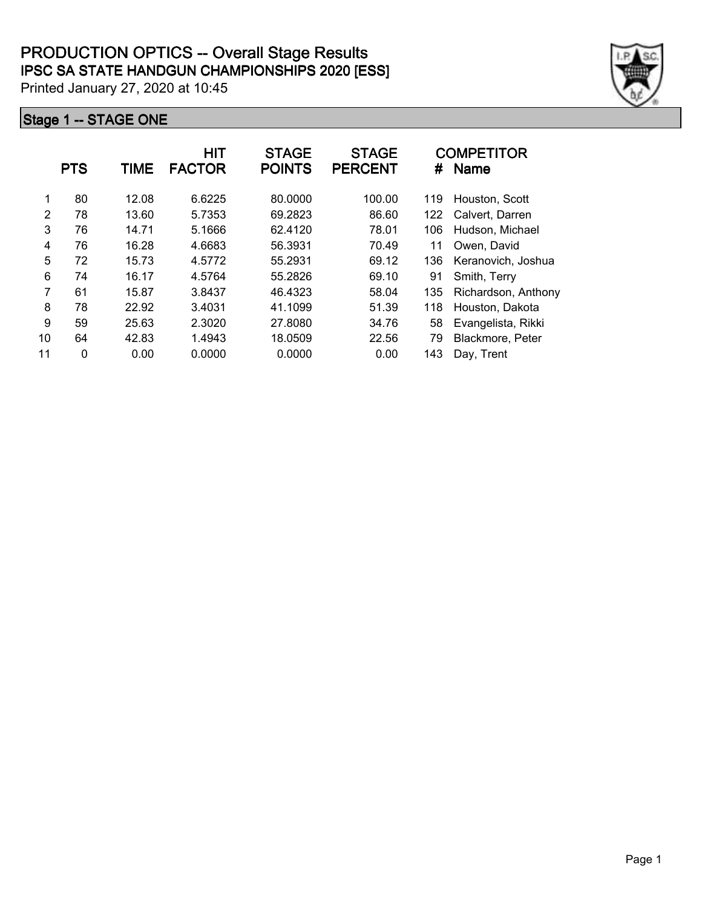|    | <b>PTS</b> | <b>TIME</b> | <b>HIT</b><br><b>FACTOR</b> | <b>STAGE</b><br><b>POINTS</b> | <b>STAGE</b><br><b>PERCENT</b> | #   | <b>COMPETITOR</b><br><b>Name</b> |
|----|------------|-------------|-----------------------------|-------------------------------|--------------------------------|-----|----------------------------------|
| 1  | 80         | 12.08       | 6.6225                      | 80.0000                       | 100.00                         | 119 | Houston, Scott                   |
| 2  | 78         | 13.60       | 5.7353                      | 69.2823                       | 86.60                          | 122 | Calvert, Darren                  |
| 3  | 76         | 14.71       | 5.1666                      | 62.4120                       | 78.01                          | 106 | Hudson, Michael                  |
| 4  | 76         | 16.28       | 4.6683                      | 56.3931                       | 70.49                          | 11  | Owen, David                      |
| 5  | 72         | 15.73       | 4.5772                      | 55.2931                       | 69.12                          | 136 | Keranovich, Joshua               |
| 6  | 74         | 16.17       | 4.5764                      | 55.2826                       | 69.10                          | 91  | Smith, Terry                     |
| 7  | 61         | 15.87       | 3.8437                      | 46.4323                       | 58.04                          | 135 | Richardson, Anthony              |
| 8  | 78         | 22.92       | 3.4031                      | 41.1099                       | 51.39                          | 118 | Houston, Dakota                  |
| 9  | 59         | 25.63       | 2.3020                      | 27.8080                       | 34.76                          | 58  | Evangelista, Rikki               |
| 10 | 64         | 42.83       | 1.4943                      | 18.0509                       | 22.56                          | 79  | Blackmore, Peter                 |
| 11 | 0          | 0.00        | 0.0000                      | 0.0000                        | 0.00                           | 143 | Day, Trent                       |

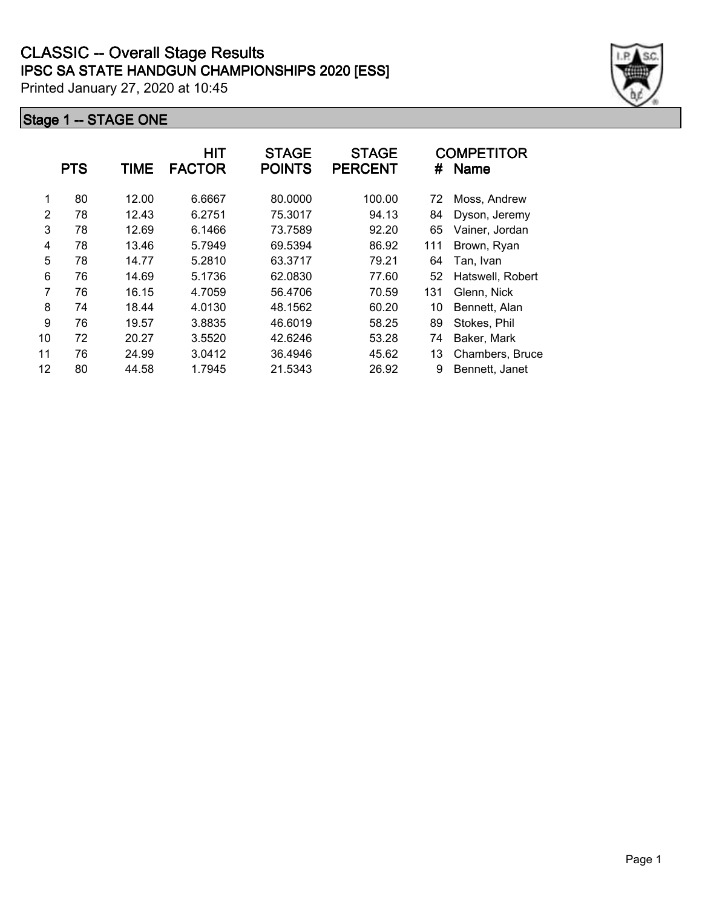|    | <b>PTS</b> | TIME  | <b>HIT</b><br><b>FACTOR</b> | <b>STAGE</b><br><b>POINTS</b> | <b>STAGE</b><br><b>PERCENT</b> | #   | <b>COMPETITOR</b><br><b>Name</b> |
|----|------------|-------|-----------------------------|-------------------------------|--------------------------------|-----|----------------------------------|
| 1  | 80         | 12.00 | 6.6667                      | 80.0000                       | 100.00                         | 72  | Moss, Andrew                     |
| 2  | 78         | 12.43 | 6.2751                      | 75.3017                       | 94.13                          | 84  | Dyson, Jeremy                    |
| 3  | 78         | 12.69 | 6.1466                      | 73.7589                       | 92.20                          | 65  | Vainer, Jordan                   |
| 4  | 78         | 13.46 | 5.7949                      | 69.5394                       | 86.92                          | 111 | Brown, Ryan                      |
| 5  | 78         | 14.77 | 5.2810                      | 63.3717                       | 79.21                          | 64  | Tan, Ivan                        |
| 6  | 76         | 14.69 | 5.1736                      | 62.0830                       | 77.60                          | 52  | Hatswell, Robert                 |
| 7  | 76         | 16.15 | 4.7059                      | 56.4706                       | 70.59                          | 131 | Glenn, Nick                      |
| 8  | 74         | 18.44 | 4.0130                      | 48.1562                       | 60.20                          | 10  | Bennett, Alan                    |
| 9  | 76         | 19.57 | 3.8835                      | 46.6019                       | 58.25                          | 89  | Stokes, Phil                     |
| 10 | 72         | 20.27 | 3.5520                      | 42.6246                       | 53.28                          | 74  | Baker, Mark                      |
| 11 | 76         | 24.99 | 3.0412                      | 36.4946                       | 45.62                          | 13  | Chambers, Bruce                  |
| 12 | 80         | 44.58 | 1.7945                      | 21.5343                       | 26.92                          | 9   | Bennett, Janet                   |

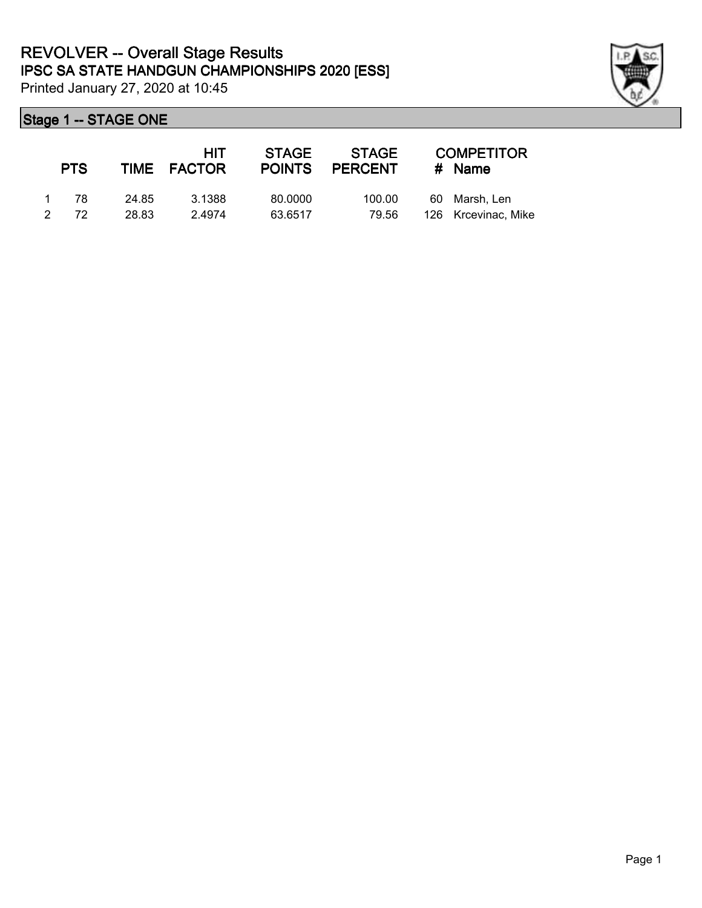

|               | <b>PTS</b> |       | <b>HIT</b><br>TIME FACTOR | STAGE<br><b>POINTS</b> | <b>STAGE</b><br><b>PERCENT</b> | <b>COMPETITOR</b><br># Name |
|---------------|------------|-------|---------------------------|------------------------|--------------------------------|-----------------------------|
|               | -78        | 24.85 | 3.1388                    | 80,0000                | 100.00                         | 60 Marsh, Len               |
| $\mathcal{P}$ | 72         | 28.83 | 2.4974                    | 63.6517                | 79.56                          | 126 Krcevinac, Mike         |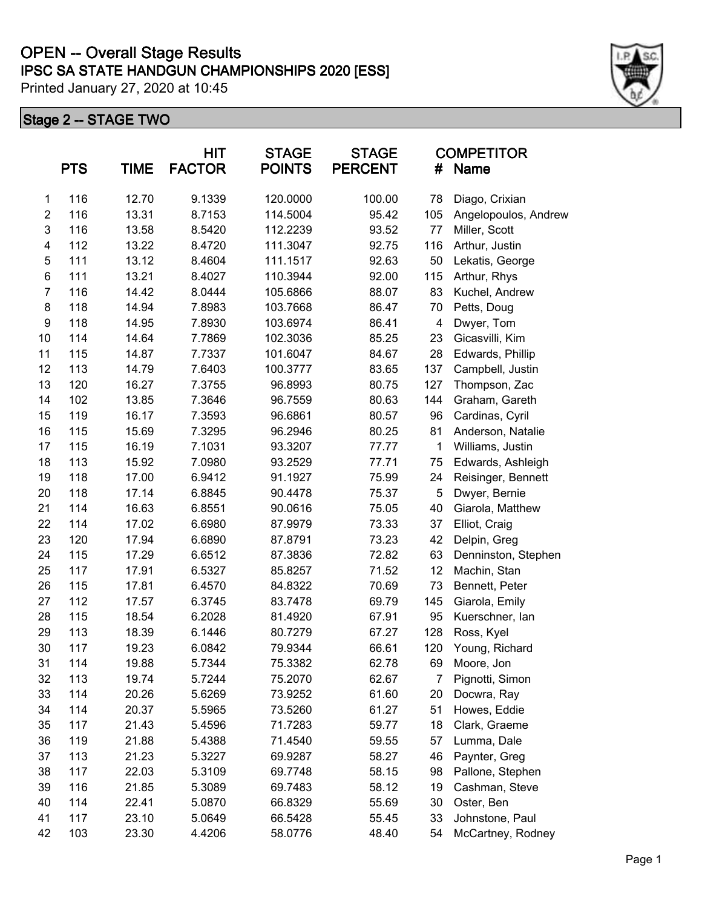# **IPSC SA STATE HANDGUN CHAMPIONSHIPS 2020 [ESS] OPEN -- Overall Stage Results**

Printed January 27, 2020 at 10:45

|                         | <b>PTS</b> | <b>TIME</b> | <b>HIT</b><br><b>FACTOR</b> | <b>STAGE</b><br><b>POINTS</b> | <b>STAGE</b><br><b>PERCENT</b> | <b>COMPETITOR</b><br>#<br><b>Name</b> |                      |
|-------------------------|------------|-------------|-----------------------------|-------------------------------|--------------------------------|---------------------------------------|----------------------|
| 1                       | 116        | 12.70       | 9.1339                      | 120.0000                      | 100.00                         | 78                                    | Diago, Crixian       |
| $\overline{\mathbf{c}}$ | 116        | 13.31       | 8.7153                      | 114.5004                      | 95.42                          | 105                                   | Angelopoulos, Andrew |
| 3                       | 116        | 13.58       | 8.5420                      | 112.2239                      | 93.52                          | 77                                    | Miller, Scott        |
| 4                       | 112        | 13.22       | 8.4720                      | 111.3047                      | 92.75                          | 116                                   | Arthur, Justin       |
| 5                       | 111        | 13.12       | 8.4604                      | 111.1517                      | 92.63                          | 50                                    | Lekatis, George      |
| 6                       | 111        | 13.21       | 8.4027                      | 110.3944                      | 92.00                          | 115                                   | Arthur, Rhys         |
| $\overline{7}$          | 116        | 14.42       | 8.0444                      | 105.6866                      | 88.07                          | 83                                    | Kuchel, Andrew       |
| 8                       | 118        | 14.94       | 7.8983                      | 103.7668                      | 86.47                          | 70                                    | Petts, Doug          |
| 9                       | 118        | 14.95       | 7.8930                      | 103.6974                      | 86.41                          | 4                                     | Dwyer, Tom           |
| 10                      | 114        | 14.64       | 7.7869                      | 102.3036                      | 85.25                          | 23                                    | Gicasvilli, Kim      |
| 11                      | 115        | 14.87       | 7.7337                      | 101.6047                      | 84.67                          | 28                                    | Edwards, Phillip     |
| 12                      | 113        | 14.79       | 7.6403                      | 100.3777                      | 83.65                          | 137                                   | Campbell, Justin     |
| 13                      | 120        | 16.27       | 7.3755                      | 96.8993                       | 80.75                          | 127                                   | Thompson, Zac        |
| 14                      | 102        | 13.85       | 7.3646                      | 96.7559                       | 80.63                          | 144                                   | Graham, Gareth       |
| 15                      | 119        | 16.17       | 7.3593                      | 96.6861                       | 80.57                          | 96                                    | Cardinas, Cyril      |
| 16                      | 115        | 15.69       | 7.3295                      | 96.2946                       | 80.25                          | 81                                    | Anderson, Natalie    |
| 17                      | 115        | 16.19       | 7.1031                      | 93.3207                       | 77.77                          | 1                                     | Williams, Justin     |
| 18                      | 113        | 15.92       | 7.0980                      | 93.2529                       | 77.71                          | 75                                    | Edwards, Ashleigh    |
| 19                      | 118        | 17.00       | 6.9412                      | 91.1927                       | 75.99                          | 24                                    | Reisinger, Bennett   |
| 20                      | 118        | 17.14       | 6.8845                      | 90.4478                       | 75.37                          | 5                                     | Dwyer, Bernie        |
| 21                      | 114        | 16.63       | 6.8551                      | 90.0616                       | 75.05                          | 40                                    | Giarola, Matthew     |
| 22                      | 114        | 17.02       | 6.6980                      | 87.9979                       | 73.33                          | 37                                    | Elliot, Craig        |
| 23                      | 120        | 17.94       | 6.6890                      | 87.8791                       | 73.23                          | 42                                    | Delpin, Greg         |
| 24                      | 115        | 17.29       | 6.6512                      | 87.3836                       | 72.82                          | 63                                    | Denninston, Stephen  |
| 25                      | 117        | 17.91       | 6.5327                      | 85.8257                       | 71.52                          | 12                                    | Machin, Stan         |
| 26                      | 115        | 17.81       | 6.4570                      | 84.8322                       | 70.69                          | 73                                    | Bennett, Peter       |
| 27                      | 112        | 17.57       | 6.3745                      | 83.7478                       | 69.79                          | 145                                   | Giarola, Emily       |
| 28                      | 115        | 18.54       | 6.2028                      | 81.4920                       | 67.91                          | 95                                    | Kuerschner, lan      |
| 29                      | 113        | 18.39       | 6.1446                      | 80.7279                       | 67.27                          | 128                                   | Ross, Kyel           |
| 30                      | 117        | 19.23       | 6.0842                      | 79.9344                       | 66.61                          | 120                                   | Young, Richard       |
| 31                      | 114        | 19.88       | 5.7344                      | 75.3382                       | 62.78                          | 69                                    | Moore, Jon           |
| 32                      | 113        | 19.74       | 5.7244                      | 75.2070                       | 62.67                          | 7                                     | Pignotti, Simon      |
| 33                      | 114        | 20.26       | 5.6269                      | 73.9252                       | 61.60                          | 20                                    | Docwra, Ray          |
| 34                      | 114        | 20.37       | 5.5965                      | 73.5260                       | 61.27                          | 51                                    | Howes, Eddie         |
| 35                      | 117        | 21.43       | 5.4596                      | 71.7283                       | 59.77                          | 18                                    | Clark, Graeme        |
| 36                      | 119        | 21.88       | 5.4388                      | 71.4540                       | 59.55                          | 57                                    | Lumma, Dale          |
| 37                      | 113        | 21.23       | 5.3227                      | 69.9287                       | 58.27                          | 46                                    | Paynter, Greg        |
| 38                      | 117        | 22.03       | 5.3109                      | 69.7748                       | 58.15                          | 98                                    | Pallone, Stephen     |
| 39                      | 116        | 21.85       | 5.3089                      | 69.7483                       | 58.12                          | 19                                    | Cashman, Steve       |
| 40                      | 114        | 22.41       | 5.0870                      | 66.8329                       | 55.69                          | 30                                    | Oster, Ben           |
| 41                      | 117        | 23.10       | 5.0649                      | 66.5428                       | 55.45                          | 33                                    | Johnstone, Paul      |
| 42                      | 103        | 23.30       | 4.4206                      | 58.0776                       | 48.40                          | 54                                    | McCartney, Rodney    |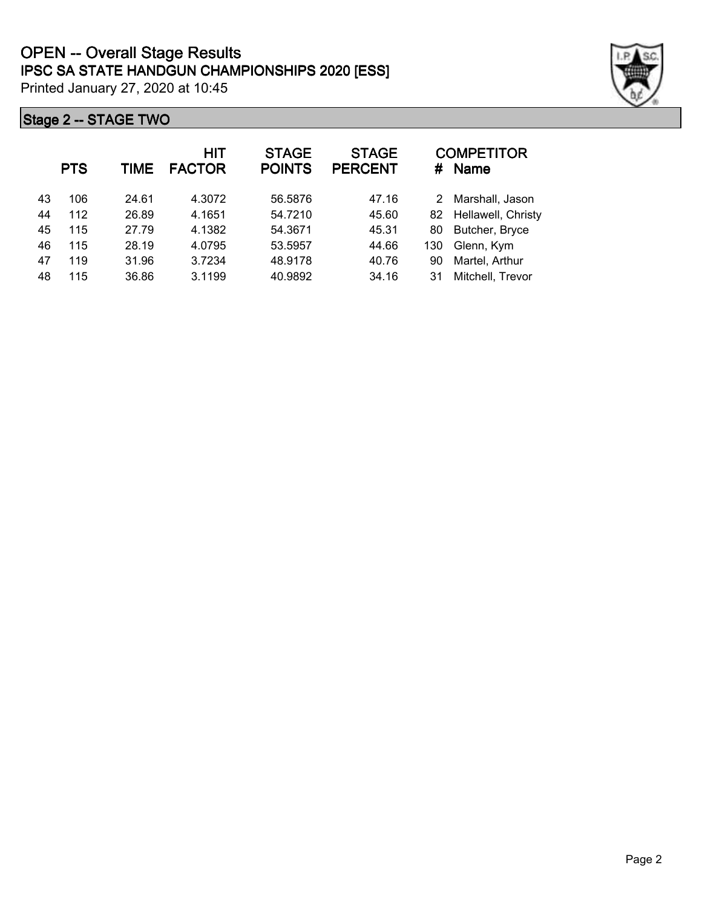|    | <b>PTS</b> | TIME  | <b>HIT</b><br><b>FACTOR</b> | <b>STAGE</b><br><b>POINTS</b> | <b>STAGE</b><br><b>PERCENT</b> |     | <b>COMPETITOR</b><br># Name |
|----|------------|-------|-----------------------------|-------------------------------|--------------------------------|-----|-----------------------------|
| 43 | 106        | 24.61 | 4.3072                      | 56.5876                       | 47.16                          | 2.  | Marshall, Jason             |
| 44 | 112        | 26.89 | 4.1651                      | 54.7210                       | 45.60                          |     | 82 Hellawell, Christy       |
| 45 | 115        | 27.79 | 4.1382                      | 54.3671                       | 45.31                          | 80  | Butcher, Bryce              |
| 46 | 115        | 28.19 | 4.0795                      | 53.5957                       | 44.66                          | 130 | Glenn, Kym                  |
| 47 | 119        | 31.96 | 3.7234                      | 48.9178                       | 40.76                          | 90  | Martel, Arthur              |
| 48 | 115        | 36.86 | 3.1199                      | 40.9892                       | 34.16                          | 31  | Mitchell, Trevor            |

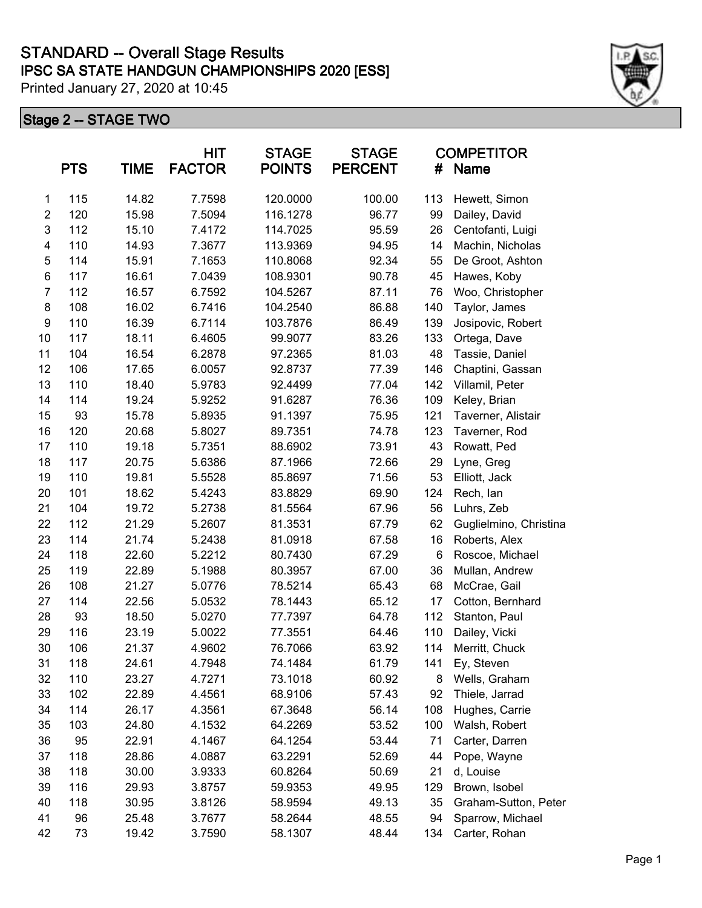|                  | <b>PTS</b> | <b>TIME</b> | <b>HIT</b><br><b>FACTOR</b> | <b>STAGE</b><br><b>POINTS</b> | <b>STAGE</b><br><b>PERCENT</b> | <b>COMPETITOR</b><br>#<br><b>Name</b> |                        |
|------------------|------------|-------------|-----------------------------|-------------------------------|--------------------------------|---------------------------------------|------------------------|
| 1                | 115        | 14.82       | 7.7598                      | 120.0000                      | 100.00                         | 113                                   | Hewett, Simon          |
| $\overline{2}$   | 120        | 15.98       | 7.5094                      | 116.1278                      | 96.77                          | 99                                    | Dailey, David          |
| 3                | 112        | 15.10       | 7.4172                      | 114.7025                      | 95.59                          | 26                                    | Centofanti, Luigi      |
| 4                | 110        | 14.93       | 7.3677                      | 113.9369                      | 94.95                          | 14                                    | Machin, Nicholas       |
| 5                | 114        | 15.91       | 7.1653                      | 110.8068                      | 92.34                          | 55                                    | De Groot, Ashton       |
| 6                | 117        | 16.61       | 7.0439                      | 108.9301                      | 90.78                          | 45                                    | Hawes, Koby            |
| $\overline{7}$   | 112        | 16.57       | 6.7592                      | 104.5267                      | 87.11                          | 76                                    | Woo, Christopher       |
| 8                | 108        | 16.02       | 6.7416                      | 104.2540                      | 86.88                          | 140                                   | Taylor, James          |
| $\boldsymbol{9}$ | 110        | 16.39       | 6.7114                      | 103.7876                      | 86.49                          | 139                                   | Josipovic, Robert      |
| 10               | 117        | 18.11       | 6.4605                      | 99.9077                       | 83.26                          | 133                                   | Ortega, Dave           |
| 11               | 104        | 16.54       | 6.2878                      | 97.2365                       | 81.03                          | 48                                    | Tassie, Daniel         |
| 12               | 106        | 17.65       | 6.0057                      | 92.8737                       | 77.39                          | 146                                   | Chaptini, Gassan       |
| 13               | 110        | 18.40       | 5.9783                      | 92.4499                       | 77.04                          | 142                                   | Villamil, Peter        |
| 14               | 114        | 19.24       | 5.9252                      | 91.6287                       | 76.36                          | 109                                   | Keley, Brian           |
| 15               | 93         | 15.78       | 5.8935                      | 91.1397                       | 75.95                          | 121                                   | Taverner, Alistair     |
| 16               | 120        | 20.68       | 5.8027                      | 89.7351                       | 74.78                          | 123                                   | Taverner, Rod          |
| 17               | 110        | 19.18       | 5.7351                      | 88.6902                       | 73.91                          | 43                                    | Rowatt, Ped            |
| 18               | 117        | 20.75       | 5.6386                      | 87.1966                       | 72.66                          | 29                                    | Lyne, Greg             |
| 19               | 110        | 19.81       | 5.5528                      | 85.8697                       | 71.56                          | 53                                    | Elliott, Jack          |
| 20               | 101        | 18.62       | 5.4243                      | 83.8829                       | 69.90                          | 124                                   | Rech, lan              |
| 21               | 104        | 19.72       | 5.2738                      | 81.5564                       | 67.96                          | 56                                    | Luhrs, Zeb             |
| 22               | 112        | 21.29       | 5.2607                      | 81.3531                       | 67.79                          | 62                                    | Guglielmino, Christina |
| 23               | 114        | 21.74       | 5.2438                      | 81.0918                       | 67.58                          | 16                                    | Roberts, Alex          |
| 24               | 118        | 22.60       | 5.2212                      | 80.7430                       | 67.29                          | 6                                     | Roscoe, Michael        |
| 25               | 119        | 22.89       | 5.1988                      | 80.3957                       | 67.00                          | 36                                    | Mullan, Andrew         |
| 26               | 108        | 21.27       | 5.0776                      | 78.5214                       | 65.43                          | 68                                    | McCrae, Gail           |
| 27               | 114        | 22.56       | 5.0532                      | 78.1443                       | 65.12                          | 17                                    | Cotton, Bernhard       |
| 28               | 93         | 18.50       | 5.0270                      | 77.7397                       | 64.78                          | 112                                   | Stanton, Paul          |
| 29               | 116        | 23.19       | 5.0022                      | 77.3551                       | 64.46                          | 110                                   | Dailey, Vicki          |
| 30               | 106        | 21.37       | 4.9602                      | 76.7066                       | 63.92                          | 114                                   | Merritt, Chuck         |
| 31               | 118        | 24.61       | 4.7948                      | 74.1484                       | 61.79                          | 141                                   | Ey, Steven             |
| 32               | 110        | 23.27       | 4.7271                      | 73.1018                       | 60.92                          | 8                                     | Wells, Graham          |
| 33               | 102        | 22.89       | 4.4561                      | 68.9106                       | 57.43                          | 92                                    | Thiele, Jarrad         |
| 34               | 114        | 26.17       | 4.3561                      | 67.3648                       | 56.14                          | 108                                   | Hughes, Carrie         |
| 35               | 103        | 24.80       | 4.1532                      | 64.2269                       | 53.52                          | 100                                   | Walsh, Robert          |
| 36               | 95         | 22.91       | 4.1467                      | 64.1254                       | 53.44                          | 71                                    | Carter, Darren         |
| 37               | 118        | 28.86       | 4.0887                      | 63.2291                       | 52.69                          | 44                                    | Pope, Wayne            |
| 38               | 118        | 30.00       | 3.9333                      | 60.8264                       | 50.69                          | 21                                    | d, Louise              |
| 39               | 116        | 29.93       | 3.8757                      | 59.9353                       | 49.95                          | 129                                   | Brown, Isobel          |
| 40               | 118        | 30.95       | 3.8126                      | 58.9594                       | 49.13                          | 35                                    | Graham-Sutton, Peter   |
| 41               | 96         | 25.48       | 3.7677                      | 58.2644                       | 48.55                          | 94                                    | Sparrow, Michael       |
| 42               | 73         | 19.42       | 3.7590                      | 58.1307                       | 48.44                          | 134                                   | Carter, Rohan          |

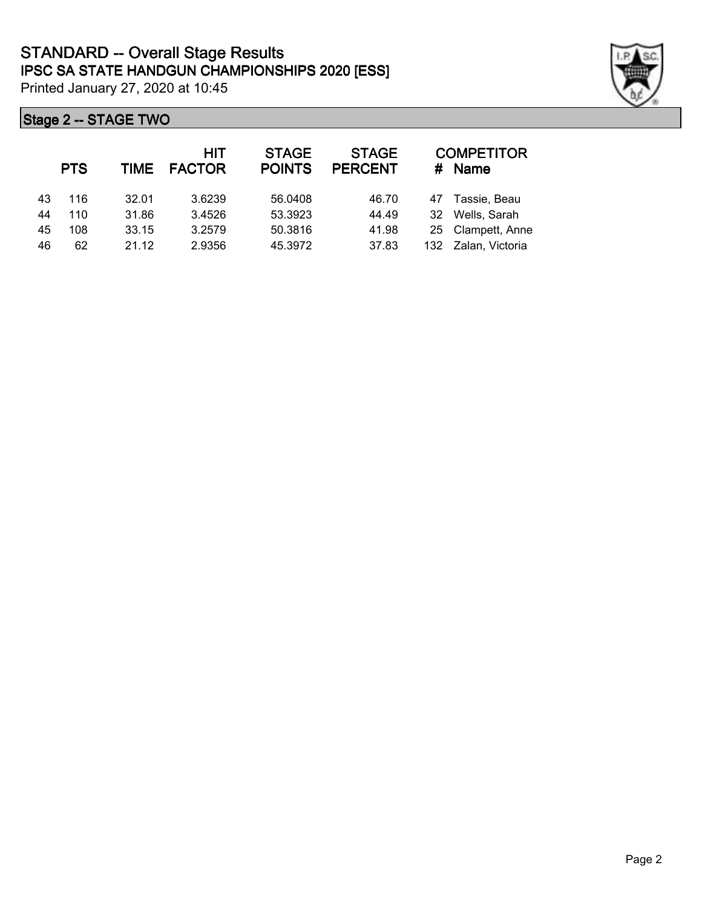|    | <b>PTS</b> | TIME  | HIT<br><b>FACTOR</b> | <b>STAGE</b><br><b>POINTS</b> | <b>STAGE</b><br><b>PERCENT</b> | #  | <b>COMPETITOR</b><br><b>Name</b> |
|----|------------|-------|----------------------|-------------------------------|--------------------------------|----|----------------------------------|
| 43 | 116        | 32.01 | 3.6239               | 56.0408                       | 46.70                          | 47 | Tassie, Beau                     |
| 44 | 110        | 31.86 | 3.4526               | 53.3923                       | 44.49                          | 32 | Wells, Sarah                     |
| 45 | 108        | 33.15 | 3.2579               | 50.3816                       | 41.98                          |    | 25 Clampett, Anne                |
| 46 | 62         | 21.12 | 2.9356               | 45.3972                       | 37.83                          |    | 132 Zalan, Victoria              |

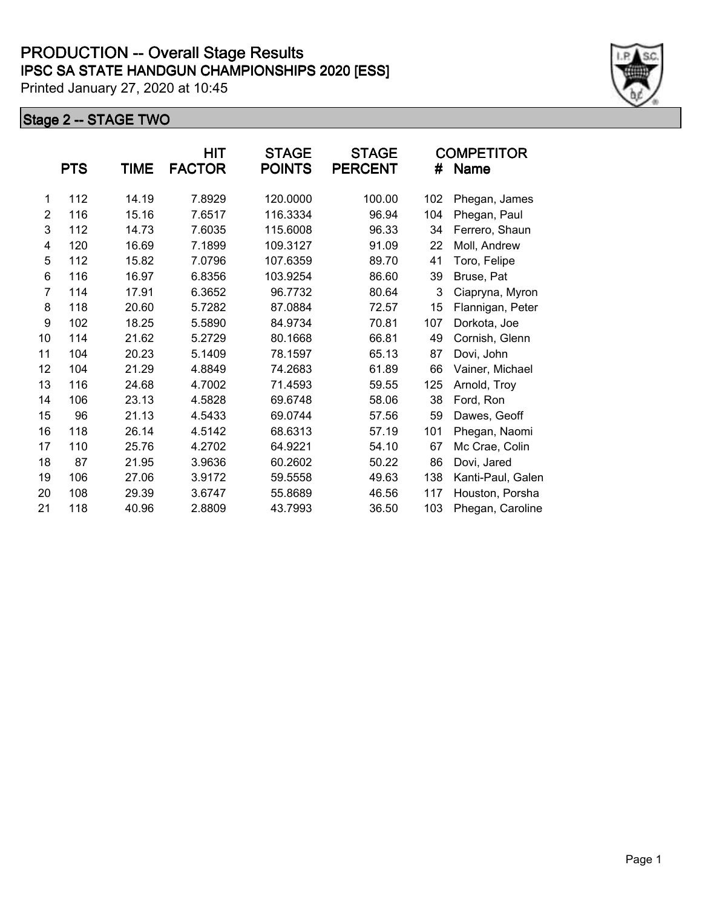|                | <b>PTS</b> | TIME  | HIT<br><b>FACTOR</b> | <b>STAGE</b><br><b>POINTS</b> | <b>STAGE</b><br><b>PERCENT</b> | #   | <b>COMPETITOR</b><br>Name |
|----------------|------------|-------|----------------------|-------------------------------|--------------------------------|-----|---------------------------|
| 1              | 112        | 14.19 | 7.8929               | 120.0000                      | 100.00                         | 102 | Phegan, James             |
| 2              | 116        | 15.16 | 7.6517               | 116.3334                      | 96.94                          | 104 | Phegan, Paul              |
| 3              | 112        | 14.73 | 7.6035               | 115.6008                      | 96.33                          | 34  | Ferrero, Shaun            |
| 4              | 120        | 16.69 | 7.1899               | 109.3127                      | 91.09                          | 22  | Moll, Andrew              |
| 5              | 112        | 15.82 | 7.0796               | 107.6359                      | 89.70                          | 41  | Toro, Felipe              |
| 6              | 116        | 16.97 | 6.8356               | 103.9254                      | 86.60                          | 39  | Bruse, Pat                |
| $\overline{7}$ | 114        | 17.91 | 6.3652               | 96.7732                       | 80.64                          | 3   | Ciapryna, Myron           |
| 8              | 118        | 20.60 | 5.7282               | 87.0884                       | 72.57                          | 15  | Flannigan, Peter          |
| 9              | 102        | 18.25 | 5.5890               | 84.9734                       | 70.81                          | 107 | Dorkota, Joe              |
| 10             | 114        | 21.62 | 5.2729               | 80.1668                       | 66.81                          | 49  | Cornish, Glenn            |
| 11             | 104        | 20.23 | 5.1409               | 78.1597                       | 65.13                          | 87  | Dovi, John                |
| 12             | 104        | 21.29 | 4.8849               | 74.2683                       | 61.89                          | 66  | Vainer, Michael           |
| 13             | 116        | 24.68 | 4.7002               | 71.4593                       | 59.55                          | 125 | Arnold, Troy              |
| 14             | 106        | 23.13 | 4.5828               | 69.6748                       | 58.06                          | 38  | Ford, Ron                 |
| 15             | 96         | 21.13 | 4.5433               | 69.0744                       | 57.56                          | 59  | Dawes, Geoff              |
| 16             | 118        | 26.14 | 4.5142               | 68.6313                       | 57.19                          | 101 | Phegan, Naomi             |
| 17             | 110        | 25.76 | 4.2702               | 64.9221                       | 54.10                          | 67  | Mc Crae, Colin            |
| 18             | 87         | 21.95 | 3.9636               | 60.2602                       | 50.22                          | 86  | Dovi, Jared               |
| 19             | 106        | 27.06 | 3.9172               | 59.5558                       | 49.63                          | 138 | Kanti-Paul, Galen         |
| 20             | 108        | 29.39 | 3.6747               | 55.8689                       | 46.56                          | 117 | Houston, Porsha           |
| 21             | 118        | 40.96 | 2.8809               | 43.7993                       | 36.50                          | 103 | Phegan, Caroline          |

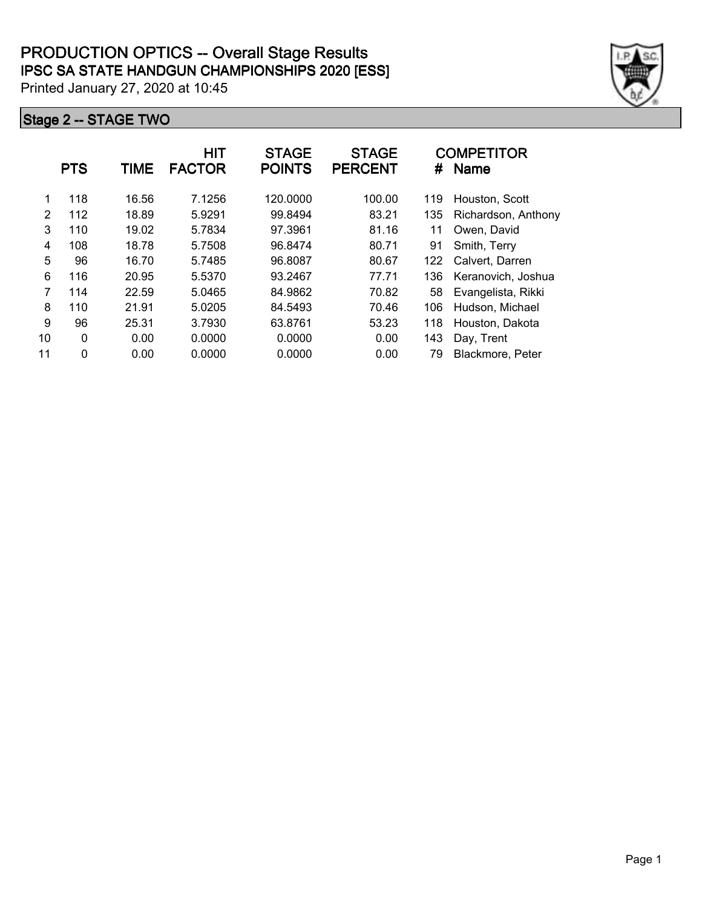|    | <b>PTS</b>   | TIME  | <b>HIT</b><br><b>FACTOR</b> | <b>STAGE</b><br><b>POINTS</b> | <b>STAGE</b><br><b>PERCENT</b> | #   | <b>COMPETITOR</b><br><b>Name</b> |
|----|--------------|-------|-----------------------------|-------------------------------|--------------------------------|-----|----------------------------------|
| 1  | 118          | 16.56 | 7.1256                      | 120.0000                      | 100.00                         | 119 | Houston, Scott                   |
| 2  | 112          | 18.89 | 5.9291                      | 99.8494                       | 83.21                          | 135 | Richardson, Anthony              |
| 3  | 110          | 19.02 | 5.7834                      | 97.3961                       | 81.16                          | 11  | Owen, David                      |
| 4  | 108          | 18.78 | 5.7508                      | 96.8474                       | 80.71                          | 91  | Smith, Terry                     |
| 5  | 96           | 16.70 | 5.7485                      | 96.8087                       | 80.67                          | 122 | Calvert, Darren                  |
| 6  | 116          | 20.95 | 5.5370                      | 93.2467                       | 77.71                          | 136 | Keranovich, Joshua               |
| 7  | 114          | 22.59 | 5.0465                      | 84.9862                       | 70.82                          | 58  | Evangelista, Rikki               |
| 8  | 110          | 21.91 | 5.0205                      | 84.5493                       | 70.46                          | 106 | Hudson, Michael                  |
| 9  | 96           | 25.31 | 3.7930                      | 63.8761                       | 53.23                          | 118 | Houston, Dakota                  |
| 10 | 0            | 0.00  | 0.0000                      | 0.0000                        | 0.00                           | 143 | Day, Trent                       |
| 11 | $\mathbf{0}$ | 0.00  | 0.0000                      | 0.0000                        | 0.00                           | 79  | Blackmore, Peter                 |

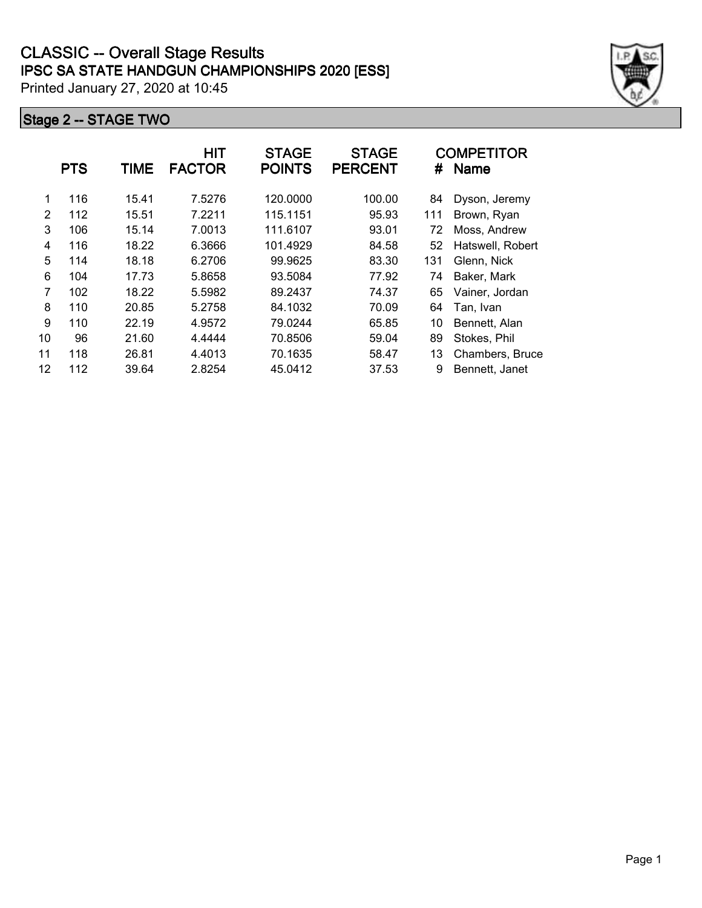|    | <b>PTS</b> | TIME  | HIT<br><b>FACTOR</b> | <b>STAGE</b><br><b>POINTS</b> | <b>STAGE</b><br><b>PERCENT</b> | #   | <b>COMPETITOR</b><br><b>Name</b> |
|----|------------|-------|----------------------|-------------------------------|--------------------------------|-----|----------------------------------|
| 1  | 116        | 15.41 | 7.5276               | 120.0000                      | 100.00                         | 84  | Dyson, Jeremy                    |
| 2  | 112        | 15.51 | 7.2211               | 115.1151                      | 95.93                          | 111 | Brown, Ryan                      |
| 3  | 106        | 15.14 | 7.0013               | 111.6107                      | 93.01                          | 72  | Moss, Andrew                     |
| 4  | 116        | 18.22 | 6.3666               | 101.4929                      | 84.58                          | 52  | Hatswell, Robert                 |
| 5  | 114        | 18.18 | 6.2706               | 99.9625                       | 83.30                          | 131 | Glenn, Nick                      |
| 6  | 104        | 17.73 | 5.8658               | 93.5084                       | 77.92                          | 74  | Baker, Mark                      |
| 7  | 102        | 18.22 | 5.5982               | 89.2437                       | 74.37                          | 65  | Vainer, Jordan                   |
| 8  | 110        | 20.85 | 5.2758               | 84.1032                       | 70.09                          | 64  | Tan, Ivan                        |
| 9  | 110        | 22.19 | 4.9572               | 79.0244                       | 65.85                          | 10  | Bennett, Alan                    |
| 10 | 96         | 21.60 | 4.4444               | 70.8506                       | 59.04                          | 89  | Stokes, Phil                     |
| 11 | 118        | 26.81 | 4.4013               | 70.1635                       | 58.47                          | 13  | Chambers, Bruce                  |
| 12 | 112        | 39.64 | 2.8254               | 45.0412                       | 37.53                          | 9   | Bennett, Janet                   |

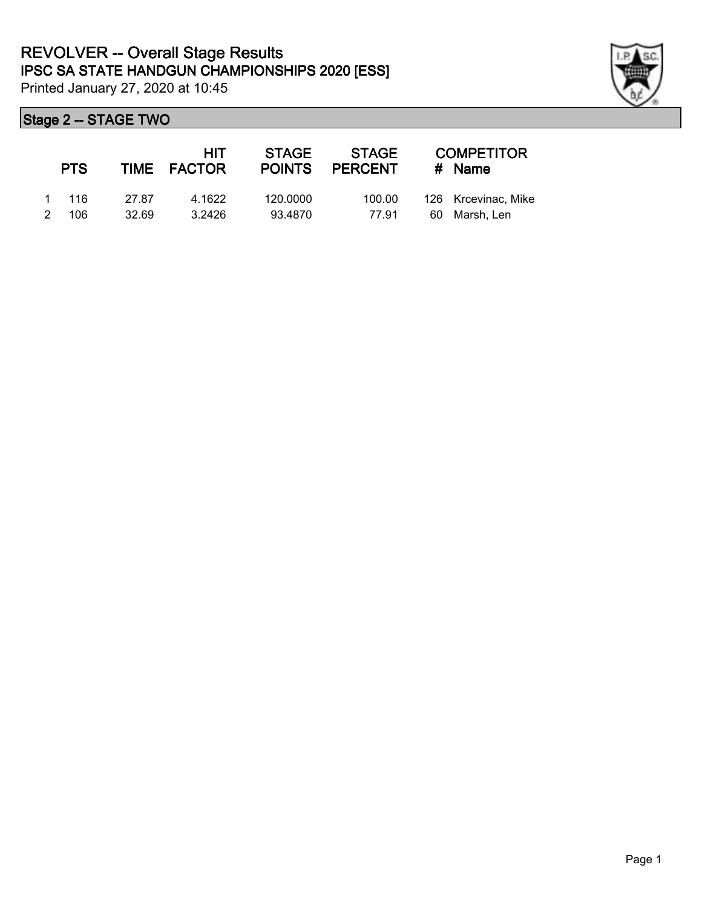

| <b>PTS</b> |       | HIT<br>TIME FACTOR | STAGE<br><b>POINTS</b> | <b>STAGE</b><br><b>PERCENT</b> | <b>COMPETITOR</b><br># Name |
|------------|-------|--------------------|------------------------|--------------------------------|-----------------------------|
| 1 116      | 27.87 | 4.1622             | 120.0000               | 100.00                         | 126 Krcevinac, Mike         |
| 2 106      | 32.69 | 3.2426             | 93.4870                | 77.91                          | 60 Marsh, Len               |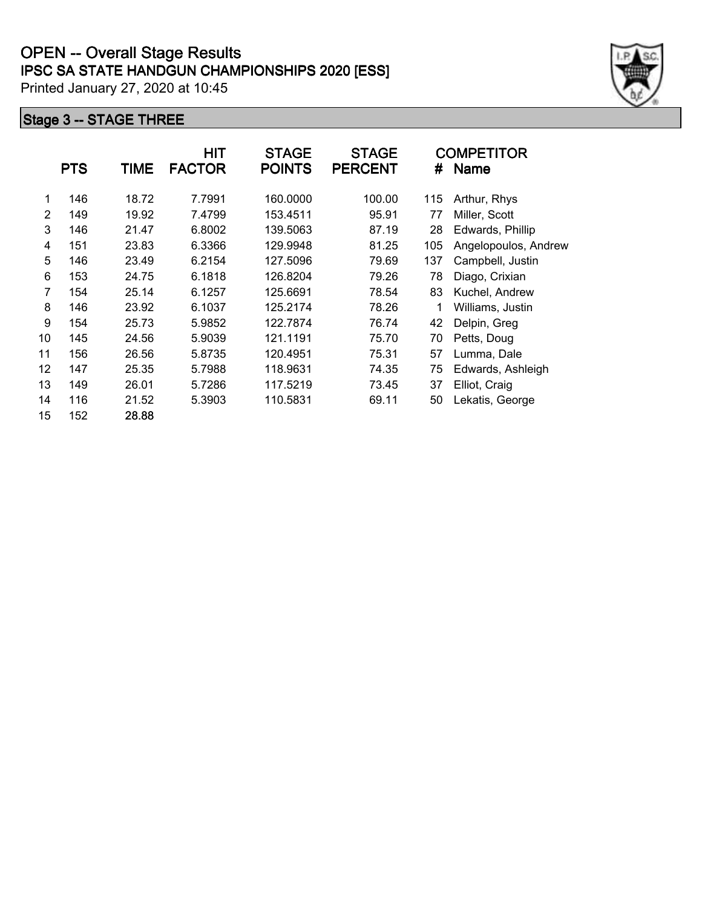|    | <b>PTS</b> | <b>TIME</b> | <b>HIT</b><br><b>FACTOR</b> | <b>STAGE</b><br><b>POINTS</b> | <b>STAGE</b><br><b>PERCENT</b> | #   | <b>COMPETITOR</b><br>Name               |  |
|----|------------|-------------|-----------------------------|-------------------------------|--------------------------------|-----|-----------------------------------------|--|
|    |            |             |                             |                               |                                |     |                                         |  |
|    | 146        | 18.72       | 7.7991                      | 160.0000                      | 100.00                         | 115 | Arthur, Rhys                            |  |
| 2  | 149        | 19.92       | 7.4799                      | 153.4511                      | 95.91                          | 77  | Miller, Scott                           |  |
| 3  | 146        | 21.47       | 6.8002                      | 139.5063                      | 87.19                          | 28  | Edwards, Phillip                        |  |
| 4  | 151        | 23.83       | 6.3366                      | 129.9948                      | 81.25                          | 105 | Angelopoulos, Andrew                    |  |
| 5  | 146        | 23.49       | 6.2154                      | 127.5096                      | 79.69                          | 137 | Campbell, Justin                        |  |
| 6  | 153        | 24.75       | 6.1818                      | 126.8204                      | 79.26                          | 78  | Diago, Crixian                          |  |
|    | 154        | 25.14       | 6.1257                      | 125.6691                      | 78.54                          | 83  | Kuchel, Andrew                          |  |
| 8  | 146        | 23.92       | 6.1037                      | 125.2174                      | 78.26                          |     | Williams, Justin                        |  |
| 9  | 154        | 25.73       | 5.9852                      | 122.7874                      | 76.74                          | 42  | Delpin, Greg                            |  |
| 10 | 145        | 24.56       | 5.9039                      | 121.1191                      | 75.70                          | 70  | Petts, Doug                             |  |
| 11 | 156        | 26.56       | 5.8735                      | 120.4951                      | 75.31                          | 57  | Lumma, Dale                             |  |
| 12 | 147        | 25.35       | 5.7988                      | 118.9631                      | 74.35                          | 75  | Edwards, Ashleigh                       |  |
| 13 | 149        | 26.01       | 5.7286                      | 117.5219                      | 73.45                          | 37  | Elliot, Craig                           |  |
| 14 | 116        | 21.52       | 5.3903                      | 110.5831                      | 69.11                          | 50  | Lekatis) George<br>* BA€LJ\$€ XbX'RH 'Ä |  |
| 15 | 152        | 28.88       |                             |                               |                                |     |                                         |  |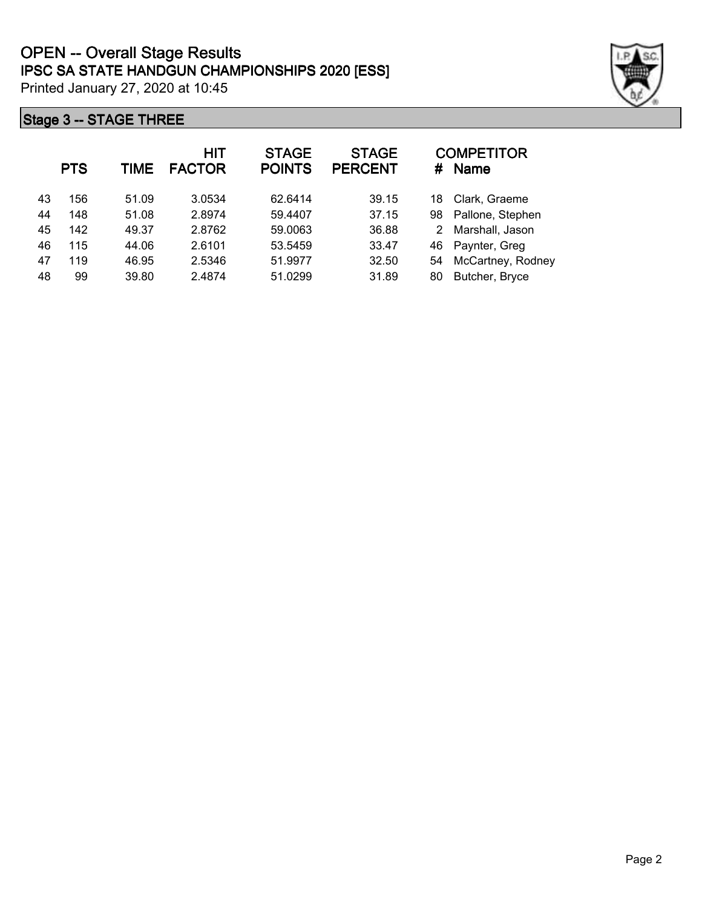|    | <b>PTS</b> | <b>TIME</b> | HIT<br><b>FACTOR</b> | <b>STAGE</b><br><b>POINTS</b> | <b>STAGE</b><br><b>PERCENT</b> | #  | <b>COMPETITOR</b><br><b>Name</b> |
|----|------------|-------------|----------------------|-------------------------------|--------------------------------|----|----------------------------------|
| 43 | 156        | 51.09       | 3.0534               | 62.6414                       | 39.15                          | 18 | Clark, Graeme                    |
| 44 | 148        | 51.08       | 2.8974               | 59.4407                       | 37.15                          | 98 | Pallone, Stephen                 |
| 45 | 142        | 49.37       | 2.8762               | 59.0063                       | 36.88                          | 2  | Marshall, Jason                  |
| 46 | 115        | 44.06       | 2.6101               | 53.5459                       | 33.47                          | 46 | Paynter, Greg                    |
| 47 | 119        | 46.95       | 2.5346               | 51.9977                       | 32.50                          | 54 | McCartney, Rodney                |
| 48 | 99         | 39.80       | 2.4874               | 51.0299                       | 31.89                          | 80 | Butcher, Bryce                   |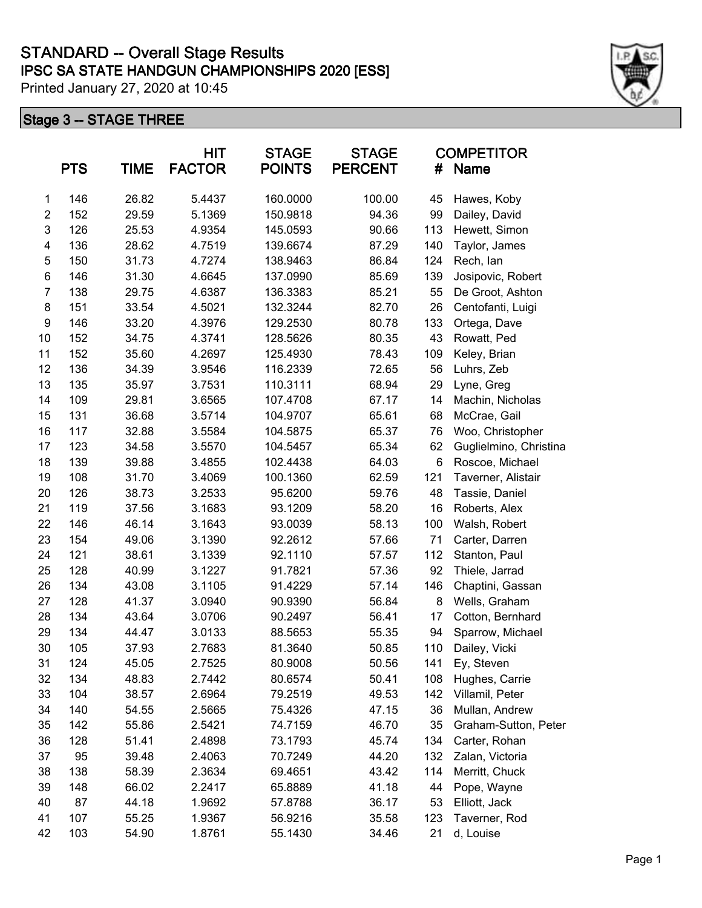|                  | <b>PTS</b> | <b>TIME</b> | <b>HIT</b><br><b>FACTOR</b> | <b>STAGE</b><br><b>POINTS</b> | <b>STAGE</b><br><b>PERCENT</b> | <b>COMPETITOR</b><br>#<br><b>Name</b> |                        |
|------------------|------------|-------------|-----------------------------|-------------------------------|--------------------------------|---------------------------------------|------------------------|
| $\mathbf 1$      | 146        | 26.82       | 5.4437                      | 160.0000                      | 100.00                         | 45                                    | Hawes, Koby            |
| $\overline{c}$   | 152        | 29.59       | 5.1369                      | 150.9818                      | 94.36                          | 99                                    | Dailey, David          |
| 3                | 126        | 25.53       | 4.9354                      | 145.0593                      | 90.66                          | 113                                   | Hewett, Simon          |
| 4                | 136        | 28.62       | 4.7519                      | 139.6674                      | 87.29                          | 140                                   | Taylor, James          |
| 5                | 150        | 31.73       | 4.7274                      | 138.9463                      | 86.84                          | 124                                   | Rech, lan              |
| 6                | 146        | 31.30       | 4.6645                      | 137.0990                      | 85.69                          | 139                                   | Josipovic, Robert      |
| $\overline{7}$   | 138        | 29.75       | 4.6387                      | 136.3383                      | 85.21                          | 55                                    | De Groot, Ashton       |
| 8                | 151        | 33.54       | 4.5021                      | 132.3244                      | 82.70                          | 26                                    | Centofanti, Luigi      |
| $\boldsymbol{9}$ | 146        | 33.20       | 4.3976                      | 129.2530                      | 80.78                          | 133                                   | Ortega, Dave           |
| 10               | 152        | 34.75       | 4.3741                      | 128.5626                      | 80.35                          | 43                                    | Rowatt, Ped            |
| 11               | 152        | 35.60       | 4.2697                      | 125.4930                      | 78.43                          | 109                                   | Keley, Brian           |
| 12               | 136        | 34.39       | 3.9546                      | 116.2339                      | 72.65                          | 56                                    | Luhrs, Zeb             |
| 13               | 135        | 35.97       | 3.7531                      | 110.3111                      | 68.94                          | 29                                    | Lyne, Greg             |
| 14               | 109        | 29.81       | 3.6565                      | 107.4708                      | 67.17                          | 14                                    | Machin, Nicholas       |
| 15               | 131        | 36.68       | 3.5714                      | 104.9707                      | 65.61                          | 68                                    | McCrae, Gail           |
| 16               | 117        | 32.88       | 3.5584                      | 104.5875                      | 65.37                          | 76                                    | Woo, Christopher       |
| 17               | 123        | 34.58       | 3.5570                      | 104.5457                      | 65.34                          | 62                                    | Guglielmino, Christina |
| 18               | 139        | 39.88       | 3.4855                      | 102.4438                      | 64.03                          | 6                                     | Roscoe, Michael        |
| 19               | 108        | 31.70       | 3.4069                      | 100.1360                      | 62.59                          | 121                                   | Taverner, Alistair     |
| 20               | 126        | 38.73       | 3.2533                      | 95.6200                       | 59.76                          | 48                                    | Tassie, Daniel         |
| 21               | 119        | 37.56       | 3.1683                      | 93.1209                       | 58.20                          | 16                                    | Roberts, Alex          |
| 22               | 146        | 46.14       | 3.1643                      | 93.0039                       | 58.13                          | 100                                   | Walsh, Robert          |
| 23               | 154        | 49.06       | 3.1390                      | 92.2612                       | 57.66                          | 71                                    | Carter, Darren         |
| 24               | 121        | 38.61       | 3.1339                      | 92.1110                       | 57.57                          | 112                                   | Stanton, Paul          |
| 25               | 128        | 40.99       | 3.1227                      | 91.7821                       | 57.36                          | 92                                    | Thiele, Jarrad         |
| 26               | 134        | 43.08       | 3.1105                      | 91.4229                       | 57.14                          | 146                                   | Chaptini, Gassan       |
| 27               | 128        | 41.37       | 3.0940                      | 90.9390                       | 56.84                          | 8                                     | Wells, Graham          |
| 28               | 134        | 43.64       | 3.0706                      | 90.2497                       | 56.41                          | 17                                    | Cotton, Bernhard       |
| 29               | 134        | 44.47       | 3.0133                      | 88.5653                       | 55.35                          | 94                                    | Sparrow, Michael       |
| 30               | 105        | 37.93       | 2.7683                      | 81.3640                       | 50.85                          | 110                                   | Dailey, Vicki          |
| 31               | 124        | 45.05       | 2.7525                      | 80.9008                       | 50.56                          | 141                                   | Ey, Steven             |
| 32               | 134        | 48.83       | 2.7442                      | 80.6574                       | 50.41                          | 108                                   | Hughes, Carrie         |
| 33               | 104        | 38.57       | 2.6964                      | 79.2519                       | 49.53                          | 142                                   | Villamil, Peter        |
| 34               | 140        | 54.55       | 2.5665                      | 75.4326                       | 47.15                          | 36                                    | Mullan, Andrew         |
| 35               | 142        | 55.86       | 2.5421                      | 74.7159                       | 46.70                          | 35                                    | Graham-Sutton, Peter   |
| 36               | 128        | 51.41       | 2.4898                      | 73.1793                       | 45.74                          | 134                                   | Carter, Rohan          |
| 37               | 95         | 39.48       | 2.4063                      | 70.7249                       | 44.20                          | 132                                   | Zalan, Victoria        |
| 38               | 138        | 58.39       | 2.3634                      | 69.4651                       | 43.42                          | 114                                   | Merritt, Chuck         |
| 39               | 148        | 66.02       | 2.2417                      | 65.8889                       | 41.18                          | 44                                    | Pope, Wayne            |
| 40               | 87         | 44.18       | 1.9692                      | 57.8788                       | 36.17                          | 53                                    | Elliott, Jack          |
| 41               | 107        | 55.25       | 1.9367                      | 56.9216                       | 35.58                          | 123                                   | Taverner, Rod          |
| 42               | 103        | 54.90       | 1.8761                      | 55.1430                       | 34.46                          | 21                                    | d, Louise              |

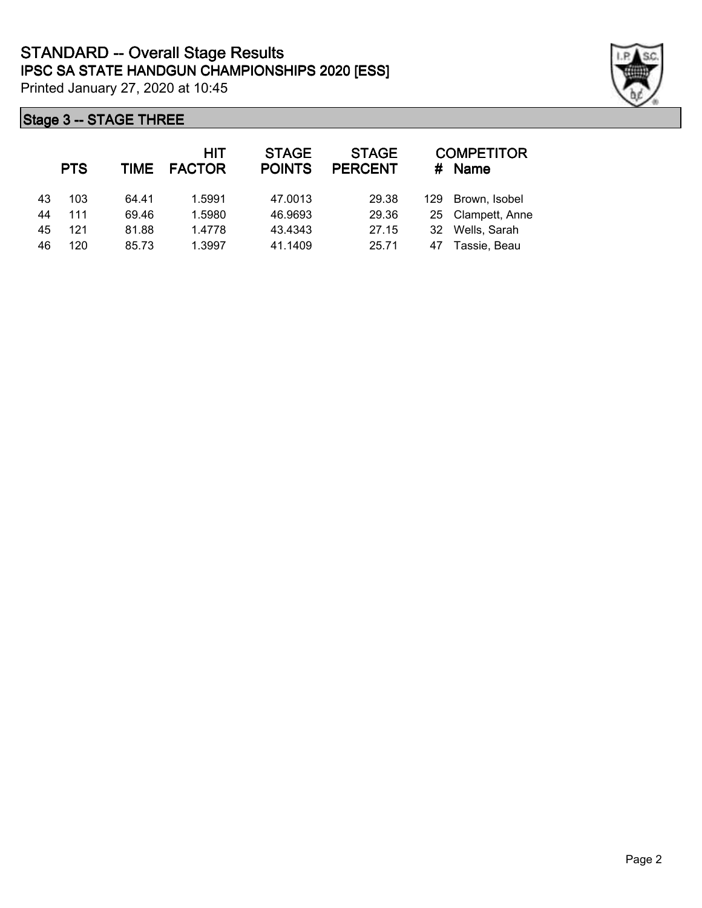|    | <b>PTS</b> | TIME  | <b>HIT</b><br><b>FACTOR</b> | <b>STAGE</b><br><b>POINTS</b> | <b>STAGE</b><br><b>PERCENT</b> | #   | <b>COMPETITOR</b><br><b>Name</b> |
|----|------------|-------|-----------------------------|-------------------------------|--------------------------------|-----|----------------------------------|
| 43 | 103        | 64.41 | 1.5991                      | 47.0013                       | 29.38                          | 129 | Brown, Isobel                    |
| 44 | 111        | 69.46 | 1.5980                      | 46.9693                       | 29.36                          |     | 25 Clampett, Anne                |
| 45 | 121        | 81.88 | 1.4778                      | 43.4343                       | 27.15                          | 32  | Wells, Sarah                     |
| 46 | 120        | 85.73 | 1.3997                      | 41.1409                       | 25.71                          | 47  | Tassie, Beau                     |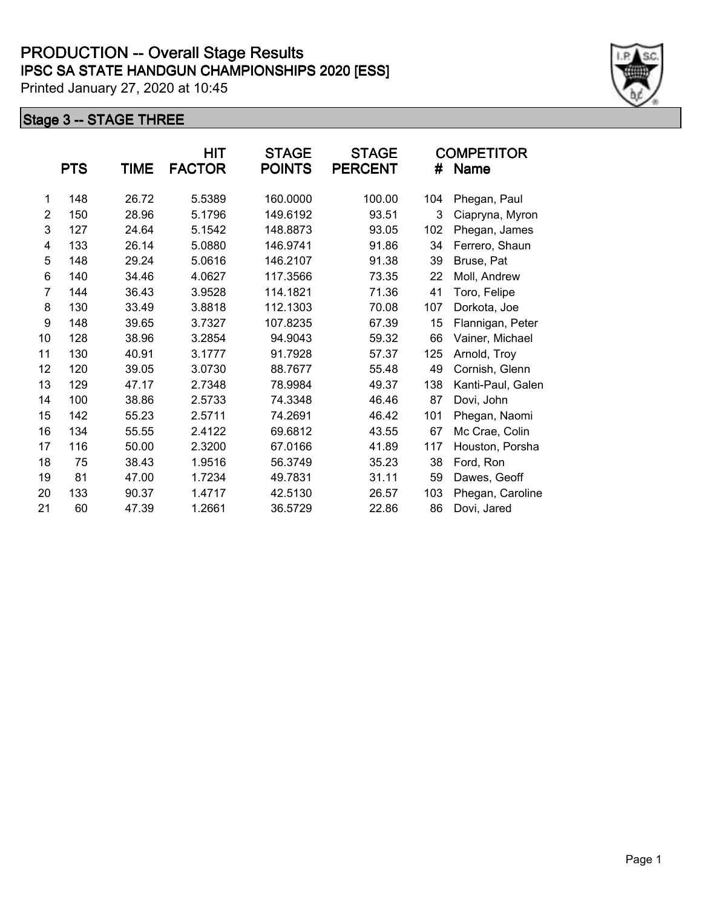|                | <b>PTS</b> | TIME  | HIT<br><b>FACTOR</b> | <b>STAGE</b><br><b>POINTS</b> | <b>STAGE</b><br><b>PERCENT</b> | #   | <b>COMPETITOR</b><br><b>Name</b> |
|----------------|------------|-------|----------------------|-------------------------------|--------------------------------|-----|----------------------------------|
| 1              | 148        | 26.72 | 5.5389               | 160.0000                      | 100.00                         | 104 | Phegan, Paul                     |
| 2              | 150        | 28.96 | 5.1796               | 149.6192                      | 93.51                          | 3   | Ciapryna, Myron                  |
| 3              | 127        | 24.64 | 5.1542               | 148.8873                      | 93.05                          | 102 | Phegan, James                    |
| 4              | 133        | 26.14 | 5.0880               | 146.9741                      | 91.86                          | 34  | Ferrero, Shaun                   |
| 5              | 148        | 29.24 | 5.0616               | 146.2107                      | 91.38                          | 39  | Bruse, Pat                       |
| 6              | 140        | 34.46 | 4.0627               | 117.3566                      | 73.35                          | 22  | Moll, Andrew                     |
| $\overline{7}$ | 144        | 36.43 | 3.9528               | 114.1821                      | 71.36                          | 41  | Toro, Felipe                     |
| 8              | 130        | 33.49 | 3.8818               | 112.1303                      | 70.08                          | 107 | Dorkota, Joe                     |
| 9              | 148        | 39.65 | 3.7327               | 107.8235                      | 67.39                          | 15  | Flannigan, Peter                 |
| 10             | 128        | 38.96 | 3.2854               | 94.9043                       | 59.32                          | 66  | Vainer, Michael                  |
| 11             | 130        | 40.91 | 3.1777               | 91.7928                       | 57.37                          | 125 | Arnold, Troy                     |
| 12             | 120        | 39.05 | 3.0730               | 88.7677                       | 55.48                          | 49  | Cornish, Glenn                   |
| 13             | 129        | 47.17 | 2.7348               | 78.9984                       | 49.37                          | 138 | Kanti-Paul, Galen                |
| 14             | 100        | 38.86 | 2.5733               | 74.3348                       | 46.46                          | 87  | Dovi, John                       |
| 15             | 142        | 55.23 | 2.5711               | 74.2691                       | 46.42                          | 101 | Phegan, Naomi                    |
| 16             | 134        | 55.55 | 2.4122               | 69.6812                       | 43.55                          | 67  | Mc Crae, Colin                   |
| 17             | 116        | 50.00 | 2.3200               | 67.0166                       | 41.89                          | 117 | Houston, Porsha                  |
| 18             | 75         | 38.43 | 1.9516               | 56.3749                       | 35.23                          | 38  | Ford, Ron                        |
| 19             | 81         | 47.00 | 1.7234               | 49.7831                       | 31.11                          | 59  | Dawes, Geoff                     |
| 20             | 133        | 90.37 | 1.4717               | 42.5130                       | 26.57                          | 103 | Phegan, Caroline                 |
| 21             | 60         | 47.39 | 1.2661               | 36.5729                       | 22.86                          | 86  | Dovi, Jared                      |

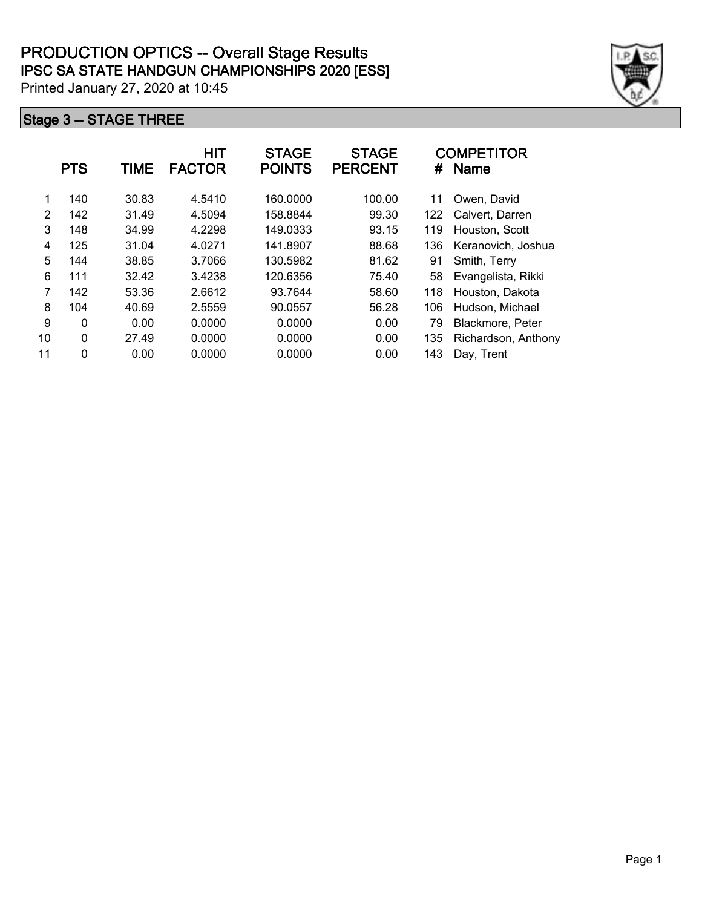|    | <b>PTS</b> | <b>TIME</b> | <b>HIT</b><br><b>FACTOR</b> | <b>STAGE</b><br><b>POINTS</b> | <b>STAGE</b><br><b>PERCENT</b> | #   | <b>COMPETITOR</b><br><b>Name</b> |
|----|------------|-------------|-----------------------------|-------------------------------|--------------------------------|-----|----------------------------------|
| 1  | 140        | 30.83       | 4.5410                      | 160.0000                      | 100.00                         | 11  | Owen, David                      |
| 2  | 142        | 31.49       | 4.5094                      | 158.8844                      | 99.30                          | 122 | Calvert, Darren                  |
| 3  | 148        | 34.99       | 4.2298                      | 149.0333                      | 93.15                          | 119 | Houston, Scott                   |
| 4  | 125        | 31.04       | 4.0271                      | 141.8907                      | 88.68                          | 136 | Keranovich, Joshua               |
| 5  | 144        | 38.85       | 3.7066                      | 130.5982                      | 81.62                          | 91  | Smith, Terry                     |
| 6  | 111        | 32.42       | 3.4238                      | 120.6356                      | 75.40                          | 58  | Evangelista, Rikki               |
| 7  | 142        | 53.36       | 2.6612                      | 93.7644                       | 58.60                          | 118 | Houston, Dakota                  |
| 8  | 104        | 40.69       | 2.5559                      | 90.0557                       | 56.28                          | 106 | Hudson, Michael                  |
| 9  | 0          | 0.00        | 0.0000                      | 0.0000                        | 0.00                           | 79  | Blackmore, Peter                 |
| 10 | 0          | 27.49       | 0.0000                      | 0.0000                        | 0.00                           | 135 | Richardson, Anthony              |
| 11 | 0          | 0.00        | 0.0000                      | 0.0000                        | 0.00                           | 143 | Day, Trent                       |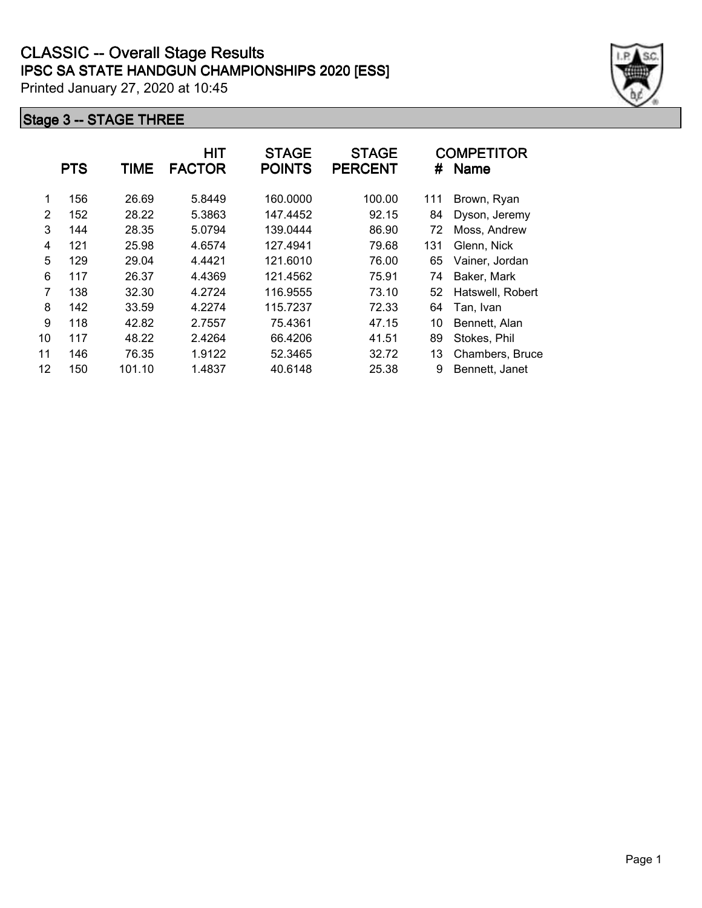|    | <b>PTS</b> | <b>TIME</b> | HIT<br><b>FACTOR</b> | <b>STAGE</b><br><b>POINTS</b> | <b>STAGE</b><br><b>PERCENT</b> | #   | <b>COMPETITOR</b><br>Name |
|----|------------|-------------|----------------------|-------------------------------|--------------------------------|-----|---------------------------|
| 1  | 156        | 26.69       | 5.8449               | 160,0000                      | 100.00                         | 111 | Brown, Ryan               |
| 2  | 152        | 28.22       | 5.3863               | 147.4452                      | 92.15                          | 84  | Dyson, Jeremy             |
| 3  | 144        | 28.35       | 5.0794               | 139.0444                      | 86.90                          | 72  | Moss, Andrew              |
| 4  | 121        | 25.98       | 4.6574               | 127.4941                      | 79.68                          | 131 | Glenn, Nick               |
| 5  | 129        | 29.04       | 4.4421               | 121.6010                      | 76.00                          | 65  | Vainer, Jordan            |
| 6  | 117        | 26.37       | 4.4369               | 121.4562                      | 75.91                          | 74  | Baker, Mark               |
| 7  | 138        | 32.30       | 4.2724               | 116.9555                      | 73.10                          | 52  | Hatswell, Robert          |
| 8  | 142        | 33.59       | 4.2274               | 115.7237                      | 72.33                          | 64  | Tan, Ivan                 |
| 9  | 118        | 42.82       | 2.7557               | 75.4361                       | 47.15                          | 10  | Bennett, Alan             |
| 10 | 117        | 48.22       | 2.4264               | 66.4206                       | 41.51                          | 89  | Stokes, Phil              |
| 11 | 146        | 76.35       | 1.9122               | 52.3465                       | 32.72                          | 13  | Chambers, Bruce           |
| 12 | 150        | 101.10      | 1.4837               | 40.6148                       | 25.38                          | 9   | Bennett, Janet            |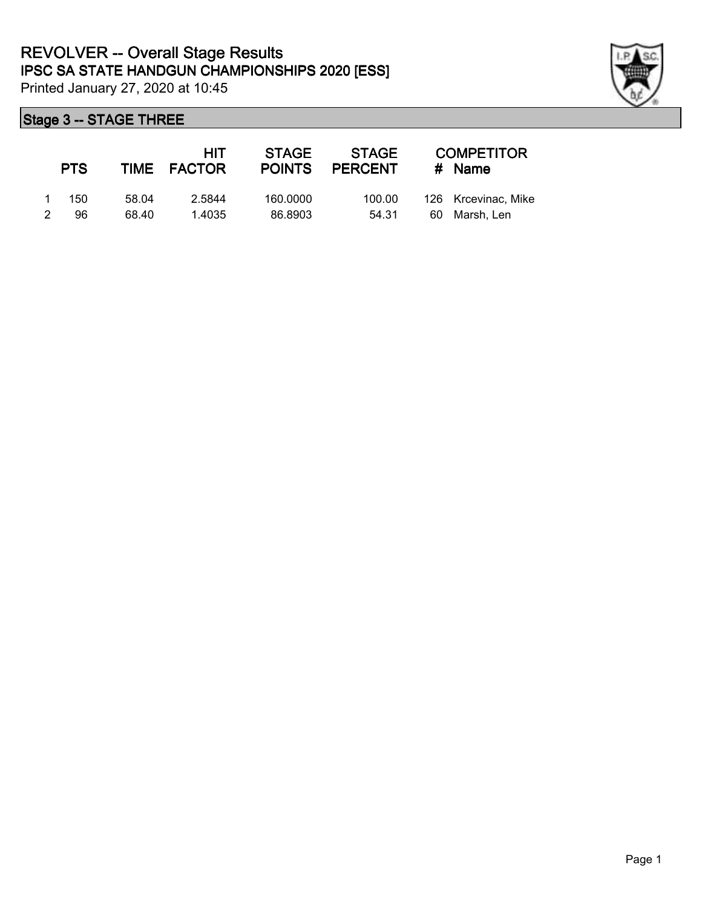

|   | <b>PTS</b> |       | HIT<br>TIME FACTOR | <b>STAGE</b><br><b>POINTS</b> | <b>STAGE</b><br><b>PERCENT</b> |    | <b>COMPETITOR</b><br>$#$ Name |
|---|------------|-------|--------------------|-------------------------------|--------------------------------|----|-------------------------------|
|   | 150        | 58.04 | 2.5844             | 160,0000                      | 100.00                         |    | 126 Krcevinac, Mike           |
| 2 | 96         | 68.40 | 1.4035             | 86.8903                       | 54.31                          | 60 | Marsh. Len                    |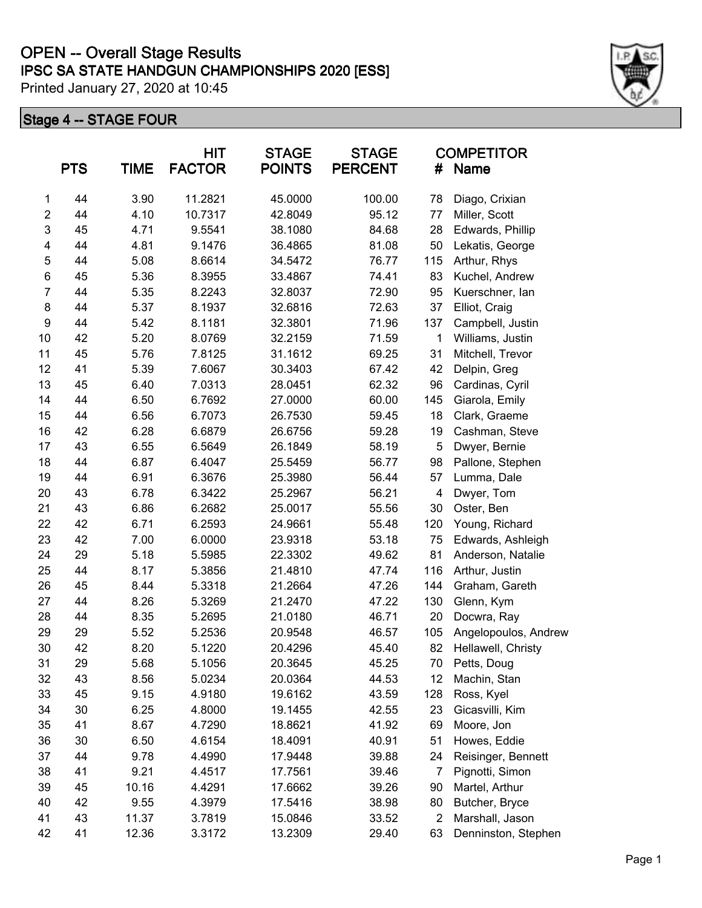# **IPSC SA STATE HANDGUN CHAMPIONSHIPS 2020 [ESS] OPEN -- Overall Stage Results**

Printed January 27, 2020 at 10:45

|                  | <b>PTS</b> | <b>TIME</b> | <b>HIT</b><br><b>FACTOR</b> | <b>STAGE</b><br><b>POINTS</b> | <b>STAGE</b><br><b>PERCENT</b> | #                       | <b>COMPETITOR</b><br>Name |
|------------------|------------|-------------|-----------------------------|-------------------------------|--------------------------------|-------------------------|---------------------------|
| 1                | 44         | 3.90        | 11.2821                     | 45.0000                       | 100.00                         | 78                      | Diago, Crixian            |
| $\overline{2}$   | 44         | 4.10        | 10.7317                     | 42.8049                       | 95.12                          | 77                      | Miller, Scott             |
| 3                | 45         | 4.71        | 9.5541                      | 38.1080                       | 84.68                          | 28                      | Edwards, Phillip          |
| 4                | 44         | 4.81        | 9.1476                      | 36.4865                       | 81.08                          | 50                      | Lekatis, George           |
| 5                | 44         | 5.08        | 8.6614                      | 34.5472                       | 76.77                          | 115                     | Arthur, Rhys              |
| 6                | 45         | 5.36        | 8.3955                      | 33.4867                       | 74.41                          | 83                      | Kuchel, Andrew            |
| $\overline{7}$   | 44         | 5.35        | 8.2243                      | 32.8037                       | 72.90                          | 95                      | Kuerschner, lan           |
| 8                | 44         | 5.37        | 8.1937                      | 32.6816                       | 72.63                          | 37                      | Elliot, Craig             |
| $\boldsymbol{9}$ | 44         | 5.42        | 8.1181                      | 32.3801                       | 71.96                          | 137                     | Campbell, Justin          |
| 10               | 42         | 5.20        | 8.0769                      | 32.2159                       | 71.59                          | 1                       | Williams, Justin          |
| 11               | 45         | 5.76        | 7.8125                      | 31.1612                       | 69.25                          | 31                      | Mitchell, Trevor          |
| 12               | 41         | 5.39        | 7.6067                      | 30.3403                       | 67.42                          | 42                      | Delpin, Greg              |
| 13               | 45         | 6.40        | 7.0313                      | 28.0451                       | 62.32                          | 96                      | Cardinas, Cyril           |
| 14               | 44         | 6.50        | 6.7692                      | 27.0000                       | 60.00                          | 145                     | Giarola, Emily            |
| 15               | 44         | 6.56        | 6.7073                      | 26.7530                       | 59.45                          | 18                      | Clark, Graeme             |
| 16               | 42         | 6.28        | 6.6879                      | 26.6756                       | 59.28                          | 19                      | Cashman, Steve            |
| 17               | 43         | 6.55        | 6.5649                      | 26.1849                       | 58.19                          | 5                       | Dwyer, Bernie             |
| 18               | 44         | 6.87        | 6.4047                      | 25.5459                       | 56.77                          | 98                      | Pallone, Stephen          |
| 19               | 44         | 6.91        | 6.3676                      | 25.3980                       | 56.44                          | 57                      | Lumma, Dale               |
| 20               | 43         | 6.78        | 6.3422                      | 25.2967                       | 56.21                          | $\overline{\mathbf{4}}$ | Dwyer, Tom                |
| 21               | 43         | 6.86        | 6.2682                      | 25.0017                       | 55.56                          | 30                      | Oster, Ben                |
| 22               | 42         | 6.71        | 6.2593                      | 24.9661                       | 55.48                          | 120                     | Young, Richard            |
| 23               | 42         | 7.00        | 6.0000                      | 23.9318                       | 53.18                          | 75                      | Edwards, Ashleigh         |
| 24               | 29         | 5.18        | 5.5985                      | 22.3302                       | 49.62                          | 81                      | Anderson, Natalie         |
| 25               | 44         | 8.17        | 5.3856                      | 21.4810                       | 47.74                          | 116                     | Arthur, Justin            |
| 26               | 45         | 8.44        | 5.3318                      | 21.2664                       | 47.26                          | 144                     | Graham, Gareth            |
| 27               | 44         | 8.26        | 5.3269                      | 21.2470                       | 47.22                          | 130                     | Glenn, Kym                |
| 28               | 44         | 8.35        | 5.2695                      | 21.0180                       | 46.71                          | 20                      | Docwra, Ray               |
| 29               | 29         | 5.52        | 5.2536                      | 20.9548                       | 46.57                          | 105                     | Angelopoulos, Andrew      |
| 30               | 42         | 8.20        | 5.1220                      | 20.4296                       | 45.40                          | 82                      | Hellawell, Christy        |
| 31               | 29         | 5.68        | 5.1056                      | 20.3645                       | 45.25                          | 70                      | Petts, Doug               |
| 32               | 43         | 8.56        | 5.0234                      | 20.0364                       | 44.53                          | 12                      | Machin, Stan              |
| 33               | 45         | 9.15        | 4.9180                      | 19.6162                       | 43.59                          | 128                     | Ross, Kyel                |
| 34               | 30         | 6.25        | 4.8000                      | 19.1455                       | 42.55                          | 23                      | Gicasvilli, Kim           |
| 35               | 41         | 8.67        | 4.7290                      | 18.8621                       | 41.92                          | 69                      | Moore, Jon                |
| 36               | 30         | 6.50        | 4.6154                      | 18.4091                       | 40.91                          | 51                      | Howes, Eddie              |
| 37               | 44         | 9.78        | 4.4990                      | 17.9448                       | 39.88                          | 24                      | Reisinger, Bennett        |
| 38               | 41         | 9.21        | 4.4517                      | 17.7561                       | 39.46                          | 7                       | Pignotti, Simon           |
| 39               | 45         | 10.16       | 4.4291                      | 17.6662                       | 39.26                          | 90                      | Martel, Arthur            |
| 40               | 42         | 9.55        | 4.3979                      | 17.5416                       | 38.98                          | 80                      | Butcher, Bryce            |
| 41               | 43         | 11.37       | 3.7819                      | 15.0846                       | 33.52                          | $\overline{2}$          | Marshall, Jason           |
| 42               | 41         | 12.36       | 3.3172                      | 13.2309                       | 29.40                          | 63                      | Denninston, Stephen       |

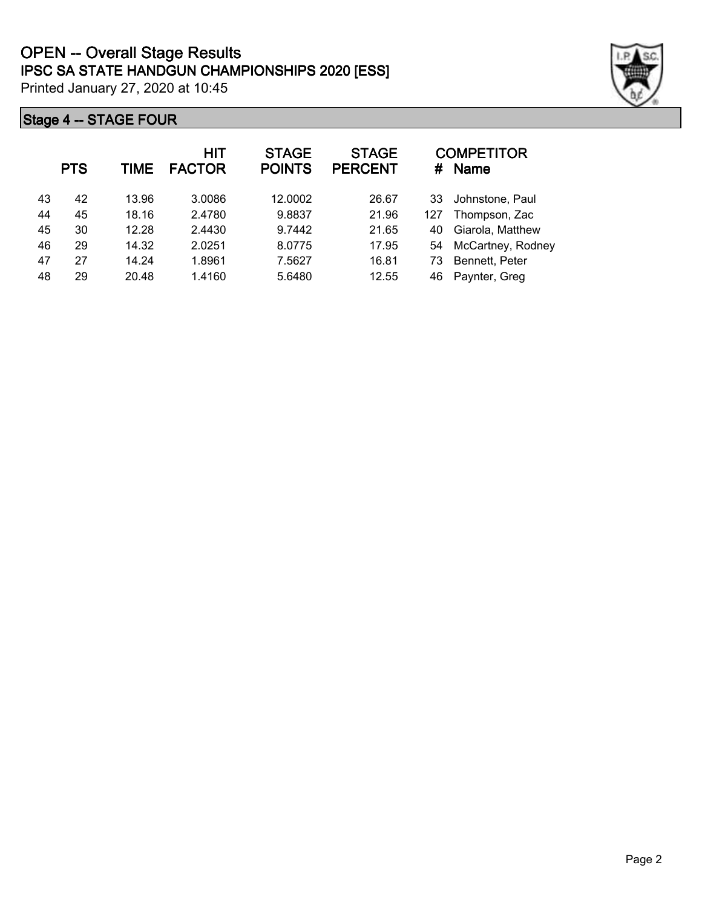|    | <b>PTS</b> | <b>TIME</b> | <b>HIT</b><br><b>FACTOR</b> | <b>STAGE</b><br><b>POINTS</b> | <b>STAGE</b><br><b>PERCENT</b> | #   | <b>COMPETITOR</b><br><b>Name</b> |
|----|------------|-------------|-----------------------------|-------------------------------|--------------------------------|-----|----------------------------------|
| 43 | 42         | 13.96       | 3.0086                      | 12.0002                       | 26.67                          | 33  | Johnstone, Paul                  |
| 44 | 45         | 18.16       | 2.4780                      | 9.8837                        | 21.96                          | 127 | Thompson, Zac                    |
| 45 | 30         | 12.28       | 2.4430                      | 9.7442                        | 21.65                          | 40  | Giarola, Matthew                 |
| 46 | 29         | 14.32       | 2.0251                      | 8.0775                        | 17.95                          | 54  | McCartney, Rodney                |
| 47 | 27         | 14.24       | 1.8961                      | 7.5627                        | 16.81                          | 73  | Bennett, Peter                   |
| 48 | 29         | 20.48       | 1.4160                      | 5.6480                        | 12.55                          | 46  | Paynter, Greg                    |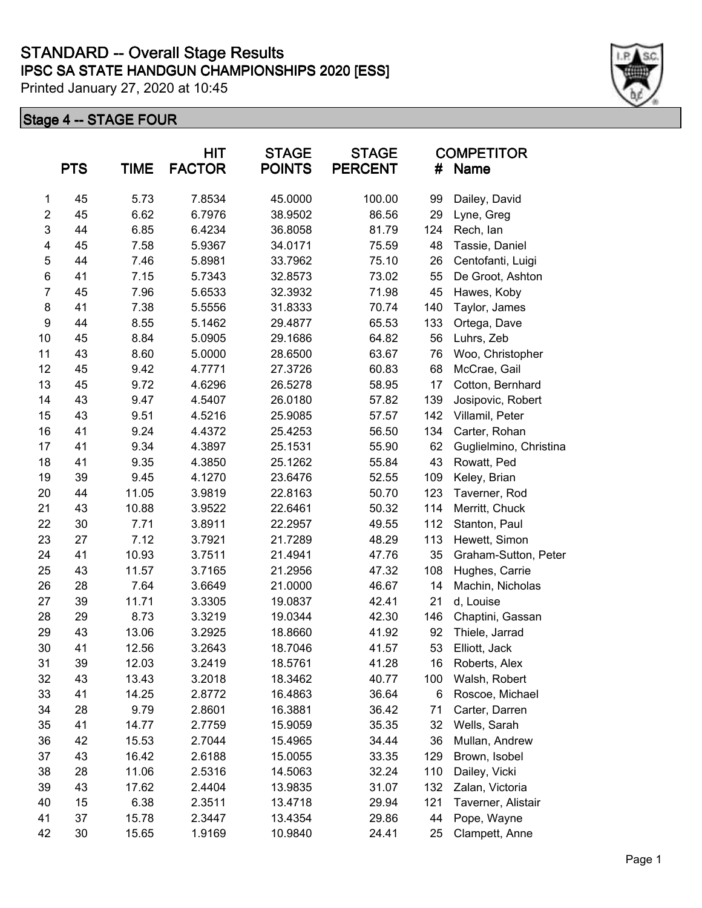|                         | <b>PTS</b> | <b>TIME</b> | <b>HIT</b><br><b>FACTOR</b> | <b>STAGE</b><br><b>POINTS</b> | <b>STAGE</b><br><b>PERCENT</b> | #   | <b>COMPETITOR</b><br>Name |
|-------------------------|------------|-------------|-----------------------------|-------------------------------|--------------------------------|-----|---------------------------|
| 1                       | 45         | 5.73        | 7.8534                      | 45.0000                       | 100.00                         | 99  | Dailey, David             |
| $\boldsymbol{2}$        | 45         | 6.62        | 6.7976                      | 38.9502                       | 86.56                          | 29  | Lyne, Greg                |
| 3                       | 44         | 6.85        | 6.4234                      | 36.8058                       | 81.79                          | 124 | Rech, lan                 |
| $\overline{\mathbf{4}}$ | 45         | 7.58        | 5.9367                      | 34.0171                       | 75.59                          | 48  | Tassie, Daniel            |
| 5                       | 44         | 7.46        | 5.8981                      | 33.7962                       | 75.10                          | 26  | Centofanti, Luigi         |
| $\,6$                   | 41         | 7.15        | 5.7343                      | 32.8573                       | 73.02                          | 55  | De Groot, Ashton          |
| $\overline{7}$          | 45         | 7.96        | 5.6533                      | 32.3932                       | 71.98                          | 45  | Hawes, Koby               |
| 8                       | 41         | 7.38        | 5.5556                      | 31.8333                       | 70.74                          | 140 | Taylor, James             |
| $\boldsymbol{9}$        | 44         | 8.55        | 5.1462                      | 29.4877                       | 65.53                          | 133 | Ortega, Dave              |
| 10                      | 45         | 8.84        | 5.0905                      | 29.1686                       | 64.82                          | 56  | Luhrs, Zeb                |
| 11                      | 43         | 8.60        | 5.0000                      | 28.6500                       | 63.67                          | 76  | Woo, Christopher          |
| 12                      | 45         | 9.42        | 4.7771                      | 27.3726                       | 60.83                          | 68  | McCrae, Gail              |
| 13                      | 45         | 9.72        | 4.6296                      | 26.5278                       | 58.95                          | 17  | Cotton, Bernhard          |
| 14                      | 43         | 9.47        | 4.5407                      | 26.0180                       | 57.82                          | 139 | Josipovic, Robert         |
| 15                      | 43         | 9.51        | 4.5216                      | 25.9085                       | 57.57                          | 142 | Villamil, Peter           |
| 16                      | 41         | 9.24        | 4.4372                      | 25.4253                       | 56.50                          | 134 | Carter, Rohan             |
| 17                      | 41         | 9.34        | 4.3897                      | 25.1531                       | 55.90                          | 62  | Guglielmino, Christina    |
| 18                      | 41         | 9.35        | 4.3850                      | 25.1262                       | 55.84                          | 43  | Rowatt, Ped               |
| 19                      | 39         | 9.45        | 4.1270                      | 23.6476                       | 52.55                          | 109 | Keley, Brian              |
| 20                      | 44         | 11.05       | 3.9819                      | 22.8163                       | 50.70                          | 123 | Taverner, Rod             |
| 21                      | 43         | 10.88       | 3.9522                      | 22.6461                       | 50.32                          | 114 | Merritt, Chuck            |
| 22                      | 30         | 7.71        | 3.8911                      | 22.2957                       | 49.55                          | 112 | Stanton, Paul             |
| 23                      | 27         | 7.12        | 3.7921                      | 21.7289                       | 48.29                          | 113 | Hewett, Simon             |
| 24                      | 41         | 10.93       | 3.7511                      | 21.4941                       | 47.76                          | 35  | Graham-Sutton, Peter      |
| 25                      | 43         | 11.57       | 3.7165                      | 21.2956                       | 47.32                          | 108 | Hughes, Carrie            |
| 26                      | 28         | 7.64        | 3.6649                      | 21.0000                       | 46.67                          | 14  | Machin, Nicholas          |
| 27                      | 39         | 11.71       | 3.3305                      | 19.0837                       | 42.41                          | 21  | d, Louise                 |
| 28                      | 29         | 8.73        | 3.3219                      | 19.0344                       | 42.30                          | 146 | Chaptini, Gassan          |
| 29                      | 43         | 13.06       | 3.2925                      | 18.8660                       | 41.92                          | 92  | Thiele, Jarrad            |
| 30                      | 41         | 12.56       | 3.2643                      | 18.7046                       | 41.57                          | 53  | Elliott, Jack             |
| 31                      | 39         | 12.03       | 3.2419                      | 18.5761                       | 41.28                          | 16  | Roberts, Alex             |
| 32                      | 43         | 13.43       | 3.2018                      | 18.3462                       | 40.77                          | 100 | Walsh, Robert             |
| 33                      | 41         | 14.25       | 2.8772                      | 16.4863                       | 36.64                          | 6   | Roscoe, Michael           |
| 34                      | 28         | 9.79        | 2.8601                      | 16.3881                       | 36.42                          | 71  | Carter, Darren            |
| 35                      | 41         | 14.77       | 2.7759                      | 15.9059                       | 35.35                          | 32  | Wells, Sarah              |
| 36                      | 42         | 15.53       | 2.7044                      | 15.4965                       | 34.44                          | 36  | Mullan, Andrew            |
| 37                      | 43         | 16.42       | 2.6188                      | 15.0055                       | 33.35                          | 129 | Brown, Isobel             |
| 38                      | 28         | 11.06       | 2.5316                      | 14.5063                       | 32.24                          | 110 | Dailey, Vicki             |
| 39                      | 43         | 17.62       | 2.4404                      | 13.9835                       | 31.07                          | 132 | Zalan, Victoria           |
| 40                      | 15         | 6.38        | 2.3511                      | 13.4718                       | 29.94                          | 121 | Taverner, Alistair        |
| 41                      | 37         | 15.78       | 2.3447                      | 13.4354                       | 29.86                          | 44  | Pope, Wayne               |
| 42                      | 30         | 15.65       | 1.9169                      | 10.9840                       | 24.41                          | 25  | Clampett, Anne            |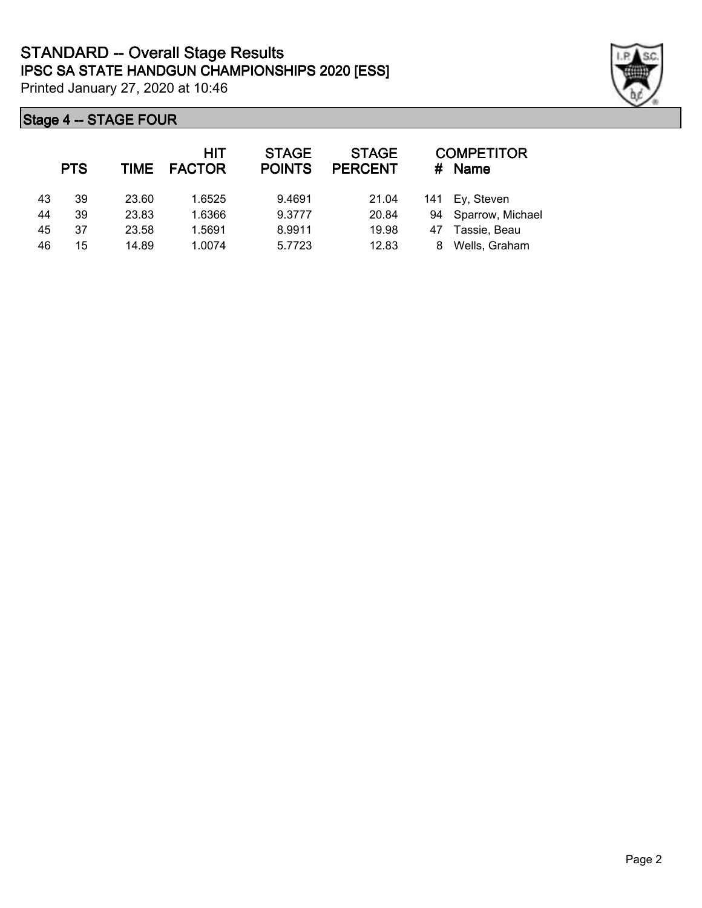|    | <b>PTS</b> | <b>TIME</b> | <b>HIT</b><br><b>FACTOR</b> | <b>STAGE</b><br><b>POINTS</b> | <b>STAGE</b><br><b>PERCENT</b> | #  | <b>COMPETITOR</b><br><b>Name</b> |
|----|------------|-------------|-----------------------------|-------------------------------|--------------------------------|----|----------------------------------|
| 43 | 39         | 23.60       | 1.6525                      | 9.4691                        | 21.04                          |    | 141 Ey, Steven                   |
| 44 | 39         | 23.83       | 1.6366                      | 9.3777                        | 20.84                          |    | 94 Sparrow, Michael              |
| 45 | 37         | 23.58       | 1.5691                      | 8.9911                        | 19.98                          | 47 | Tassie, Beau                     |
| 46 | 15         | 14.89       | 1.0074                      | 5.7723                        | 12.83                          | 8  | Wells, Graham                    |

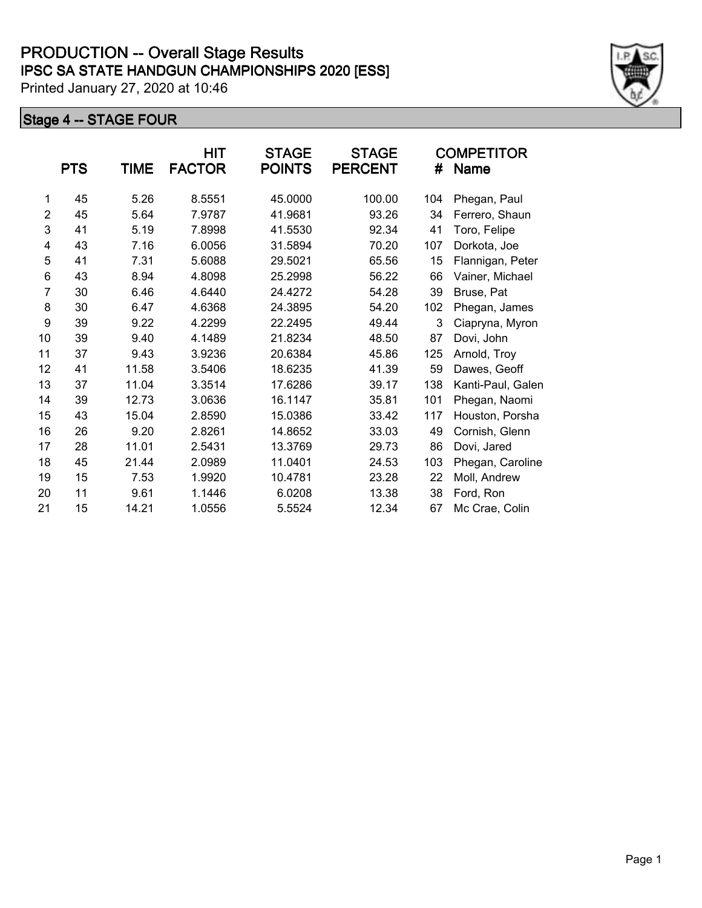|                | <b>PTS</b> | <b>TIME</b> | HIT<br><b>FACTOR</b> | <b>STAGE</b><br><b>POINTS</b> | <b>STAGE</b><br><b>PERCENT</b> | #   | <b>COMPETITOR</b><br><b>Name</b> |
|----------------|------------|-------------|----------------------|-------------------------------|--------------------------------|-----|----------------------------------|
| 1              | 45         | 5.26        | 8.5551               | 45.0000                       | 100.00                         | 104 | Phegan, Paul                     |
| $\overline{2}$ | 45         | 5.64        | 7.9787               | 41.9681                       | 93.26                          | 34  | Ferrero, Shaun                   |
| 3              | 41         | 5.19        | 7.8998               | 41.5530                       | 92.34                          | 41  | Toro, Felipe                     |
| 4              | 43         | 7.16        | 6.0056               | 31.5894                       | 70.20                          | 107 | Dorkota, Joe                     |
| 5              | 41         | 7.31        | 5.6088               | 29.5021                       | 65.56                          | 15  | Flannigan, Peter                 |
| 6              | 43         | 8.94        | 4.8098               | 25.2998                       | 56.22                          | 66  | Vainer, Michael                  |
| $\overline{7}$ | 30         | 6.46        | 4.6440               | 24.4272                       | 54.28                          | 39  | Bruse, Pat                       |
| 8              | 30         | 6.47        | 4.6368               | 24.3895                       | 54.20                          | 102 | Phegan, James                    |
| 9              | 39         | 9.22        | 4.2299               | 22.2495                       | 49.44                          | 3   | Ciapryna, Myron                  |
| 10             | 39         | 9.40        | 4.1489               | 21.8234                       | 48.50                          | 87  | Dovi, John                       |
| 11             | 37         | 9.43        | 3.9236               | 20.6384                       | 45.86                          | 125 | Arnold, Troy                     |
| 12             | 41         | 11.58       | 3.5406               | 18.6235                       | 41.39                          | 59  | Dawes, Geoff                     |
| 13             | 37         | 11.04       | 3.3514               | 17.6286                       | 39.17                          | 138 | Kanti-Paul, Galen                |
| 14             | 39         | 12.73       | 3.0636               | 16.1147                       | 35.81                          | 101 | Phegan, Naomi                    |
| 15             | 43         | 15.04       | 2.8590               | 15.0386                       | 33.42                          | 117 | Houston, Porsha                  |
| 16             | 26         | 9.20        | 2.8261               | 14.8652                       | 33.03                          | 49  | Cornish, Glenn                   |
| 17             | 28         | 11.01       | 2.5431               | 13.3769                       | 29.73                          | 86  | Dovi, Jared                      |
| 18             | 45         | 21.44       | 2.0989               | 11.0401                       | 24.53                          | 103 | Phegan, Caroline                 |
| 19             | 15         | 7.53        | 1.9920               | 10.4781                       | 23.28                          | 22  | Moll, Andrew                     |
| 20             | 11         | 9.61        | 1.1446               | 6.0208                        | 13.38                          | 38  | Ford, Ron                        |
| 21             | 15         | 14.21       | 1.0556               | 5.5524                        | 12.34                          | 67  | Mc Crae, Colin                   |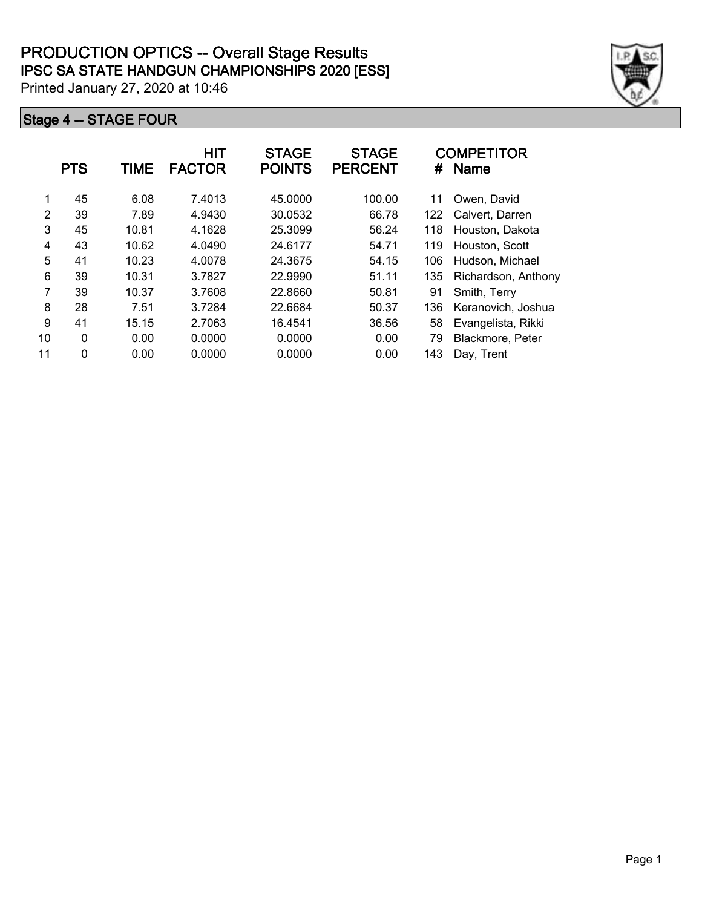|    | <b>PTS</b>  | TIME  | <b>HIT</b><br><b>FACTOR</b> | <b>STAGE</b><br><b>POINTS</b> | <b>STAGE</b><br><b>PERCENT</b> | #   | <b>COMPETITOR</b><br><b>Name</b> |
|----|-------------|-------|-----------------------------|-------------------------------|--------------------------------|-----|----------------------------------|
| 1  | 45          | 6.08  | 7.4013                      | 45.0000                       | 100.00                         | 11  | Owen, David                      |
| 2  | 39          | 7.89  | 4.9430                      | 30.0532                       | 66.78                          | 122 | Calvert, Darren                  |
| 3  | 45          | 10.81 | 4.1628                      | 25.3099                       | 56.24                          | 118 | Houston, Dakota                  |
| 4  | 43          | 10.62 | 4.0490                      | 24.6177                       | 54.71                          | 119 | Houston, Scott                   |
| 5  | 41          | 10.23 | 4.0078                      | 24.3675                       | 54.15                          | 106 | Hudson, Michael                  |
| 6  | 39          | 10.31 | 3.7827                      | 22.9990                       | 51.11                          | 135 | Richardson, Anthony              |
| 7  | 39          | 10.37 | 3.7608                      | 22.8660                       | 50.81                          | 91  | Smith, Terry                     |
| 8  | 28          | 7.51  | 3.7284                      | 22.6684                       | 50.37                          | 136 | Keranovich, Joshua               |
| 9  | 41          | 15.15 | 2.7063                      | 16.4541                       | 36.56                          | 58  | Evangelista, Rikki               |
| 10 | $\mathbf 0$ | 0.00  | 0.0000                      | 0.0000                        | 0.00                           | 79  | Blackmore, Peter                 |
| 11 | $\mathbf 0$ | 0.00  | 0.0000                      | 0.0000                        | 0.00                           | 143 | Day, Trent                       |

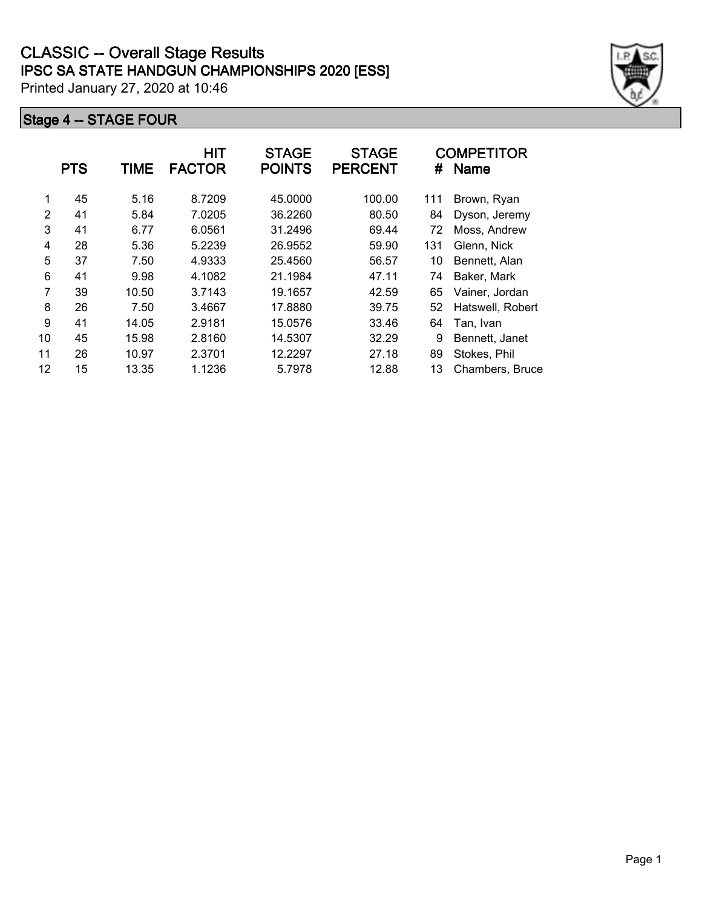|    | <b>PTS</b> | <b>TIME</b> | HIT<br><b>FACTOR</b> | <b>STAGE</b><br><b>POINTS</b> | <b>STAGE</b><br><b>PERCENT</b> | #   | <b>COMPETITOR</b><br><b>Name</b> |
|----|------------|-------------|----------------------|-------------------------------|--------------------------------|-----|----------------------------------|
| 1  | 45         | 5.16        | 8.7209               | 45.0000                       | 100.00                         | 111 | Brown, Ryan                      |
| 2  | 41         | 5.84        | 7.0205               | 36.2260                       | 80.50                          | 84  | Dyson, Jeremy                    |
| 3  | 41         | 6.77        | 6.0561               | 31.2496                       | 69.44                          | 72  | Moss, Andrew                     |
| 4  | 28         | 5.36        | 5.2239               | 26.9552                       | 59.90                          | 131 | Glenn, Nick                      |
| 5  | 37         | 7.50        | 4.9333               | 25.4560                       | 56.57                          | 10  | Bennett, Alan                    |
| 6  | 41         | 9.98        | 4.1082               | 21.1984                       | 47.11                          | 74  | Baker, Mark                      |
| 7  | 39         | 10.50       | 3.7143               | 19.1657                       | 42.59                          | 65  | Vainer, Jordan                   |
| 8  | 26         | 7.50        | 3.4667               | 17.8880                       | 39.75                          | 52  | Hatswell, Robert                 |
| 9  | 41         | 14.05       | 2.9181               | 15.0576                       | 33.46                          | 64  | Tan, Ivan                        |
| 10 | 45         | 15.98       | 2.8160               | 14.5307                       | 32.29                          | 9   | Bennett, Janet                   |
| 11 | 26         | 10.97       | 2.3701               | 12.2297                       | 27.18                          | 89  | Stokes, Phil                     |
| 12 | 15         | 13.35       | 1.1236               | 5.7978                        | 12.88                          | 13  | Chambers, Bruce                  |

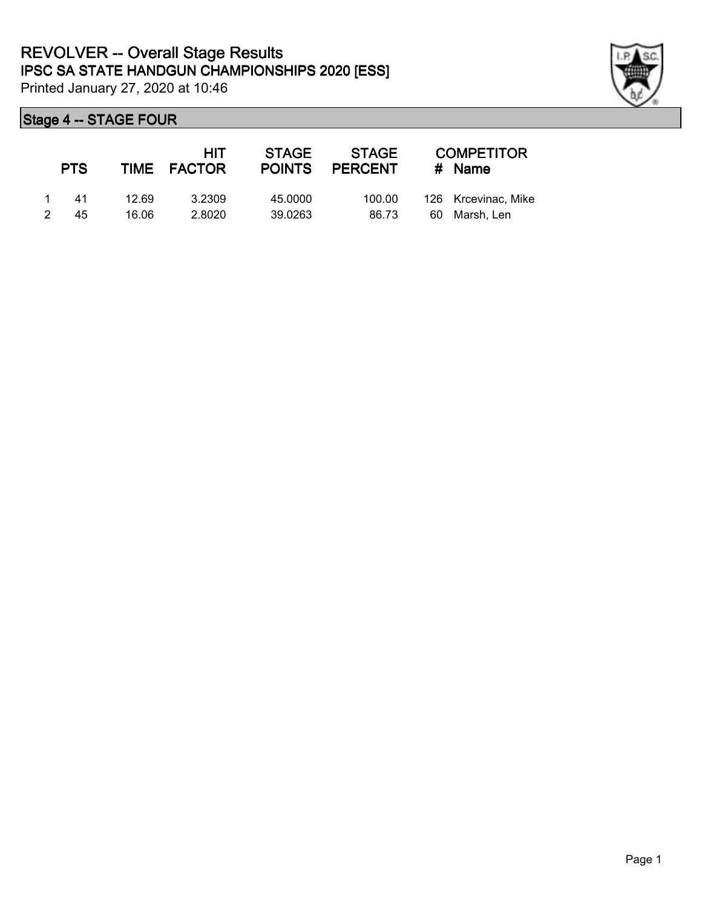

| <b>PTS</b> |       | HIT<br>TIME FACTOR | STAGE<br><b>POINTS</b> | <b>STAGE</b><br><b>PERCENT</b> |    | <b>COMPETITOR</b><br># Name |
|------------|-------|--------------------|------------------------|--------------------------------|----|-----------------------------|
| 41         | 12 69 | 3.2309             | 45.0000                | 100.00                         |    | 126 Krcevinac, Mike         |
| 45         | 16.06 | 2.8020             | 39.0263                | 86.73                          | 60 | Marsh. Len                  |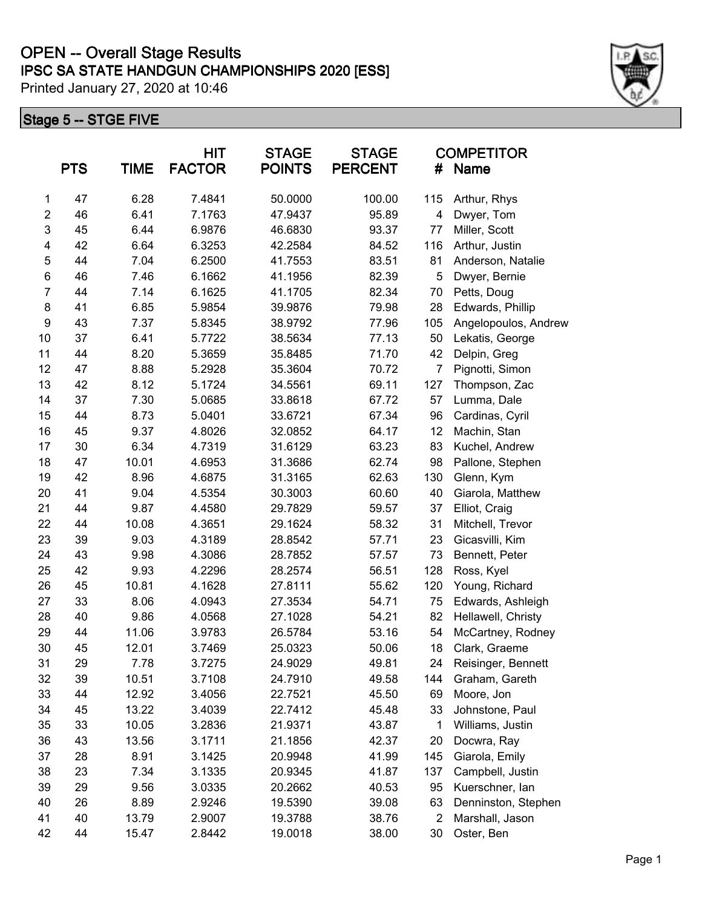# **IPSC SA STATE HANDGUN CHAMPIONSHIPS 2020 [ESS] OPEN -- Overall Stage Results**

Printed January 27, 2020 at 10:46

#### **Stage 5 -- STGE FIVE**

|                | <b>PTS</b> | <b>TIME</b> | <b>HIT</b><br><b>FACTOR</b> | <b>STAGE</b><br><b>POINTS</b> | <b>STAGE</b><br><b>PERCENT</b> | <b>COMPETITOR</b><br>#<br>Name |                      |
|----------------|------------|-------------|-----------------------------|-------------------------------|--------------------------------|--------------------------------|----------------------|
| 1              | 47         | 6.28        | 7.4841                      | 50.0000                       | 100.00                         | 115                            | Arthur, Rhys         |
| $\overline{2}$ | 46         | 6.41        | 7.1763                      | 47.9437                       | 95.89                          | 4                              | Dwyer, Tom           |
| 3              | 45         | 6.44        | 6.9876                      | 46.6830                       | 93.37                          | 77                             | Miller, Scott        |
| 4              | 42         | 6.64        | 6.3253                      | 42.2584                       | 84.52                          | 116                            | Arthur, Justin       |
| 5              | 44         | 7.04        | 6.2500                      | 41.7553                       | 83.51                          | 81                             | Anderson, Natalie    |
| 6              | 46         | 7.46        | 6.1662                      | 41.1956                       | 82.39                          | 5                              | Dwyer, Bernie        |
| $\overline{7}$ | 44         | 7.14        | 6.1625                      | 41.1705                       | 82.34                          | 70                             | Petts, Doug          |
| 8              | 41         | 6.85        | 5.9854                      | 39.9876                       | 79.98                          | 28                             | Edwards, Phillip     |
| 9              | 43         | 7.37        | 5.8345                      | 38.9792                       | 77.96                          | 105                            | Angelopoulos, Andrew |
| 10             | 37         | 6.41        | 5.7722                      | 38.5634                       | 77.13                          | 50                             | Lekatis, George      |
| 11             | 44         | 8.20        | 5.3659                      | 35.8485                       | 71.70                          | 42                             | Delpin, Greg         |
| 12             | 47         | 8.88        | 5.2928                      | 35.3604                       | 70.72                          | $\overline{7}$                 | Pignotti, Simon      |
| 13             | 42         | 8.12        | 5.1724                      | 34.5561                       | 69.11                          | 127                            | Thompson, Zac        |
| 14             | 37         | 7.30        | 5.0685                      | 33.8618                       | 67.72                          | 57                             | Lumma, Dale          |
| 15             | 44         | 8.73        | 5.0401                      | 33.6721                       | 67.34                          | 96                             | Cardinas, Cyril      |
| 16             | 45         | 9.37        | 4.8026                      | 32.0852                       | 64.17                          | 12                             | Machin, Stan         |
| 17             | 30         | 6.34        | 4.7319                      | 31.6129                       | 63.23                          | 83                             | Kuchel, Andrew       |
| 18             | 47         | 10.01       | 4.6953                      | 31.3686                       | 62.74                          | 98                             | Pallone, Stephen     |
| 19             | 42         | 8.96        | 4.6875                      | 31.3165                       | 62.63                          | 130                            | Glenn, Kym           |
| 20             | 41         | 9.04        | 4.5354                      | 30.3003                       | 60.60                          | 40                             | Giarola, Matthew     |
| 21             | 44         | 9.87        | 4.4580                      | 29.7829                       | 59.57                          | 37                             | Elliot, Craig        |
| 22             | 44         | 10.08       | 4.3651                      | 29.1624                       | 58.32                          | 31                             | Mitchell, Trevor     |
| 23             | 39         | 9.03        | 4.3189                      | 28.8542                       | 57.71                          | 23                             | Gicasvilli, Kim      |
| 24             | 43         | 9.98        | 4.3086                      | 28.7852                       | 57.57                          | 73                             | Bennett, Peter       |
| 25             | 42         | 9.93        | 4.2296                      | 28.2574                       | 56.51                          | 128                            | Ross, Kyel           |
| 26             | 45         | 10.81       | 4.1628                      | 27.8111                       | 55.62                          | 120                            | Young, Richard       |
| 27             | 33         | 8.06        | 4.0943                      | 27.3534                       | 54.71                          | 75                             | Edwards, Ashleigh    |
| 28             | 40         | 9.86        | 4.0568                      | 27.1028                       | 54.21                          | 82                             | Hellawell, Christy   |
| 29             | 44         | 11.06       | 3.9783                      | 26.5784                       | 53.16                          | 54                             | McCartney, Rodney    |
| 30             | 45         | 12.01       | 3.7469                      | 25.0323                       | 50.06                          | 18                             | Clark, Graeme        |
| 31             | 29         | 7.78        | 3.7275                      | 24.9029                       | 49.81                          | 24                             | Reisinger, Bennett   |
| 32             | 39         | 10.51       | 3.7108                      | 24.7910                       | 49.58                          | 144                            | Graham, Gareth       |
| 33             | 44         | 12.92       | 3.4056                      | 22.7521                       | 45.50                          | 69                             | Moore, Jon           |
| 34             | 45         | 13.22       | 3.4039                      | 22.7412                       | 45.48                          | 33                             | Johnstone, Paul      |
| 35             | 33         | 10.05       | 3.2836                      | 21.9371                       | 43.87                          | 1                              | Williams, Justin     |
| 36             | 43         | 13.56       | 3.1711                      | 21.1856                       | 42.37                          | 20                             | Docwra, Ray          |
| 37             | 28         | 8.91        | 3.1425                      | 20.9948                       | 41.99                          | 145                            | Giarola, Emily       |
| 38             | 23         | 7.34        | 3.1335                      | 20.9345                       | 41.87                          | 137                            | Campbell, Justin     |
| 39             | 29         | 9.56        | 3.0335                      | 20.2662                       | 40.53                          | 95                             | Kuerschner, lan      |
| 40             | 26         | 8.89        | 2.9246                      | 19.5390                       | 39.08                          | 63                             | Denninston, Stephen  |
| 41             | 40         | 13.79       | 2.9007                      | 19.3788                       | 38.76                          | $\overline{2}$                 | Marshall, Jason      |
| 42             | 44         | 15.47       | 2.8442                      | 19.0018                       | 38.00                          | 30                             | Oster, Ben           |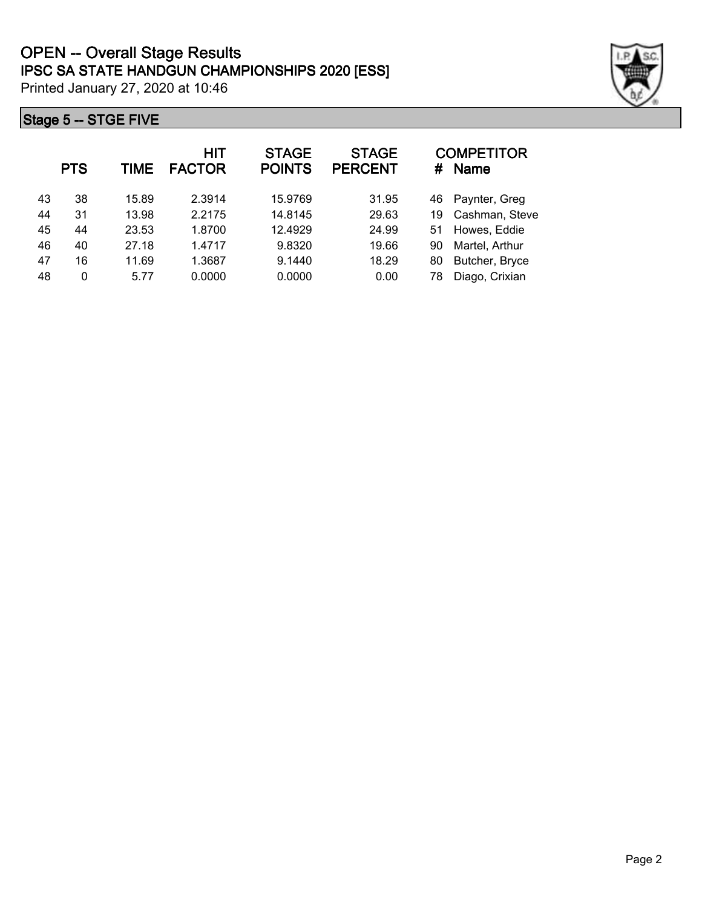



| <b>PTS</b> | TIME  | HIT<br><b>FACTOR</b> | <b>STAGE</b><br><b>POINTS</b> | <b>STAGE</b><br><b>PERCENT</b> | #  | <b>COMPETITOR</b><br><b>Name</b> |
|------------|-------|----------------------|-------------------------------|--------------------------------|----|----------------------------------|
| 38         | 15.89 | 2.3914               | 15.9769                       | 31.95                          | 46 | Paynter, Greg                    |
| 31         | 13.98 | 2.2175               | 14.8145                       | 29.63                          | 19 | Cashman, Steve                   |
| 44         | 23.53 | 1.8700               | 12.4929                       | 24.99                          | 51 | Howes, Eddie                     |
| 40         | 27.18 | 1.4717               | 9.8320                        | 19.66                          | 90 | Martel, Arthur                   |
| 16         | 11.69 | 1.3687               | 9.1440                        | 18.29                          | 80 | Butcher, Bryce                   |
| $\Omega$   | 5.77  | 0.0000               | 0.0000                        | 0.00                           | 78 | Diago, Crixian                   |
|            |       |                      |                               |                                |    |                                  |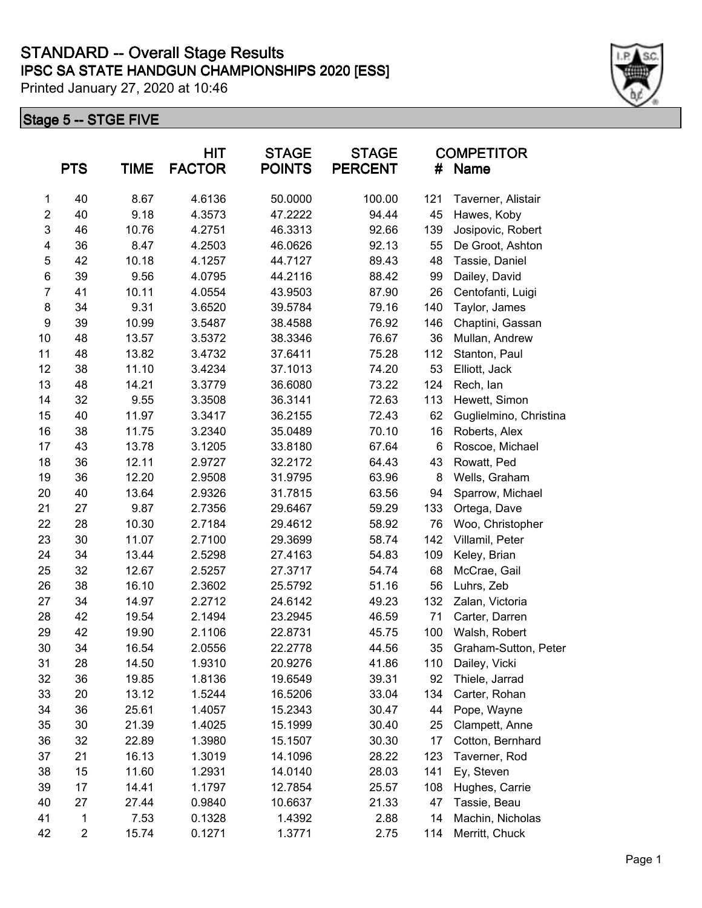## **Stage 5 -- STGE FIVE**

|                         | <b>PTS</b>              | <b>TIME</b> | <b>HIT</b><br><b>FACTOR</b> | <b>STAGE</b><br><b>POINTS</b> | <b>STAGE</b><br><b>PERCENT</b> | #   | <b>COMPETITOR</b><br>Name |
|-------------------------|-------------------------|-------------|-----------------------------|-------------------------------|--------------------------------|-----|---------------------------|
| 1                       | 40                      | 8.67        | 4.6136                      | 50.0000                       | 100.00                         | 121 | Taverner, Alistair        |
| $\overline{2}$          | 40                      | 9.18        | 4.3573                      | 47.2222                       | 94.44                          | 45  | Hawes, Koby               |
| 3                       | 46                      | 10.76       | 4.2751                      | 46.3313                       | 92.66                          | 139 | Josipovic, Robert         |
| $\overline{\mathbf{4}}$ | 36                      | 8.47        | 4.2503                      | 46.0626                       | 92.13                          | 55  | De Groot, Ashton          |
| 5                       | 42                      | 10.18       | 4.1257                      | 44.7127                       | 89.43                          | 48  | Tassie, Daniel            |
| $\,6$                   | 39                      | 9.56        | 4.0795                      | 44.2116                       | 88.42                          | 99  | Dailey, David             |
| $\overline{7}$          | 41                      | 10.11       | 4.0554                      | 43.9503                       | 87.90                          | 26  | Centofanti, Luigi         |
| 8                       | 34                      | 9.31        | 3.6520                      | 39.5784                       | 79.16                          | 140 | Taylor, James             |
| 9                       | 39                      | 10.99       | 3.5487                      | 38.4588                       | 76.92                          | 146 | Chaptini, Gassan          |
| 10                      | 48                      | 13.57       | 3.5372                      | 38.3346                       | 76.67                          | 36  | Mullan, Andrew            |
| 11                      | 48                      | 13.82       | 3.4732                      | 37.6411                       | 75.28                          | 112 | Stanton, Paul             |
| 12                      | 38                      | 11.10       | 3.4234                      | 37.1013                       | 74.20                          | 53  | Elliott, Jack             |
| 13                      | 48                      | 14.21       | 3.3779                      | 36.6080                       | 73.22                          | 124 | Rech, lan                 |
| 14                      | 32                      | 9.55        | 3.3508                      | 36.3141                       | 72.63                          | 113 | Hewett, Simon             |
| 15                      | 40                      | 11.97       | 3.3417                      | 36.2155                       | 72.43                          | 62  | Guglielmino, Christina    |
| 16                      | 38                      | 11.75       | 3.2340                      | 35.0489                       | 70.10                          | 16  | Roberts, Alex             |
| 17                      | 43                      | 13.78       | 3.1205                      | 33.8180                       | 67.64                          | 6   | Roscoe, Michael           |
| 18                      | 36                      | 12.11       | 2.9727                      | 32.2172                       | 64.43                          | 43  | Rowatt, Ped               |
| 19                      | 36                      | 12.20       | 2.9508                      | 31.9795                       | 63.96                          | 8   | Wells, Graham             |
| 20                      | 40                      | 13.64       | 2.9326                      | 31.7815                       | 63.56                          | 94  | Sparrow, Michael          |
| 21                      | 27                      | 9.87        | 2.7356                      | 29.6467                       | 59.29                          | 133 | Ortega, Dave              |
| 22                      | 28                      | 10.30       | 2.7184                      | 29.4612                       | 58.92                          | 76  | Woo, Christopher          |
| 23                      | 30                      | 11.07       | 2.7100                      | 29.3699                       | 58.74                          | 142 | Villamil, Peter           |
| 24                      | 34                      | 13.44       | 2.5298                      | 27.4163                       | 54.83                          | 109 | Keley, Brian              |
| 25                      | 32                      | 12.67       | 2.5257                      | 27.3717                       | 54.74                          | 68  | McCrae, Gail              |
| 26                      | 38                      | 16.10       | 2.3602                      | 25.5792                       | 51.16                          | 56  | Luhrs, Zeb                |
| 27                      | 34                      | 14.97       | 2.2712                      | 24.6142                       | 49.23                          | 132 | Zalan, Victoria           |
| 28                      | 42                      | 19.54       | 2.1494                      | 23.2945                       | 46.59                          | 71  | Carter, Darren            |
| 29                      | 42                      | 19.90       | 2.1106                      | 22.8731                       | 45.75                          | 100 | Walsh, Robert             |
| 30                      | 34                      | 16.54       | 2.0556                      | 22.2778                       | 44.56                          | 35  | Graham-Sutton, Peter      |
| 31                      | 28                      | 14.50       | 1.9310                      | 20.9276                       | 41.86                          | 110 | Dailey, Vicki             |
| 32                      | 36                      | 19.85       | 1.8136                      | 19.6549                       | 39.31                          | 92  | Thiele, Jarrad            |
| 33                      | 20                      | 13.12       | 1.5244                      | 16.5206                       | 33.04                          | 134 | Carter, Rohan             |
| 34                      | 36                      | 25.61       | 1.4057                      | 15.2343                       | 30.47                          | 44  | Pope, Wayne               |
| 35                      | 30                      | 21.39       | 1.4025                      | 15.1999                       | 30.40                          | 25  | Clampett, Anne            |
| 36                      | 32                      | 22.89       | 1.3980                      | 15.1507                       | 30.30                          | 17  | Cotton, Bernhard          |
| 37                      | 21                      | 16.13       | 1.3019                      | 14.1096                       | 28.22                          | 123 | Taverner, Rod             |
| 38                      | 15                      | 11.60       | 1.2931                      | 14.0140                       | 28.03                          | 141 | Ey, Steven                |
| 39                      | 17                      | 14.41       | 1.1797                      | 12.7854                       | 25.57                          | 108 | Hughes, Carrie            |
| 40                      | 27                      | 27.44       | 0.9840                      | 10.6637                       | 21.33                          | 47  | Tassie, Beau              |
| 41                      | 1                       | 7.53        | 0.1328                      | 1.4392                        | 2.88                           | 14  | Machin, Nicholas          |
| 42                      | $\overline{\mathbf{c}}$ | 15.74       | 0.1271                      | 1.3771                        | 2.75                           | 114 | Merritt, Chuck            |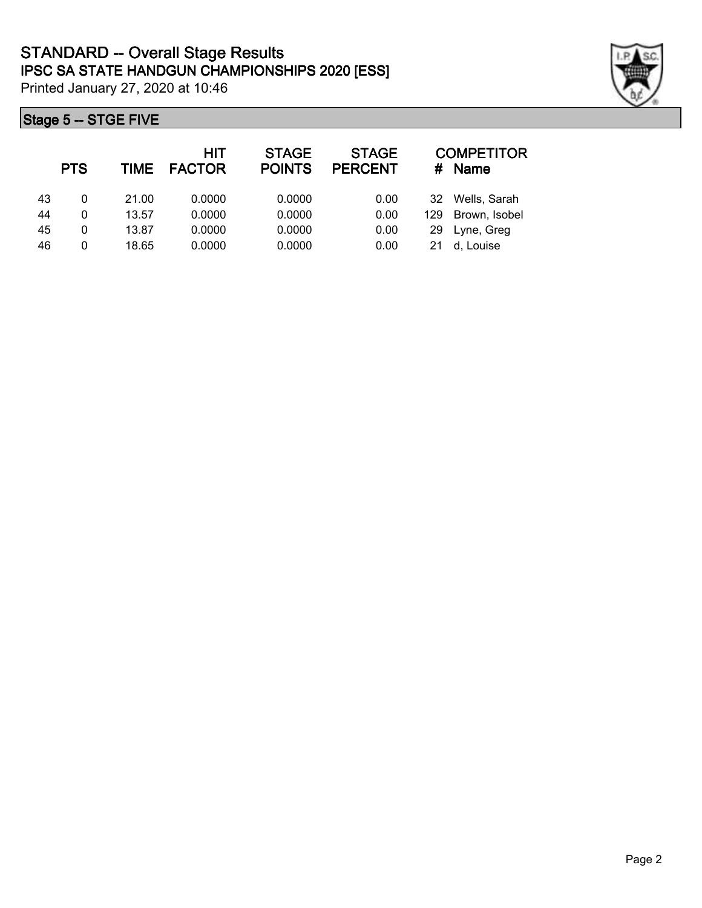## **Stage 5 -- STGE FIVE**

|    | <b>PTS</b> | TIME  | HIT<br><b>FACTOR</b> | <b>STAGE</b><br><b>POINTS</b> | <b>STAGE</b><br><b>PERCENT</b> | #   | <b>COMPETITOR</b><br><b>Name</b> |
|----|------------|-------|----------------------|-------------------------------|--------------------------------|-----|----------------------------------|
| 43 | 0          | 21.00 | 0.0000               | 0.0000                        | 0.00                           | 32  | Wells, Sarah                     |
| 44 | 0          | 13.57 | 0.0000               | 0.0000                        | 0.00                           | 129 | Brown, Isobel                    |
| 45 | 0          | 13.87 | 0.0000               | 0.0000                        | 0.00                           | 29  | Lyne, Greg                       |
| 46 | 0          | 18.65 | 0.0000               | 0.0000                        | 0.00                           | 21  | d, Louise                        |

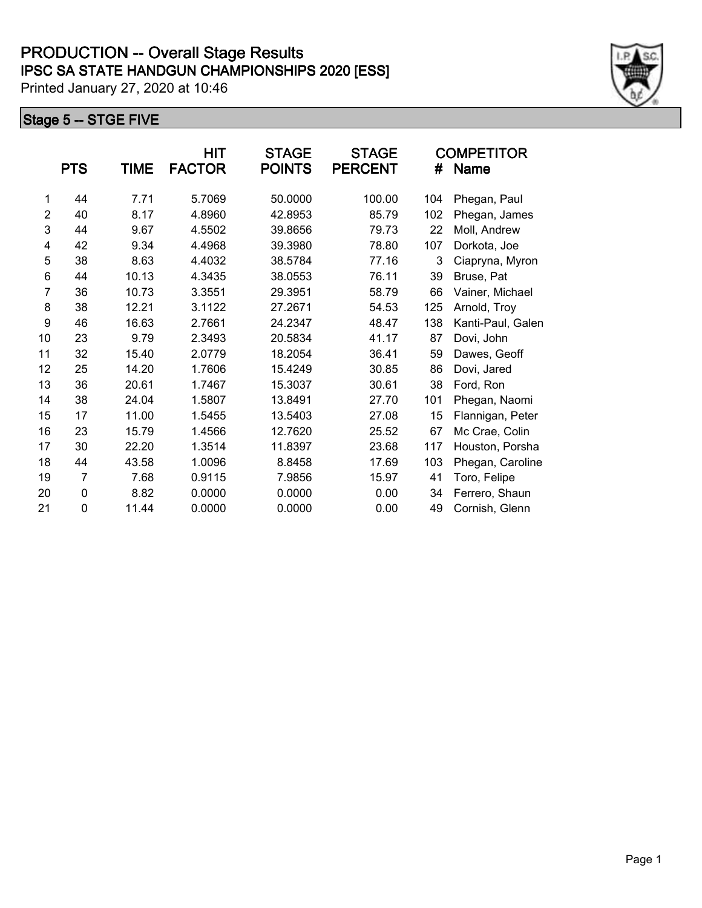|                | <b>PTS</b> | TIME  | <b>HIT</b><br><b>FACTOR</b> | <b>STAGE</b><br><b>POINTS</b> | <b>STAGE</b><br><b>PERCENT</b> | #   | <b>COMPETITOR</b><br><b>Name</b> |
|----------------|------------|-------|-----------------------------|-------------------------------|--------------------------------|-----|----------------------------------|
| 1              | 44         | 7.71  | 5.7069                      | 50.0000                       | 100.00                         | 104 | Phegan, Paul                     |
| $\overline{2}$ | 40         | 8.17  | 4.8960                      | 42.8953                       | 85.79                          | 102 | Phegan, James                    |
| 3              | 44         | 9.67  | 4.5502                      | 39.8656                       | 79.73                          | 22  | Moll, Andrew                     |
| 4              | 42         | 9.34  | 4.4968                      | 39.3980                       | 78.80                          | 107 | Dorkota, Joe                     |
| 5              | 38         | 8.63  | 4.4032                      | 38.5784                       | 77.16                          | 3   | Ciapryna, Myron                  |
| 6              | 44         | 10.13 | 4.3435                      | 38.0553                       | 76.11                          | 39  | Bruse, Pat                       |
| $\overline{7}$ | 36         | 10.73 | 3.3551                      | 29.3951                       | 58.79                          | 66  | Vainer, Michael                  |
| 8              | 38         | 12.21 | 3.1122                      | 27.2671                       | 54.53                          | 125 | Arnold, Troy                     |
| 9              | 46         | 16.63 | 2.7661                      | 24.2347                       | 48.47                          | 138 | Kanti-Paul, Galen                |
| 10             | 23         | 9.79  | 2.3493                      | 20.5834                       | 41.17                          | 87  | Dovi, John                       |
| 11             | 32         | 15.40 | 2.0779                      | 18.2054                       | 36.41                          | 59  | Dawes, Geoff                     |
| 12             | 25         | 14.20 | 1.7606                      | 15.4249                       | 30.85                          | 86  | Dovi, Jared                      |
| 13             | 36         | 20.61 | 1.7467                      | 15.3037                       | 30.61                          | 38  | Ford, Ron                        |
| 14             | 38         | 24.04 | 1.5807                      | 13.8491                       | 27.70                          | 101 | Phegan, Naomi                    |
| 15             | 17         | 11.00 | 1.5455                      | 13.5403                       | 27.08                          | 15  | Flannigan, Peter                 |
| 16             | 23         | 15.79 | 1.4566                      | 12.7620                       | 25.52                          | 67  | Mc Crae, Colin                   |
| 17             | 30         | 22.20 | 1.3514                      | 11.8397                       | 23.68                          | 117 | Houston, Porsha                  |
| 18             | 44         | 43.58 | 1.0096                      | 8.8458                        | 17.69                          | 103 | Phegan, Caroline                 |
| 19             | 7          | 7.68  | 0.9115                      | 7.9856                        | 15.97                          | 41  | Toro, Felipe                     |
| 20             | 0          | 8.82  | 0.0000                      | 0.0000                        | 0.00                           | 34  | Ferrero, Shaun                   |
| 21             | 0          | 11.44 | 0.0000                      | 0.0000                        | 0.00                           | 49  | Cornish, Glenn                   |
|                |            |       |                             |                               |                                |     |                                  |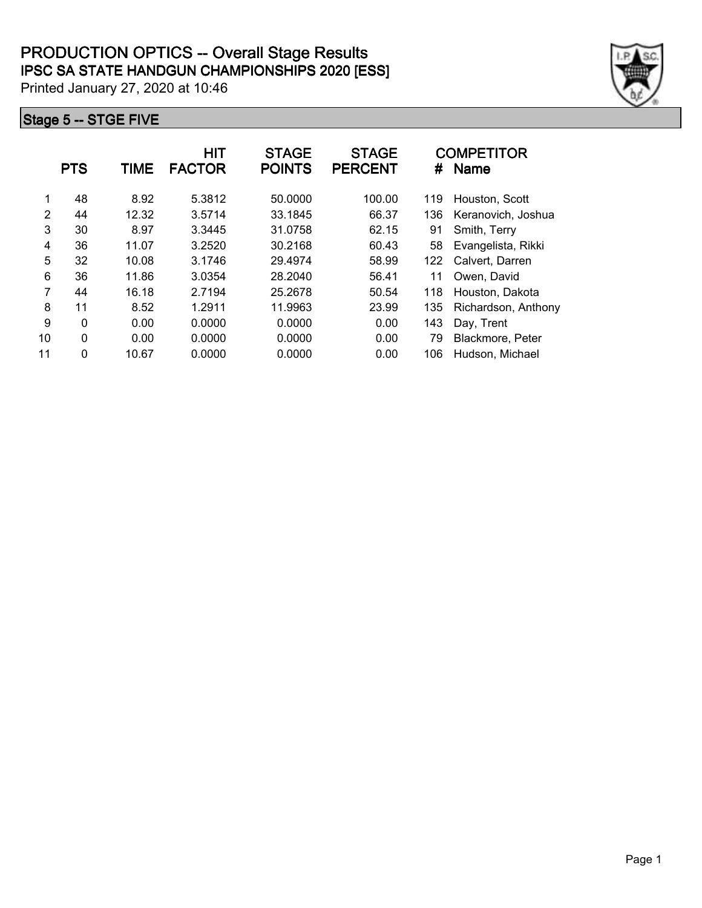|    | <b>PTS</b>  | TIME  | <b>HIT</b><br><b>FACTOR</b> | <b>STAGE</b><br><b>POINTS</b> | <b>STAGE</b><br><b>PERCENT</b> | #   | <b>COMPETITOR</b><br><b>Name</b> |
|----|-------------|-------|-----------------------------|-------------------------------|--------------------------------|-----|----------------------------------|
| 1  | 48          | 8.92  | 5.3812                      | 50.0000                       | 100.00                         | 119 | Houston, Scott                   |
| 2  | 44          | 12.32 | 3.5714                      | 33.1845                       | 66.37                          | 136 | Keranovich, Joshua               |
| 3  | 30          | 8.97  | 3.3445                      | 31.0758                       | 62.15                          | 91  | Smith, Terry                     |
| 4  | 36          | 11.07 | 3.2520                      | 30.2168                       | 60.43                          | 58  | Evangelista, Rikki               |
| 5  | 32          | 10.08 | 3.1746                      | 29.4974                       | 58.99                          | 122 | Calvert, Darren                  |
| 6  | 36          | 11.86 | 3.0354                      | 28.2040                       | 56.41                          | 11  | Owen, David                      |
| 7  | 44          | 16.18 | 2.7194                      | 25.2678                       | 50.54                          | 118 | Houston, Dakota                  |
| 8  | 11          | 8.52  | 1.2911                      | 11.9963                       | 23.99                          | 135 | Richardson, Anthony              |
| 9  | $\mathbf 0$ | 0.00  | 0.0000                      | 0.0000                        | 0.00                           | 143 | Day, Trent                       |
| 10 | 0           | 0.00  | 0.0000                      | 0.0000                        | 0.00                           | 79  | Blackmore, Peter                 |
| 11 | $\mathbf 0$ | 10.67 | 0.0000                      | 0.0000                        | 0.00                           | 106 | Hudson, Michael                  |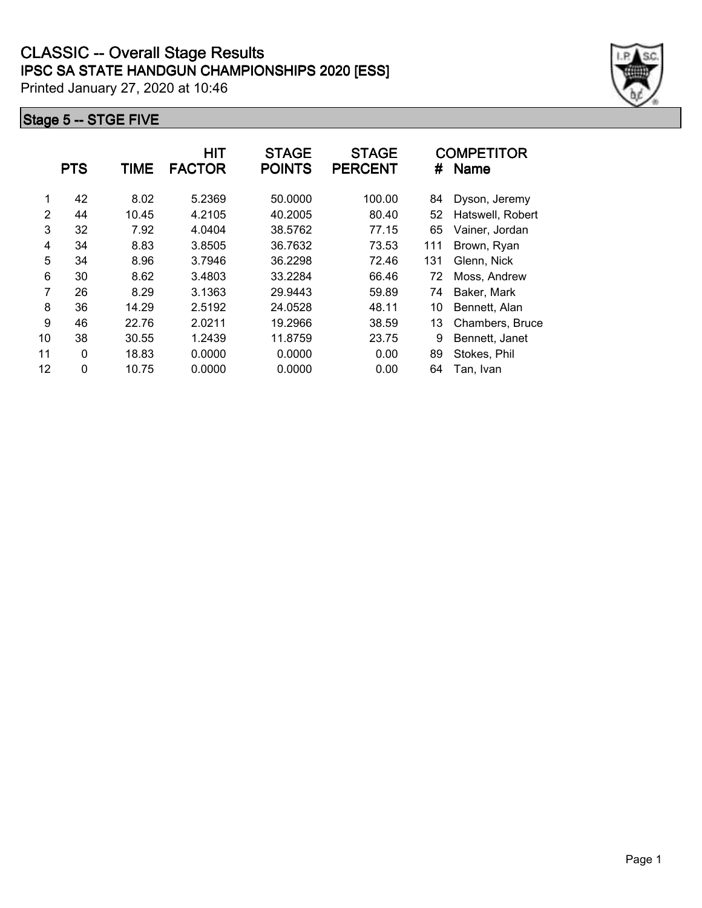|               | <b>PTS</b> | <b>TIME</b> | <b>HIT</b><br><b>FACTOR</b> | <b>STAGE</b><br><b>POINTS</b> | <b>STAGE</b><br><b>PERCENT</b> | #   | <b>COMPETITOR</b><br><b>Name</b> |
|---------------|------------|-------------|-----------------------------|-------------------------------|--------------------------------|-----|----------------------------------|
| 1             | 42         | 8.02        | 5.2369                      | 50.0000                       | 100.00                         | 84  | Dyson, Jeremy                    |
| $\mathcal{P}$ | 44         | 10.45       | 4.2105                      | 40.2005                       | 80.40                          | 52  | Hatswell, Robert                 |
| 3             | 32         | 7.92        | 4.0404                      | 38.5762                       | 77.15                          | 65  | Vainer, Jordan                   |
| 4             | 34         | 8.83        | 3.8505                      | 36.7632                       | 73.53                          | 111 | Brown, Ryan                      |
| 5             | 34         | 8.96        | 3.7946                      | 36.2298                       | 72.46                          | 131 | Glenn, Nick                      |
| 6             | 30         | 8.62        | 3.4803                      | 33.2284                       | 66.46                          | 72  | Moss, Andrew                     |
| 7             | 26         | 8.29        | 3.1363                      | 29.9443                       | 59.89                          | 74  | Baker, Mark                      |
| 8             | 36         | 14.29       | 2.5192                      | 24.0528                       | 48.11                          | 10  | Bennett, Alan                    |
| 9             | 46         | 22.76       | 2.0211                      | 19.2966                       | 38.59                          | 13  | Chambers, Bruce                  |
| 10            | 38         | 30.55       | 1.2439                      | 11.8759                       | 23.75                          | 9   | Bennett, Janet                   |
| 11            | $\Omega$   | 18.83       | 0.0000                      | 0.0000                        | 0.00                           | 89  | Stokes, Phil                     |
| 12            | 0          | 10.75       | 0.0000                      | 0.0000                        | 0.00                           | 64  | Tan, Ivan                        |
|               |            |             |                             |                               |                                |     |                                  |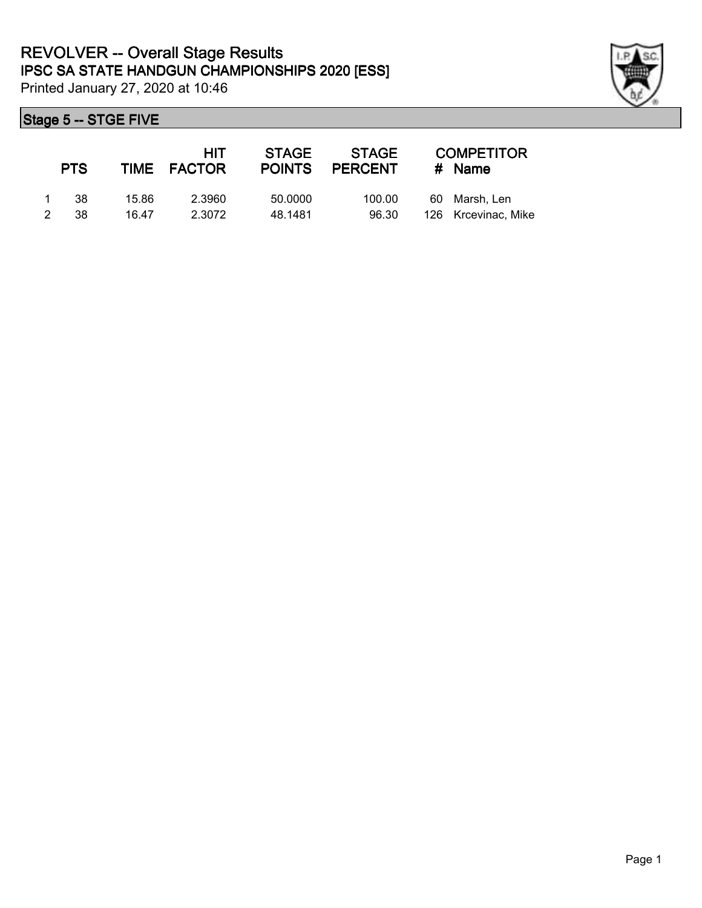

|               | <b>PTS</b> |       | HIT<br>TIME FACTOR | <b>STAGE</b><br><b>POINTS</b> | <b>STAGE</b><br><b>PERCENT</b> |     | <b>COMPETITOR</b><br>$#$ Name |
|---------------|------------|-------|--------------------|-------------------------------|--------------------------------|-----|-------------------------------|
|               | -38        | 15.86 | 2.3960             | 50,0000                       | 100.00                         | 60. | Marsh. Len                    |
| $\mathcal{P}$ | 38.        | 16.47 | 2.3072             | 48.1481                       | 96.30                          |     | 126 Krcevinac, Mike           |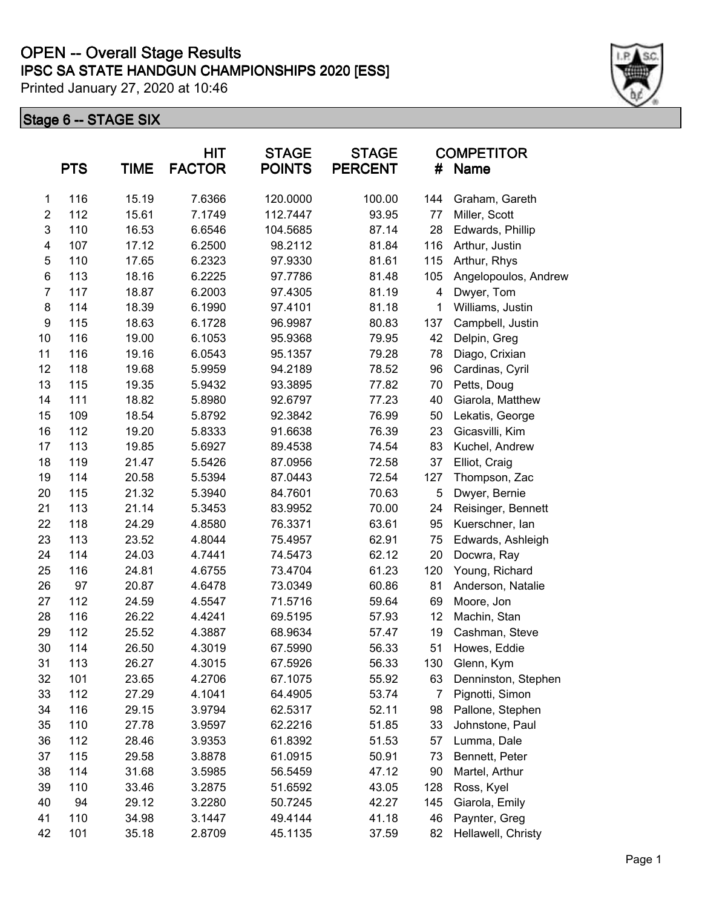## **IPSC SA STATE HANDGUN CHAMPIONSHIPS 2020 [ESS] OPEN -- Overall Stage Results**

Printed January 27, 2020 at 10:46

|                | <b>PTS</b> | <b>TIME</b> | <b>HIT</b><br><b>FACTOR</b> | <b>STAGE</b><br><b>POINTS</b> | <b>STAGE</b><br><b>PERCENT</b> | <b>COMPETITOR</b><br>#<br>Name |                      |
|----------------|------------|-------------|-----------------------------|-------------------------------|--------------------------------|--------------------------------|----------------------|
| 1              | 116        | 15.19       | 7.6366                      | 120.0000                      | 100.00                         | 144                            | Graham, Gareth       |
| $\overline{c}$ | 112        | 15.61       | 7.1749                      | 112.7447                      | 93.95                          | 77                             | Miller, Scott        |
| 3              | 110        | 16.53       | 6.6546                      | 104.5685                      | 87.14                          | 28                             | Edwards, Phillip     |
| 4              | 107        | 17.12       | 6.2500                      | 98.2112                       | 81.84                          | 116                            | Arthur, Justin       |
| 5              | 110        | 17.65       | 6.2323                      | 97.9330                       | 81.61                          | 115                            | Arthur, Rhys         |
| 6              | 113        | 18.16       | 6.2225                      | 97.7786                       | 81.48                          | 105                            | Angelopoulos, Andrew |
| $\overline{7}$ | 117        | 18.87       | 6.2003                      | 97.4305                       | 81.19                          | 4                              | Dwyer, Tom           |
| 8              | 114        | 18.39       | 6.1990                      | 97.4101                       | 81.18                          | 1                              | Williams, Justin     |
| 9              | 115        | 18.63       | 6.1728                      | 96.9987                       | 80.83                          | 137                            | Campbell, Justin     |
| 10             | 116        | 19.00       | 6.1053                      | 95.9368                       | 79.95                          | 42                             | Delpin, Greg         |
| 11             | 116        | 19.16       | 6.0543                      | 95.1357                       | 79.28                          | 78                             | Diago, Crixian       |
| 12             | 118        | 19.68       | 5.9959                      | 94.2189                       | 78.52                          | 96                             | Cardinas, Cyril      |
| 13             | 115        | 19.35       | 5.9432                      | 93.3895                       | 77.82                          | 70                             | Petts, Doug          |
| 14             | 111        | 18.82       | 5.8980                      | 92.6797                       | 77.23                          | 40                             | Giarola, Matthew     |
| 15             | 109        | 18.54       | 5.8792                      | 92.3842                       | 76.99                          | 50                             | Lekatis, George      |
| 16             | 112        | 19.20       | 5.8333                      | 91.6638                       | 76.39                          | 23                             | Gicasvilli, Kim      |
| 17             | 113        | 19.85       | 5.6927                      | 89.4538                       | 74.54                          | 83                             | Kuchel, Andrew       |
| 18             | 119        | 21.47       | 5.5426                      | 87.0956                       | 72.58                          | 37                             | Elliot, Craig        |
| 19             | 114        | 20.58       | 5.5394                      | 87.0443                       | 72.54                          | 127                            | Thompson, Zac        |
| 20             | 115        | 21.32       | 5.3940                      | 84.7601                       | 70.63                          | 5                              | Dwyer, Bernie        |
| 21             | 113        | 21.14       | 5.3453                      | 83.9952                       | 70.00                          | 24                             | Reisinger, Bennett   |
| 22             | 118        | 24.29       | 4.8580                      | 76.3371                       | 63.61                          | 95                             | Kuerschner, lan      |
| 23             | 113        | 23.52       | 4.8044                      | 75.4957                       | 62.91                          | 75                             | Edwards, Ashleigh    |
| 24             | 114        | 24.03       | 4.7441                      | 74.5473                       | 62.12                          | 20                             | Docwra, Ray          |
| 25             | 116        | 24.81       | 4.6755                      | 73.4704                       | 61.23                          | 120                            | Young, Richard       |
| 26             | 97         | 20.87       | 4.6478                      | 73.0349                       | 60.86                          | 81                             | Anderson, Natalie    |
| 27             | 112        | 24.59       | 4.5547                      | 71.5716                       | 59.64                          | 69                             | Moore, Jon           |
| 28             | 116        | 26.22       | 4.4241                      | 69.5195                       | 57.93                          | 12                             | Machin, Stan         |
| 29             | 112        | 25.52       | 4.3887                      | 68.9634                       | 57.47                          | 19                             | Cashman, Steve       |
| 30             | 114        | 26.50       | 4.3019                      | 67.5990                       | 56.33                          | 51                             | Howes, Eddie         |
| 31             | 113        | 26.27       | 4.3015                      | 67.5926                       | 56.33                          | 130                            | Glenn, Kym           |
| 32             | 101        | 23.65       | 4.2706                      | 67.1075                       | 55.92                          | 63                             | Denninston, Stephen  |
| 33             | 112        | 27.29       | 4.1041                      | 64.4905                       | 53.74                          | 7                              | Pignotti, Simon      |
| 34             | 116        | 29.15       | 3.9794                      | 62.5317                       | 52.11                          | 98                             | Pallone, Stephen     |
| 35             | 110        | 27.78       | 3.9597                      | 62.2216                       | 51.85                          | 33                             | Johnstone, Paul      |
| 36             | 112        | 28.46       | 3.9353                      | 61.8392                       | 51.53                          | 57                             | Lumma, Dale          |
| 37             | 115        | 29.58       | 3.8878                      | 61.0915                       | 50.91                          | 73                             | Bennett, Peter       |
| 38             | 114        | 31.68       | 3.5985                      | 56.5459                       | 47.12                          | 90                             | Martel, Arthur       |
| 39             | 110        | 33.46       | 3.2875                      | 51.6592                       | 43.05                          | 128                            | Ross, Kyel           |
| 40             | 94         | 29.12       | 3.2280                      | 50.7245                       | 42.27                          | 145                            | Giarola, Emily       |
| 41             | 110        | 34.98       | 3.1447                      | 49.4144                       | 41.18                          | 46                             | Paynter, Greg        |
| 42             | 101        | 35.18       | 2.8709                      | 45.1135                       | 37.59                          | 82                             | Hellawell, Christy   |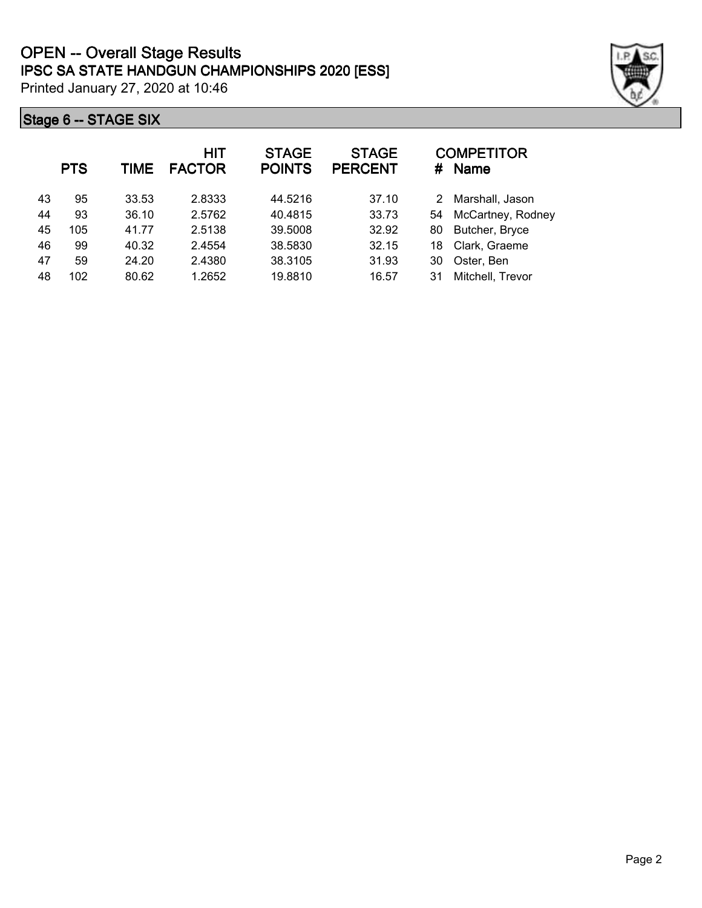|    | <b>PTS</b> | <b>TIME</b> | <b>HIT</b><br><b>FACTOR</b> | <b>STAGE</b><br><b>POINTS</b> | <b>STAGE</b><br><b>PERCENT</b> | #  | <b>COMPETITOR</b><br><b>Name</b> |
|----|------------|-------------|-----------------------------|-------------------------------|--------------------------------|----|----------------------------------|
| 43 | 95         | 33.53       | 2.8333                      | 44.5216                       | 37.10                          | 2  | Marshall, Jason                  |
| 44 | 93         | 36.10       | 2.5762                      | 40.4815                       | 33.73                          | 54 | McCartney, Rodney                |
| 45 | 105        | 41.77       | 2.5138                      | 39.5008                       | 32.92                          | 80 | Butcher, Bryce                   |
| 46 | 99         | 40.32       | 2.4554                      | 38.5830                       | 32.15                          | 18 | Clark, Graeme                    |
| 47 | 59         | 24.20       | 2.4380                      | 38.3105                       | 31.93                          | 30 | Oster, Ben                       |
| 48 | 102        | 80.62       | 1.2652                      | 19.8810                       | 16.57                          | 31 | Mitchell, Trevor                 |

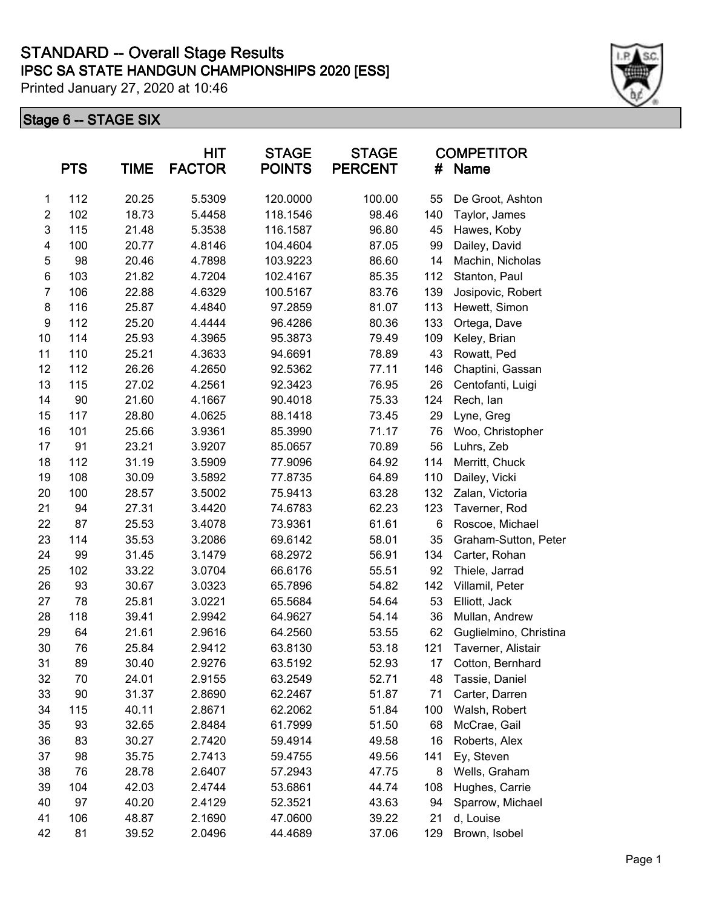|                  | <b>PTS</b> | <b>TIME</b> | <b>HIT</b><br><b>FACTOR</b> | <b>STAGE</b><br><b>POINTS</b> | <b>STAGE</b><br><b>PERCENT</b> | #   | <b>COMPETITOR</b><br><b>Name</b> |
|------------------|------------|-------------|-----------------------------|-------------------------------|--------------------------------|-----|----------------------------------|
| 1                | 112        | 20.25       | 5.5309                      | 120.0000                      | 100.00                         | 55  | De Groot, Ashton                 |
| $\overline{2}$   | 102        | 18.73       | 5.4458                      | 118.1546                      | 98.46                          | 140 | Taylor, James                    |
| 3                | 115        | 21.48       | 5.3538                      | 116.1587                      | 96.80                          | 45  | Hawes, Koby                      |
| 4                | 100        | 20.77       | 4.8146                      | 104.4604                      | 87.05                          | 99  | Dailey, David                    |
| 5                | 98         | 20.46       | 4.7898                      | 103.9223                      | 86.60                          | 14  | Machin, Nicholas                 |
| $\,6$            | 103        | 21.82       | 4.7204                      | 102.4167                      | 85.35                          | 112 | Stanton, Paul                    |
| $\overline{7}$   | 106        | 22.88       | 4.6329                      | 100.5167                      | 83.76                          | 139 | Josipovic, Robert                |
| 8                | 116        | 25.87       | 4.4840                      | 97.2859                       | 81.07                          | 113 | Hewett, Simon                    |
| $\boldsymbol{9}$ | 112        | 25.20       | 4.4444                      | 96.4286                       | 80.36                          | 133 | Ortega, Dave                     |
| 10               | 114        | 25.93       | 4.3965                      | 95.3873                       | 79.49                          | 109 | Keley, Brian                     |
| 11               | 110        | 25.21       | 4.3633                      | 94.6691                       | 78.89                          | 43  | Rowatt, Ped                      |
| 12               | 112        | 26.26       | 4.2650                      | 92.5362                       | 77.11                          | 146 | Chaptini, Gassan                 |
| 13               | 115        | 27.02       | 4.2561                      | 92.3423                       | 76.95                          | 26  | Centofanti, Luigi                |
| 14               | 90         | 21.60       | 4.1667                      | 90.4018                       | 75.33                          | 124 | Rech, lan                        |
| 15               | 117        | 28.80       | 4.0625                      | 88.1418                       | 73.45                          | 29  | Lyne, Greg                       |
| 16               | 101        | 25.66       | 3.9361                      | 85.3990                       | 71.17                          | 76  | Woo, Christopher                 |
| 17               | 91         | 23.21       | 3.9207                      | 85.0657                       | 70.89                          | 56  | Luhrs, Zeb                       |
| 18               | 112        | 31.19       | 3.5909                      | 77.9096                       | 64.92                          | 114 | Merritt, Chuck                   |
| 19               | 108        | 30.09       | 3.5892                      | 77.8735                       | 64.89                          | 110 | Dailey, Vicki                    |
| 20               | 100        | 28.57       | 3.5002                      | 75.9413                       | 63.28                          | 132 | Zalan, Victoria                  |
| 21               | 94         | 27.31       | 3.4420                      | 74.6783                       | 62.23                          | 123 | Taverner, Rod                    |
| 22               | 87         | 25.53       | 3.4078                      | 73.9361                       | 61.61                          | 6   | Roscoe, Michael                  |
| 23               | 114        | 35.53       | 3.2086                      | 69.6142                       | 58.01                          | 35  | Graham-Sutton, Peter             |
| 24               | 99         | 31.45       | 3.1479                      | 68.2972                       | 56.91                          | 134 | Carter, Rohan                    |
| 25               | 102        | 33.22       | 3.0704                      | 66.6176                       | 55.51                          | 92  | Thiele, Jarrad                   |
| 26               | 93         | 30.67       | 3.0323                      | 65.7896                       | 54.82                          | 142 | Villamil, Peter                  |
| 27               | 78         | 25.81       | 3.0221                      | 65.5684                       | 54.64                          | 53  | Elliott, Jack                    |
| 28               | 118        | 39.41       | 2.9942                      | 64.9627                       | 54.14                          | 36  | Mullan, Andrew                   |
| 29               | 64         | 21.61       | 2.9616                      | 64.2560                       | 53.55                          | 62  | Guglielmino, Christina           |
| 30               | 76         | 25.84       | 2.9412                      | 63.8130                       | 53.18                          | 121 | Taverner, Alistair               |
| 31               | 89         | 30.40       | 2.9276                      | 63.5192                       | 52.93                          | 17  | Cotton, Bernhard                 |
| 32               | 70         | 24.01       | 2.9155                      | 63.2549                       | 52.71                          | 48  | Tassie, Daniel                   |
| 33               | 90         | 31.37       | 2.8690                      | 62.2467                       | 51.87                          | 71  | Carter, Darren                   |
| 34               | 115        | 40.11       | 2.8671                      | 62.2062                       | 51.84                          | 100 | Walsh, Robert                    |
| 35               | 93         | 32.65       | 2.8484                      | 61.7999                       | 51.50                          | 68  | McCrae, Gail                     |
| 36               | 83         | 30.27       | 2.7420                      | 59.4914                       | 49.58                          | 16  | Roberts, Alex                    |
| 37               | 98         | 35.75       | 2.7413                      | 59.4755                       | 49.56                          | 141 | Ey, Steven                       |
| 38               | 76         | 28.78       | 2.6407                      | 57.2943                       | 47.75                          | 8   | Wells, Graham                    |
| 39               | 104        | 42.03       | 2.4744                      | 53.6861                       | 44.74                          | 108 | Hughes, Carrie                   |
| 40               | 97         | 40.20       | 2.4129                      | 52.3521                       | 43.63                          | 94  | Sparrow, Michael                 |
| 41               | 106        | 48.87       | 2.1690                      | 47.0600                       | 39.22                          | 21  | d, Louise                        |
| 42               | 81         | 39.52       | 2.0496                      | 44.4689                       | 37.06                          | 129 | Brown, Isobel                    |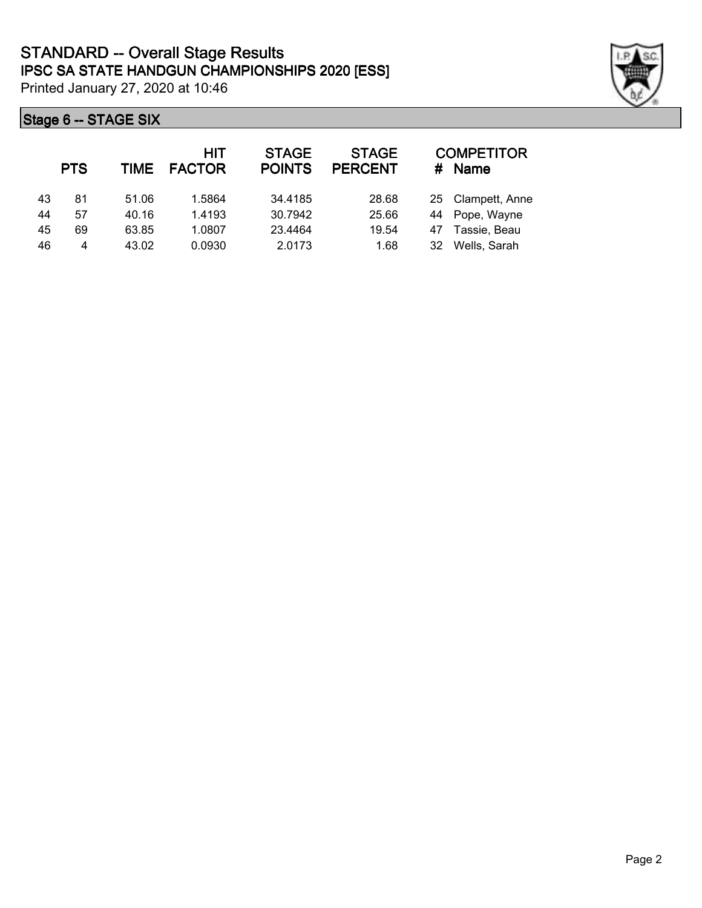|    | <b>PTS</b> | TIME  | HIT<br><b>FACTOR</b> | <b>STAGE</b><br><b>POINTS</b> | <b>STAGE</b><br><b>PERCENT</b> | #  | <b>COMPETITOR</b><br><b>Name</b> |
|----|------------|-------|----------------------|-------------------------------|--------------------------------|----|----------------------------------|
| 43 | 81         | 51.06 | 1.5864               | 34.4185                       | 28.68                          |    | 25 Clampett, Anne                |
| 44 | 57         | 40.16 | 1.4193               | 30.7942                       | 25.66                          |    | 44 Pope, Wayne                   |
| 45 | 69         | 63.85 | 1.0807               | 23.4464                       | 19.54                          | 47 | Tassie, Beau                     |
| 46 | 4          | 43.02 | 0.0930               | 2.0173                        | 1.68                           | 32 | Wells, Sarah                     |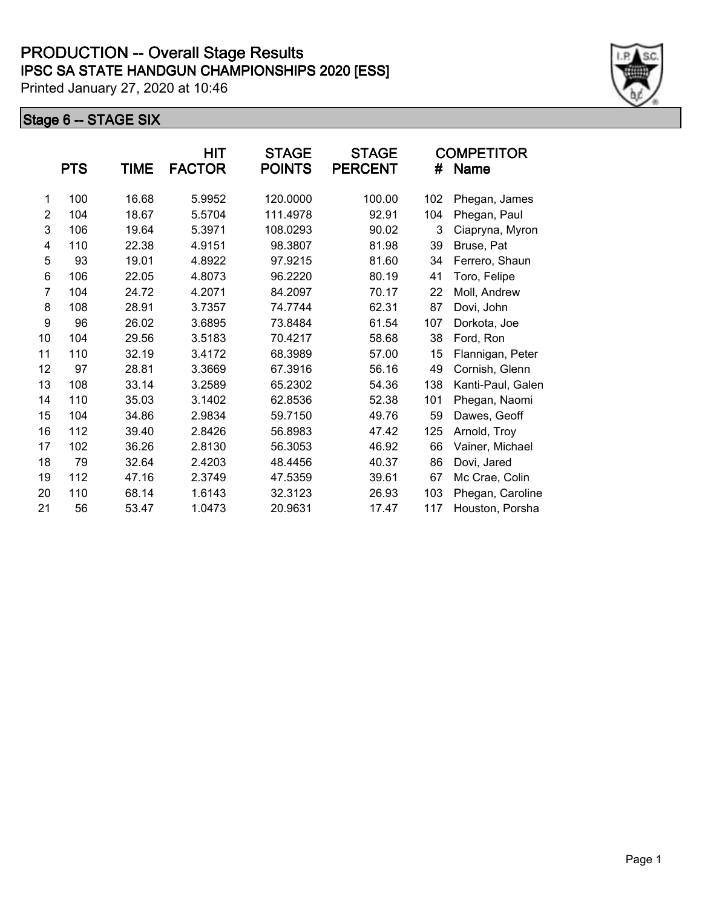|                | <b>PTS</b> | TIME  | HIT<br><b>FACTOR</b> | <b>STAGE</b><br><b>POINTS</b> | <b>STAGE</b><br><b>PERCENT</b> | #   | <b>COMPETITOR</b><br><b>Name</b> |
|----------------|------------|-------|----------------------|-------------------------------|--------------------------------|-----|----------------------------------|
| 1              | 100        | 16.68 | 5.9952               | 120.0000                      | 100.00                         | 102 | Phegan, James                    |
| $\overline{2}$ | 104        | 18.67 | 5.5704               | 111.4978                      | 92.91                          | 104 | Phegan, Paul                     |
| 3              | 106        | 19.64 | 5.3971               | 108.0293                      | 90.02                          | 3   | Ciapryna, Myron                  |
| 4              | 110        | 22.38 | 4.9151               | 98.3807                       | 81.98                          | 39  | Bruse, Pat                       |
| 5              | 93         | 19.01 | 4.8922               | 97.9215                       | 81.60                          | 34  | Ferrero, Shaun                   |
| 6              | 106        | 22.05 | 4.8073               | 96.2220                       | 80.19                          | 41  | Toro, Felipe                     |
| $\overline{7}$ | 104        | 24.72 | 4.2071               | 84.2097                       | 70.17                          | 22  | Moll, Andrew                     |
| 8              | 108        | 28.91 | 3.7357               | 74.7744                       | 62.31                          | 87  | Dovi, John                       |
| 9              | 96         | 26.02 | 3.6895               | 73.8484                       | 61.54                          | 107 | Dorkota, Joe                     |
| 10             | 104        | 29.56 | 3.5183               | 70.4217                       | 58.68                          | 38  | Ford, Ron                        |
| 11             | 110        | 32.19 | 3.4172               | 68.3989                       | 57.00                          | 15  | Flannigan, Peter                 |
| 12             | 97         | 28.81 | 3.3669               | 67.3916                       | 56.16                          | 49  | Cornish, Glenn                   |
| 13             | 108        | 33.14 | 3.2589               | 65.2302                       | 54.36                          | 138 | Kanti-Paul, Galen                |
| 14             | 110        | 35.03 | 3.1402               | 62.8536                       | 52.38                          | 101 | Phegan, Naomi                    |
| 15             | 104        | 34.86 | 2.9834               | 59.7150                       | 49.76                          | 59  | Dawes, Geoff                     |
| 16             | 112        | 39.40 | 2.8426               | 56.8983                       | 47.42                          | 125 | Arnold, Troy                     |
| 17             | 102        | 36.26 | 2.8130               | 56.3053                       | 46.92                          | 66  | Vainer, Michael                  |
| 18             | 79         | 32.64 | 2.4203               | 48.4456                       | 40.37                          | 86  | Dovi, Jared                      |
| 19             | 112        | 47.16 | 2.3749               | 47.5359                       | 39.61                          | 67  | Mc Crae, Colin                   |
| 20             | 110        | 68.14 | 1.6143               | 32.3123                       | 26.93                          | 103 | Phegan, Caroline                 |
| 21             | 56         | 53.47 | 1.0473               | 20.9631                       | 17.47                          | 117 | Houston, Porsha                  |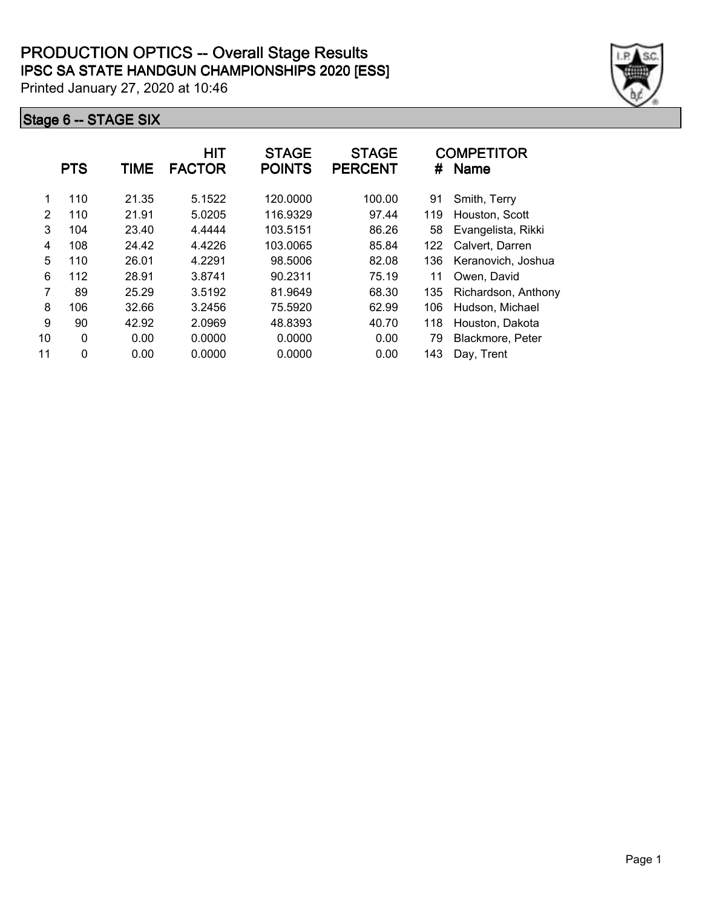|    | <b>PTS</b>  | TIME  | <b>HIT</b><br><b>FACTOR</b> | <b>STAGE</b><br><b>POINTS</b> | <b>STAGE</b><br><b>PERCENT</b> | #   | <b>COMPETITOR</b><br><b>Name</b> |
|----|-------------|-------|-----------------------------|-------------------------------|--------------------------------|-----|----------------------------------|
| 1  | 110         | 21.35 | 5.1522                      | 120.0000                      | 100.00                         | 91  | Smith, Terry                     |
| 2  | 110         | 21.91 | 5.0205                      | 116.9329                      | 97.44                          | 119 | Houston, Scott                   |
| 3  | 104         | 23.40 | 4.4444                      | 103.5151                      | 86.26                          | 58  | Evangelista, Rikki               |
| 4  | 108         | 24.42 | 4.4226                      | 103.0065                      | 85.84                          | 122 | Calvert, Darren                  |
| 5  | 110         | 26.01 | 4.2291                      | 98.5006                       | 82.08                          | 136 | Keranovich, Joshua               |
| 6  | 112         | 28.91 | 3.8741                      | 90.2311                       | 75.19                          | 11  | Owen, David                      |
| 7  | 89          | 25.29 | 3.5192                      | 81.9649                       | 68.30                          | 135 | Richardson, Anthony              |
| 8  | 106         | 32.66 | 3.2456                      | 75.5920                       | 62.99                          | 106 | Hudson, Michael                  |
| 9  | 90          | 42.92 | 2.0969                      | 48.8393                       | 40.70                          | 118 | Houston, Dakota                  |
| 10 | $\mathbf 0$ | 0.00  | 0.0000                      | 0.0000                        | 0.00                           | 79  | Blackmore, Peter                 |
| 11 | $\mathbf 0$ | 0.00  | 0.0000                      | 0.0000                        | 0.00                           | 143 | Day, Trent                       |

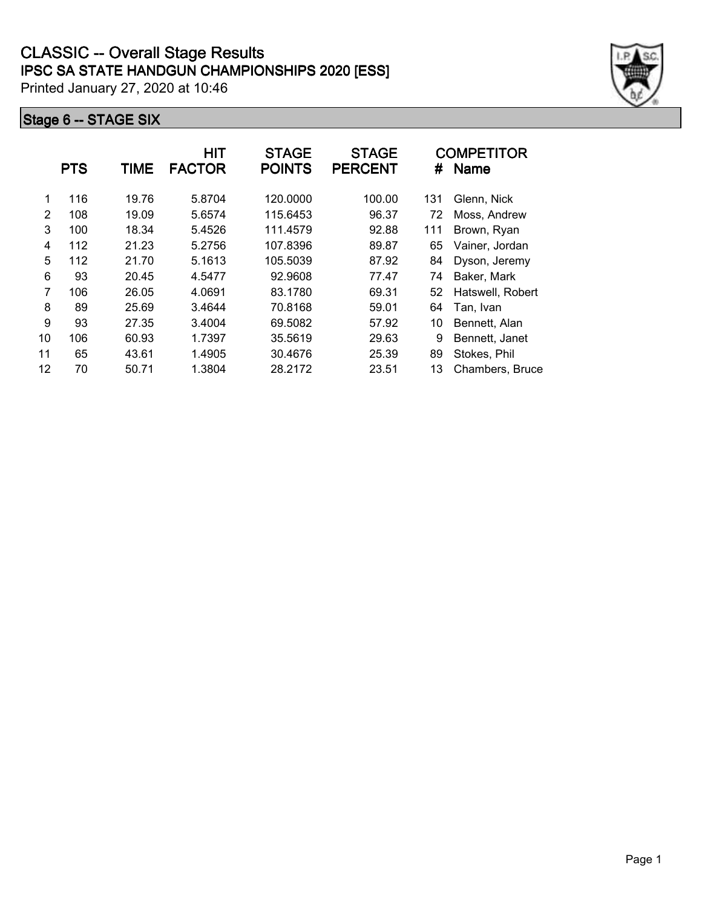|    | <b>PTS</b> | TIME  | HIT<br><b>FACTOR</b> | <b>STAGE</b><br><b>POINTS</b> | <b>STAGE</b><br><b>PERCENT</b> | #   | <b>COMPETITOR</b><br><b>Name</b> |
|----|------------|-------|----------------------|-------------------------------|--------------------------------|-----|----------------------------------|
| 1  | 116        | 19.76 | 5.8704               | 120.0000                      | 100.00                         | 131 | Glenn, Nick                      |
| 2  | 108        | 19.09 | 5.6574               | 115.6453                      | 96.37                          | 72  | Moss, Andrew                     |
| 3  | 100        | 18.34 | 5.4526               | 111.4579                      | 92.88                          | 111 | Brown, Ryan                      |
| 4  | 112        | 21.23 | 5.2756               | 107.8396                      | 89.87                          | 65  | Vainer, Jordan                   |
| 5  | 112        | 21.70 | 5.1613               | 105.5039                      | 87.92                          | 84  | Dyson, Jeremy                    |
| 6  | 93         | 20.45 | 4.5477               | 92.9608                       | 77.47                          | 74  | Baker, Mark                      |
| 7  | 106        | 26.05 | 4.0691               | 83.1780                       | 69.31                          | 52  | Hatswell, Robert                 |
| 8  | 89         | 25.69 | 3.4644               | 70.8168                       | 59.01                          | 64  | Tan, Ivan                        |
| 9  | 93         | 27.35 | 3.4004               | 69.5082                       | 57.92                          | 10  | Bennett, Alan                    |
| 10 | 106        | 60.93 | 1.7397               | 35.5619                       | 29.63                          | 9   | Bennett, Janet                   |
| 11 | 65         | 43.61 | 1.4905               | 30.4676                       | 25.39                          | 89  | Stokes, Phil                     |
| 12 | 70         | 50.71 | 1.3804               | 28.2172                       | 23.51                          | 13  | Chambers, Bruce                  |

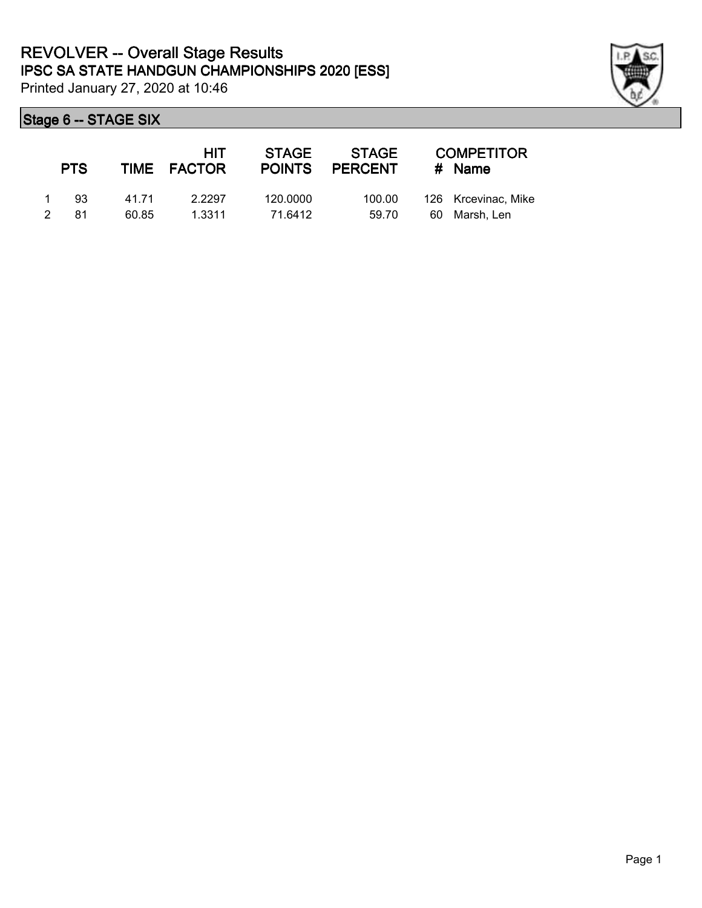

| <b>PTS</b>                 |                | HIT<br>TIME FACTOR | STAGE               | STAGE<br>POINTS PERCENT | <b>COMPETITOR</b><br># Name          |
|----------------------------|----------------|--------------------|---------------------|-------------------------|--------------------------------------|
| -93<br>$\mathcal{P}$<br>81 | 41 71<br>60.85 | 2.2297<br>1.3311   | 120,0000<br>71.6412 | 100.00<br>59.70         | 126 Krcevinac, Mike<br>60 Marsh, Len |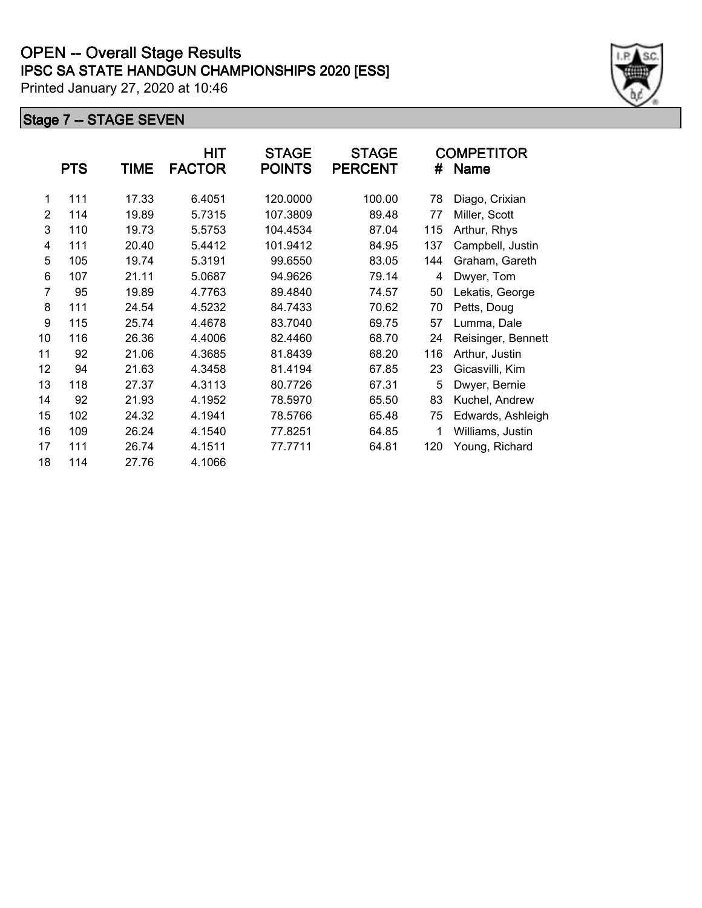## **IPSC SA STATE HANDGUN CHAMPIONSHIPS 2020 [ESS] OPEN -- Overall Stage Results**

Printed January 27, 2020 at 10:46

|                | <b>PTS</b> | TIME  | HIT<br><b>FACTOR</b> | <b>STAGE</b><br><b>POINTS</b> | <b>STAGE</b><br><b>PERCENT</b> | #   | <b>COMPETITOR</b><br>Name |
|----------------|------------|-------|----------------------|-------------------------------|--------------------------------|-----|---------------------------|
| 1              | 111        | 17.33 | 6.4051               | 120.0000                      | 100.00                         | 78  | Diago, Crixian            |
| 2              | 114        | 19.89 | 5.7315               | 107.3809                      | 89.48                          | 77  | Miller, Scott             |
| 3              | 110        | 19.73 | 5.5753               | 104.4534                      | 87.04                          | 115 | Arthur, Rhys              |
| 4              | 111        | 20.40 | 5.4412               | 101.9412                      | 84.95                          | 137 | Campbell, Justin          |
| 5              | 105        | 19.74 | 5.3191               | 99.6550                       | 83.05                          | 144 | Graham, Gareth            |
| 6              | 107        | 21.11 | 5.0687               | 94.9626                       | 79.14                          | 4   | Dwyer, Tom                |
| $\overline{7}$ | 95         | 19.89 | 4.7763               | 89.4840                       | 74.57                          | 50  | Lekatis, George           |
| 8              | 111        | 24.54 | 4.5232               | 84.7433                       | 70.62                          | 70  | Petts, Doug               |
| 9              | 115        | 25.74 | 4.4678               | 83.7040                       | 69.75                          | 57  | Lumma, Dale               |
| 10             | 116        | 26.36 | 4.4006               | 82.4460                       | 68.70                          | 24  | Reisinger, Bennett        |
| 11             | 92         | 21.06 | 4.3685               | 81.8439                       | 68.20                          | 116 | Arthur, Justin            |
| 12             | 94         | 21.63 | 4.3458               | 81.4194                       | 67.85                          | 23  | Gicasvilli, Kim           |
| 13             | 118        | 27.37 | 4.3113               | 80.7726                       | 67.31                          | 5   | Dwyer, Bernie             |
| 14             | 92         | 21.93 | 4.1952               | 78.5970                       | 65.50                          | 83  | Kuchel, Andrew            |
| 15             | 102        | 24.32 | 4.1941               | 78.5766                       | 65.48                          | 75  | Edwards, Ashleigh         |
| 16             | 109        | 26.24 | 4.1540               | 77.8251                       | 64.85                          | 1   | Williams, Justin          |
| 17             | 111        | 26.74 | 4.1511               | 77.7711                       | 64.81                          | 120 | Young, Richard            |
| 18             | 114        | 27.76 | 4.1066               |                               |                                |     |                           |

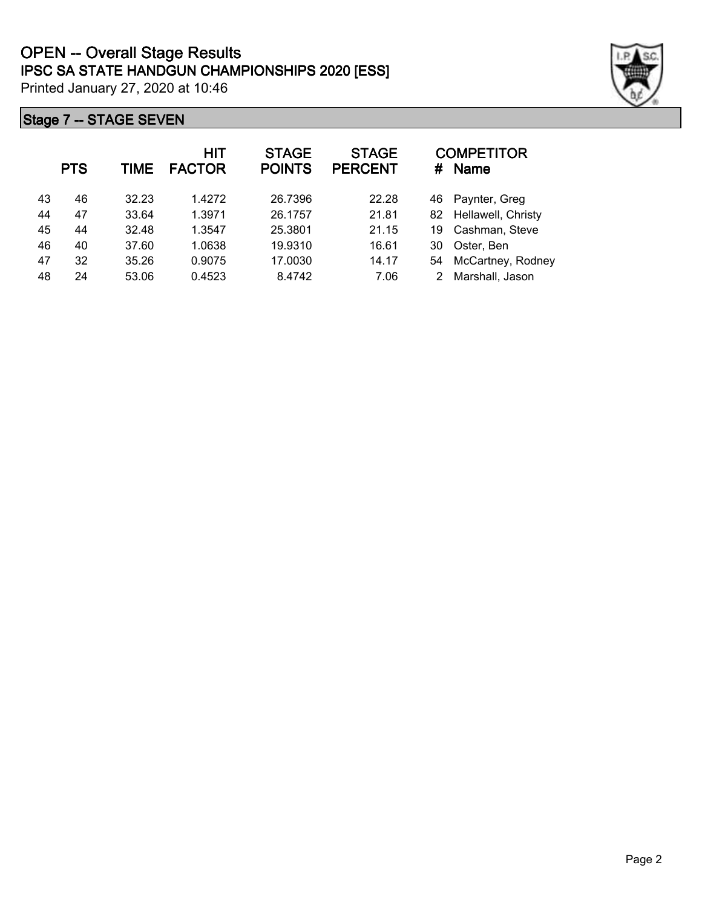

|    | <b>PTS</b> | <b>TIME</b> | <b>HIT</b><br><b>FACTOR</b> | <b>STAGE</b><br><b>POINTS</b> | <b>STAGE</b><br><b>PERCENT</b> | #  | <b>COMPETITOR</b><br><b>Name</b> |
|----|------------|-------------|-----------------------------|-------------------------------|--------------------------------|----|----------------------------------|
| 43 | 46         | 32.23       | 1.4272                      | 26.7396                       | 22.28                          | 46 | Paynter, Greg                    |
| 44 | 47         | 33.64       | 1.3971                      | 26.1757                       | 21.81                          | 82 | Hellawell, Christy               |
| 45 | 44         | 32.48       | 1.3547                      | 25.3801                       | 21.15                          | 19 | Cashman, Steve                   |
| 46 | 40         | 37.60       | 1.0638                      | 19.9310                       | 16.61                          | 30 | Oster, Ben                       |
| 47 | 32         | 35.26       | 0.9075                      | 17.0030                       | 14.17                          | 54 | McCartney, Rodney                |
| 48 | 24         | 53.06       | 0.4523                      | 8.4742                        | 7.06                           |    | Marshall, Jason                  |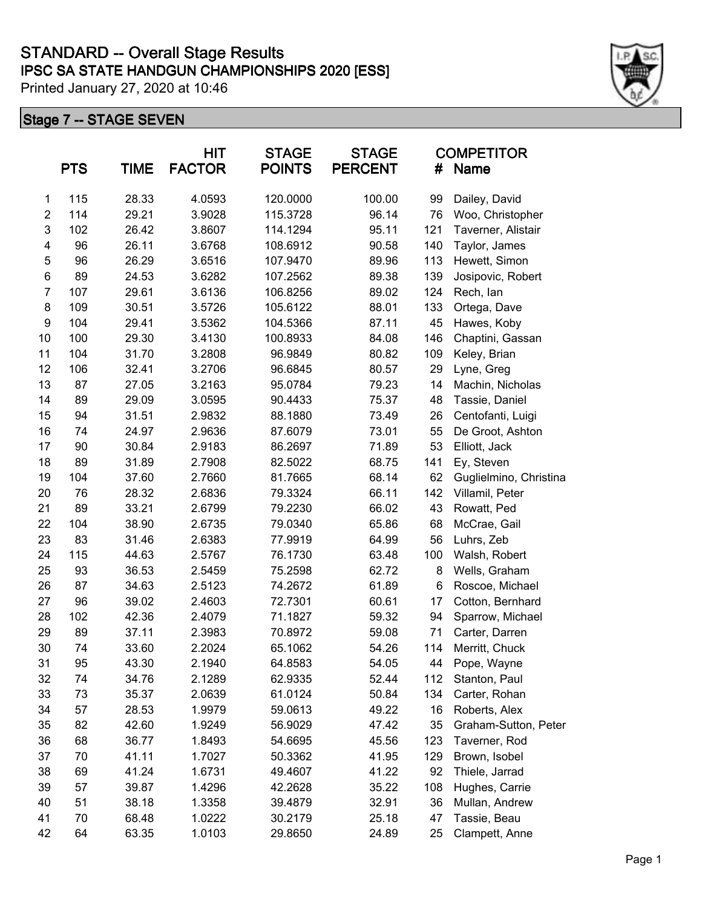|                  | <b>PTS</b> | <b>TIME</b> | <b>HIT</b><br><b>FACTOR</b> | <b>STAGE</b><br><b>POINTS</b> | <b>STAGE</b><br><b>PERCENT</b> | #   | <b>COMPETITOR</b><br>Name |
|------------------|------------|-------------|-----------------------------|-------------------------------|--------------------------------|-----|---------------------------|
| 1                | 115        | 28.33       | 4.0593                      | 120.0000                      | 100.00                         | 99  | Dailey, David             |
| $\overline{c}$   | 114        | 29.21       | 3.9028                      | 115.3728                      | 96.14                          | 76  | Woo, Christopher          |
| $\mathsf 3$      | 102        | 26.42       | 3.8607                      | 114.1294                      | 95.11                          | 121 | Taverner, Alistair        |
| 4                | 96         | 26.11       | 3.6768                      | 108.6912                      | 90.58                          | 140 | Taylor, James             |
| 5                | 96         | 26.29       | 3.6516                      | 107.9470                      | 89.96                          | 113 | Hewett, Simon             |
| $\,6$            | 89         | 24.53       | 3.6282                      | 107.2562                      | 89.38                          | 139 | Josipovic, Robert         |
| $\overline{7}$   | 107        | 29.61       | 3.6136                      | 106.8256                      | 89.02                          | 124 | Rech, lan                 |
| 8                | 109        | 30.51       | 3.5726                      | 105.6122                      | 88.01                          | 133 | Ortega, Dave              |
| $\boldsymbol{9}$ | 104        | 29.41       | 3.5362                      | 104.5366                      | 87.11                          | 45  | Hawes, Koby               |
| 10               | 100        | 29.30       | 3.4130                      | 100.8933                      | 84.08                          | 146 | Chaptini, Gassan          |
| 11               | 104        | 31.70       | 3.2808                      | 96.9849                       | 80.82                          | 109 | Keley, Brian              |
| 12               | 106        | 32.41       | 3.2706                      | 96.6845                       | 80.57                          | 29  | Lyne, Greg                |
| 13               | 87         | 27.05       | 3.2163                      | 95.0784                       | 79.23                          | 14  | Machin, Nicholas          |
| 14               | 89         | 29.09       | 3.0595                      | 90.4433                       | 75.37                          | 48  | Tassie, Daniel            |
| 15               | 94         | 31.51       | 2.9832                      | 88.1880                       | 73.49                          | 26  | Centofanti, Luigi         |
| 16               | 74         | 24.97       | 2.9636                      | 87.6079                       | 73.01                          | 55  | De Groot, Ashton          |
| 17               | 90         | 30.84       | 2.9183                      | 86.2697                       | 71.89                          | 53  | Elliott, Jack             |
| 18               | 89         | 31.89       | 2.7908                      | 82.5022                       | 68.75                          | 141 | Ey, Steven                |
| 19               | 104        | 37.60       | 2.7660                      | 81.7665                       | 68.14                          | 62  | Guglielmino, Christina    |
| 20               | 76         | 28.32       | 2.6836                      | 79.3324                       | 66.11                          | 142 | Villamil, Peter           |
| 21               | 89         | 33.21       | 2.6799                      | 79.2230                       | 66.02                          | 43  | Rowatt, Ped               |
| 22               | 104        | 38.90       | 2.6735                      | 79.0340                       | 65.86                          | 68  | McCrae, Gail              |
| 23               | 83         | 31.46       | 2.6383                      | 77.9919                       | 64.99                          | 56  | Luhrs, Zeb                |
| 24               | 115        | 44.63       | 2.5767                      | 76.1730                       | 63.48                          | 100 | Walsh, Robert             |
| 25               | 93         | 36.53       | 2.5459                      | 75.2598                       | 62.72                          | 8   | Wells, Graham             |
| 26               | 87         | 34.63       | 2.5123                      | 74.2672                       | 61.89                          | 6   | Roscoe, Michael           |
| 27               | 96         | 39.02       | 2.4603                      | 72.7301                       | 60.61                          | 17  | Cotton, Bernhard          |
| 28               | 102        | 42.36       | 2.4079                      | 71.1827                       | 59.32                          | 94  | Sparrow, Michael          |
| 29               | 89         | 37.11       | 2.3983                      | 70.8972                       | 59.08                          | 71  | Carter, Darren            |
| 30               | 74         | 33.60       | 2.2024                      | 65.1062                       | 54.26                          | 114 | Merritt, Chuck            |
| 31               | 95         | 43.30       | 2.1940                      | 64.8583                       | 54.05                          | 44  | Pope, Wayne               |
| 32               | 74         | 34.76       | 2.1289                      | 62.9335                       | 52.44                          | 112 | Stanton, Paul             |
| 33               | 73         | 35.37       | 2.0639                      | 61.0124                       | 50.84                          | 134 | Carter, Rohan             |
| 34               | 57         | 28.53       | 1.9979                      | 59.0613                       | 49.22                          | 16  | Roberts, Alex             |
| 35               | 82         | 42.60       | 1.9249                      | 56.9029                       | 47.42                          | 35  | Graham-Sutton, Peter      |
| 36               | 68         | 36.77       | 1.8493                      | 54.6695                       | 45.56                          | 123 | Taverner, Rod             |
| 37               | 70         | 41.11       | 1.7027                      | 50.3362                       | 41.95                          | 129 | Brown, Isobel             |
| 38               | 69         | 41.24       | 1.6731                      | 49.4607                       | 41.22                          | 92  | Thiele, Jarrad            |
| 39               | 57         | 39.87       | 1.4296                      | 42.2628                       | 35.22                          | 108 | Hughes, Carrie            |
| 40               | 51         | 38.18       | 1.3358                      | 39.4879                       | 32.91                          | 36  | Mullan, Andrew            |
| 41               | 70         | 68.48       | 1.0222                      | 30.2179                       | 25.18                          | 47  | Tassie, Beau              |
| 42               | 64         | 63.35       | 1.0103                      | 29.8650                       | 24.89                          | 25  | Clampett, Anne            |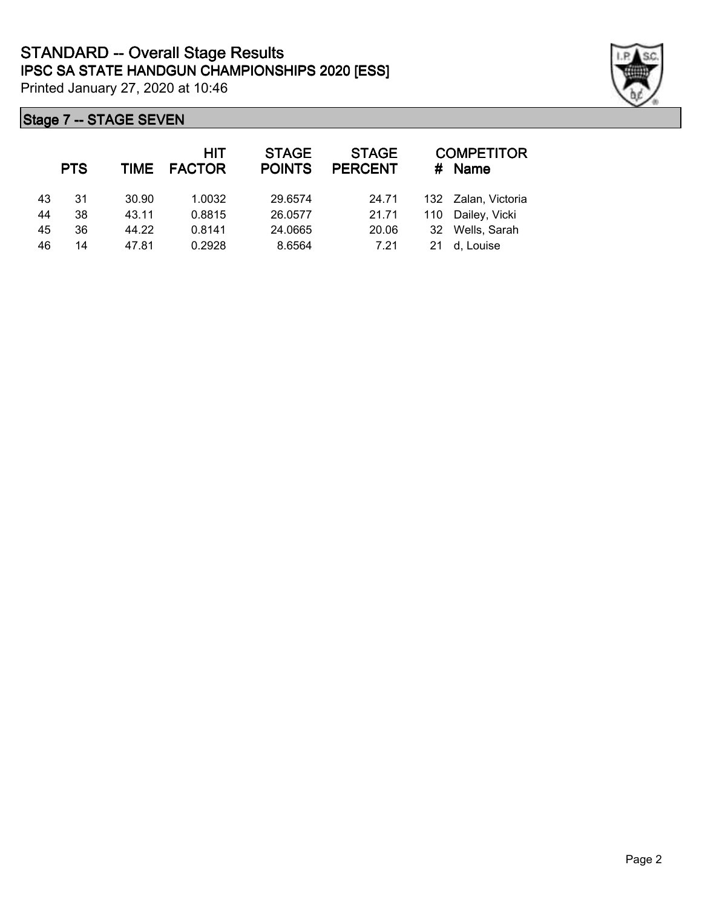|    | <b>PTS</b> |       | <b>HIT</b><br>TIME FACTOR | <b>STAGE</b><br><b>POINTS</b> | <b>STAGE</b><br><b>PERCENT</b> | #  | <b>COMPETITOR</b><br>Name |
|----|------------|-------|---------------------------|-------------------------------|--------------------------------|----|---------------------------|
| 43 | 31         | 30.90 | 1.0032                    | 29.6574                       | 24.71                          |    | 132 Zalan, Victoria       |
| 44 | 38         | 43.11 | 0.8815                    | 26.0577                       | 21.71                          |    | 110 Dailey, Vicki         |
| 45 | 36         | 44.22 | 0.8141                    | 24.0665                       | 20.06                          | 32 | Wells, Sarah              |
| 46 | 14         | 47.81 | 0.2928                    | 8.6564                        | 7.21                           | 21 | d, Louise                 |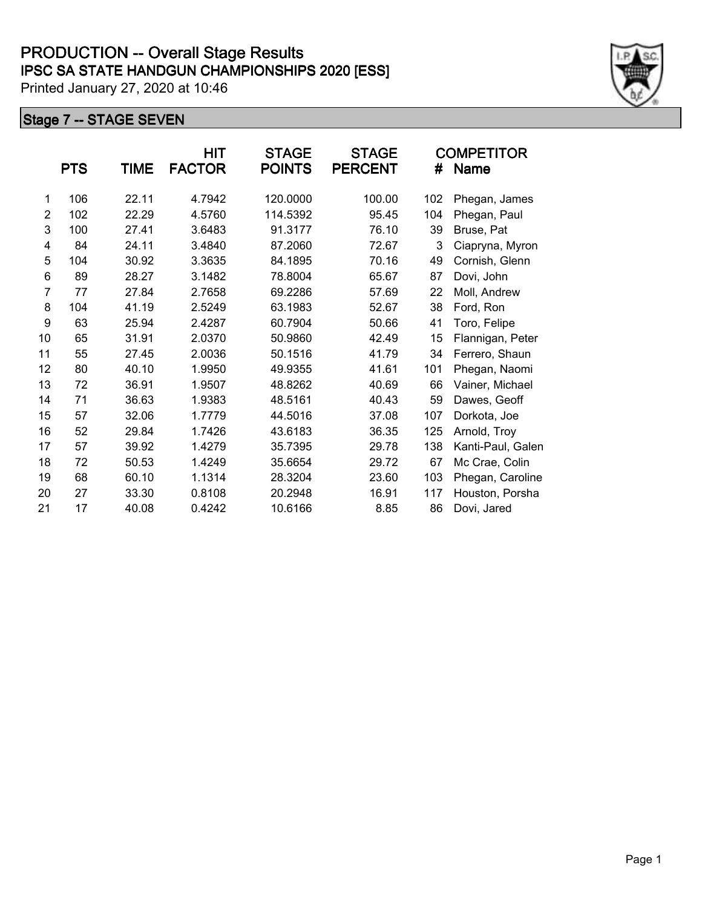|                | <b>PTS</b> | TIME  | HIT<br><b>FACTOR</b> | <b>STAGE</b><br><b>POINTS</b> | <b>STAGE</b><br><b>PERCENT</b> | #   | <b>COMPETITOR</b><br><b>Name</b> |
|----------------|------------|-------|----------------------|-------------------------------|--------------------------------|-----|----------------------------------|
| 1              | 106        | 22.11 | 4.7942               | 120.0000                      | 100.00                         | 102 | Phegan, James                    |
| 2              | 102        | 22.29 | 4.5760               | 114.5392                      | 95.45                          | 104 | Phegan, Paul                     |
| 3              | 100        | 27.41 | 3.6483               | 91.3177                       | 76.10                          | 39  | Bruse, Pat                       |
| 4              | 84         | 24.11 | 3.4840               | 87.2060                       | 72.67                          | 3   | Ciapryna, Myron                  |
| 5              | 104        | 30.92 | 3.3635               | 84.1895                       | 70.16                          | 49  | Cornish, Glenn                   |
| 6              | 89         | 28.27 | 3.1482               | 78.8004                       | 65.67                          | 87  | Dovi, John                       |
| $\overline{7}$ | 77         | 27.84 | 2.7658               | 69.2286                       | 57.69                          | 22  | Moll, Andrew                     |
| 8              | 104        | 41.19 | 2.5249               | 63.1983                       | 52.67                          | 38  | Ford, Ron                        |
| 9              | 63         | 25.94 | 2.4287               | 60.7904                       | 50.66                          | 41  | Toro, Felipe                     |
| 10             | 65         | 31.91 | 2.0370               | 50.9860                       | 42.49                          | 15  | Flannigan, Peter                 |
| 11             | 55         | 27.45 | 2.0036               | 50.1516                       | 41.79                          | 34  | Ferrero, Shaun                   |
| 12             | 80         | 40.10 | 1.9950               | 49.9355                       | 41.61                          | 101 | Phegan, Naomi                    |
| 13             | 72         | 36.91 | 1.9507               | 48.8262                       | 40.69                          | 66  | Vainer, Michael                  |
| 14             | 71         | 36.63 | 1.9383               | 48.5161                       | 40.43                          | 59  | Dawes, Geoff                     |
| 15             | 57         | 32.06 | 1.7779               | 44.5016                       | 37.08                          | 107 | Dorkota, Joe                     |
| 16             | 52         | 29.84 | 1.7426               | 43.6183                       | 36.35                          | 125 | Arnold, Troy                     |
| 17             | 57         | 39.92 | 1.4279               | 35.7395                       | 29.78                          | 138 | Kanti-Paul, Galen                |
| 18             | 72         | 50.53 | 1.4249               | 35.6654                       | 29.72                          | 67  | Mc Crae, Colin                   |
| 19             | 68         | 60.10 | 1.1314               | 28.3204                       | 23.60                          | 103 | Phegan, Caroline                 |
| 20             | 27         | 33.30 | 0.8108               | 20.2948                       | 16.91                          | 117 | Houston, Porsha                  |
| 21             | 17         | 40.08 | 0.4242               | 10.6166                       | 8.85                           | 86  | Dovi, Jared                      |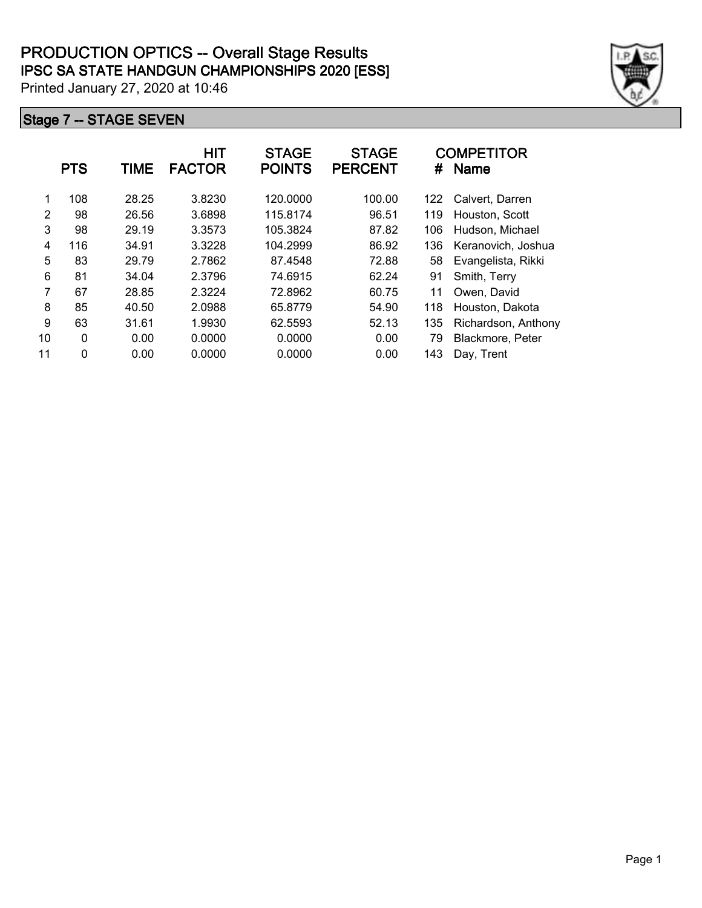|    | <b>PTS</b>   | TIME  | <b>HIT</b><br><b>FACTOR</b> | <b>STAGE</b><br><b>POINTS</b> | <b>STAGE</b><br><b>PERCENT</b> | #   | <b>COMPETITOR</b><br><b>Name</b> |
|----|--------------|-------|-----------------------------|-------------------------------|--------------------------------|-----|----------------------------------|
| 1  | 108          | 28.25 | 3.8230                      | 120.0000                      | 100.00                         | 122 | Calvert, Darren                  |
| 2  | 98           | 26.56 | 3.6898                      | 115.8174                      | 96.51                          | 119 | Houston, Scott                   |
| 3  | 98           | 29.19 | 3.3573                      | 105.3824                      | 87.82                          | 106 | Hudson, Michael                  |
| 4  | 116          | 34.91 | 3.3228                      | 104.2999                      | 86.92                          | 136 | Keranovich, Joshua               |
| 5  | 83           | 29.79 | 2.7862                      | 87.4548                       | 72.88                          | 58  | Evangelista, Rikki               |
| 6  | 81           | 34.04 | 2.3796                      | 74.6915                       | 62.24                          | 91  | Smith, Terry                     |
| 7  | 67           | 28.85 | 2.3224                      | 72.8962                       | 60.75                          | 11  | Owen, David                      |
| 8  | 85           | 40.50 | 2.0988                      | 65.8779                       | 54.90                          | 118 | Houston, Dakota                  |
| 9  | 63           | 31.61 | 1.9930                      | 62.5593                       | 52.13                          | 135 | Richardson, Anthony              |
| 10 | $\mathbf{0}$ | 0.00  | 0.0000                      | 0.0000                        | 0.00                           | 79  | Blackmore, Peter                 |
| 11 | 0            | 0.00  | 0.0000                      | 0.0000                        | 0.00                           | 143 | Day, Trent                       |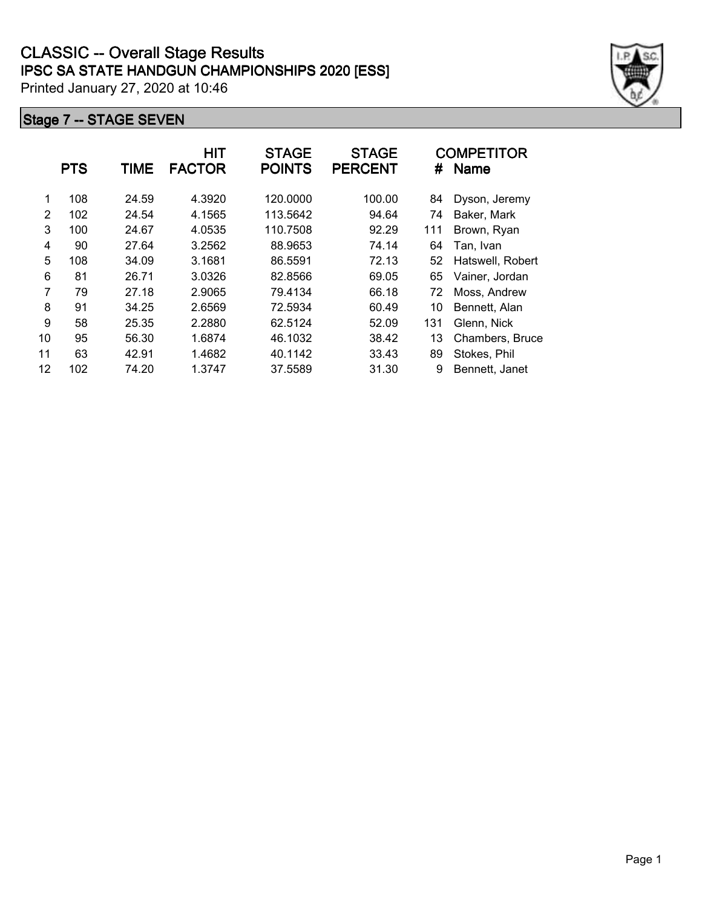|    | <b>PTS</b> | <b>TIME</b> | HIT<br><b>FACTOR</b> | <b>STAGE</b><br><b>POINTS</b> | <b>STAGE</b><br><b>PERCENT</b> | #   | <b>COMPETITOR</b><br><b>Name</b> |
|----|------------|-------------|----------------------|-------------------------------|--------------------------------|-----|----------------------------------|
| 1  | 108        | 24.59       | 4.3920               | 120.0000                      | 100.00                         | 84  | Dyson, Jeremy                    |
| 2  | 102        | 24.54       | 4.1565               | 113.5642                      | 94.64                          | 74  | Baker, Mark                      |
| 3  | 100        | 24.67       | 4.0535               | 110.7508                      | 92.29                          | 111 | Brown, Ryan                      |
| 4  | 90         | 27.64       | 3.2562               | 88.9653                       | 74.14                          | 64  | Tan, Ivan                        |
| 5  | 108        | 34.09       | 3.1681               | 86.5591                       | 72.13                          | 52  | Hatswell, Robert                 |
| 6  | 81         | 26.71       | 3.0326               | 82.8566                       | 69.05                          | 65  | Vainer, Jordan                   |
| 7  | 79         | 27.18       | 2.9065               | 79.4134                       | 66.18                          | 72  | Moss, Andrew                     |
| 8  | 91         | 34.25       | 2.6569               | 72.5934                       | 60.49                          | 10  | Bennett, Alan                    |
| 9  | 58         | 25.35       | 2.2880               | 62.5124                       | 52.09                          | 131 | Glenn, Nick                      |
| 10 | 95         | 56.30       | 1.6874               | 46.1032                       | 38.42                          | 13  | Chambers, Bruce                  |
| 11 | 63         | 42.91       | 1.4682               | 40.1142                       | 33.43                          | 89  | Stokes, Phil                     |
| 12 | 102        | 74.20       | 1.3747               | 37.5589                       | 31.30                          | 9   | Bennett, Janet                   |

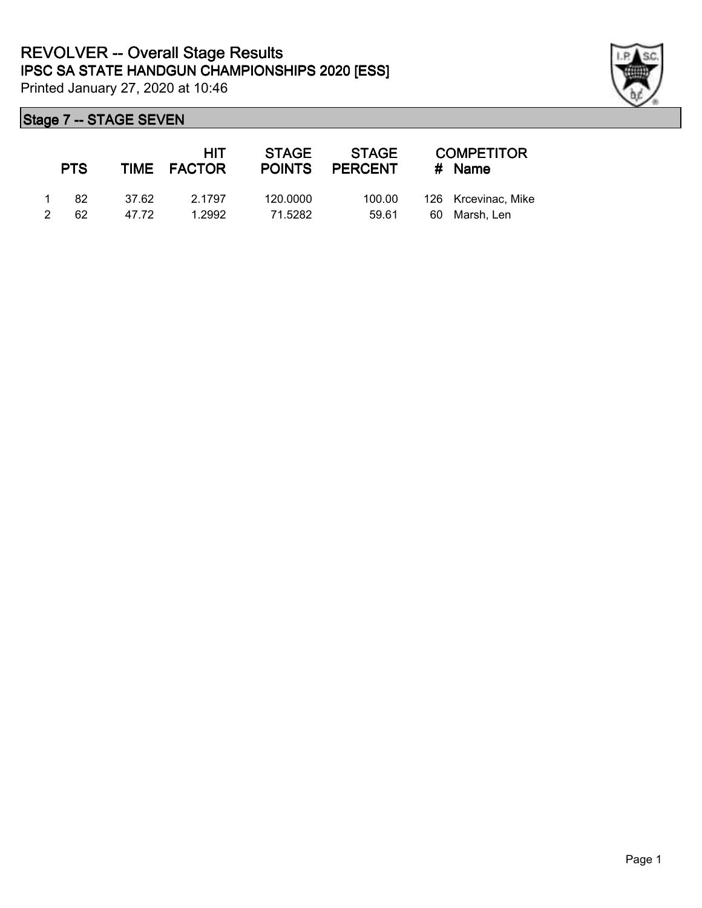

|               | <b>PTS</b> |        | <b>HIT</b><br>TIME FACTOR | STAGE    | <b>STAGE</b><br>POINTS PERCENT | <b>COMPETITOR</b><br># Name |
|---------------|------------|--------|---------------------------|----------|--------------------------------|-----------------------------|
|               | -82        | -37.62 | 2.1797                    | 120,0000 | 100.00                         | 126 Krcevinac, Mike         |
| $\mathcal{P}$ | 62.        | 47 72  | 1.2992                    | 71.5282  | 59.61                          | 60 Marsh, Len               |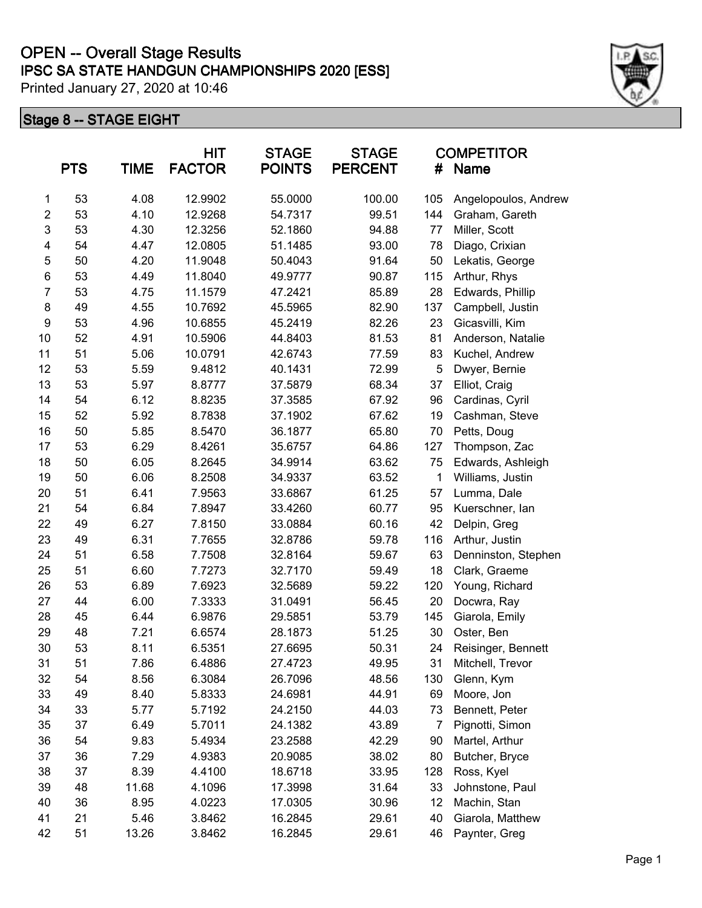## **IPSC SA STATE HANDGUN CHAMPIONSHIPS 2020 [ESS] OPEN -- Overall Stage Results**

Printed January 27, 2020 at 10:46

|                | <b>PTS</b> | <b>TIME</b> | <b>HIT</b><br><b>FACTOR</b> | <b>STAGE</b><br><b>POINTS</b> | <b>STAGE</b><br><b>PERCENT</b> | #   | <b>COMPETITOR</b><br><b>Name</b> |
|----------------|------------|-------------|-----------------------------|-------------------------------|--------------------------------|-----|----------------------------------|
| 1              | 53         | 4.08        | 12.9902                     | 55.0000                       | 100.00                         | 105 | Angelopoulos, Andrew             |
| $\overline{c}$ | 53         | 4.10        | 12.9268                     | 54.7317                       | 99.51                          | 144 | Graham, Gareth                   |
| $\mathsf 3$    | 53         | 4.30        | 12.3256                     | 52.1860                       | 94.88                          | 77  | Miller, Scott                    |
| 4              | 54         | 4.47        | 12.0805                     | 51.1485                       | 93.00                          | 78  | Diago, Crixian                   |
| 5              | 50         | 4.20        | 11.9048                     | 50.4043                       | 91.64                          | 50  | Lekatis, George                  |
| 6              | 53         | 4.49        | 11.8040                     | 49.9777                       | 90.87                          | 115 | Arthur, Rhys                     |
| $\overline{7}$ | 53         | 4.75        | 11.1579                     | 47.2421                       | 85.89                          | 28  | Edwards, Phillip                 |
| 8              | 49         | 4.55        | 10.7692                     | 45.5965                       | 82.90                          | 137 | Campbell, Justin                 |
| 9              | 53         | 4.96        | 10.6855                     | 45.2419                       | 82.26                          | 23  | Gicasvilli, Kim                  |
| 10             | 52         | 4.91        | 10.5906                     | 44.8403                       | 81.53                          | 81  | Anderson, Natalie                |
| 11             | 51         | 5.06        | 10.0791                     | 42.6743                       | 77.59                          | 83  | Kuchel, Andrew                   |
| 12             | 53         | 5.59        | 9.4812                      | 40.1431                       | 72.99                          | 5   | Dwyer, Bernie                    |
| 13             | 53         | 5.97        | 8.8777                      | 37.5879                       | 68.34                          | 37  | Elliot, Craig                    |
| 14             | 54         | 6.12        | 8.8235                      | 37.3585                       | 67.92                          | 96  | Cardinas, Cyril                  |
| 15             | 52         | 5.92        | 8.7838                      | 37.1902                       | 67.62                          | 19  | Cashman, Steve                   |
| 16             | 50         | 5.85        | 8.5470                      | 36.1877                       | 65.80                          | 70  | Petts, Doug                      |
| 17             | 53         | 6.29        | 8.4261                      | 35.6757                       | 64.86                          | 127 | Thompson, Zac                    |
| 18             | 50         | 6.05        | 8.2645                      | 34.9914                       | 63.62                          | 75  | Edwards, Ashleigh                |
| 19             | 50         | 6.06        | 8.2508                      | 34.9337                       | 63.52                          | 1   | Williams, Justin                 |
| 20             | 51         | 6.41        | 7.9563                      | 33.6867                       | 61.25                          | 57  | Lumma, Dale                      |
| 21             | 54         | 6.84        | 7.8947                      | 33.4260                       | 60.77                          | 95  | Kuerschner, lan                  |
| 22             | 49         | 6.27        | 7.8150                      | 33.0884                       | 60.16                          | 42  | Delpin, Greg                     |
| 23             | 49         | 6.31        | 7.7655                      | 32.8786                       | 59.78                          | 116 | Arthur, Justin                   |
| 24             | 51         | 6.58        | 7.7508                      | 32.8164                       | 59.67                          | 63  | Denninston, Stephen              |
| 25             | 51         | 6.60        | 7.7273                      | 32.7170                       | 59.49                          | 18  | Clark, Graeme                    |
| 26             | 53         | 6.89        | 7.6923                      | 32.5689                       | 59.22                          | 120 | Young, Richard                   |
| 27             | 44         | 6.00        | 7.3333                      | 31.0491                       | 56.45                          | 20  | Docwra, Ray                      |
| 28             | 45         | 6.44        | 6.9876                      | 29.5851                       | 53.79                          | 145 | Giarola, Emily                   |
| 29             | 48         | 7.21        | 6.6574                      | 28.1873                       | 51.25                          | 30  | Oster, Ben                       |
| 30             | 53         | 8.11        | 6.5351                      | 27.6695                       | 50.31                          | 24  | Reisinger, Bennett               |
| 31             | 51         | 7.86        | 6.4886                      | 27.4723                       | 49.95                          | 31  | Mitchell, Trevor                 |
| 32             | 54         | 8.56        | 6.3084                      | 26.7096                       | 48.56                          | 130 | Glenn, Kym                       |
| 33             | 49         | 8.40        | 5.8333                      | 24.6981                       | 44.91                          | 69  | Moore, Jon                       |
| 34             | 33         | 5.77        | 5.7192                      | 24.2150                       | 44.03                          | 73  | Bennett, Peter                   |
| 35             | 37         | 6.49        | 5.7011                      | 24.1382                       | 43.89                          | 7   | Pignotti, Simon                  |
| 36             | 54         | 9.83        | 5.4934                      | 23.2588                       | 42.29                          | 90  | Martel, Arthur                   |
| 37             | 36         | 7.29        | 4.9383                      | 20.9085                       | 38.02                          | 80  | Butcher, Bryce                   |
| 38             | 37         | 8.39        | 4.4100                      | 18.6718                       | 33.95                          | 128 | Ross, Kyel                       |
| 39             | 48         | 11.68       | 4.1096                      | 17.3998                       | 31.64                          | 33  | Johnstone, Paul                  |
| 40             | 36         | 8.95        | 4.0223                      | 17.0305                       | 30.96                          | 12  | Machin, Stan                     |
| 41             | 21         | 5.46        | 3.8462                      | 16.2845                       | 29.61                          | 40  | Giarola, Matthew                 |
| 42             | 51         | 13.26       | 3.8462                      | 16.2845                       | 29.61                          | 46  | Paynter, Greg                    |

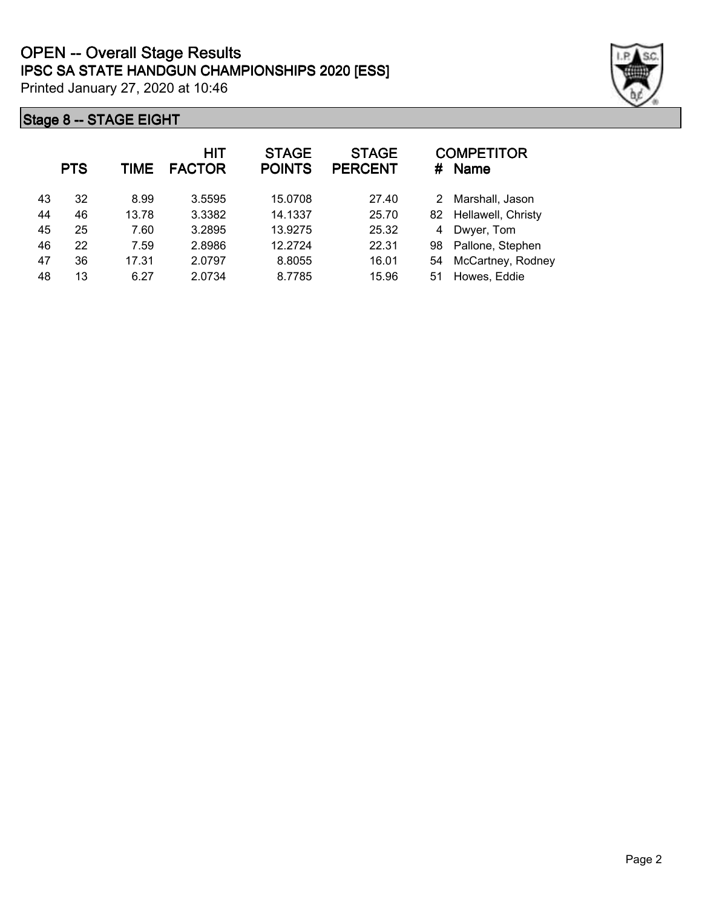|    | <b>PTS</b> | TIME  | <b>HIT</b><br><b>FACTOR</b> | <b>STAGE</b><br><b>POINTS</b> | <b>STAGE</b><br><b>PERCENT</b> | #  | <b>COMPETITOR</b><br><b>Name</b> |
|----|------------|-------|-----------------------------|-------------------------------|--------------------------------|----|----------------------------------|
| 43 | 32         | 8.99  | 3.5595                      | 15.0708                       | 27.40                          | 2  | Marshall, Jason                  |
| 44 | 46         | 13.78 | 3.3382                      | 14.1337                       | 25.70                          | 82 | Hellawell, Christy               |
| 45 | 25         | 7.60  | 3.2895                      | 13.9275                       | 25.32                          | 4  | Dwyer, Tom                       |
| 46 | 22         | 7.59  | 2.8986                      | 12.2724                       | 22.31                          | 98 | Pallone, Stephen                 |
| 47 | 36         | 17.31 | 2.0797                      | 8.8055                        | 16.01                          | 54 | McCartney, Rodney                |
| 48 | 13         | 6.27  | 2.0734                      | 8.7785                        | 15.96                          | 51 | Howes, Eddie                     |

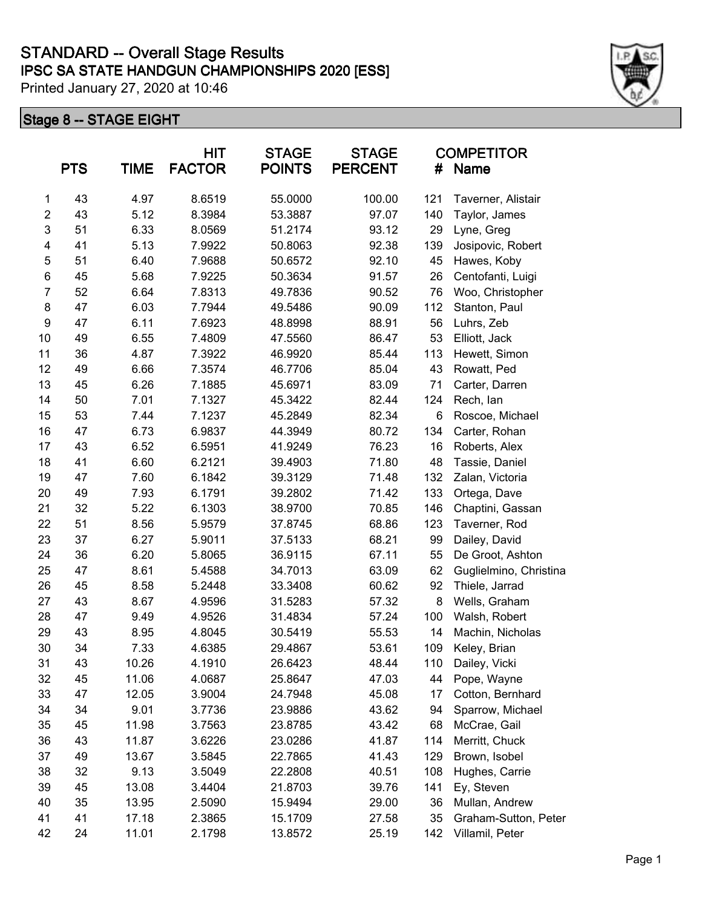|                | <b>PTS</b> | <b>TIME</b> | <b>HIT</b><br><b>FACTOR</b> | <b>STAGE</b><br><b>POINTS</b> | <b>STAGE</b><br><b>PERCENT</b> | #   | <b>COMPETITOR</b><br>Name |
|----------------|------------|-------------|-----------------------------|-------------------------------|--------------------------------|-----|---------------------------|
| 1              | 43         | 4.97        | 8.6519                      | 55.0000                       | 100.00                         | 121 | Taverner, Alistair        |
| $\overline{2}$ | 43         | 5.12        | 8.3984                      | 53.3887                       | 97.07                          | 140 | Taylor, James             |
| $\mathsf 3$    | 51         | 6.33        | 8.0569                      | 51.2174                       | 93.12                          | 29  | Lyne, Greg                |
| 4              | 41         | 5.13        | 7.9922                      | 50.8063                       | 92.38                          | 139 | Josipovic, Robert         |
| 5              | 51         | 6.40        | 7.9688                      | 50.6572                       | 92.10                          | 45  | Hawes, Koby               |
| 6              | 45         | 5.68        | 7.9225                      | 50.3634                       | 91.57                          | 26  | Centofanti, Luigi         |
| $\overline{7}$ | 52         | 6.64        | 7.8313                      | 49.7836                       | 90.52                          | 76  | Woo, Christopher          |
| 8              | 47         | 6.03        | 7.7944                      | 49.5486                       | 90.09                          | 112 | Stanton, Paul             |
| 9              | 47         | 6.11        | 7.6923                      | 48.8998                       | 88.91                          | 56  | Luhrs, Zeb                |
| 10             | 49         | 6.55        | 7.4809                      | 47.5560                       | 86.47                          | 53  | Elliott, Jack             |
| 11             | 36         | 4.87        | 7.3922                      | 46.9920                       | 85.44                          | 113 | Hewett, Simon             |
| 12             | 49         | 6.66        | 7.3574                      | 46.7706                       | 85.04                          | 43  | Rowatt, Ped               |
| 13             | 45         | 6.26        | 7.1885                      | 45.6971                       | 83.09                          | 71  | Carter, Darren            |
| 14             | 50         | 7.01        | 7.1327                      | 45.3422                       | 82.44                          | 124 | Rech, lan                 |
| 15             | 53         | 7.44        | 7.1237                      | 45.2849                       | 82.34                          | 6   | Roscoe, Michael           |
| 16             | 47         | 6.73        | 6.9837                      | 44.3949                       | 80.72                          | 134 | Carter, Rohan             |
| 17             | 43         | 6.52        | 6.5951                      | 41.9249                       | 76.23                          | 16  | Roberts, Alex             |
| 18             | 41         | 6.60        | 6.2121                      | 39.4903                       | 71.80                          | 48  | Tassie, Daniel            |
| 19             | 47         | 7.60        | 6.1842                      | 39.3129                       | 71.48                          | 132 | Zalan, Victoria           |
| 20             | 49         | 7.93        | 6.1791                      | 39.2802                       | 71.42                          | 133 | Ortega, Dave              |
| 21             | 32         | 5.22        | 6.1303                      | 38.9700                       | 70.85                          | 146 | Chaptini, Gassan          |
| 22             | 51         | 8.56        | 5.9579                      | 37.8745                       | 68.86                          | 123 | Taverner, Rod             |
| 23             | 37         | 6.27        | 5.9011                      | 37.5133                       | 68.21                          | 99  | Dailey, David             |
| 24             | 36         | 6.20        | 5.8065                      | 36.9115                       | 67.11                          | 55  | De Groot, Ashton          |
| 25             | 47         | 8.61        | 5.4588                      | 34.7013                       | 63.09                          | 62  | Guglielmino, Christina    |
| 26             | 45         | 8.58        | 5.2448                      | 33.3408                       | 60.62                          | 92  | Thiele, Jarrad            |
| 27             | 43         | 8.67        | 4.9596                      | 31.5283                       | 57.32                          | 8   | Wells, Graham             |
| 28             | 47         | 9.49        | 4.9526                      | 31.4834                       | 57.24                          | 100 | Walsh, Robert             |
| 29             | 43         | 8.95        | 4.8045                      | 30.5419                       | 55.53                          | 14  | Machin, Nicholas          |
| $30\,$         | 34         | 7.33        | 4.6385                      | 29.4867                       | 53.61                          | 109 | Keley, Brian              |
| 31             | 43         | 10.26       | 4.1910                      | 26.6423                       | 48.44                          | 110 | Dailey, Vicki             |
| 32             | 45         | 11.06       | 4.0687                      | 25.8647                       | 47.03                          | 44  | Pope, Wayne               |
| 33             | 47         | 12.05       | 3.9004                      | 24.7948                       | 45.08                          | 17  | Cotton, Bernhard          |
| 34             | 34         | 9.01        | 3.7736                      | 23.9886                       | 43.62                          | 94  | Sparrow, Michael          |
| 35             | 45         | 11.98       | 3.7563                      | 23.8785                       | 43.42                          | 68  | McCrae, Gail              |
| 36             | 43         | 11.87       | 3.6226                      | 23.0286                       | 41.87                          | 114 | Merritt, Chuck            |
| 37             | 49         | 13.67       | 3.5845                      | 22.7865                       | 41.43                          | 129 | Brown, Isobel             |
| 38             | 32         | 9.13        | 3.5049                      | 22.2808                       | 40.51                          | 108 | Hughes, Carrie            |
| 39             | 45         | 13.08       | 3.4404                      | 21.8703                       | 39.76                          | 141 | Ey, Steven                |
| 40             | 35         | 13.95       | 2.5090                      | 15.9494                       | 29.00                          | 36  | Mullan, Andrew            |
| 41             | 41         | 17.18       | 2.3865                      | 15.1709                       | 27.58                          | 35  | Graham-Sutton, Peter      |
| 42             | 24         | 11.01       | 2.1798                      | 13.8572                       | 25.19                          | 142 | Villamil, Peter           |

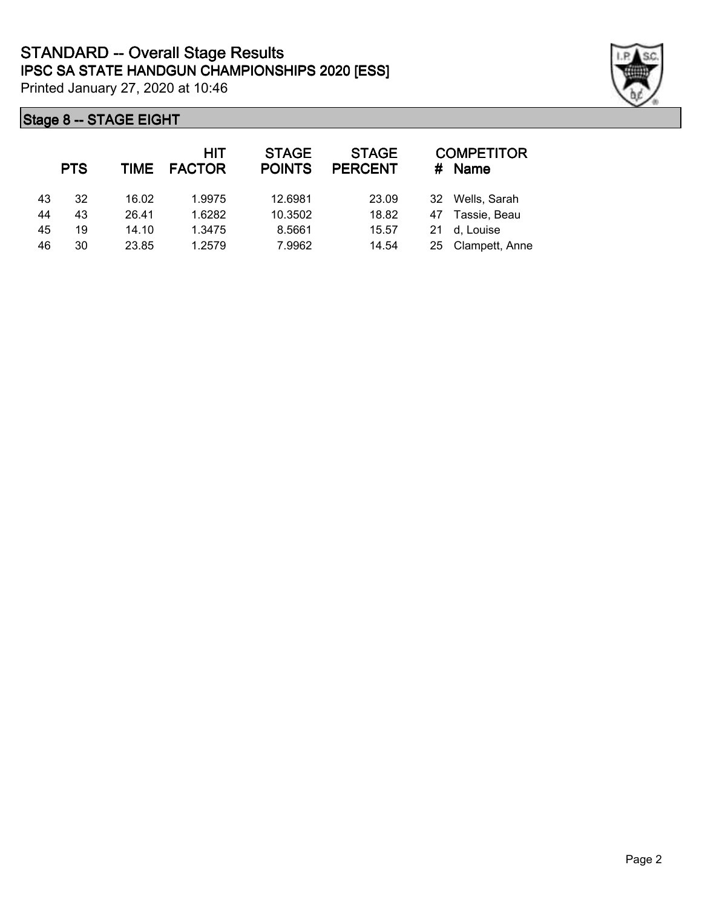|    | <b>PTS</b> | TIME  | HIT<br><b>FACTOR</b> | <b>STAGE</b><br><b>POINTS</b> | <b>STAGE</b><br><b>PERCENT</b> | #  | <b>COMPETITOR</b><br><b>Name</b> |
|----|------------|-------|----------------------|-------------------------------|--------------------------------|----|----------------------------------|
| 43 | 32         | 16.02 | 1.9975               | 12.6981                       | 23.09                          | 32 | Wells, Sarah                     |
| 44 | 43         | 26.41 | 1.6282               | 10.3502                       | 18.82                          | 47 | Tassie, Beau                     |
| 45 | 19         | 14.10 | 1.3475               | 8.5661                        | 15.57                          | 21 | d, Louise                        |
| 46 | 30         | 23.85 | 1.2579               | 7.9962                        | 14.54                          | 25 | Clampett, Anne                   |

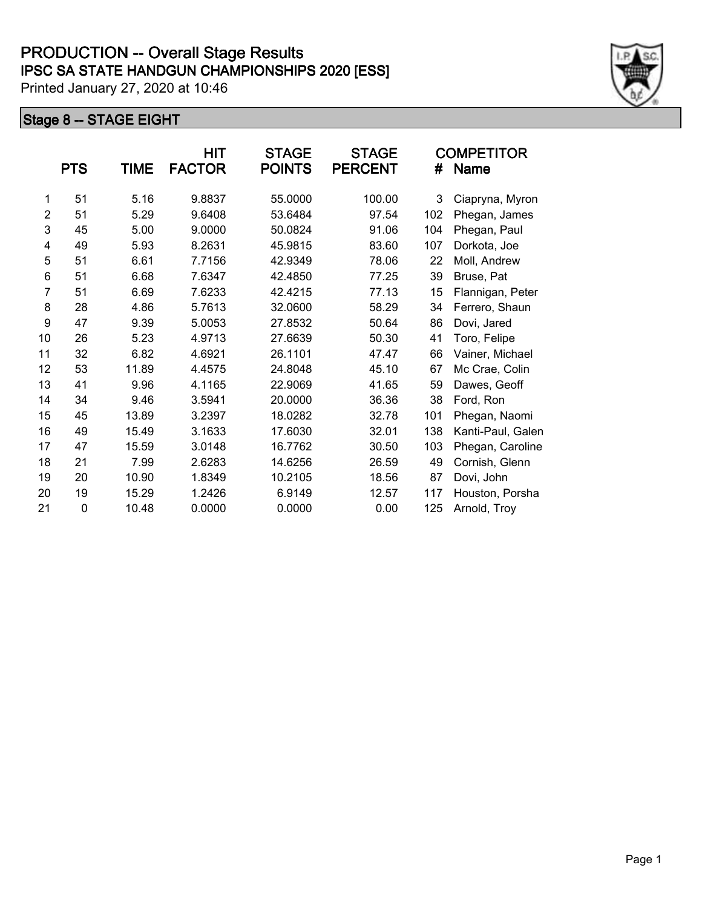|                | <b>PTS</b> | TIME  | HIT<br><b>FACTOR</b> | <b>STAGE</b><br><b>POINTS</b> | <b>STAGE</b><br><b>PERCENT</b> | #   | <b>COMPETITOR</b><br><b>Name</b> |
|----------------|------------|-------|----------------------|-------------------------------|--------------------------------|-----|----------------------------------|
| 1              | 51         | 5.16  | 9.8837               | 55.0000                       | 100.00                         | 3   | Ciapryna, Myron                  |
| $\overline{2}$ | 51         | 5.29  | 9.6408               | 53.6484                       | 97.54                          | 102 | Phegan, James                    |
| 3              | 45         | 5.00  | 9.0000               | 50.0824                       | 91.06                          | 104 | Phegan, Paul                     |
| 4              | 49         | 5.93  | 8.2631               | 45.9815                       | 83.60                          | 107 | Dorkota, Joe                     |
| 5              | 51         | 6.61  | 7.7156               | 42.9349                       | 78.06                          | 22  | Moll, Andrew                     |
| 6              | 51         | 6.68  | 7.6347               | 42.4850                       | 77.25                          | 39  | Bruse, Pat                       |
| $\overline{7}$ | 51         | 6.69  | 7.6233               | 42.4215                       | 77.13                          | 15  | Flannigan, Peter                 |
| 8              | 28         | 4.86  | 5.7613               | 32.0600                       | 58.29                          | 34  | Ferrero, Shaun                   |
| 9              | 47         | 9.39  | 5.0053               | 27.8532                       | 50.64                          | 86  | Dovi, Jared                      |
| 10             | 26         | 5.23  | 4.9713               | 27.6639                       | 50.30                          | 41  | Toro, Felipe                     |
| 11             | 32         | 6.82  | 4.6921               | 26.1101                       | 47.47                          | 66  | Vainer, Michael                  |
| 12             | 53         | 11.89 | 4.4575               | 24.8048                       | 45.10                          | 67  | Mc Crae, Colin                   |
| 13             | 41         | 9.96  | 4.1165               | 22.9069                       | 41.65                          | 59  | Dawes, Geoff                     |
| 14             | 34         | 9.46  | 3.5941               | 20.0000                       | 36.36                          | 38  | Ford, Ron                        |
| 15             | 45         | 13.89 | 3.2397               | 18.0282                       | 32.78                          | 101 | Phegan, Naomi                    |
| 16             | 49         | 15.49 | 3.1633               | 17.6030                       | 32.01                          | 138 | Kanti-Paul, Galen                |
| 17             | 47         | 15.59 | 3.0148               | 16.7762                       | 30.50                          | 103 | Phegan, Caroline                 |
| 18             | 21         | 7.99  | 2.6283               | 14.6256                       | 26.59                          | 49  | Cornish, Glenn                   |
| 19             | 20         | 10.90 | 1.8349               | 10.2105                       | 18.56                          | 87  | Dovi, John                       |
| 20             | 19         | 15.29 | 1.2426               | 6.9149                        | 12.57                          | 117 | Houston, Porsha                  |
| 21             | 0          | 10.48 | 0.0000               | 0.0000                        | 0.00                           | 125 | Arnold, Troy                     |

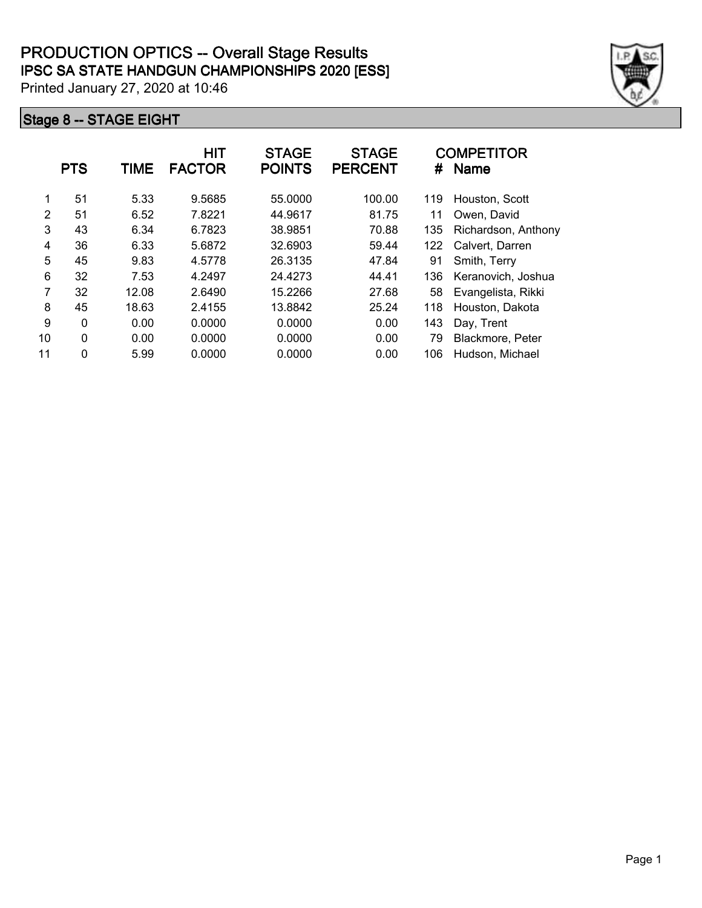|    | <b>PTS</b>   | TIME  | <b>HIT</b><br><b>FACTOR</b> | <b>STAGE</b><br><b>POINTS</b> | <b>STAGE</b><br><b>PERCENT</b> | #   | <b>COMPETITOR</b><br><b>Name</b> |
|----|--------------|-------|-----------------------------|-------------------------------|--------------------------------|-----|----------------------------------|
| 1  | 51           | 5.33  | 9.5685                      | 55.0000                       | 100.00                         | 119 | Houston, Scott                   |
| 2  | 51           | 6.52  | 7.8221                      | 44.9617                       | 81.75                          | 11  | Owen, David                      |
| 3  | 43           | 6.34  | 6.7823                      | 38.9851                       | 70.88                          | 135 | Richardson, Anthony              |
| 4  | 36           | 6.33  | 5.6872                      | 32.6903                       | 59.44                          | 122 | Calvert, Darren                  |
| 5  | 45           | 9.83  | 4.5778                      | 26.3135                       | 47.84                          | 91  | Smith, Terry                     |
| 6  | 32           | 7.53  | 4.2497                      | 24.4273                       | 44.41                          | 136 | Keranovich, Joshua               |
| 7  | 32           | 12.08 | 2.6490                      | 15.2266                       | 27.68                          | 58  | Evangelista, Rikki               |
| 8  | 45           | 18.63 | 2.4155                      | 13.8842                       | 25.24                          | 118 | Houston, Dakota                  |
| 9  | $\mathbf 0$  | 0.00  | 0.0000                      | 0.0000                        | 0.00                           | 143 | Day, Trent                       |
| 10 | 0            | 0.00  | 0.0000                      | 0.0000                        | 0.00                           | 79  | Blackmore, Peter                 |
| 11 | $\mathbf{0}$ | 5.99  | 0.0000                      | 0.0000                        | 0.00                           | 106 | Hudson, Michael                  |

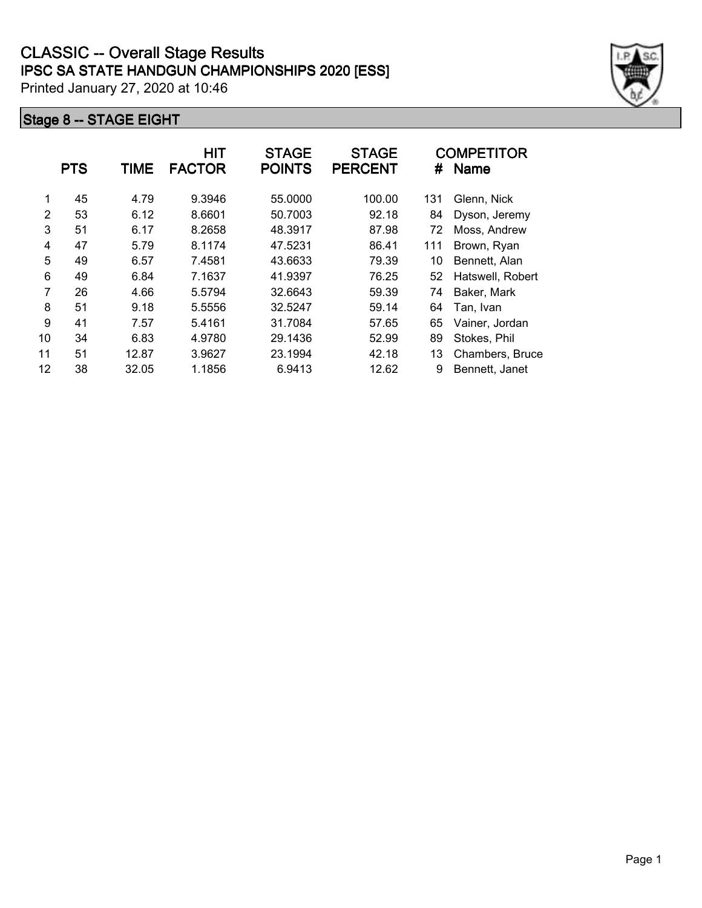|    | <b>PTS</b> | <b>TIME</b> | <b>HIT</b><br><b>FACTOR</b> | <b>STAGE</b><br><b>POINTS</b> | <b>STAGE</b><br><b>PERCENT</b> | #   | <b>COMPETITOR</b><br><b>Name</b> |
|----|------------|-------------|-----------------------------|-------------------------------|--------------------------------|-----|----------------------------------|
| 1  | 45         | 4.79        | 9.3946                      | 55.0000                       | 100.00                         | 131 | Glenn, Nick                      |
| 2  | 53         | 6.12        | 8.6601                      | 50.7003                       | 92.18                          | 84  | Dyson, Jeremy                    |
| 3  | 51         | 6.17        | 8.2658                      | 48.3917                       | 87.98                          | 72  | Moss, Andrew                     |
| 4  | 47         | 5.79        | 8.1174                      | 47.5231                       | 86.41                          | 111 | Brown, Ryan                      |
| 5  | 49         | 6.57        | 7.4581                      | 43.6633                       | 79.39                          | 10  | Bennett, Alan                    |
| 6  | 49         | 6.84        | 7.1637                      | 41.9397                       | 76.25                          | 52  | Hatswell, Robert                 |
| 7  | 26         | 4.66        | 5.5794                      | 32.6643                       | 59.39                          | 74  | Baker, Mark                      |
| 8  | 51         | 9.18        | 5.5556                      | 32.5247                       | 59.14                          | 64  | Tan, Ivan                        |
| 9  | 41         | 7.57        | 5.4161                      | 31.7084                       | 57.65                          | 65  | Vainer, Jordan                   |
| 10 | 34         | 6.83        | 4.9780                      | 29.1436                       | 52.99                          | 89  | Stokes, Phil                     |
| 11 | 51         | 12.87       | 3.9627                      | 23.1994                       | 42.18                          | 13  | Chambers, Bruce                  |
| 12 | 38         | 32.05       | 1.1856                      | 6.9413                        | 12.62                          | 9   | Bennett, Janet                   |

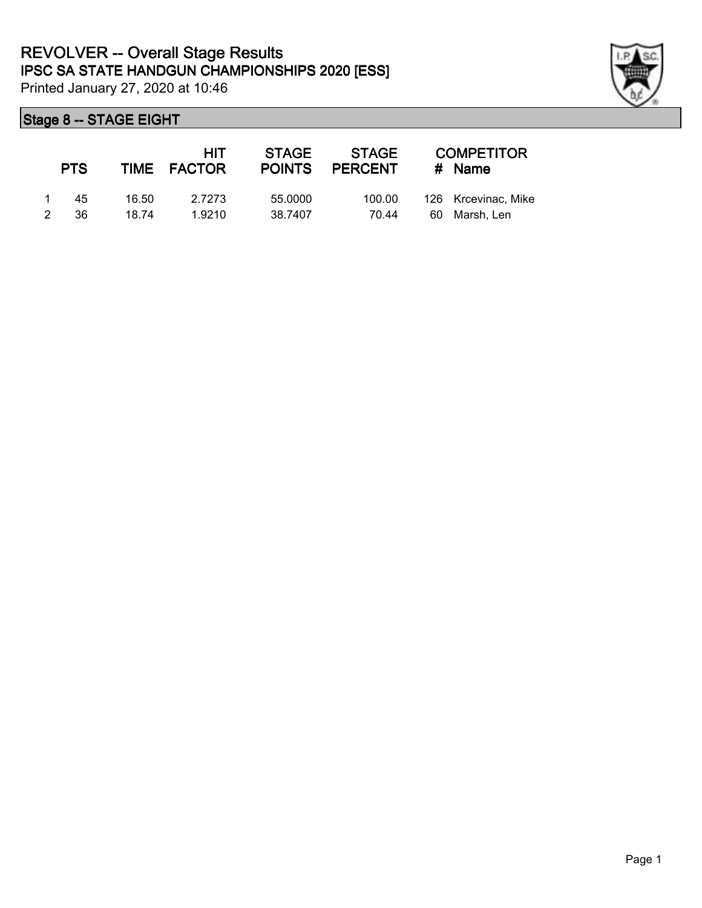

|               | <b>PTS</b> |       | HIT<br>TIME FACTOR | <b>STAGE</b> | STAGE<br>POINTS PERCENT |     | <b>COMPETITOR</b><br># Name |
|---------------|------------|-------|--------------------|--------------|-------------------------|-----|-----------------------------|
|               | 45         | 16.50 | 2.7273             | 55,0000      | 100.00                  |     | 126 Krcevinac, Mike         |
| $\mathcal{P}$ | 36         | 18.74 | 1.9210             | 38.7407      | 70.44                   | -60 | Marsh. Len                  |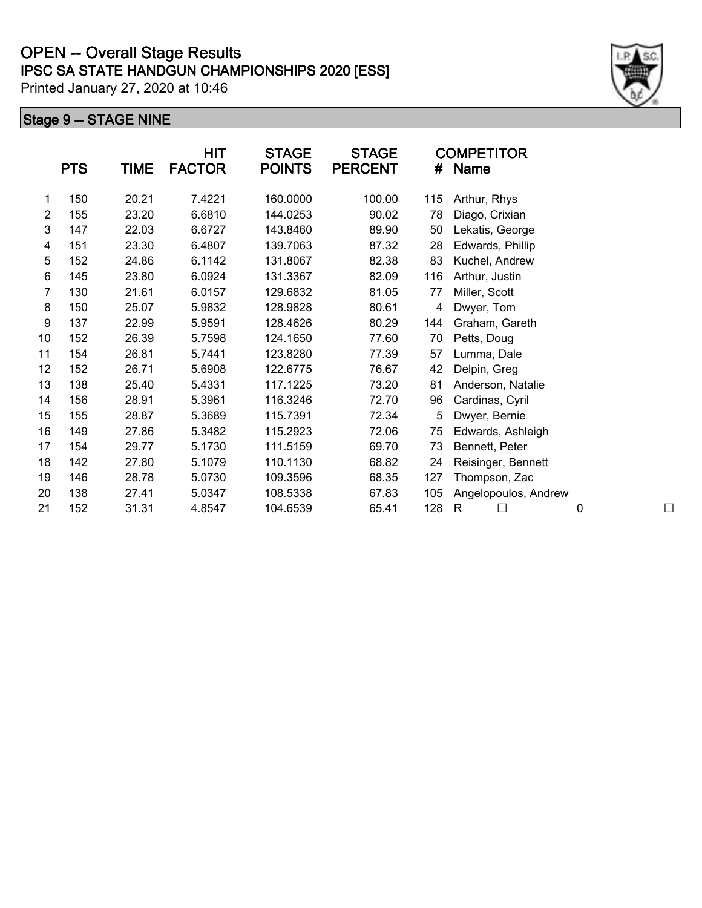# **IPSC SA STATE HANDGUN CHAMPIONSHIPS 2020 [ESS] OPEN -- Overall Stage Results**

Printed January 27, 2020 at 10:46

| <b>PTS</b> | <b>TIME</b> | <b>HIT</b><br><b>FACTOR</b> | <b>STAGE</b><br><b>POINTS</b> | <b>STAGE</b><br><b>PERCENT</b> | #                | <b>COMPETITOR</b><br><b>Name</b>                |
|------------|-------------|-----------------------------|-------------------------------|--------------------------------|------------------|-------------------------------------------------|
| 150        | 20.21       | 7.4221                      | 160.0000                      | 100.00                         | 115              | Arthur, Rhys                                    |
| 155        | 23.20       | 6.6810                      | 144.0253                      | 90.02                          | 78               | Diago, Crixian                                  |
| 147        | 22.03       | 6.6727                      | 143.8460                      | 89.90                          | 50               | Lekatis, George                                 |
| 151        | 23.30       | 6.4807                      | 139.7063                      | 87.32                          | 28               | Edwards, Phillip                                |
| 152        | 24.86       | 6.1142                      | 131.8067                      | 82.38                          | 83               | Kuchel, Andrew                                  |
| 145        | 23.80       | 6.0924                      | 131.3367                      | 82.09                          | 116              | Arthur, Justin                                  |
|            | 6-201463ž   | .56.04578                   | Υť                            | -034 OS                        |                  | ú'x4273&Millert,2Solott<br>$^{\textregistered}$ |
| 150        | 25.07       | 5.9832                      | 128.9828                      | 80.61                          | 4                | Dwyer, Tom                                      |
| 137        | 22.99       | 5.9591                      | 128.4626                      | 80.29                          | 144              | Graham, Gareth                                  |
| 152        | 26.39       | 5.7598                      | 124.1650                      | 77.60                          | 70               | Petts, Doug                                     |
| 154        | 26.81       | 5.7441                      | 123.8280                      | 77.39                          | 57               | Lumma, Dale                                     |
| 152        | 26.71       | 5.6908                      | 122.6775                      | 76.67                          | 42               | Delpin, Greg                                    |
| 138        | 25.40       | 5.4331                      | 117.1225                      | 73.20                          | 81               | Anderson, Natalie                               |
| 156        | 28.91       | 5.3961                      | 116.3246                      | 72.70                          | 96               | Cardinas, Cyril                                 |
| 155        | 28.87       | 5.3689                      | 115.7391                      | 72.34                          | 5                | Dwyer, Bernie                                   |
| 149        | 27.86       | 5.3482                      | 115.2923                      | 72.06                          | 75               | Edwards, Ashleigh                               |
| 154        | 29.77       | 5.1730                      | 111.5159                      | 69.70                          | 73               | Bennett, Peter                                  |
| 142        | 27.80       | 5.1079                      | 110.1130                      | 68.82                          | 24               | Reisinger, Bennett                              |
| 146        | 28.78       | 5.0730                      | 109.3596                      | 68.35                          | 127              | Thompson, Zac                                   |
| 138        | 27.41       | 5.0347                      | 108.5338                      | 67.83                          | 105              | Angelopoulos, Andrew                            |
| 152        | 31.31       | 4.8547                      | 104.6539                      | 65.41                          | 128              | $\mathsf{R}$                                    |
|            | 800p<br>W8. | 130- <b>Pñ</b>              |                               |                                | 92916832Kú-Þñ 6- |                                                 |

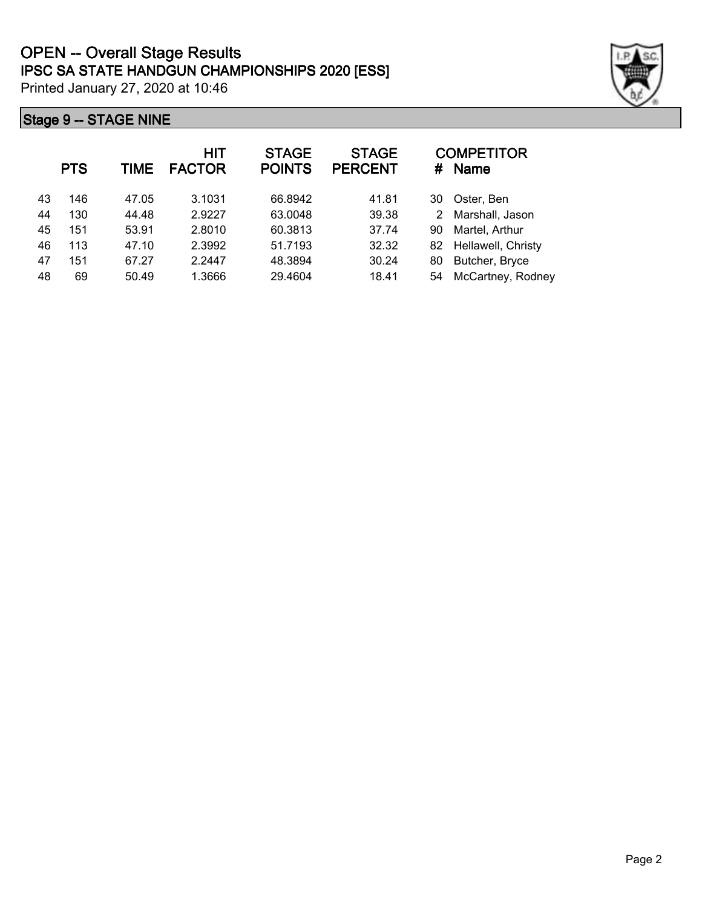|    | <b>PTS</b> | <b>TIME</b> | <b>HIT</b><br><b>FACTOR</b> | <b>STAGE</b><br><b>POINTS</b> | <b>STAGE</b><br><b>PERCENT</b> | #  | <b>COMPETITOR</b><br><b>Name</b> |
|----|------------|-------------|-----------------------------|-------------------------------|--------------------------------|----|----------------------------------|
| 43 | 146        | 47.05       | 3.1031                      | 66.8942                       | 41.81                          | 30 | Oster, Ben                       |
| 44 | 130        | 44.48       | 2.9227                      | 63.0048                       | 39.38                          | 2  | Marshall, Jason                  |
| 45 | 151        | 53.91       | 2.8010                      | 60.3813                       | 37.74                          | 90 | Martel, Arthur                   |
| 46 | 113        | 47.10       | 2.3992                      | 51.7193                       | 32.32                          | 82 | Hellawell, Christy               |
| 47 | 151        | 67.27       | 2.2447                      | 48.3894                       | 30.24                          | 80 | Butcher, Bryce                   |
| 48 | 69         | 50.49       | 1.3666                      | 29.4604                       | 18.41                          | 54 | McCartney, Rodney                |

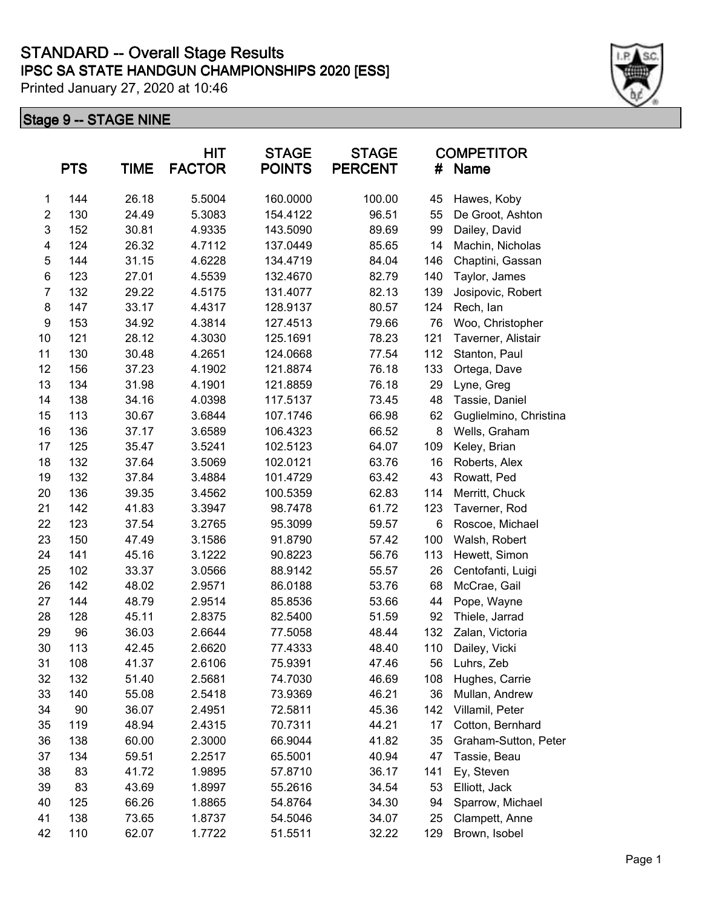|                         | <b>PTS</b> | TIME  | <b>HIT</b><br><b>FACTOR</b> | <b>STAGE</b><br><b>POINTS</b> | <b>STAGE</b><br><b>PERCENT</b> | <b>COMPETITOR</b><br>#<br>Name |                        |
|-------------------------|------------|-------|-----------------------------|-------------------------------|--------------------------------|--------------------------------|------------------------|
| 1                       | 144        | 26.18 | 5.5004                      | 160.0000                      | 100.00                         | 45                             | Hawes, Koby            |
| $\overline{\mathbf{c}}$ | 130        | 24.49 | 5.3083                      | 154.4122                      | 96.51                          | 55                             | De Groot, Ashton       |
| 3                       | 152        | 30.81 | 4.9335                      | 143.5090                      | 89.69                          | 99                             | Dailey, David          |
| 4                       | 124        | 26.32 | 4.7112                      | 137.0449                      | 85.65                          | 14                             | Machin, Nicholas       |
| 5                       | 144        | 31.15 | 4.6228                      | 134.4719                      | 84.04                          | 146                            | Chaptini, Gassan       |
| 6                       | 123        | 27.01 | 4.5539                      | 132.4670                      | 82.79                          | 140                            | Taylor, James          |
| 7                       | 132        | 29.22 | 4.5175                      | 131.4077                      | 82.13                          | 139                            | Josipovic, Robert      |
| 8                       | 147        | 33.17 | 4.4317                      | 128.9137                      | 80.57                          | 124                            | Rech, lan              |
| 9                       | 153        | 34.92 | 4.3814                      | 127.4513                      | 79.66                          | 76                             | Woo, Christopher       |
| 10                      | 121        | 28.12 | 4.3030                      | 125.1691                      | 78.23                          | 121                            | Taverner, Alistair     |
| 11                      | 130        | 30.48 | 4.2651                      | 124.0668                      | 77.54                          | 112                            | Stanton, Paul          |
| 12                      | 156        | 37.23 | 4.1902                      | 121.8874                      | 76.18                          | 133                            | Ortega, Dave           |
| 13                      | 134        | 31.98 | 4.1901                      | 121.8859                      | 76.18                          | 29                             | Lyne, Greg             |
| 14                      | 138        | 34.16 | 4.0398                      | 117.5137                      | 73.45                          | 48                             | Tassie, Daniel         |
| 15                      | 113        | 30.67 | 3.6844                      | 107.1746                      | 66.98                          | 62                             | Guglielmino, Christina |
| 16                      | 136        | 37.17 | 3.6589                      | 106.4323                      | 66.52                          | 8                              | Wells, Graham          |
| 17                      | 125        | 35.47 | 3.5241                      | 102.5123                      | 64.07                          | 109                            | Keley, Brian           |
| 18                      | 132        | 37.64 | 3.5069                      | 102.0121                      | 63.76                          | 16                             | Roberts, Alex          |
| 19                      | 132        | 37.84 | 3.4884                      | 101.4729                      | 63.42                          | 43                             | Rowatt, Ped            |
| 20                      | 136        | 39.35 | 3.4562                      | 100.5359                      | 62.83                          | 114                            | Merritt, Chuck         |
| 21                      | 142        | 41.83 | 3.3947                      | 98.7478                       | 61.72                          | 123                            | Taverner, Rod          |
| 22                      | 123        | 37.54 | 3.2765                      | 95.3099                       | 59.57                          | 6                              | Roscoe, Michael        |
| 23                      | 150        | 47.49 | 3.1586                      | 91.8790                       | 57.42                          | 100                            | Walsh, Robert          |
| 24                      | 141        | 45.16 | 3.1222                      | 90.8223                       | 56.76                          | 113                            | Hewett, Simon          |
| 25                      | 102        | 33.37 | 3.0566                      | 88.9142                       | 55.57                          | 26                             | Centofanti, Luigi      |
| 26                      | 142        | 48.02 | 2.9571                      | 86.0188                       | 53.76                          | 68                             | McCrae, Gail           |
| 27                      | 144        | 48.79 | 2.9514                      | 85.8536                       | 53.66                          | 44                             | Pope, Wayne            |
| 28                      | 128        | 45.11 | 2.8375                      | 82.5400                       | 51.59                          | 92                             | Thiele, Jarrad         |
| 29                      | 96         | 36.03 | 2.6644                      | 77.5058                       | 48.44                          | 132                            | Zalan, Victoria        |
| 30                      | 113        | 42.45 | 2.6620                      | 77.4333                       | 48.40                          | 110                            | Dailey, Vicki          |
| 31                      | 108        | 41.37 | 2.6106                      | 75.9391                       | 47.46                          | 56                             | Luhrs, Zeb             |
| 32                      | 132        | 51.40 | 2.5681                      | 74.7030                       | 46.69                          | 108                            | Hughes, Carrie         |
| 33                      | 140        | 55.08 | 2.5418                      | 73.9369                       | 46.21                          | 36                             | Mullan, Andrew         |
| 34                      | 90         | 36.07 | 2.4951                      | 72.5811                       | 45.36                          | 142                            | Villamil, Peter        |
| 35                      | 119        | 48.94 | 2.4315                      | 70.7311                       | 44.21                          | 17                             | Cotton, Bernhard       |
| 36                      | 138        | 60.00 | 2.3000                      | 66.9044                       | 41.82                          | 35                             | Graham-Sutton, Peter   |
| 37                      | 134        | 59.51 | 2.2517                      | 65.5001                       | 40.94                          | 47                             | Tassie, Beau           |
| 38                      | 83         | 41.72 | 1.9895                      | 57.8710                       | 36.17                          | 141                            | Ey, Steven             |
| 39                      | 83         | 43.69 | 1.8997                      | 55.2616                       | 34.54                          | 53                             | Elliott, Jack          |
| 40                      | 125        | 66.26 | 1.8865                      | 54.8764                       | 34.30                          | 94                             | Sparrow, Michael       |
| 41                      | 138        | 73.65 | 1.8737                      | 54.5046                       | 34.07                          | 25                             | Clampett, Anne         |
| 42                      | 110        | 62.07 | 1.7722                      | 51.5511                       | 32.22                          | 129                            | Brown, Isobel          |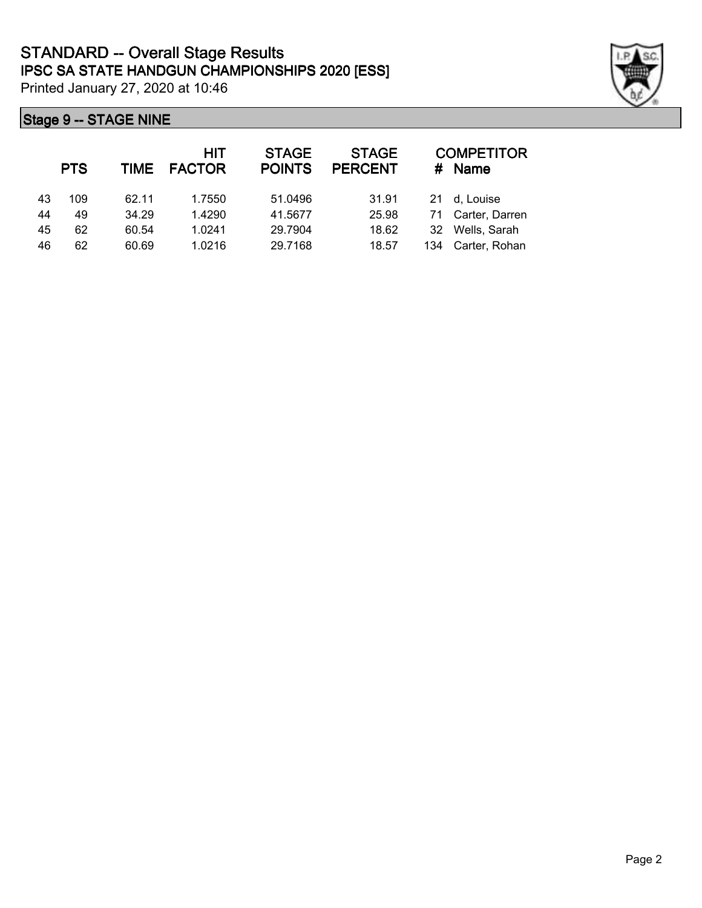|    | <b>PTS</b> | <b>TIME</b> | HIT<br><b>FACTOR</b> | <b>STAGE</b><br><b>POINTS</b> | <b>STAGE</b><br><b>PERCENT</b> | #   | <b>COMPETITOR</b><br>Name |
|----|------------|-------------|----------------------|-------------------------------|--------------------------------|-----|---------------------------|
| 43 | 109        | 62.11       | 1.7550               | 51.0496                       | 31.91                          |     | 21 d, Louise              |
| 44 | 49         | 34.29       | 1.4290               | 41.5677                       | 25.98                          |     | 71 Carter, Darren         |
| 45 | 62         | 60.54       | 1.0241               | 29.7904                       | 18.62                          | 32  | Wells, Sarah              |
| 46 | 62         | 60.69       | 1.0216               | 29.7168                       | 18.57                          | 134 | Carter, Rohan             |

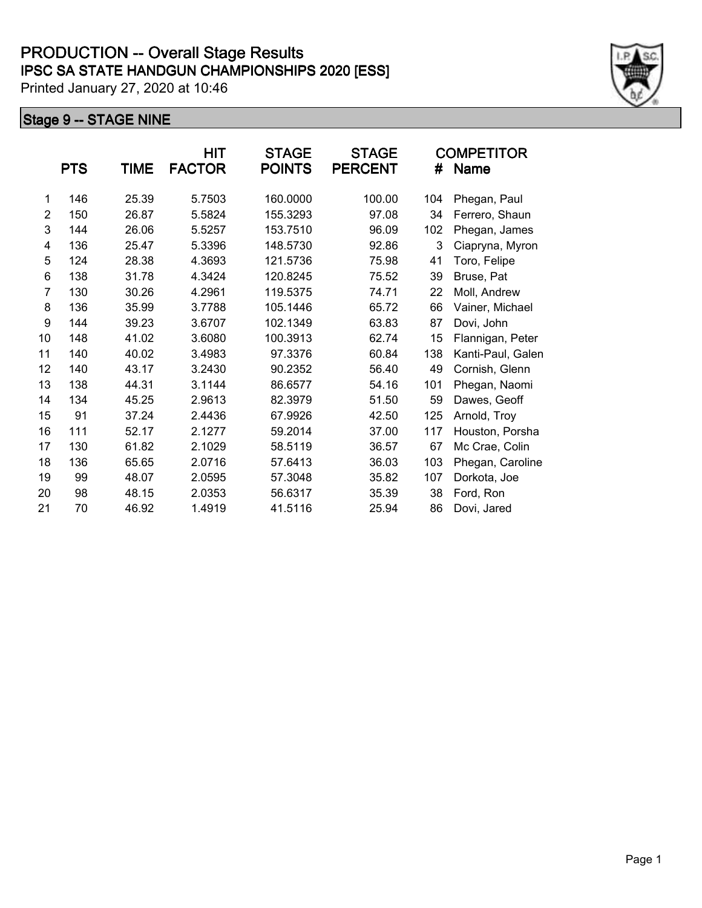|                | <b>PTS</b> | <b>TIME</b> | HIT<br><b>FACTOR</b> | <b>STAGE</b><br><b>POINTS</b> | <b>STAGE</b><br><b>PERCENT</b> | #   | <b>COMPETITOR</b><br><b>Name</b> |
|----------------|------------|-------------|----------------------|-------------------------------|--------------------------------|-----|----------------------------------|
| 1              | 146        | 25.39       | 5.7503               | 160.0000                      | 100.00                         | 104 | Phegan, Paul                     |
| $\overline{2}$ | 150        | 26.87       | 5.5824               | 155.3293                      | 97.08                          | 34  | Ferrero, Shaun                   |
| 3              | 144        | 26.06       | 5.5257               | 153.7510                      | 96.09                          | 102 | Phegan, James                    |
| 4              | 136        | 25.47       | 5.3396               | 148.5730                      | 92.86                          | 3   | Ciapryna, Myron                  |
| 5              | 124        | 28.38       | 4.3693               | 121.5736                      | 75.98                          | 41  | Toro, Felipe                     |
| 6              | 138        | 31.78       | 4.3424               | 120.8245                      | 75.52                          | 39  | Bruse, Pat                       |
| $\overline{7}$ | 130        | 30.26       | 4.2961               | 119.5375                      | 74.71                          | 22  | Moll, Andrew                     |
| 8              | 136        | 35.99       | 3.7788               | 105.1446                      | 65.72                          | 66  | Vainer, Michael                  |
| 9              | 144        | 39.23       | 3.6707               | 102.1349                      | 63.83                          | 87  | Dovi, John                       |
| 10             | 148        | 41.02       | 3.6080               | 100.3913                      | 62.74                          | 15  | Flannigan, Peter                 |
| 11             | 140        | 40.02       | 3.4983               | 97.3376                       | 60.84                          | 138 | Kanti-Paul, Galen                |
| 12             | 140        | 43.17       | 3.2430               | 90.2352                       | 56.40                          | 49  | Cornish, Glenn                   |
| 13             | 138        | 44.31       | 3.1144               | 86.6577                       | 54.16                          | 101 | Phegan, Naomi                    |
| 14             | 134        | 45.25       | 2.9613               | 82.3979                       | 51.50                          | 59  | Dawes, Geoff                     |
| 15             | 91         | 37.24       | 2.4436               | 67.9926                       | 42.50                          | 125 | Arnold, Troy                     |
| 16             | 111        | 52.17       | 2.1277               | 59.2014                       | 37.00                          | 117 | Houston, Porsha                  |
| 17             | 130        | 61.82       | 2.1029               | 58.5119                       | 36.57                          | 67  | Mc Crae, Colin                   |
| 18             | 136        | 65.65       | 2.0716               | 57.6413                       | 36.03                          | 103 | Phegan, Caroline                 |
| 19             | 99         | 48.07       | 2.0595               | 57.3048                       | 35.82                          | 107 | Dorkota, Joe                     |
| 20             | 98         | 48.15       | 2.0353               | 56.6317                       | 35.39                          | 38  | Ford, Ron                        |
| 21             | 70         | 46.92       | 1.4919               | 41.5116                       | 25.94                          | 86  | Dovi, Jared                      |

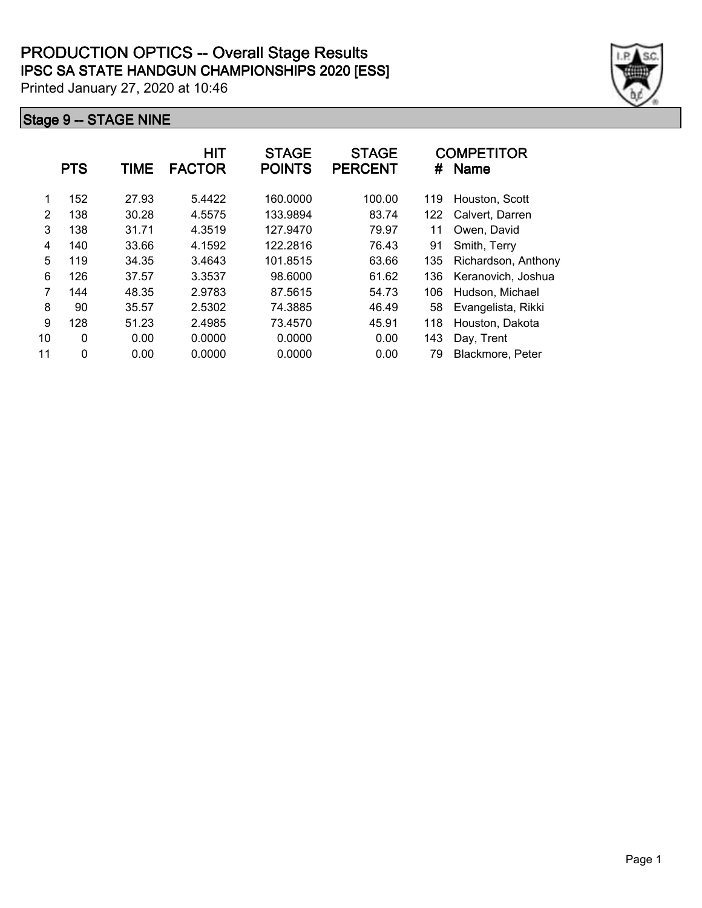|    | <b>PTS</b>  | <b>TIME</b> | <b>HIT</b><br><b>FACTOR</b> | <b>STAGE</b><br><b>POINTS</b> | <b>STAGE</b><br><b>PERCENT</b> | #   | <b>COMPETITOR</b><br><b>Name</b> |
|----|-------------|-------------|-----------------------------|-------------------------------|--------------------------------|-----|----------------------------------|
| 1  | 152         | 27.93       | 5.4422                      | 160.0000                      | 100.00                         | 119 | Houston, Scott                   |
| 2  | 138         | 30.28       | 4.5575                      | 133.9894                      | 83.74                          | 122 | Calvert, Darren                  |
| 3  | 138         | 31.71       | 4.3519                      | 127.9470                      | 79.97                          | 11  | Owen, David                      |
| 4  | 140         | 33.66       | 4.1592                      | 122.2816                      | 76.43                          | 91  | Smith, Terry                     |
| 5  | 119         | 34.35       | 3.4643                      | 101.8515                      | 63.66                          | 135 | Richardson, Anthony              |
| 6  | 126         | 37.57       | 3.3537                      | 98.6000                       | 61.62                          | 136 | Keranovich, Joshua               |
| 7  | 144         | 48.35       | 2.9783                      | 87.5615                       | 54.73                          | 106 | Hudson, Michael                  |
| 8  | 90          | 35.57       | 2.5302                      | 74.3885                       | 46.49                          | 58  | Evangelista, Rikki               |
| 9  | 128         | 51.23       | 2.4985                      | 73.4570                       | 45.91                          | 118 | Houston, Dakota                  |
| 10 | 0           | 0.00        | 0.0000                      | 0.0000                        | 0.00                           | 143 | Day, Trent                       |
| 11 | $\mathbf 0$ | 0.00        | 0.0000                      | 0.0000                        | 0.00                           | 79  | Blackmore, Peter                 |

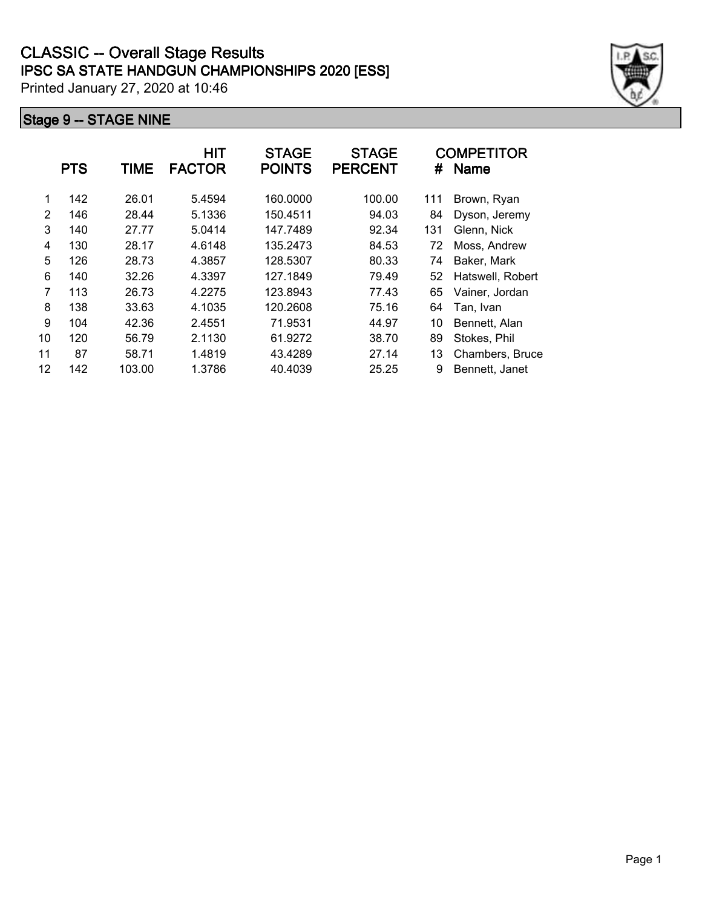|    | <b>PTS</b> | TIME   | <b>HIT</b><br><b>FACTOR</b> | <b>STAGE</b><br><b>POINTS</b> | <b>STAGE</b><br><b>PERCENT</b> | #   | <b>COMPETITOR</b><br><b>Name</b> |
|----|------------|--------|-----------------------------|-------------------------------|--------------------------------|-----|----------------------------------|
| 1  | 142        | 26.01  | 5.4594                      | 160.0000                      | 100.00                         | 111 | Brown, Ryan                      |
| 2  | 146        | 28.44  | 5.1336                      | 150.4511                      | 94.03                          | 84  | Dyson, Jeremy                    |
| 3  | 140        | 27.77  | 5.0414                      | 147.7489                      | 92.34                          | 131 | Glenn, Nick                      |
| 4  | 130        | 28.17  | 4.6148                      | 135.2473                      | 84.53                          | 72  | Moss, Andrew                     |
| 5  | 126        | 28.73  | 4.3857                      | 128.5307                      | 80.33                          | 74  | Baker, Mark                      |
| 6  | 140        | 32.26  | 4.3397                      | 127.1849                      | 79.49                          | 52  | Hatswell, Robert                 |
| 7  | 113        | 26.73  | 4.2275                      | 123.8943                      | 77.43                          | 65  | Vainer, Jordan                   |
| 8  | 138        | 33.63  | 4.1035                      | 120.2608                      | 75.16                          | 64  | Tan, Ivan                        |
| 9  | 104        | 42.36  | 2.4551                      | 71.9531                       | 44.97                          | 10  | Bennett, Alan                    |
| 10 | 120        | 56.79  | 2.1130                      | 61.9272                       | 38.70                          | 89  | Stokes, Phil                     |
| 11 | 87         | 58.71  | 1.4819                      | 43.4289                       | 27.14                          | 13  | Chambers, Bruce                  |
| 12 | 142        | 103.00 | 1.3786                      | 40.4039                       | 25.25                          | 9   | Bennett, Janet                   |

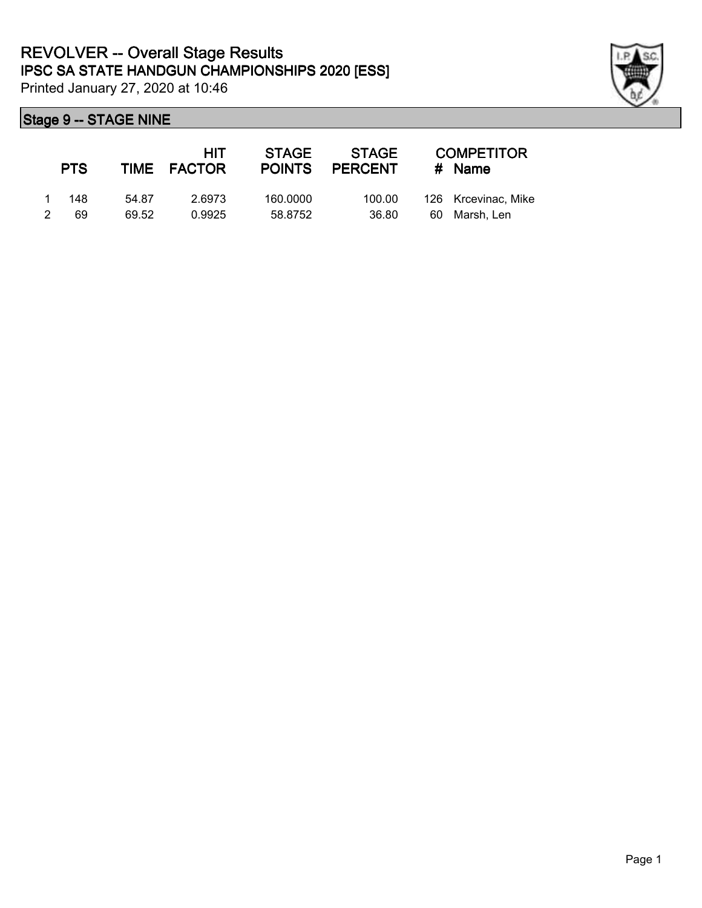

|   | <b>PTS</b> |       | HIT.<br>TIME FACTOR | STAGE    | <b>STAGE</b><br>POINTS PERCENT |     | <b>COMPETITOR</b><br># Name |
|---|------------|-------|---------------------|----------|--------------------------------|-----|-----------------------------|
|   | 148        | 54.87 | 2.6973              | 160,0000 | 100.00                         |     | 126 Krcevinac, Mike         |
| 2 | 69         | 69.52 | 0.9925              | 58.8752  | 36.80                          | -60 | Marsh. Len                  |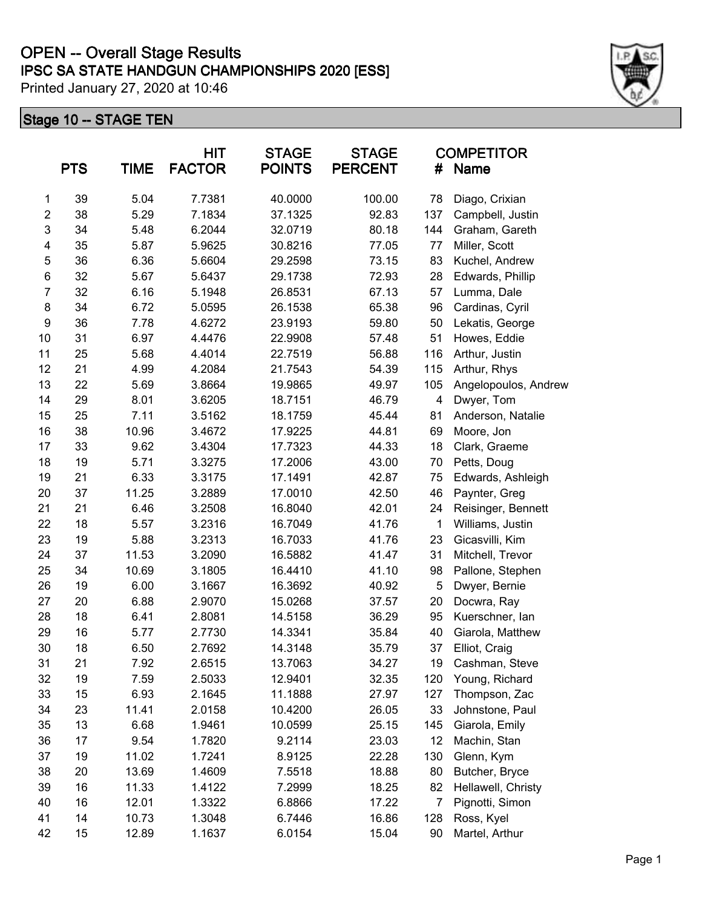# **IPSC SA STATE HANDGUN CHAMPIONSHIPS 2020 [ESS] OPEN -- Overall Stage Results**

Printed January 27, 2020 at 10:46

|                         | <b>PTS</b> | <b>TIME</b> | <b>HIT</b><br><b>FACTOR</b> | <b>STAGE</b><br><b>POINTS</b> | <b>STAGE</b><br><b>PERCENT</b> | #   | <b>COMPETITOR</b><br><b>Name</b> |
|-------------------------|------------|-------------|-----------------------------|-------------------------------|--------------------------------|-----|----------------------------------|
| 1                       | 39         | 5.04        | 7.7381                      | 40.0000                       | 100.00                         | 78  | Diago, Crixian                   |
| $\overline{\mathbf{c}}$ | 38         | 5.29        | 7.1834                      | 37.1325                       | 92.83                          | 137 | Campbell, Justin                 |
| 3                       | 34         | 5.48        | 6.2044                      | 32.0719                       | 80.18                          | 144 | Graham, Gareth                   |
| 4                       | 35         | 5.87        | 5.9625                      | 30.8216                       | 77.05                          | 77  | Miller, Scott                    |
| 5                       | 36         | 6.36        | 5.6604                      | 29.2598                       | 73.15                          | 83  | Kuchel, Andrew                   |
| 6                       | 32         | 5.67        | 5.6437                      | 29.1738                       | 72.93                          | 28  | Edwards, Phillip                 |
| $\overline{7}$          | 32         | 6.16        | 5.1948                      | 26.8531                       | 67.13                          | 57  | Lumma, Dale                      |
| 8                       | 34         | 6.72        | 5.0595                      | 26.1538                       | 65.38                          | 96  | Cardinas, Cyril                  |
| 9                       | 36         | 7.78        | 4.6272                      | 23.9193                       | 59.80                          | 50  | Lekatis, George                  |
| 10                      | 31         | 6.97        | 4.4476                      | 22.9908                       | 57.48                          | 51  | Howes, Eddie                     |
| 11                      | 25         | 5.68        | 4.4014                      | 22.7519                       | 56.88                          | 116 | Arthur, Justin                   |
| 12                      | 21         | 4.99        | 4.2084                      | 21.7543                       | 54.39                          | 115 | Arthur, Rhys                     |
| 13                      | 22         | 5.69        | 3.8664                      | 19.9865                       | 49.97                          | 105 | Angelopoulos, Andrew             |
| 14                      | 29         | 8.01        | 3.6205                      | 18.7151                       | 46.79                          | 4   | Dwyer, Tom                       |
| 15                      | 25         | 7.11        | 3.5162                      | 18.1759                       | 45.44                          | 81  | Anderson, Natalie                |
| 16                      | 38         | 10.96       | 3.4672                      | 17.9225                       | 44.81                          | 69  | Moore, Jon                       |
| 17                      | 33         | 9.62        | 3.4304                      | 17.7323                       | 44.33                          | 18  | Clark, Graeme                    |
| 18                      | 19         | 5.71        | 3.3275                      | 17.2006                       | 43.00                          | 70  | Petts, Doug                      |
| 19                      | 21         | 6.33        | 3.3175                      | 17.1491                       | 42.87                          | 75  | Edwards, Ashleigh                |
| 20                      | 37         | 11.25       | 3.2889                      | 17.0010                       | 42.50                          | 46  | Paynter, Greg                    |
| 21                      | 21         | 6.46        | 3.2508                      | 16.8040                       | 42.01                          | 24  | Reisinger, Bennett               |
| 22                      | 18         | 5.57        | 3.2316                      | 16.7049                       | 41.76                          | 1   | Williams, Justin                 |
| 23                      | 19         | 5.88        | 3.2313                      | 16.7033                       | 41.76                          | 23  | Gicasvilli, Kim                  |
| 24                      | 37         | 11.53       | 3.2090                      | 16.5882                       | 41.47                          | 31  | Mitchell, Trevor                 |
| 25                      | 34         | 10.69       | 3.1805                      | 16.4410                       | 41.10                          | 98  | Pallone, Stephen                 |
| 26                      | 19         | 6.00        | 3.1667                      | 16.3692                       | 40.92                          | 5   | Dwyer, Bernie                    |
| 27                      | 20         | 6.88        | 2.9070                      | 15.0268                       | 37.57                          | 20  | Docwra, Ray                      |
| 28                      | 18         | 6.41        | 2.8081                      | 14.5158                       | 36.29                          | 95  | Kuerschner, lan                  |
| 29                      | 16         | 5.77        | 2.7730                      | 14.3341                       | 35.84                          | 40  | Giarola, Matthew                 |
| 30                      | 18         | 6.50        | 2.7692                      | 14.3148                       | 35.79                          | 37  | Elliot, Craig                    |
| 31                      | 21         | 7.92        | 2.6515                      | 13.7063                       | 34.27                          | 19  | Cashman, Steve                   |
| 32                      | 19         | 7.59        | 2.5033                      | 12.9401                       | 32.35                          | 120 | Young, Richard                   |
| 33                      | 15         | 6.93        | 2.1645                      | 11.1888                       | 27.97                          | 127 | Thompson, Zac                    |
| 34                      | 23         | 11.41       | 2.0158                      | 10.4200                       | 26.05                          | 33  | Johnstone, Paul                  |
| 35                      | 13         | 6.68        | 1.9461                      | 10.0599                       | 25.15                          | 145 | Giarola, Emily                   |
| 36                      | 17         | 9.54        | 1.7820                      | 9.2114                        | 23.03                          | 12  | Machin, Stan                     |
| 37                      | 19         | 11.02       | 1.7241                      | 8.9125                        | 22.28                          | 130 | Glenn, Kym                       |
| 38                      | 20         | 13.69       | 1.4609                      | 7.5518                        | 18.88                          | 80  | Butcher, Bryce                   |
| 39                      | 16         | 11.33       | 1.4122                      | 7.2999                        | 18.25                          | 82  | Hellawell, Christy               |
| 40                      | 16         | 12.01       | 1.3322                      | 6.8866                        | 17.22                          | 7   | Pignotti, Simon                  |
| 41                      | 14         | 10.73       | 1.3048                      | 6.7446                        | 16.86                          | 128 | Ross, Kyel                       |
| 42                      | 15         | 12.89       | 1.1637                      | 6.0154                        | 15.04                          | 90  | Martel, Arthur                   |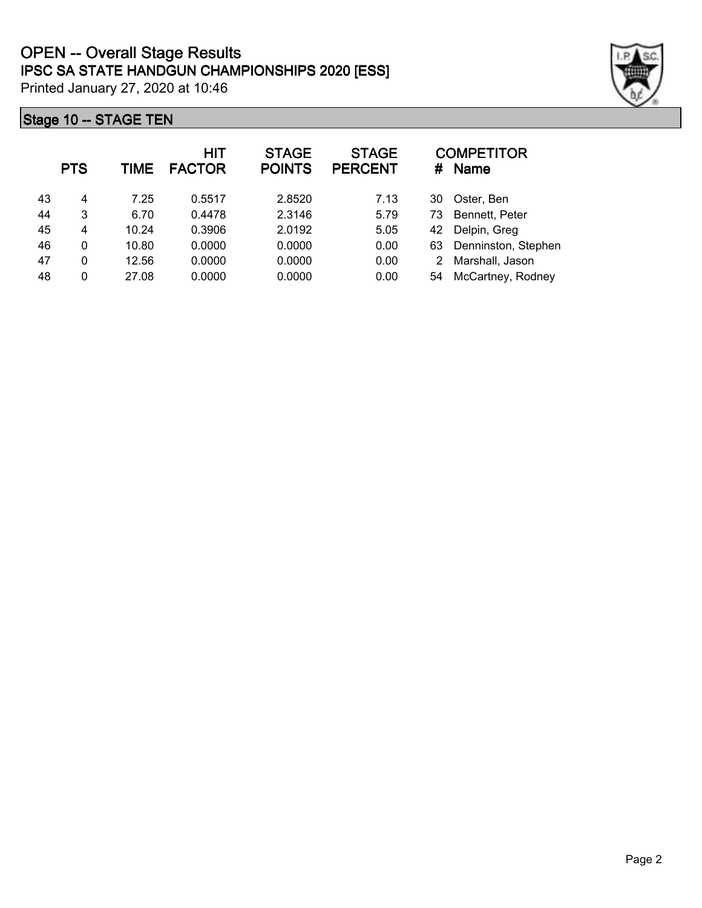|    | <b>PTS</b> | <b>TIME</b> | <b>HIT</b><br><b>FACTOR</b> | <b>STAGE</b><br><b>POINTS</b> | <b>STAGE</b><br><b>PERCENT</b> | #  | <b>COMPETITOR</b><br><b>Name</b> |
|----|------------|-------------|-----------------------------|-------------------------------|--------------------------------|----|----------------------------------|
| 43 | 4          | 7.25        | 0.5517                      | 2.8520                        | 7.13                           | 30 | Oster, Ben                       |
| 44 | 3          | 6.70        | 0.4478                      | 2.3146                        | 5.79                           | 73 | Bennett, Peter                   |
| 45 | 4          | 10.24       | 0.3906                      | 2.0192                        | 5.05                           | 42 | Delpin, Greg                     |
| 46 | 0          | 10.80       | 0.0000                      | 0.0000                        | 0.00                           | 63 | Denninston, Stephen              |
| 47 | 0          | 12.56       | 0.0000                      | 0.0000                        | 0.00                           | 2  | Marshall, Jason                  |
| 48 | 0          | 27.08       | 0.0000                      | 0.0000                        | 0.00                           | 54 | McCartney, Rodney                |

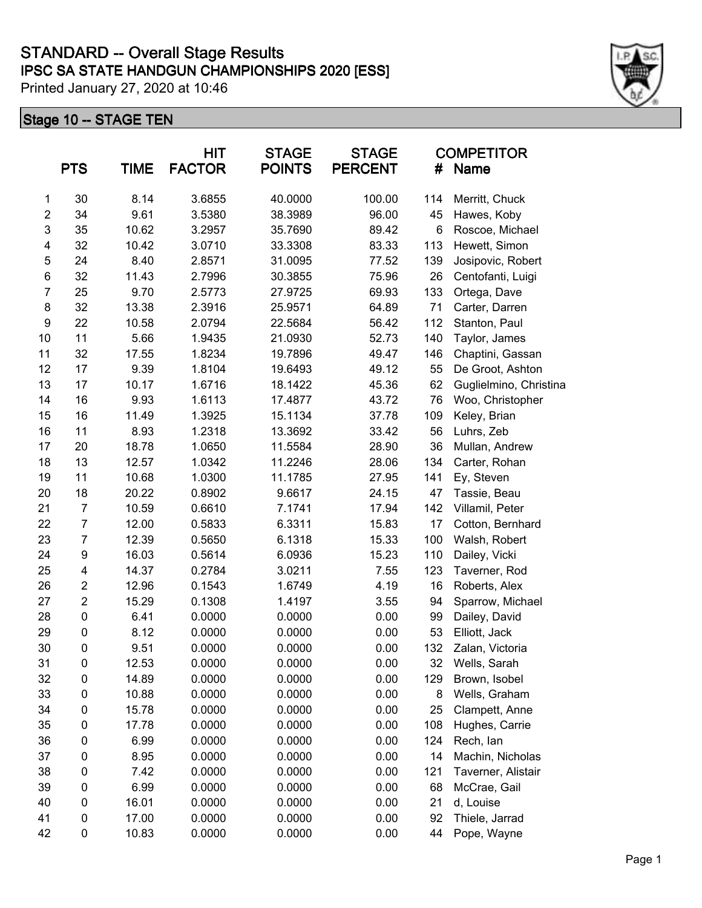|                | <b>PTS</b>              | <b>TIME</b> | HIT<br><b>FACTOR</b> | <b>STAGE</b><br><b>POINTS</b> | <b>STAGE</b><br><b>PERCENT</b> | #   | <b>COMPETITOR</b><br><b>Name</b> |
|----------------|-------------------------|-------------|----------------------|-------------------------------|--------------------------------|-----|----------------------------------|
| 1              | 30                      | 8.14        | 3.6855               | 40.0000                       | 100.00                         | 114 | Merritt, Chuck                   |
| $\overline{2}$ | 34                      | 9.61        | 3.5380               | 38.3989                       | 96.00                          | 45  | Hawes, Koby                      |
| 3              | 35                      | 10.62       | 3.2957               | 35.7690                       | 89.42                          | 6   | Roscoe, Michael                  |
| 4              | 32                      | 10.42       | 3.0710               | 33.3308                       | 83.33                          | 113 | Hewett, Simon                    |
| 5              | 24                      | 8.40        | 2.8571               | 31.0095                       | 77.52                          | 139 | Josipovic, Robert                |
| 6              | 32                      | 11.43       | 2.7996               | 30.3855                       | 75.96                          | 26  | Centofanti, Luigi                |
| $\overline{7}$ | 25                      | 9.70        | 2.5773               | 27.9725                       | 69.93                          | 133 | Ortega, Dave                     |
| 8              | 32                      | 13.38       | 2.3916               | 25.9571                       | 64.89                          | 71  | Carter, Darren                   |
| 9              | 22                      | 10.58       | 2.0794               | 22.5684                       | 56.42                          | 112 | Stanton, Paul                    |
| 10             | 11                      | 5.66        | 1.9435               | 21.0930                       | 52.73                          | 140 | Taylor, James                    |
| 11             | 32                      | 17.55       | 1.8234               | 19.7896                       | 49.47                          | 146 | Chaptini, Gassan                 |
| 12             | 17                      | 9.39        | 1.8104               | 19.6493                       | 49.12                          | 55  | De Groot, Ashton                 |
| 13             | 17                      | 10.17       | 1.6716               | 18.1422                       | 45.36                          | 62  | Guglielmino, Christina           |
| 14             | 16                      | 9.93        | 1.6113               | 17.4877                       | 43.72                          | 76  | Woo, Christopher                 |
| 15             | 16                      | 11.49       | 1.3925               | 15.1134                       | 37.78                          | 109 | Keley, Brian                     |
| 16             | 11                      | 8.93        | 1.2318               | 13.3692                       | 33.42                          | 56  | Luhrs, Zeb                       |
| 17             | 20                      | 18.78       | 1.0650               | 11.5584                       | 28.90                          | 36  | Mullan, Andrew                   |
| 18             | 13                      | 12.57       | 1.0342               | 11.2246                       | 28.06                          | 134 | Carter, Rohan                    |
| 19             | 11                      | 10.68       | 1.0300               | 11.1785                       | 27.95                          | 141 | Ey, Steven                       |
| 20             | 18                      | 20.22       | 0.8902               | 9.6617                        | 24.15                          | 47  | Tassie, Beau                     |
| 21             | $\overline{7}$          | 10.59       | 0.6610               | 7.1741                        | 17.94                          | 142 | Villamil, Peter                  |
| 22             | $\boldsymbol{7}$        | 12.00       | 0.5833               | 6.3311                        | 15.83                          | 17  | Cotton, Bernhard                 |
| 23             | 7                       | 12.39       | 0.5650               | 6.1318                        | 15.33                          | 100 | Walsh, Robert                    |
| 24             | 9                       | 16.03       | 0.5614               | 6.0936                        | 15.23                          | 110 | Dailey, Vicki                    |
| 25             | 4                       | 14.37       | 0.2784               | 3.0211                        | 7.55                           | 123 | Taverner, Rod                    |
| 26             | $\overline{c}$          | 12.96       | 0.1543               | 1.6749                        | 4.19                           | 16  | Roberts, Alex                    |
| 27             | $\overline{\mathbf{c}}$ | 15.29       | 0.1308               | 1.4197                        | 3.55                           | 94  | Sparrow, Michael                 |
| 28             | 0                       | 6.41        | 0.0000               | 0.0000                        | 0.00                           | 99  | Dailey, David                    |
| 29             | $\pmb{0}$               | 8.12        | 0.0000               | 0.0000                        | 0.00                           | 53  | Elliott, Jack                    |
| 30             | $\mathbf 0$             | 9.51        | 0.0000               | 0.0000                        | 0.00                           | 132 | Zalan, Victoria                  |
| 31             | 0                       | 12.53       | 0.0000               | 0.0000                        | 0.00                           | 32  | Wells, Sarah                     |
| 32             | 0                       | 14.89       | 0.0000               | 0.0000                        | 0.00                           | 129 | Brown, Isobel                    |
| 33             | 0                       | 10.88       | 0.0000               | 0.0000                        | 0.00                           | 8   | Wells, Graham                    |
| 34             | 0                       | 15.78       | 0.0000               | 0.0000                        | 0.00                           | 25  | Clampett, Anne                   |
| 35             | 0                       | 17.78       | 0.0000               | 0.0000                        | 0.00                           | 108 | Hughes, Carrie                   |
| 36             | 0                       | 6.99        | 0.0000               | 0.0000                        | 0.00                           | 124 | Rech, lan                        |
| 37             | 0                       | 8.95        | 0.0000               | 0.0000                        | 0.00                           | 14  | Machin, Nicholas                 |
| 38             | 0                       | 7.42        | 0.0000               | 0.0000                        | 0.00                           | 121 | Taverner, Alistair               |
| 39             | 0                       | 6.99        | 0.0000               | 0.0000                        | 0.00                           | 68  | McCrae, Gail                     |
| 40             | 0                       | 16.01       | 0.0000               | 0.0000                        | 0.00                           | 21  | d, Louise                        |
| 41             | 0                       | 17.00       | 0.0000               | 0.0000                        | 0.00                           | 92  | Thiele, Jarrad                   |
| 42             | 0                       | 10.83       | 0.0000               | 0.0000                        | 0.00                           | 44  | Pope, Wayne                      |

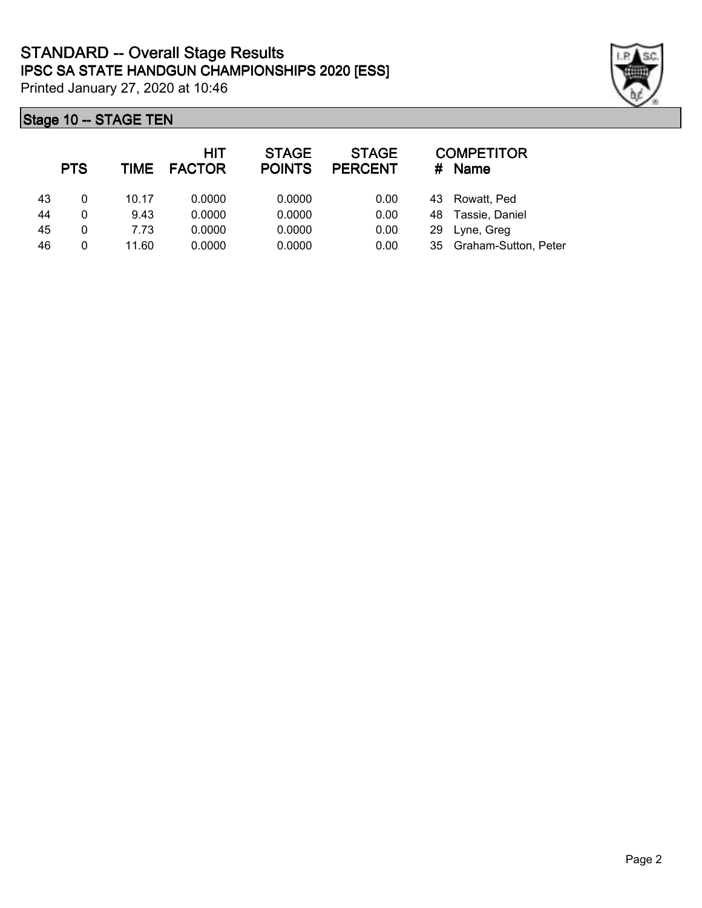|    | <b>PTS</b> | TIME  | HIT<br><b>FACTOR</b> | <b>STAGE</b><br><b>POINTS</b> | <b>STAGE</b><br><b>PERCENT</b> | #  | <b>COMPETITOR</b><br><b>Name</b> |
|----|------------|-------|----------------------|-------------------------------|--------------------------------|----|----------------------------------|
| 43 | 0          | 10.17 | 0.0000               | 0.0000                        | 0.00                           | 43 | Rowatt, Ped                      |
| 44 | 0          | 9.43  | 0.0000               | 0.0000                        | 0.00                           | 48 | Tassie, Daniel                   |
| 45 | 0          | 7.73  | 0.0000               | 0.0000                        | 0.00                           | 29 | Lyne, Greg                       |
| 46 | 0          | 11.60 | 0.0000               | 0.0000                        | 0.00                           | 35 | Graham-Sutton, Peter             |

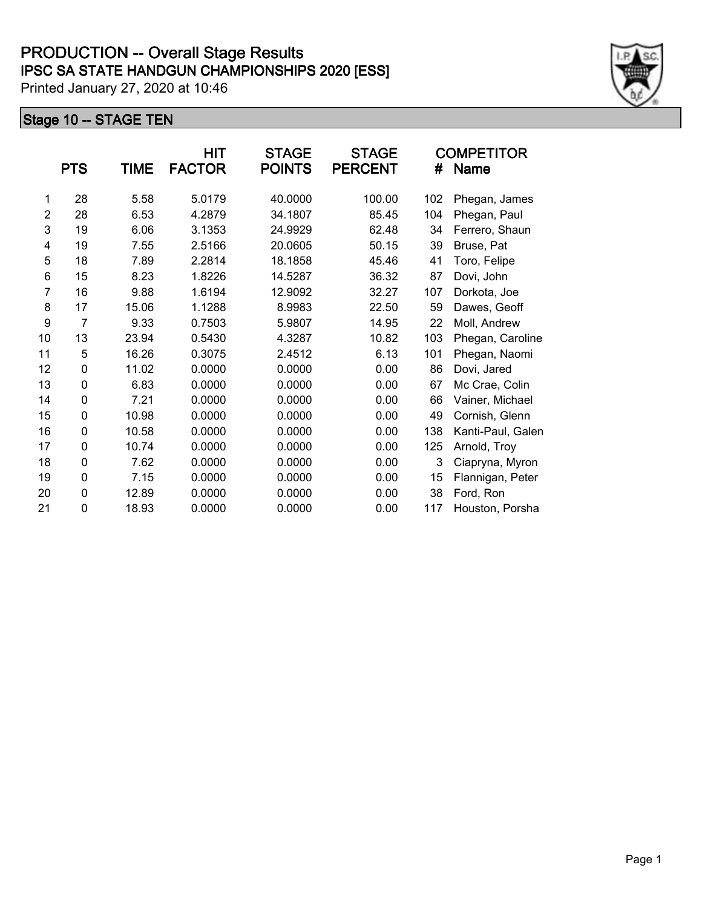|                | <b>PTS</b>     | TIME  | HIT<br><b>FACTOR</b> | <b>STAGE</b><br><b>POINTS</b> | <b>STAGE</b><br><b>PERCENT</b> | #   | <b>COMPETITOR</b><br>Name |
|----------------|----------------|-------|----------------------|-------------------------------|--------------------------------|-----|---------------------------|
| 1              | 28             | 5.58  | 5.0179               | 40.0000                       | 100.00                         | 102 | Phegan, James             |
| $\overline{2}$ | 28             | 6.53  | 4.2879               | 34.1807                       | 85.45                          | 104 | Phegan, Paul              |
| 3              | 19             | 6.06  | 3.1353               | 24.9929                       | 62.48                          | 34  | Ferrero, Shaun            |
| 4              | 19             | 7.55  | 2.5166               | 20.0605                       | 50.15                          | 39  | Bruse, Pat                |
| 5              | 18             | 7.89  | 2.2814               | 18.1858                       | 45.46                          | 41  | Toro, Felipe              |
| 6              | 15             | 8.23  | 1.8226               | 14.5287                       | 36.32                          | 87  | Dovi, John                |
| $\overline{7}$ | 16             | 9.88  | 1.6194               | 12.9092                       | 32.27                          | 107 | Dorkota, Joe              |
| 8              | 17             | 15.06 | 1.1288               | 8.9983                        | 22.50                          | 59  | Dawes, Geoff              |
| 9              | $\overline{7}$ | 9.33  | 0.7503               | 5.9807                        | 14.95                          | 22  | Moll, Andrew              |
| 10             | 13             | 23.94 | 0.5430               | 4.3287                        | 10.82                          | 103 | Phegan, Caroline          |
| 11             | 5              | 16.26 | 0.3075               | 2.4512                        | 6.13                           | 101 | Phegan, Naomi             |
| 12             | 0              | 11.02 | 0.0000               | 0.0000                        | 0.00                           | 86  | Dovi, Jared               |
| 13             | 0              | 6.83  | 0.0000               | 0.0000                        | 0.00                           | 67  | Mc Crae, Colin            |
| 14             | 0              | 7.21  | 0.0000               | 0.0000                        | 0.00                           | 66  | Vainer, Michael           |
| 15             | 0              | 10.98 | 0.0000               | 0.0000                        | 0.00                           | 49  | Cornish, Glenn            |
| 16             | 0              | 10.58 | 0.0000               | 0.0000                        | 0.00                           | 138 | Kanti-Paul, Galen         |
| 17             | 0              | 10.74 | 0.0000               | 0.0000                        | 0.00                           | 125 | Arnold, Troy              |
| 18             | 0              | 7.62  | 0.0000               | 0.0000                        | 0.00                           | 3   | Ciapryna, Myron           |
| 19             | 0              | 7.15  | 0.0000               | 0.0000                        | 0.00                           | 15  | Flannigan, Peter          |
| 20             | 0              | 12.89 | 0.0000               | 0.0000                        | 0.00                           | 38  | Ford, Ron                 |
| 21             | 0              | 18.93 | 0.0000               | 0.0000                        | 0.00                           | 117 | Houston, Porsha           |

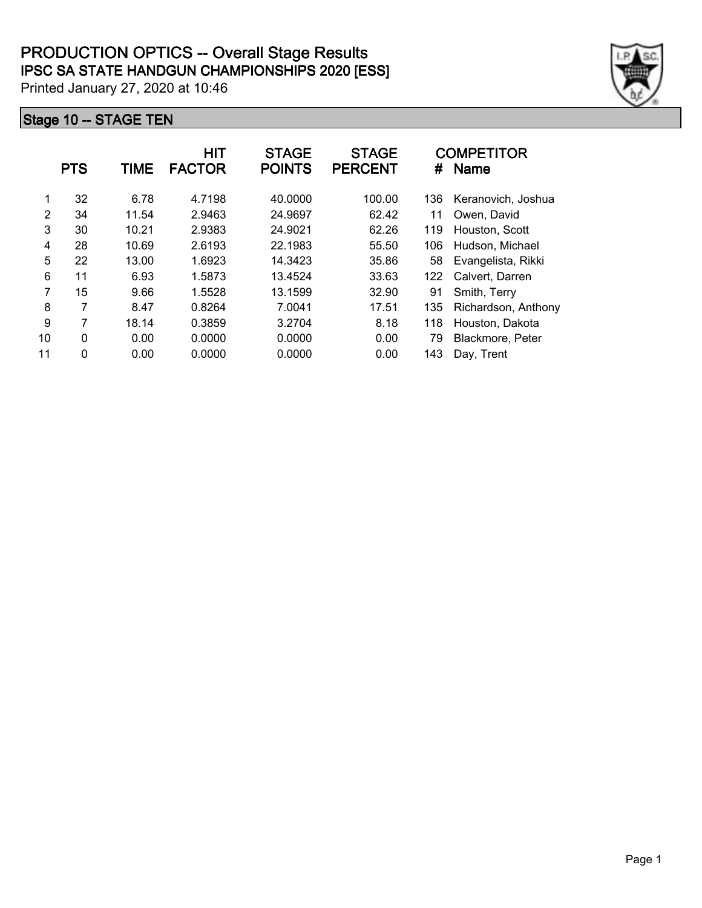|    | <b>PTS</b> | TIME  | <b>HIT</b><br><b>FACTOR</b> | <b>STAGE</b><br><b>POINTS</b> | <b>STAGE</b><br><b>PERCENT</b> | #   | <b>COMPETITOR</b><br><b>Name</b> |
|----|------------|-------|-----------------------------|-------------------------------|--------------------------------|-----|----------------------------------|
| 1  | 32         | 6.78  | 4.7198                      | 40.0000                       | 100.00                         | 136 | Keranovich, Joshua               |
| 2  | 34         | 11.54 | 2.9463                      | 24.9697                       | 62.42                          | 11  | Owen, David                      |
| 3  | 30         | 10.21 | 2.9383                      | 24.9021                       | 62.26                          | 119 | Houston, Scott                   |
| 4  | 28         | 10.69 | 2.6193                      | 22.1983                       | 55.50                          | 106 | Hudson, Michael                  |
| 5  | 22         | 13.00 | 1.6923                      | 14.3423                       | 35.86                          | 58  | Evangelista, Rikki               |
| 6  | 11         | 6.93  | 1.5873                      | 13.4524                       | 33.63                          | 122 | Calvert, Darren                  |
| 7  | 15         | 9.66  | 1.5528                      | 13.1599                       | 32.90                          | 91  | Smith, Terry                     |
| 8  | 7          | 8.47  | 0.8264                      | 7.0041                        | 17.51                          | 135 | Richardson, Anthony              |
| 9  | 7          | 18.14 | 0.3859                      | 3.2704                        | 8.18                           | 118 | Houston, Dakota                  |
| 10 | 0          | 0.00  | 0.0000                      | 0.0000                        | 0.00                           | 79  | Blackmore, Peter                 |
| 11 | 0          | 0.00  | 0.0000                      | 0.0000                        | 0.00                           | 143 | Day, Trent                       |

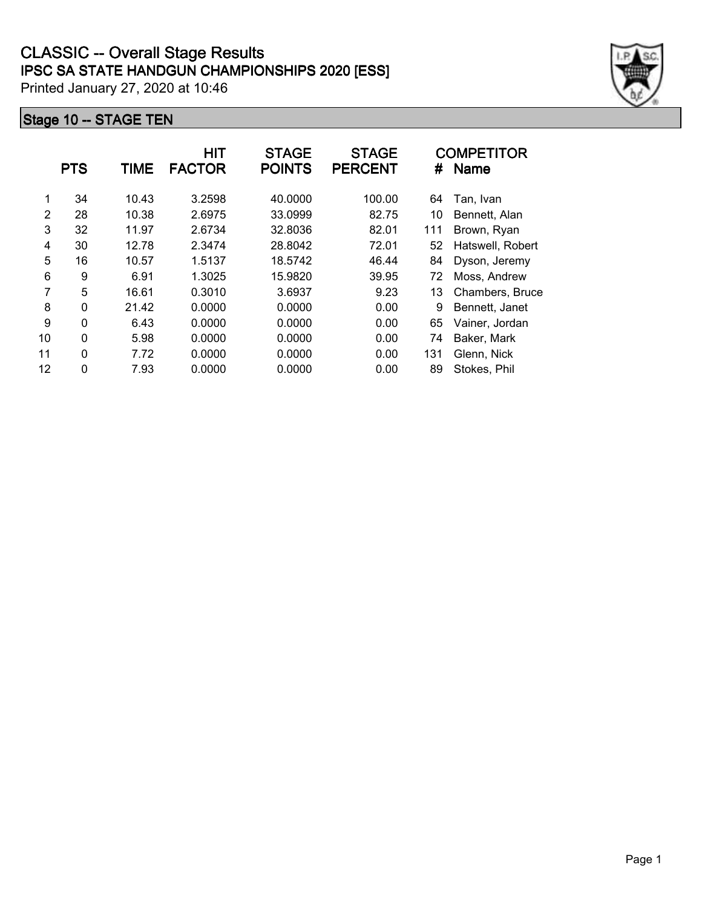|    | <b>PTS</b> | TIME  | HIT<br><b>FACTOR</b> | <b>STAGE</b><br><b>POINTS</b> | <b>STAGE</b><br><b>PERCENT</b> | #   | <b>COMPETITOR</b><br><b>Name</b> |
|----|------------|-------|----------------------|-------------------------------|--------------------------------|-----|----------------------------------|
| 1  | 34         | 10.43 | 3.2598               | 40.0000                       | 100.00                         | 64  | Tan, Ivan                        |
| 2  | 28         | 10.38 | 2.6975               | 33.0999                       | 82.75                          | 10  | Bennett, Alan                    |
| 3  | 32         | 11.97 | 2.6734               | 32.8036                       | 82.01                          | 111 | Brown, Ryan                      |
| 4  | 30         | 12.78 | 2.3474               | 28.8042                       | 72.01                          | 52  | Hatswell, Robert                 |
| 5  | 16         | 10.57 | 1.5137               | 18.5742                       | 46.44                          | 84  | Dyson, Jeremy                    |
| 6  | 9          | 6.91  | 1.3025               | 15.9820                       | 39.95                          | 72  | Moss, Andrew                     |
| 7  | 5          | 16.61 | 0.3010               | 3.6937                        | 9.23                           | 13  | Chambers, Bruce                  |
| 8  | 0          | 21.42 | 0.0000               | 0.0000                        | 0.00                           | 9   | Bennett, Janet                   |
| 9  | 0          | 6.43  | 0.0000               | 0.0000                        | 0.00                           | 65  | Vainer, Jordan                   |
| 10 | $\Omega$   | 5.98  | 0.0000               | 0.0000                        | 0.00                           | 74  | Baker, Mark                      |
| 11 | 0          | 7.72  | 0.0000               | 0.0000                        | 0.00                           | 131 | Glenn, Nick                      |
| 12 | 0          | 7.93  | 0.0000               | 0.0000                        | 0.00                           | 89  | Stokes, Phil                     |

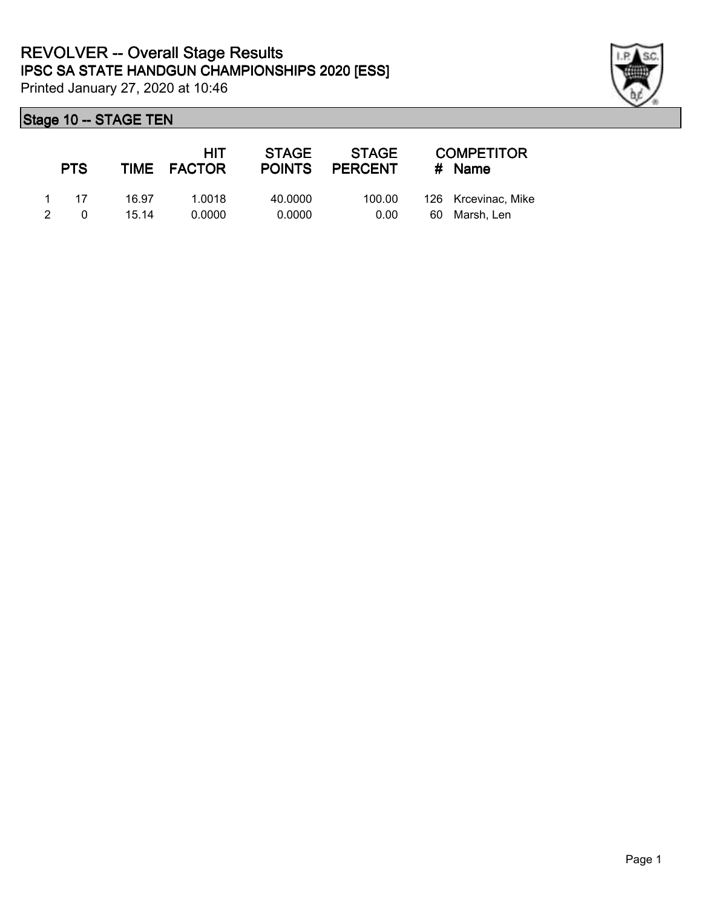

|               | <b>PTS</b> |       | HIT<br>TIME FACTOR | <b>STAGE</b><br><b>POINTS</b> | <b>STAGE</b><br><b>PERCENT</b> |    | <b>COMPETITOR</b><br># Name |
|---------------|------------|-------|--------------------|-------------------------------|--------------------------------|----|-----------------------------|
|               | 1 17       | 16.97 | 1.0018             | 40.0000                       | 100.00                         |    | 126 Krcevinac, Mike         |
| $\mathcal{P}$ | 0          | 15 14 | 0.0000             | 0.0000                        | 0.00                           | 60 | Marsh, Len                  |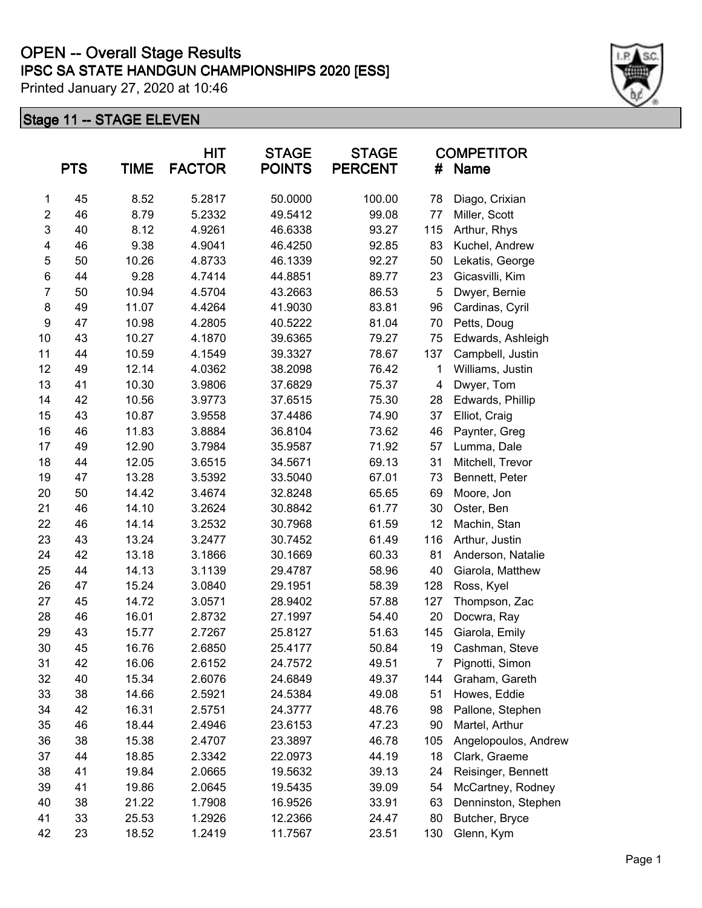# **IPSC SA STATE HANDGUN CHAMPIONSHIPS 2020 [ESS] OPEN -- Overall Stage Results**

Printed January 27, 2020 at 10:46

|                         | <b>PTS</b> | <b>TIME</b> | <b>HIT</b><br><b>FACTOR</b> | <b>STAGE</b><br><b>POINTS</b> | <b>STAGE</b><br><b>PERCENT</b> | #   | <b>COMPETITOR</b><br>Name |
|-------------------------|------------|-------------|-----------------------------|-------------------------------|--------------------------------|-----|---------------------------|
| 1                       | 45         | 8.52        | 5.2817                      | 50.0000                       | 100.00                         | 78  | Diago, Crixian            |
| $\overline{\mathbf{c}}$ | 46         | 8.79        | 5.2332                      | 49.5412                       | 99.08                          | 77  | Miller, Scott             |
| $\mathsf 3$             | 40         | 8.12        | 4.9261                      | 46.6338                       | 93.27                          | 115 | Arthur, Rhys              |
| 4                       | 46         | 9.38        | 4.9041                      | 46.4250                       | 92.85                          | 83  | Kuchel, Andrew            |
| 5                       | 50         | 10.26       | 4.8733                      | 46.1339                       | 92.27                          | 50  | Lekatis, George           |
| 6                       | 44         | 9.28        | 4.7414                      | 44.8851                       | 89.77                          | 23  | Gicasvilli, Kim           |
| $\overline{7}$          | 50         | 10.94       | 4.5704                      | 43.2663                       | 86.53                          | 5   | Dwyer, Bernie             |
| 8                       | 49         | 11.07       | 4.4264                      | 41.9030                       | 83.81                          | 96  | Cardinas, Cyril           |
| 9                       | 47         | 10.98       | 4.2805                      | 40.5222                       | 81.04                          | 70  | Petts, Doug               |
| 10                      | 43         | 10.27       | 4.1870                      | 39.6365                       | 79.27                          | 75  | Edwards, Ashleigh         |
| 11                      | 44         | 10.59       | 4.1549                      | 39.3327                       | 78.67                          | 137 | Campbell, Justin          |
| 12                      | 49         | 12.14       | 4.0362                      | 38.2098                       | 76.42                          | 1   | Williams, Justin          |
| 13                      | 41         | 10.30       | 3.9806                      | 37.6829                       | 75.37                          | 4   | Dwyer, Tom                |
| 14                      | 42         | 10.56       | 3.9773                      | 37.6515                       | 75.30                          | 28  | Edwards, Phillip          |
| 15                      | 43         | 10.87       | 3.9558                      | 37.4486                       | 74.90                          | 37  | Elliot, Craig             |
| 16                      | 46         | 11.83       | 3.8884                      | 36.8104                       | 73.62                          | 46  | Paynter, Greg             |
| 17                      | 49         | 12.90       | 3.7984                      | 35.9587                       | 71.92                          | 57  | Lumma, Dale               |
| 18                      | 44         | 12.05       | 3.6515                      | 34.5671                       | 69.13                          | 31  | Mitchell, Trevor          |
| 19                      | 47         | 13.28       | 3.5392                      | 33.5040                       | 67.01                          | 73  | Bennett, Peter            |
| 20                      | 50         | 14.42       | 3.4674                      | 32.8248                       | 65.65                          | 69  | Moore, Jon                |
| 21                      | 46         | 14.10       | 3.2624                      | 30.8842                       | 61.77                          | 30  | Oster, Ben                |
| 22                      | 46         | 14.14       | 3.2532                      | 30.7968                       | 61.59                          | 12  | Machin, Stan              |
| 23                      | 43         | 13.24       | 3.2477                      | 30.7452                       | 61.49                          | 116 | Arthur, Justin            |
| 24                      | 42         | 13.18       | 3.1866                      | 30.1669                       | 60.33                          | 81  | Anderson, Natalie         |
| 25                      | 44         | 14.13       | 3.1139                      | 29.4787                       | 58.96                          | 40  | Giarola, Matthew          |
| 26                      | 47         | 15.24       | 3.0840                      | 29.1951                       | 58.39                          | 128 | Ross, Kyel                |
| 27                      | 45         | 14.72       | 3.0571                      | 28.9402                       | 57.88                          | 127 | Thompson, Zac             |
| 28                      | 46         | 16.01       | 2.8732                      | 27.1997                       | 54.40                          | 20  | Docwra, Ray               |
| 29                      | 43         | 15.77       | 2.7267                      | 25.8127                       | 51.63                          | 145 | Giarola, Emily            |
| 30                      | 45         | 16.76       | 2.6850                      | 25.4177                       | 50.84                          | 19  | Cashman, Steve            |
| 31                      | 42         | 16.06       | 2.6152                      | 24.7572                       | 49.51                          | 7   | Pignotti, Simon           |
| 32                      | 40         | 15.34       | 2.6076                      | 24.6849                       | 49.37                          | 144 | Graham, Gareth            |
| 33                      | 38         | 14.66       | 2.5921                      | 24.5384                       | 49.08                          | 51  | Howes, Eddie              |
| 34                      | 42         | 16.31       | 2.5751                      | 24.3777                       | 48.76                          | 98  | Pallone, Stephen          |
| 35                      | 46         | 18.44       | 2.4946                      | 23.6153                       | 47.23                          | 90  | Martel, Arthur            |
| 36                      | 38         | 15.38       | 2.4707                      | 23.3897                       | 46.78                          | 105 | Angelopoulos, Andrew      |
| 37                      | 44         | 18.85       | 2.3342                      | 22.0973                       | 44.19                          | 18  | Clark, Graeme             |
| 38                      | 41         | 19.84       | 2.0665                      | 19.5632                       | 39.13                          | 24  | Reisinger, Bennett        |
| 39                      | 41         | 19.86       | 2.0645                      | 19.5435                       | 39.09                          | 54  | McCartney, Rodney         |
| 40                      | 38         | 21.22       | 1.7908                      | 16.9526                       | 33.91                          | 63  | Denninston, Stephen       |
| 41                      | 33         | 25.53       | 1.2926                      | 12.2366                       | 24.47                          | 80  | Butcher, Bryce            |
| 42                      | 23         | 18.52       | 1.2419                      | 11.7567                       | 23.51                          | 130 | Glenn, Kym                |

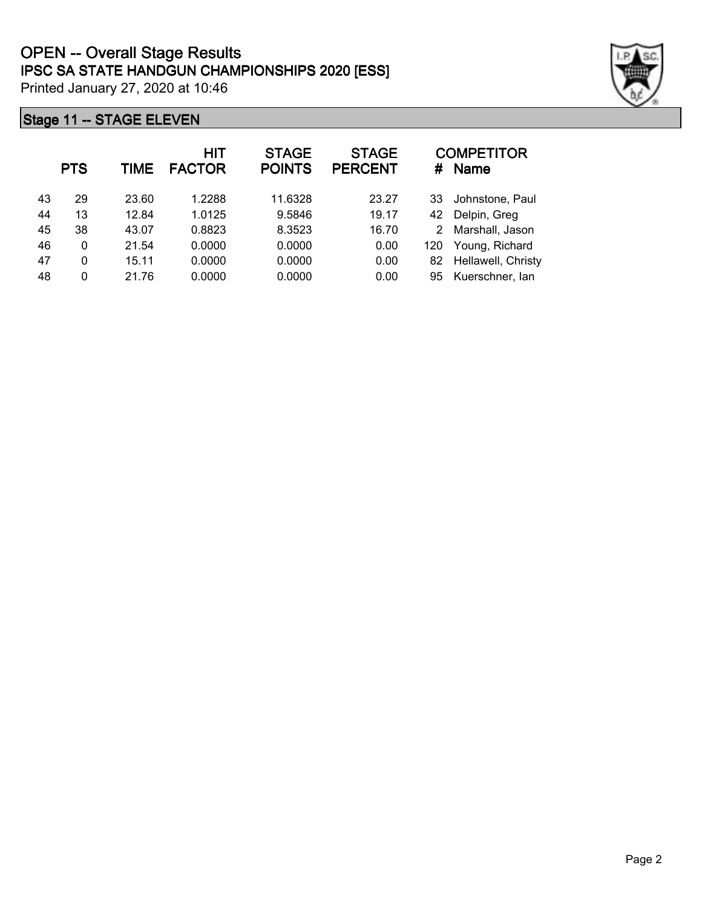|    | <b>PTS</b> | TIME  | HIT<br><b>FACTOR</b> | <b>STAGE</b><br><b>POINTS</b> | <b>STAGE</b><br><b>PERCENT</b> | #   | <b>COMPETITOR</b><br><b>Name</b> |
|----|------------|-------|----------------------|-------------------------------|--------------------------------|-----|----------------------------------|
| 43 | 29         | 23.60 | 1.2288               | 11.6328                       | 23.27                          | 33  | Johnstone, Paul                  |
| 44 | 13         | 12.84 | 1.0125               | 9.5846                        | 19.17                          | 42  | Delpin, Greg                     |
| 45 | 38         | 43.07 | 0.8823               | 8.3523                        | 16.70                          | 2   | Marshall, Jason                  |
| 46 | 0          | 21.54 | 0.0000               | 0.0000                        | 0.00                           | 120 | Young, Richard                   |
| 47 | 0          | 15.11 | 0.0000               | 0.0000                        | 0.00                           | 82  | Hellawell, Christy               |
| 48 | 0          | 21.76 | 0.0000               | 0.0000                        | 0.00                           | 95  | Kuerschner, lan                  |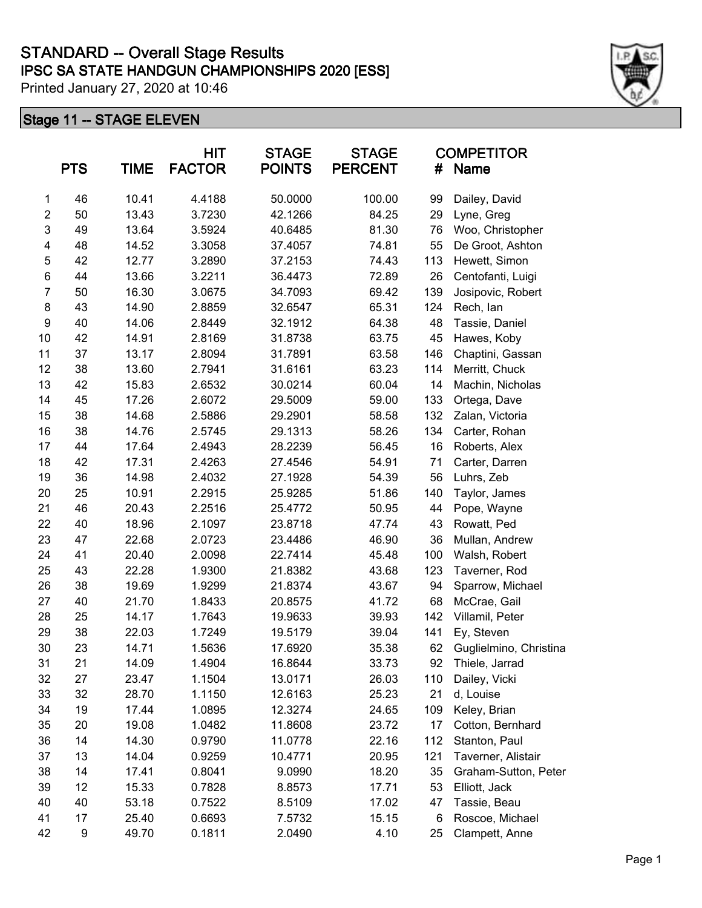|                  | <b>PTS</b> | <b>TIME</b> | <b>HIT</b><br><b>FACTOR</b> | <b>STAGE</b><br><b>POINTS</b> | <b>STAGE</b><br><b>PERCENT</b> | #   | <b>COMPETITOR</b><br>Name |
|------------------|------------|-------------|-----------------------------|-------------------------------|--------------------------------|-----|---------------------------|
| 1                | 46         | 10.41       | 4.4188                      | 50.0000                       | 100.00                         | 99  | Dailey, David             |
| $\overline{c}$   | 50         | 13.43       | 3.7230                      | 42.1266                       | 84.25                          | 29  | Lyne, Greg                |
| 3                | 49         | 13.64       | 3.5924                      | 40.6485                       | 81.30                          | 76  | Woo, Christopher          |
| 4                | 48         | 14.52       | 3.3058                      | 37.4057                       | 74.81                          | 55  | De Groot, Ashton          |
| 5                | 42         | 12.77       | 3.2890                      | 37.2153                       | 74.43                          | 113 | Hewett, Simon             |
| 6                | 44         | 13.66       | 3.2211                      | 36.4473                       | 72.89                          | 26  | Centofanti, Luigi         |
| $\overline{7}$   | 50         | 16.30       | 3.0675                      | 34.7093                       | 69.42                          | 139 | Josipovic, Robert         |
| 8                | 43         | 14.90       | 2.8859                      | 32.6547                       | 65.31                          | 124 | Rech, lan                 |
| $\boldsymbol{9}$ | 40         | 14.06       | 2.8449                      | 32.1912                       | 64.38                          | 48  | Tassie, Daniel            |
| 10               | 42         | 14.91       | 2.8169                      | 31.8738                       | 63.75                          | 45  | Hawes, Koby               |
| 11               | 37         | 13.17       | 2.8094                      | 31.7891                       | 63.58                          | 146 | Chaptini, Gassan          |
| 12               | 38         | 13.60       | 2.7941                      | 31.6161                       | 63.23                          | 114 | Merritt, Chuck            |
| 13               | 42         | 15.83       | 2.6532                      | 30.0214                       | 60.04                          | 14  | Machin, Nicholas          |
| 14               | 45         | 17.26       | 2.6072                      | 29.5009                       | 59.00                          | 133 | Ortega, Dave              |
| 15               | 38         | 14.68       | 2.5886                      | 29.2901                       | 58.58                          | 132 | Zalan, Victoria           |
| 16               | 38         | 14.76       | 2.5745                      | 29.1313                       | 58.26                          | 134 | Carter, Rohan             |
| 17               | 44         | 17.64       | 2.4943                      | 28.2239                       | 56.45                          | 16  | Roberts, Alex             |
| 18               | 42         | 17.31       | 2.4263                      | 27.4546                       | 54.91                          | 71  | Carter, Darren            |
| 19               | 36         | 14.98       | 2.4032                      | 27.1928                       | 54.39                          | 56  | Luhrs, Zeb                |
| 20               | 25         | 10.91       | 2.2915                      | 25.9285                       | 51.86                          | 140 | Taylor, James             |
| 21               | 46         | 20.43       | 2.2516                      | 25.4772                       | 50.95                          | 44  | Pope, Wayne               |
| 22               | 40         | 18.96       | 2.1097                      | 23.8718                       | 47.74                          | 43  | Rowatt, Ped               |
| 23               | 47         | 22.68       | 2.0723                      | 23.4486                       | 46.90                          | 36  | Mullan, Andrew            |
| 24               | 41         | 20.40       | 2.0098                      | 22.7414                       | 45.48                          | 100 | Walsh, Robert             |
| 25               | 43         | 22.28       | 1.9300                      | 21.8382                       | 43.68                          | 123 | Taverner, Rod             |
| 26               | 38         | 19.69       | 1.9299                      | 21.8374                       | 43.67                          | 94  | Sparrow, Michael          |
| 27               | 40         | 21.70       | 1.8433                      | 20.8575                       | 41.72                          | 68  | McCrae, Gail              |
| 28               | 25         | 14.17       | 1.7643                      | 19.9633                       | 39.93                          | 142 | Villamil, Peter           |
| 29               | 38         | 22.03       | 1.7249                      | 19.5179                       | 39.04                          | 141 | Ey, Steven                |
| 30               | 23         | 14.71       | 1.5636                      | 17.6920                       | 35.38                          | 62  | Guglielmino, Christina    |
| 31               | 21         | 14.09       | 1.4904                      | 16.8644                       | 33.73                          | 92  | Thiele, Jarrad            |
| 32               | 27         | 23.47       | 1.1504                      | 13.0171                       | 26.03                          | 110 | Dailey, Vicki             |
| 33               | 32         | 28.70       | 1.1150                      | 12.6163                       | 25.23                          | 21  | d, Louise                 |
| 34               | 19         | 17.44       | 1.0895                      | 12.3274                       | 24.65                          | 109 | Keley, Brian              |
| 35               | 20         | 19.08       | 1.0482                      | 11.8608                       | 23.72                          | 17  | Cotton, Bernhard          |
| 36               | 14         | 14.30       | 0.9790                      | 11.0778                       | 22.16                          | 112 | Stanton, Paul             |
| 37               | 13         | 14.04       | 0.9259                      | 10.4771                       | 20.95                          | 121 | Taverner, Alistair        |
| 38               | 14         | 17.41       | 0.8041                      | 9.0990                        | 18.20                          | 35  | Graham-Sutton, Peter      |
| 39               | 12         | 15.33       | 0.7828                      | 8.8573                        | 17.71                          | 53  | Elliott, Jack             |
| 40               | 40         | 53.18       | 0.7522                      | 8.5109                        | 17.02                          | 47  | Tassie, Beau              |
| 41               | 17         | 25.40       | 0.6693                      | 7.5732                        | 15.15                          | 6   | Roscoe, Michael           |
| 42               | 9          | 49.70       | 0.1811                      | 2.0490                        | 4.10                           | 25  | Clampett, Anne            |

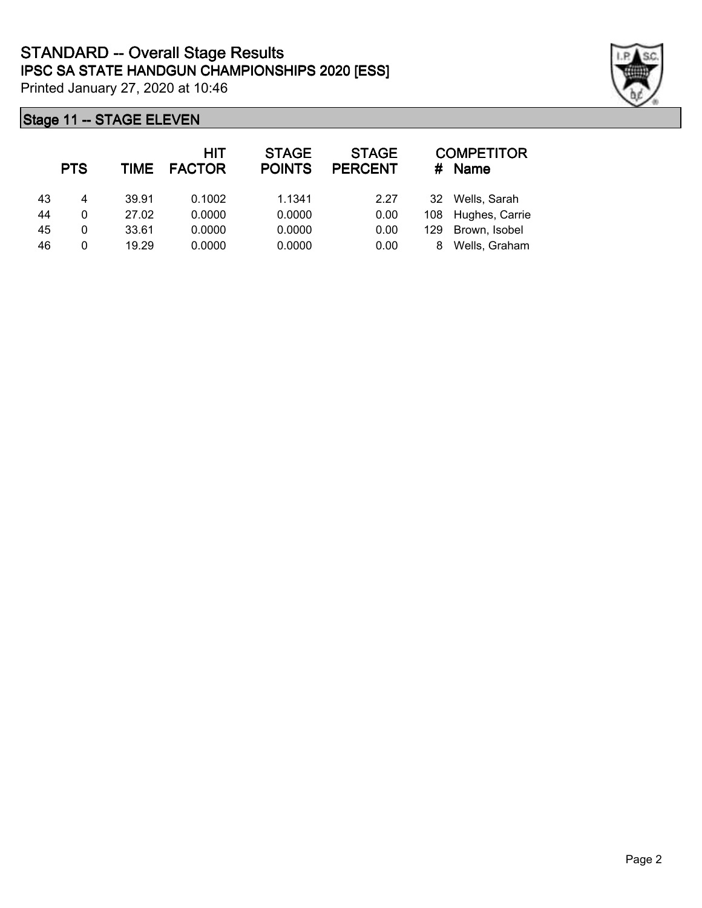

|    | <b>PTS</b> | TIME  | <b>HIT</b><br><b>FACTOR</b> | <b>STAGE</b><br><b>POINTS</b> | <b>STAGE</b><br><b>PERCENT</b> | #   | <b>COMPETITOR</b><br><b>Name</b> |
|----|------------|-------|-----------------------------|-------------------------------|--------------------------------|-----|----------------------------------|
| 43 | 4          | 39.91 | 0.1002                      | 1.1341                        | 2.27                           | 32  | Wells, Sarah                     |
| 44 | 0          | 27.02 | 0.0000                      | 0.0000                        | 0.00                           |     | 108 Hughes, Carrie               |
| 45 | 0          | 33.61 | 0.0000                      | 0.0000                        | 0.00                           | 129 | Brown, Isobel                    |
| 46 | 0          | 19.29 | 0.0000                      | 0.0000                        | 0.00                           | 8   | Wells, Graham                    |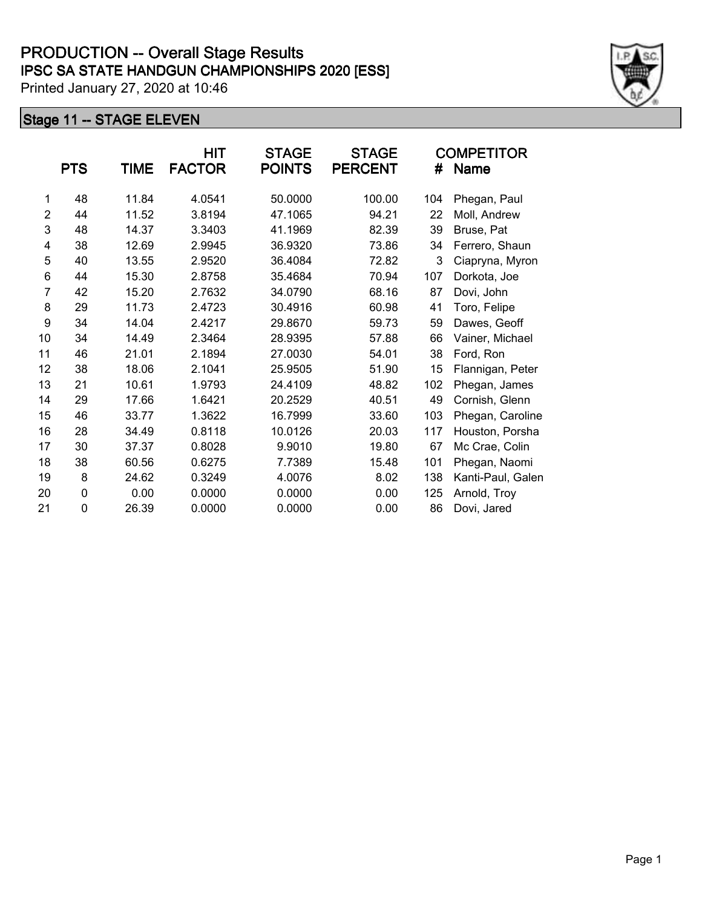|                | <b>PTS</b>  | TIME  | HIT<br><b>FACTOR</b> | <b>STAGE</b><br><b>POINTS</b> | <b>STAGE</b><br><b>PERCENT</b> | #   | <b>COMPETITOR</b><br><b>Name</b> |
|----------------|-------------|-------|----------------------|-------------------------------|--------------------------------|-----|----------------------------------|
| 1              | 48          | 11.84 | 4.0541               | 50.0000                       | 100.00                         | 104 | Phegan, Paul                     |
| $\overline{2}$ | 44          | 11.52 | 3.8194               | 47.1065                       | 94.21                          | 22  | Moll, Andrew                     |
| 3              | 48          | 14.37 | 3.3403               | 41.1969                       | 82.39                          | 39  | Bruse, Pat                       |
| 4              | 38          | 12.69 | 2.9945               | 36.9320                       | 73.86                          | 34  | Ferrero, Shaun                   |
| 5              | 40          | 13.55 | 2.9520               | 36.4084                       | 72.82                          | 3   | Ciapryna, Myron                  |
| 6              | 44          | 15.30 | 2.8758               | 35.4684                       | 70.94                          | 107 | Dorkota, Joe                     |
| $\overline{7}$ | 42          | 15.20 | 2.7632               | 34.0790                       | 68.16                          | 87  | Dovi, John                       |
| 8              | 29          | 11.73 | 2.4723               | 30.4916                       | 60.98                          | 41  | Toro, Felipe                     |
| 9              | 34          | 14.04 | 2.4217               | 29.8670                       | 59.73                          | 59  | Dawes, Geoff                     |
| 10             | 34          | 14.49 | 2.3464               | 28.9395                       | 57.88                          | 66  | Vainer, Michael                  |
| 11             | 46          | 21.01 | 2.1894               | 27.0030                       | 54.01                          | 38  | Ford, Ron                        |
| 12             | 38          | 18.06 | 2.1041               | 25.9505                       | 51.90                          | 15  | Flannigan, Peter                 |
| 13             | 21          | 10.61 | 1.9793               | 24.4109                       | 48.82                          | 102 | Phegan, James                    |
| 14             | 29          | 17.66 | 1.6421               | 20.2529                       | 40.51                          | 49  | Cornish, Glenn                   |
| 15             | 46          | 33.77 | 1.3622               | 16.7999                       | 33.60                          | 103 | Phegan, Caroline                 |
| 16             | 28          | 34.49 | 0.8118               | 10.0126                       | 20.03                          | 117 | Houston, Porsha                  |
| 17             | 30          | 37.37 | 0.8028               | 9.9010                        | 19.80                          | 67  | Mc Crae, Colin                   |
| 18             | 38          | 60.56 | 0.6275               | 7.7389                        | 15.48                          | 101 | Phegan, Naomi                    |
| 19             | 8           | 24.62 | 0.3249               | 4.0076                        | 8.02                           | 138 | Kanti-Paul, Galen                |
| 20             | $\mathbf 0$ | 0.00  | 0.0000               | 0.0000                        | 0.00                           | 125 | Arnold, Troy                     |
| 21             | 0           | 26.39 | 0.0000               | 0.0000                        | 0.00                           | 86  | Dovi, Jared                      |

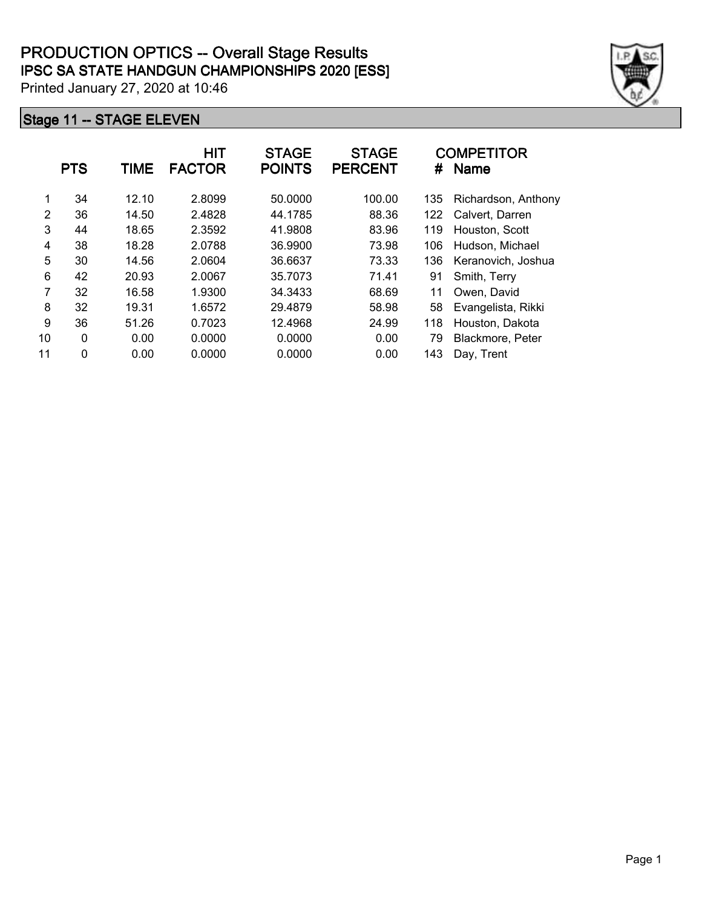|    | <b>PTS</b>   | TIME  | <b>HIT</b><br><b>FACTOR</b> | <b>STAGE</b><br><b>POINTS</b> | <b>STAGE</b><br><b>PERCENT</b> | #   | <b>COMPETITOR</b><br><b>Name</b> |
|----|--------------|-------|-----------------------------|-------------------------------|--------------------------------|-----|----------------------------------|
| 1  | 34           | 12.10 | 2.8099                      | 50.0000                       | 100.00                         | 135 | Richardson, Anthony              |
| 2  | 36           | 14.50 | 2.4828                      | 44.1785                       | 88.36                          | 122 | Calvert, Darren                  |
| 3  | 44           | 18.65 | 2.3592                      | 41.9808                       | 83.96                          | 119 | Houston, Scott                   |
| 4  | 38           | 18.28 | 2.0788                      | 36.9900                       | 73.98                          | 106 | Hudson, Michael                  |
| 5  | 30           | 14.56 | 2.0604                      | 36.6637                       | 73.33                          | 136 | Keranovich, Joshua               |
| 6  | 42           | 20.93 | 2.0067                      | 35.7073                       | 71.41                          | 91  | Smith, Terry                     |
| 7  | 32           | 16.58 | 1.9300                      | 34.3433                       | 68.69                          | 11  | Owen, David                      |
| 8  | 32           | 19.31 | 1.6572                      | 29.4879                       | 58.98                          | 58  | Evangelista, Rikki               |
| 9  | 36           | 51.26 | 0.7023                      | 12.4968                       | 24.99                          | 118 | Houston, Dakota                  |
| 10 | $\mathbf{0}$ | 0.00  | 0.0000                      | 0.0000                        | 0.00                           | 79  | Blackmore, Peter                 |
| 11 | $\mathbf{0}$ | 0.00  | 0.0000                      | 0.0000                        | 0.00                           | 143 | Day, Trent                       |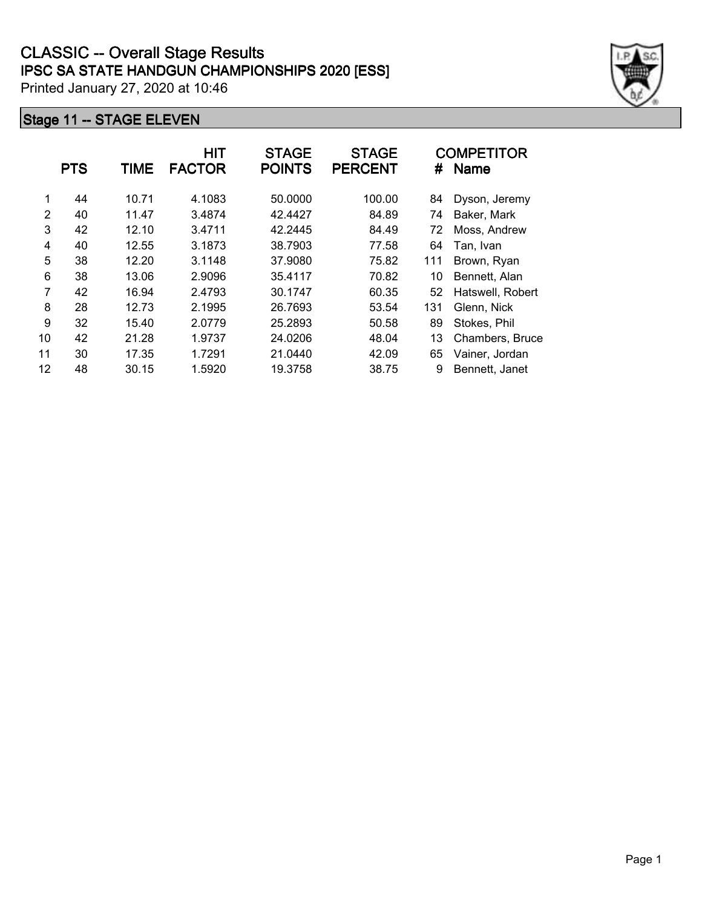|    | <b>PTS</b> | TIME  | HIT<br><b>FACTOR</b> | <b>STAGE</b><br><b>POINTS</b> | <b>STAGE</b><br><b>PERCENT</b> | #   | <b>COMPETITOR</b><br><b>Name</b> |
|----|------------|-------|----------------------|-------------------------------|--------------------------------|-----|----------------------------------|
| 1  | 44         | 10.71 | 4.1083               | 50.0000                       | 100.00                         | 84  | Dyson, Jeremy                    |
| 2  | 40         | 11.47 | 3.4874               | 42.4427                       | 84.89                          | 74  | Baker, Mark                      |
| 3  | 42         | 12.10 | 3.4711               | 42.2445                       | 84.49                          | 72  | Moss, Andrew                     |
| 4  | 40         | 12.55 | 3.1873               | 38.7903                       | 77.58                          | 64  | Tan, Ivan                        |
| 5  | 38         | 12.20 | 3.1148               | 37.9080                       | 75.82                          | 111 | Brown, Ryan                      |
| 6  | 38         | 13.06 | 2.9096               | 35.4117                       | 70.82                          | 10  | Bennett, Alan                    |
| 7  | 42         | 16.94 | 2.4793               | 30.1747                       | 60.35                          | 52  | Hatswell, Robert                 |
| 8  | 28         | 12.73 | 2.1995               | 26.7693                       | 53.54                          | 131 | Glenn, Nick                      |
| 9  | 32         | 15.40 | 2.0779               | 25.2893                       | 50.58                          | 89  | Stokes, Phil                     |
| 10 | 42         | 21.28 | 1.9737               | 24.0206                       | 48.04                          | 13  | Chambers, Bruce                  |
| 11 | 30         | 17.35 | 1.7291               | 21.0440                       | 42.09                          | 65  | Vainer, Jordan                   |
| 12 | 48         | 30.15 | 1.5920               | 19.3758                       | 38.75                          | 9   | Bennett, Janet                   |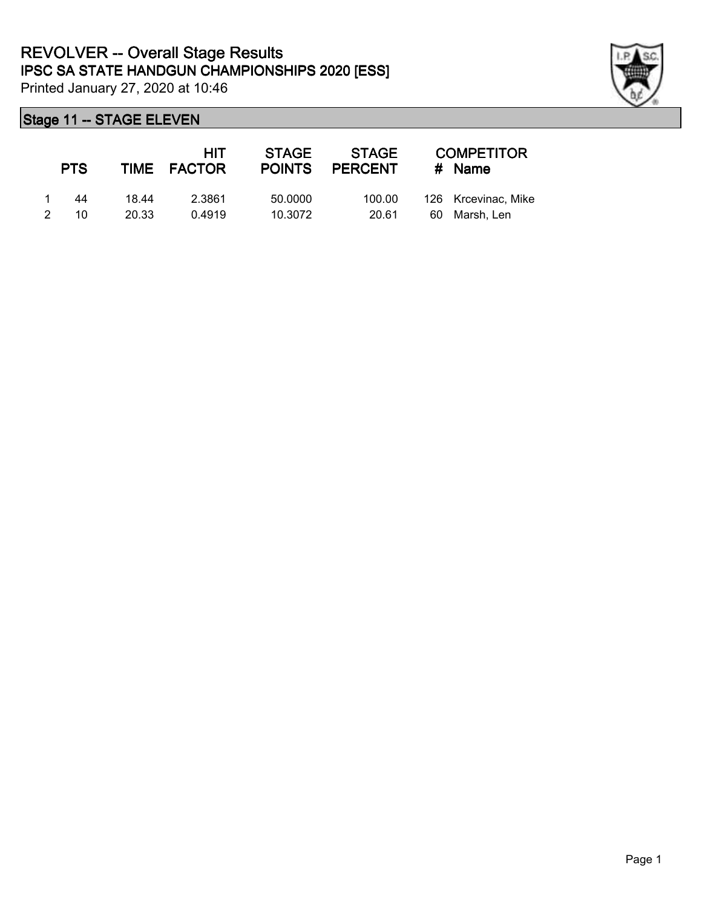

|               | <b>PTS</b> |       | HIT<br>TIME FACTOR | <b>STAGE</b><br><b>POINTS</b> | <b>STAGE</b><br><b>PERCENT</b> |    | <b>COMPETITOR</b><br>$#$ Name |
|---------------|------------|-------|--------------------|-------------------------------|--------------------------------|----|-------------------------------|
|               | 44         | 18 44 | 2.3861             | 50,0000                       | 100.00                         |    | 126 Krcevinac, Mike           |
| $\mathcal{P}$ | 10         | 20.33 | 0.4919             | 10.3072                       | 20.61                          | 60 | Marsh. Len                    |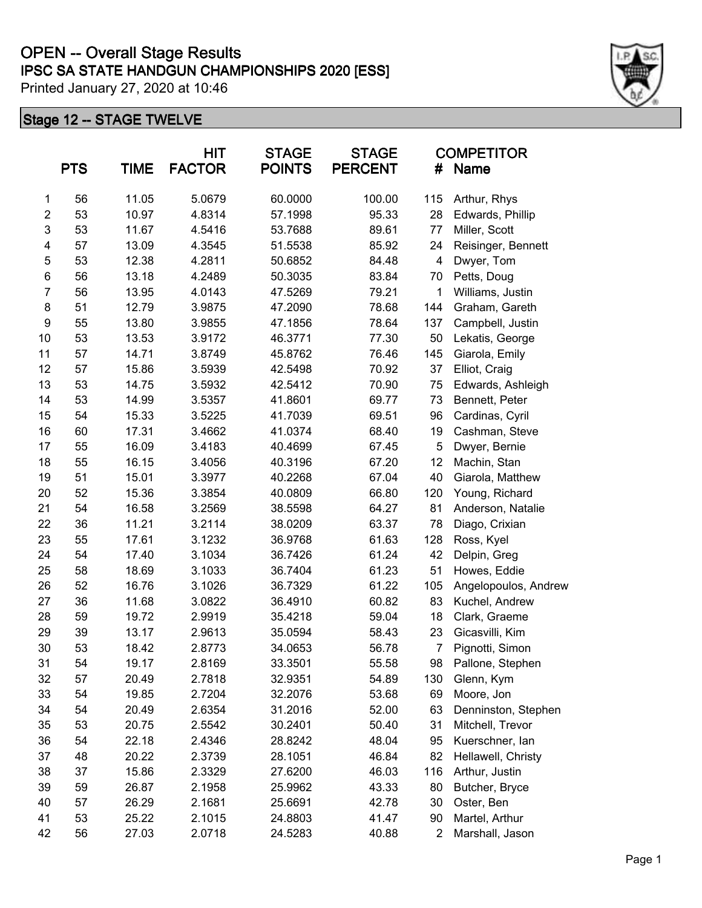# **IPSC SA STATE HANDGUN CHAMPIONSHIPS 2020 [ESS] OPEN -- Overall Stage Results**

Printed January 27, 2020 at 10:46

|                  | <b>PTS</b> | <b>TIME</b> | <b>HIT</b><br><b>FACTOR</b> | <b>STAGE</b><br><b>POINTS</b> | <b>STAGE</b><br><b>PERCENT</b> | <b>COMPETITOR</b><br>Name<br># |                      |
|------------------|------------|-------------|-----------------------------|-------------------------------|--------------------------------|--------------------------------|----------------------|
| 1                | 56         | 11.05       | 5.0679                      | 60.0000                       | 100.00                         | 115                            | Arthur, Rhys         |
| $\boldsymbol{2}$ | 53         | 10.97       | 4.8314                      | 57.1998                       | 95.33                          | 28                             | Edwards, Phillip     |
| $\mathsf 3$      | 53         | 11.67       | 4.5416                      | 53.7688                       | 89.61                          | 77                             | Miller, Scott        |
| 4                | 57         | 13.09       | 4.3545                      | 51.5538                       | 85.92                          | 24                             | Reisinger, Bennett   |
| 5                | 53         | 12.38       | 4.2811                      | 50.6852                       | 84.48                          | 4                              | Dwyer, Tom           |
| 6                | 56         | 13.18       | 4.2489                      | 50.3035                       | 83.84                          | 70                             | Petts, Doug          |
| $\overline{7}$   | 56         | 13.95       | 4.0143                      | 47.5269                       | 79.21                          | 1                              | Williams, Justin     |
| $\bf 8$          | 51         | 12.79       | 3.9875                      | 47.2090                       | 78.68                          | 144                            | Graham, Gareth       |
| $\boldsymbol{9}$ | 55         | 13.80       | 3.9855                      | 47.1856                       | 78.64                          | 137                            | Campbell, Justin     |
| 10               | 53         | 13.53       | 3.9172                      | 46.3771                       | 77.30                          | 50                             | Lekatis, George      |
| 11               | 57         | 14.71       | 3.8749                      | 45.8762                       | 76.46                          | 145                            | Giarola, Emily       |
| 12               | 57         | 15.86       | 3.5939                      | 42.5498                       | 70.92                          | 37                             | Elliot, Craig        |
| 13               | 53         | 14.75       | 3.5932                      | 42.5412                       | 70.90                          | 75                             | Edwards, Ashleigh    |
| 14               | 53         | 14.99       | 3.5357                      | 41.8601                       | 69.77                          | 73                             | Bennett, Peter       |
| 15               | 54         | 15.33       | 3.5225                      | 41.7039                       | 69.51                          | 96                             | Cardinas, Cyril      |
| 16               | 60         | 17.31       | 3.4662                      | 41.0374                       | 68.40                          | 19                             | Cashman, Steve       |
| 17               | 55         | 16.09       | 3.4183                      | 40.4699                       | 67.45                          | 5                              | Dwyer, Bernie        |
| 18               | 55         | 16.15       | 3.4056                      | 40.3196                       | 67.20                          | 12                             | Machin, Stan         |
| 19               | 51         | 15.01       | 3.3977                      | 40.2268                       | 67.04                          | 40                             | Giarola, Matthew     |
| 20               | 52         | 15.36       | 3.3854                      | 40.0809                       | 66.80                          | 120                            | Young, Richard       |
| 21               | 54         | 16.58       | 3.2569                      | 38.5598                       | 64.27                          | 81                             | Anderson, Natalie    |
| 22               | 36         | 11.21       | 3.2114                      | 38.0209                       | 63.37                          | 78                             | Diago, Crixian       |
| 23               | 55         | 17.61       | 3.1232                      | 36.9768                       | 61.63                          | 128                            | Ross, Kyel           |
| 24               | 54         | 17.40       | 3.1034                      | 36.7426                       | 61.24                          | 42                             | Delpin, Greg         |
| 25               | 58         | 18.69       | 3.1033                      | 36.7404                       | 61.23                          | 51                             | Howes, Eddie         |
| 26               | 52         | 16.76       | 3.1026                      | 36.7329                       | 61.22                          | 105                            | Angelopoulos, Andrew |
| 27               | 36         | 11.68       | 3.0822                      | 36.4910                       | 60.82                          | 83                             | Kuchel, Andrew       |
| 28               | 59         | 19.72       | 2.9919                      | 35.4218                       | 59.04                          | 18                             | Clark, Graeme        |
| 29               | 39         | 13.17       | 2.9613                      | 35.0594                       | 58.43                          | 23                             | Gicasvilli, Kim      |
| 30               | 53         | 18.42       | 2.8773                      | 34.0653                       | 56.78                          | $\overline{7}$                 | Pignotti, Simon      |
| 31               | 54         | 19.17       | 2.8169                      | 33.3501                       | 55.58                          | 98                             | Pallone, Stephen     |
| 32               | 57         | 20.49       | 2.7818                      | 32.9351                       | 54.89                          | 130                            | Glenn, Kym           |
| 33               | 54         | 19.85       | 2.7204                      | 32.2076                       | 53.68                          | 69                             | Moore, Jon           |
| 34               | 54         | 20.49       | 2.6354                      | 31.2016                       | 52.00                          | 63                             | Denninston, Stephen  |
| 35               | 53         | 20.75       | 2.5542                      | 30.2401                       | 50.40                          | 31                             | Mitchell, Trevor     |
| 36               | 54         | 22.18       | 2.4346                      | 28.8242                       | 48.04                          | 95                             | Kuerschner, lan      |
| 37               | 48         | 20.22       | 2.3739                      | 28.1051                       | 46.84                          | 82                             | Hellawell, Christy   |
| 38               | 37         | 15.86       | 2.3329                      | 27.6200                       | 46.03                          | 116                            | Arthur, Justin       |
| 39               | 59         | 26.87       | 2.1958                      | 25.9962                       | 43.33                          | 80                             | Butcher, Bryce       |
| 40               | 57         | 26.29       | 2.1681                      | 25.6691                       | 42.78                          | 30                             | Oster, Ben           |
| 41               | 53         | 25.22       | 2.1015                      | 24.8803                       | 41.47                          | 90                             | Martel, Arthur       |
| 42               | 56         | 27.03       | 2.0718                      | 24.5283                       | 40.88                          | $\overline{c}$                 | Marshall, Jason      |

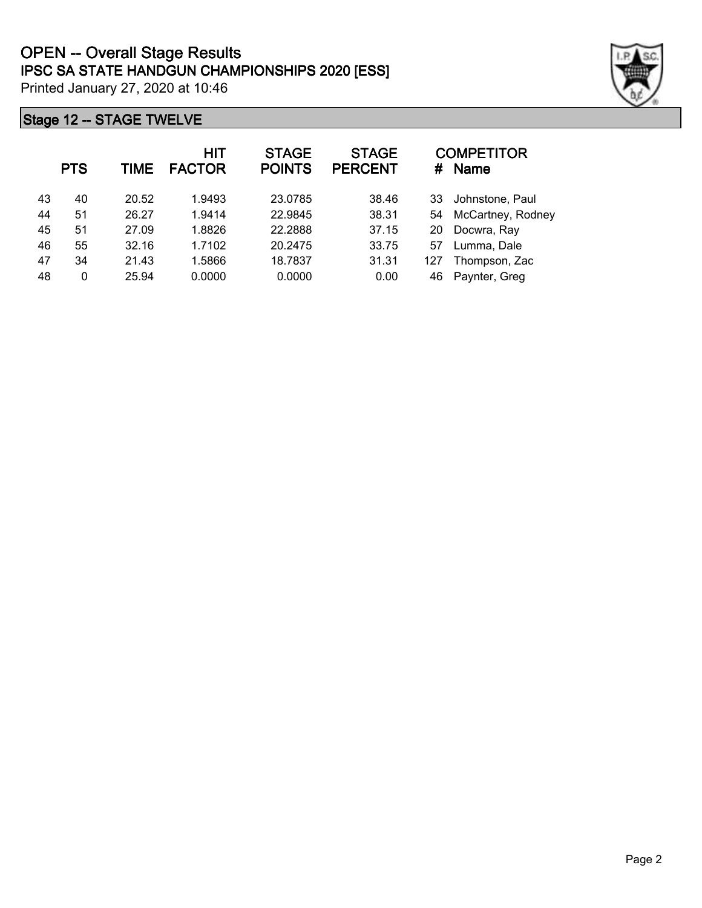|    | <b>PTS</b> | TIME  | <b>HIT</b><br><b>FACTOR</b> | <b>STAGE</b><br><b>POINTS</b> | <b>STAGE</b><br><b>PERCENT</b> | #   | <b>COMPETITOR</b><br><b>Name</b> |
|----|------------|-------|-----------------------------|-------------------------------|--------------------------------|-----|----------------------------------|
| 43 | 40         | 20.52 | 1.9493                      | 23.0785                       | 38.46                          | 33  | Johnstone, Paul                  |
| 44 | 51         | 26.27 | 1.9414                      | 22.9845                       | 38.31                          | 54  | McCartney, Rodney                |
| 45 | 51         | 27.09 | 1.8826                      | 22.2888                       | 37.15                          | 20  | Docwra, Ray                      |
| 46 | 55         | 32.16 | 1.7102                      | 20.2475                       | 33.75                          | 57  | Lumma, Dale                      |
| 47 | 34         | 21.43 | 1.5866                      | 18.7837                       | 31.31                          | 127 | Thompson, Zac                    |
| 48 | 0          | 25.94 | 0.0000                      | 0.0000                        | 0.00                           | 46  | Paynter, Greg                    |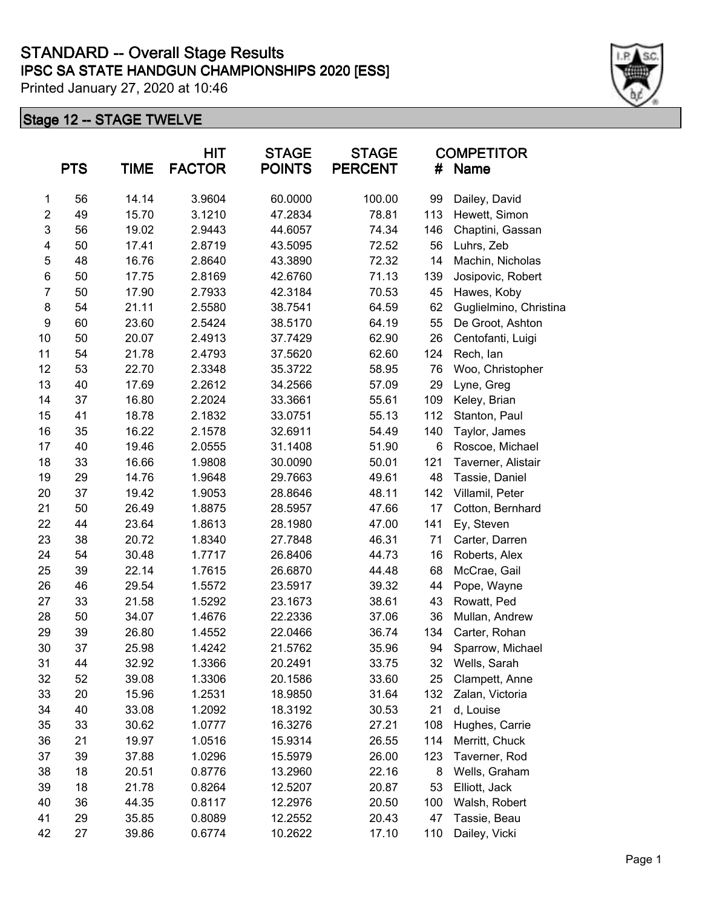|                  | <b>PTS</b> | <b>TIME</b> | <b>HIT</b><br><b>FACTOR</b> | <b>STAGE</b><br><b>POINTS</b> | <b>STAGE</b><br><b>PERCENT</b> | <b>COMPETITOR</b><br><b>Name</b><br># |                        |
|------------------|------------|-------------|-----------------------------|-------------------------------|--------------------------------|---------------------------------------|------------------------|
| 1                | 56         | 14.14       | 3.9604                      | 60.0000                       | 100.00                         | 99                                    | Dailey, David          |
| $\overline{c}$   | 49         | 15.70       | 3.1210                      | 47.2834                       | 78.81                          | 113                                   | Hewett, Simon          |
| 3                | 56         | 19.02       | 2.9443                      | 44.6057                       | 74.34                          | 146                                   | Chaptini, Gassan       |
| 4                | 50         | 17.41       | 2.8719                      | 43.5095                       | 72.52                          | 56                                    | Luhrs, Zeb             |
| 5                | 48         | 16.76       | 2.8640                      | 43.3890                       | 72.32                          | 14                                    | Machin, Nicholas       |
| 6                | 50         | 17.75       | 2.8169                      | 42.6760                       | 71.13                          | 139                                   | Josipovic, Robert      |
| $\overline{7}$   | 50         | 17.90       | 2.7933                      | 42.3184                       | 70.53                          | 45                                    | Hawes, Koby            |
| 8                | 54         | 21.11       | 2.5580                      | 38.7541                       | 64.59                          | 62                                    | Guglielmino, Christina |
| $\boldsymbol{9}$ | 60         | 23.60       | 2.5424                      | 38.5170                       | 64.19                          | 55                                    | De Groot, Ashton       |
| 10               | 50         | 20.07       | 2.4913                      | 37.7429                       | 62.90                          | 26                                    | Centofanti, Luigi      |
| 11               | 54         | 21.78       | 2.4793                      | 37.5620                       | 62.60                          | 124                                   | Rech, lan              |
| 12               | 53         | 22.70       | 2.3348                      | 35.3722                       | 58.95                          | 76                                    | Woo, Christopher       |
| 13               | 40         | 17.69       | 2.2612                      | 34.2566                       | 57.09                          | 29                                    | Lyne, Greg             |
| 14               | 37         | 16.80       | 2.2024                      | 33.3661                       | 55.61                          | 109                                   | Keley, Brian           |
| 15               | 41         | 18.78       | 2.1832                      | 33.0751                       | 55.13                          | 112                                   | Stanton, Paul          |
| 16               | 35         | 16.22       | 2.1578                      | 32.6911                       | 54.49                          | 140                                   | Taylor, James          |
| 17               | 40         | 19.46       | 2.0555                      | 31.1408                       | 51.90                          | 6                                     | Roscoe, Michael        |
| 18               | 33         | 16.66       | 1.9808                      | 30.0090                       | 50.01                          | 121                                   | Taverner, Alistair     |
| 19               | 29         | 14.76       | 1.9648                      | 29.7663                       | 49.61                          | 48                                    | Tassie, Daniel         |
| 20               | 37         | 19.42       | 1.9053                      | 28.8646                       | 48.11                          | 142                                   | Villamil, Peter        |
| 21               | 50         | 26.49       | 1.8875                      | 28.5957                       | 47.66                          | 17                                    | Cotton, Bernhard       |
| 22               | 44         | 23.64       | 1.8613                      | 28.1980                       | 47.00                          | 141                                   | Ey, Steven             |
| 23               | 38         | 20.72       | 1.8340                      | 27.7848                       | 46.31                          | 71                                    | Carter, Darren         |
| 24               | 54         | 30.48       | 1.7717                      | 26.8406                       | 44.73                          | 16                                    | Roberts, Alex          |
| 25               | 39         | 22.14       | 1.7615                      | 26.6870                       | 44.48                          | 68                                    | McCrae, Gail           |
| 26               | 46         | 29.54       | 1.5572                      | 23.5917                       | 39.32                          | 44                                    | Pope, Wayne            |
| 27               | 33         | 21.58       | 1.5292                      | 23.1673                       | 38.61                          | 43                                    | Rowatt, Ped            |
| 28               | 50         | 34.07       | 1.4676                      | 22.2336                       | 37.06                          | 36                                    | Mullan, Andrew         |
| 29               | 39         | 26.80       | 1.4552                      | 22.0466                       | 36.74                          | 134                                   | Carter, Rohan          |
| 30               | 37         | 25.98       | 1.4242                      | 21.5762                       | 35.96                          | 94                                    | Sparrow, Michael       |
| 31               | 44         | 32.92       | 1.3366                      | 20.2491                       | 33.75                          | 32                                    | Wells, Sarah           |
| 32               | 52         | 39.08       | 1.3306                      | 20.1586                       | 33.60                          | 25                                    | Clampett, Anne         |
| 33               | 20         | 15.96       | 1.2531                      | 18.9850                       | 31.64                          | 132                                   | Zalan, Victoria        |
| 34               | 40         | 33.08       | 1.2092                      | 18.3192                       | 30.53                          | 21                                    | d, Louise              |
| 35               | 33         | 30.62       | 1.0777                      | 16.3276                       | 27.21                          | 108                                   | Hughes, Carrie         |
| 36               | 21         | 19.97       | 1.0516                      | 15.9314                       | 26.55                          | 114                                   | Merritt, Chuck         |
| 37               | 39         | 37.88       | 1.0296                      | 15.5979                       | 26.00                          | 123                                   | Taverner, Rod          |
| 38               | 18         | 20.51       | 0.8776                      | 13.2960                       | 22.16                          | 8                                     | Wells, Graham          |
| 39               | 18         | 21.78       | 0.8264                      | 12.5207                       | 20.87                          | 53                                    | Elliott, Jack          |
| 40               | 36         | 44.35       | 0.8117                      | 12.2976                       | 20.50                          | 100                                   | Walsh, Robert          |
| 41               | 29         | 35.85       | 0.8089                      | 12.2552                       | 20.43                          | 47                                    | Tassie, Beau           |
| 42               | 27         | 39.86       | 0.6774                      | 10.2622                       | 17.10                          | 110                                   | Dailey, Vicki          |

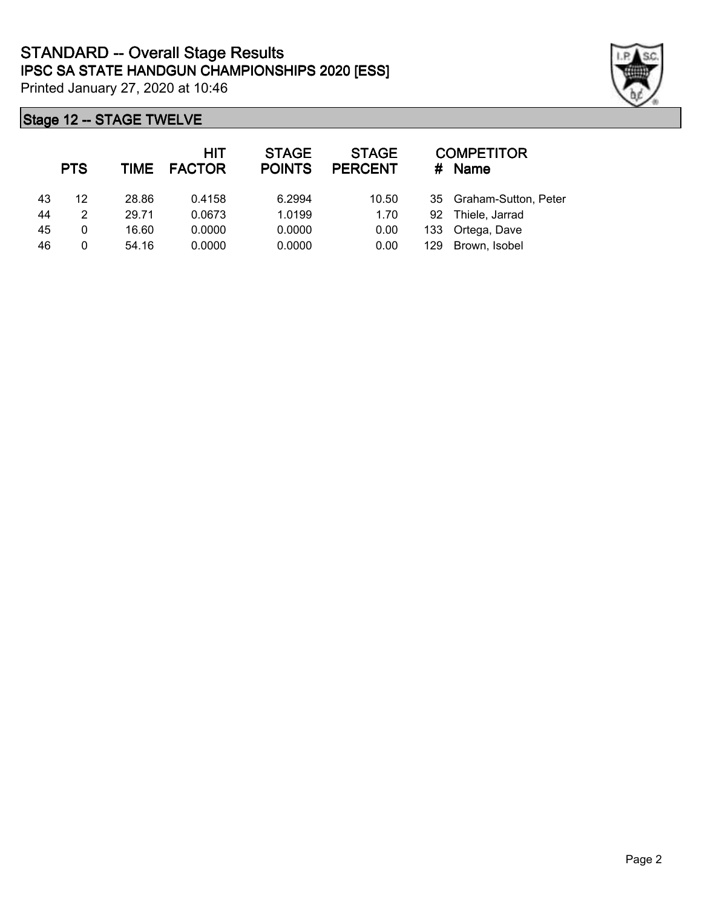

|    | <b>PTS</b> | TIME  | <b>HIT</b><br><b>FACTOR</b> | <b>STAGE</b><br><b>POINTS</b> | <b>STAGE</b><br><b>PERCENT</b> | #   | <b>COMPETITOR</b><br><b>Name</b> |
|----|------------|-------|-----------------------------|-------------------------------|--------------------------------|-----|----------------------------------|
| 43 | 12         | 28.86 | 0.4158                      | 6.2994                        | 10.50                          | 35  | Graham-Sutton, Peter             |
| 44 | 2          | 29.71 | 0.0673                      | 1.0199                        | 1.70                           | 92  | Thiele, Jarrad                   |
| 45 | 0          | 16.60 | 0.0000                      | 0.0000                        | 0.00                           | 133 | Ortega, Dave                     |
| 46 | 0          | 54.16 | 0.0000                      | 0.0000                        | 0.00                           | 129 | Brown, Isobel                    |
|    |            |       |                             |                               |                                |     |                                  |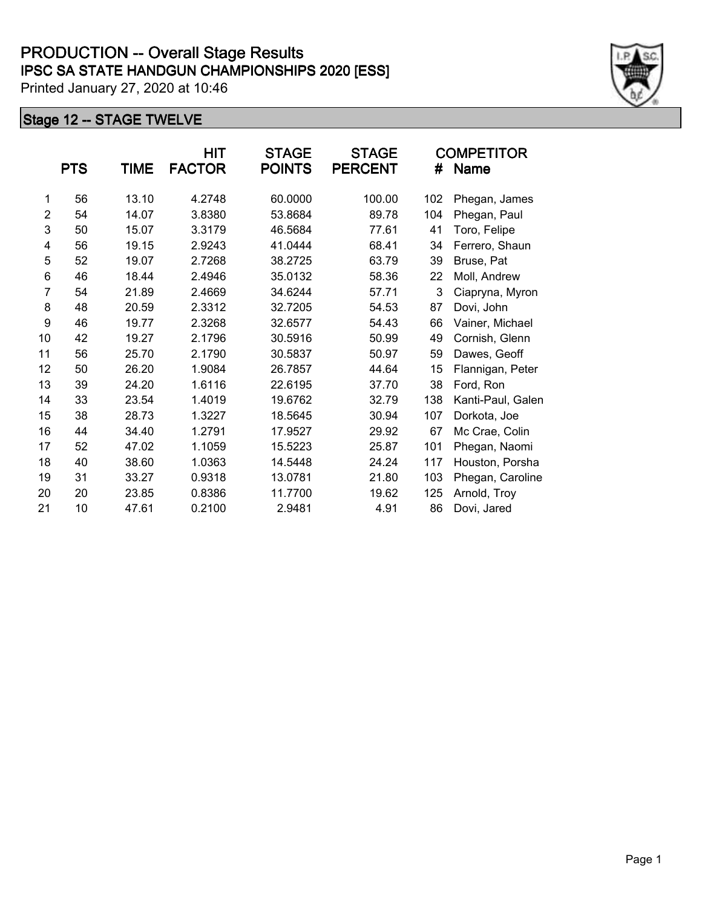|                | <b>PTS</b> | TIME  | HIT<br><b>FACTOR</b> | <b>STAGE</b><br><b>POINTS</b> | <b>STAGE</b><br><b>PERCENT</b> | #   | <b>COMPETITOR</b><br>Name |
|----------------|------------|-------|----------------------|-------------------------------|--------------------------------|-----|---------------------------|
| 1              | 56         | 13.10 | 4.2748               | 60.0000                       | 100.00                         | 102 | Phegan, James             |
| $\overline{2}$ | 54         | 14.07 | 3.8380               | 53.8684                       | 89.78                          | 104 | Phegan, Paul              |
| 3              | 50         | 15.07 | 3.3179               | 46.5684                       | 77.61                          | 41  | Toro, Felipe              |
| 4              | 56         | 19.15 | 2.9243               | 41.0444                       | 68.41                          | 34  | Ferrero, Shaun            |
| 5              | 52         | 19.07 | 2.7268               | 38.2725                       | 63.79                          | 39  | Bruse, Pat                |
| 6              | 46         | 18.44 | 2.4946               | 35.0132                       | 58.36                          | 22  | Moll, Andrew              |
| $\overline{7}$ | 54         | 21.89 | 2.4669               | 34.6244                       | 57.71                          | 3   | Ciapryna, Myron           |
| 8              | 48         | 20.59 | 2.3312               | 32.7205                       | 54.53                          | 87  | Dovi, John                |
| 9              | 46         | 19.77 | 2.3268               | 32.6577                       | 54.43                          | 66  | Vainer, Michael           |
| 10             | 42         | 19.27 | 2.1796               | 30.5916                       | 50.99                          | 49  | Cornish, Glenn            |
| 11             | 56         | 25.70 | 2.1790               | 30.5837                       | 50.97                          | 59  | Dawes, Geoff              |
| 12             | 50         | 26.20 | 1.9084               | 26.7857                       | 44.64                          | 15  | Flannigan, Peter          |
| 13             | 39         | 24.20 | 1.6116               | 22.6195                       | 37.70                          | 38  | Ford, Ron                 |
| 14             | 33         | 23.54 | 1.4019               | 19.6762                       | 32.79                          | 138 | Kanti-Paul, Galen         |
| 15             | 38         | 28.73 | 1.3227               | 18.5645                       | 30.94                          | 107 | Dorkota, Joe              |
| 16             | 44         | 34.40 | 1.2791               | 17.9527                       | 29.92                          | 67  | Mc Crae, Colin            |
| 17             | 52         | 47.02 | 1.1059               | 15.5223                       | 25.87                          | 101 | Phegan, Naomi             |
| 18             | 40         | 38.60 | 1.0363               | 14.5448                       | 24.24                          | 117 | Houston, Porsha           |
| 19             | 31         | 33.27 | 0.9318               | 13.0781                       | 21.80                          | 103 | Phegan, Caroline          |
| 20             | 20         | 23.85 | 0.8386               | 11.7700                       | 19.62                          | 125 | Arnold, Troy              |
| 21             | 10         | 47.61 | 0.2100               | 2.9481                        | 4.91                           | 86  | Dovi, Jared               |

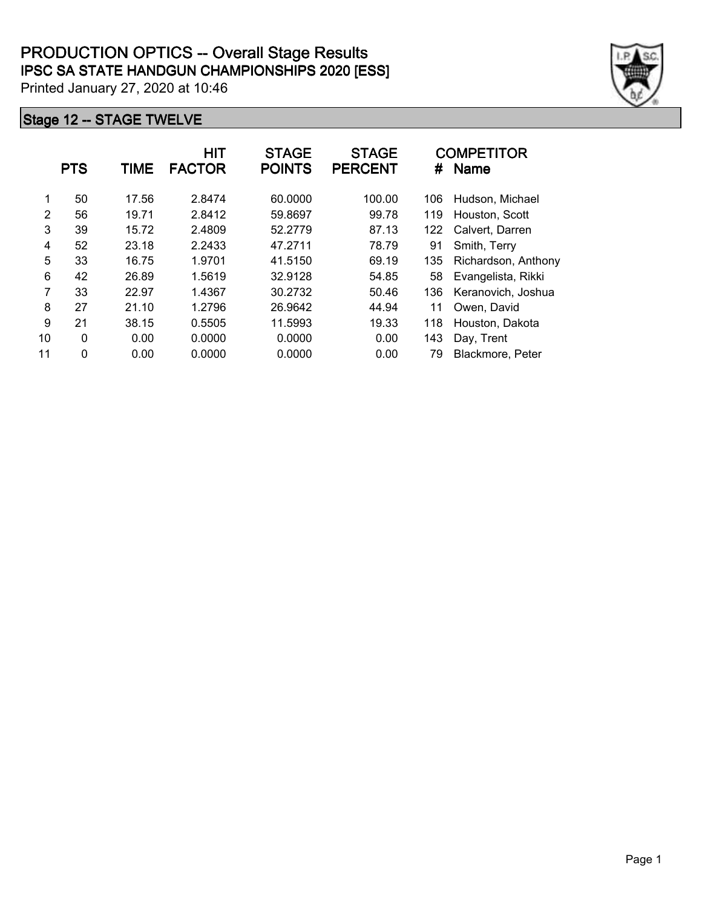|    | <b>PTS</b>   | <b>TIME</b> | <b>HIT</b><br><b>FACTOR</b> | <b>STAGE</b><br><b>POINTS</b> | <b>STAGE</b><br><b>PERCENT</b> | #   | <b>COMPETITOR</b><br><b>Name</b> |
|----|--------------|-------------|-----------------------------|-------------------------------|--------------------------------|-----|----------------------------------|
| 1  | 50           | 17.56       | 2.8474                      | 60.0000                       | 100.00                         | 106 | Hudson, Michael                  |
| 2  | 56           | 19.71       | 2.8412                      | 59.8697                       | 99.78                          | 119 | Houston, Scott                   |
| 3  | 39           | 15.72       | 2.4809                      | 52.2779                       | 87.13                          | 122 | Calvert, Darren                  |
| 4  | 52           | 23.18       | 2.2433                      | 47.2711                       | 78.79                          | 91  | Smith, Terry                     |
| 5  | 33           | 16.75       | 1.9701                      | 41.5150                       | 69.19                          | 135 | Richardson, Anthony              |
| 6  | 42           | 26.89       | 1.5619                      | 32.9128                       | 54.85                          | 58  | Evangelista, Rikki               |
| 7  | 33           | 22.97       | 1.4367                      | 30.2732                       | 50.46                          | 136 | Keranovich, Joshua               |
| 8  | 27           | 21.10       | 1.2796                      | 26.9642                       | 44.94                          | 11  | Owen, David                      |
| 9  | 21           | 38.15       | 0.5505                      | 11.5993                       | 19.33                          | 118 | Houston, Dakota                  |
| 10 | $\mathbf{0}$ | 0.00        | 0.0000                      | 0.0000                        | 0.00                           | 143 | Day, Trent                       |
| 11 | 0            | 0.00        | 0.0000                      | 0.0000                        | 0.00                           | 79  | Blackmore, Peter                 |

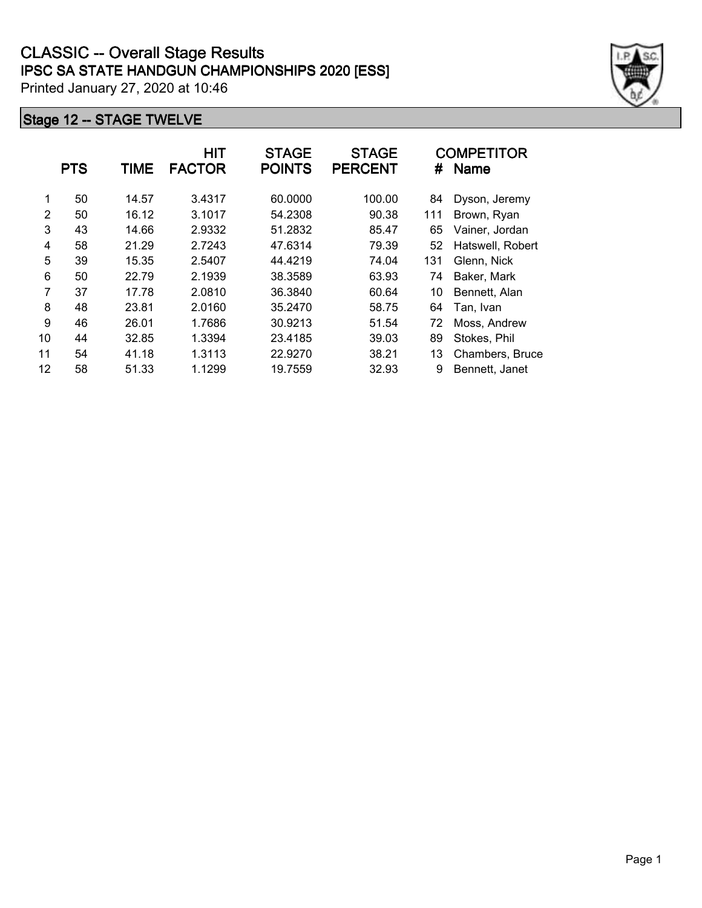|    | <b>PTS</b> | <b>TIME</b> | HIT<br><b>FACTOR</b> | <b>STAGE</b><br><b>POINTS</b> | <b>STAGE</b><br><b>PERCENT</b> | #   | <b>COMPETITOR</b><br><b>Name</b> |
|----|------------|-------------|----------------------|-------------------------------|--------------------------------|-----|----------------------------------|
| 1  | 50         | 14.57       | 3.4317               | 60.0000                       | 100.00                         | 84  | Dyson, Jeremy                    |
| 2  | 50         | 16.12       | 3.1017               | 54.2308                       | 90.38                          | 111 | Brown, Ryan                      |
| 3  | 43         | 14.66       | 2.9332               | 51.2832                       | 85.47                          | 65  | Vainer, Jordan                   |
| 4  | 58         | 21.29       | 2.7243               | 47.6314                       | 79.39                          | 52  | Hatswell, Robert                 |
| 5  | 39         | 15.35       | 2.5407               | 44.4219                       | 74.04                          | 131 | Glenn, Nick                      |
| 6  | 50         | 22.79       | 2.1939               | 38.3589                       | 63.93                          | 74  | Baker, Mark                      |
| 7  | 37         | 17.78       | 2.0810               | 36.3840                       | 60.64                          | 10  | Bennett, Alan                    |
| 8  | 48         | 23.81       | 2.0160               | 35.2470                       | 58.75                          | 64  | Tan, Ivan                        |
| 9  | 46         | 26.01       | 1.7686               | 30.9213                       | 51.54                          | 72  | Moss, Andrew                     |
| 10 | 44         | 32.85       | 1.3394               | 23.4185                       | 39.03                          | 89  | Stokes, Phil                     |
| 11 | 54         | 41.18       | 1.3113               | 22.9270                       | 38.21                          | 13  | Chambers, Bruce                  |
| 12 | 58         | 51.33       | 1.1299               | 19.7559                       | 32.93                          | 9   | Bennett, Janet                   |